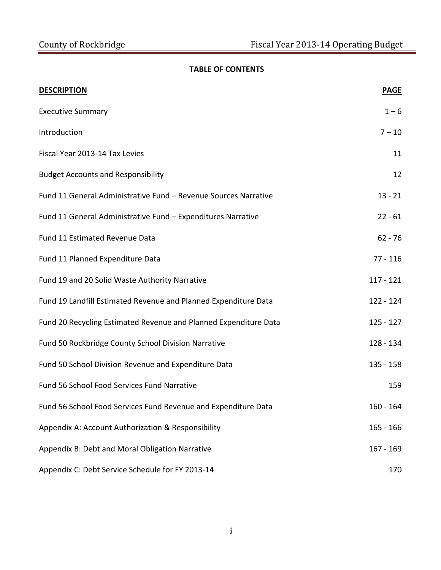# **TABLE OF CONTENTS**

| <b>DESCRIPTION</b>                                               | <b>PAGE</b> |
|------------------------------------------------------------------|-------------|
| <b>Executive Summary</b>                                         | $1 - 6$     |
| Introduction                                                     | $7 - 10$    |
| Fiscal Year 2013-14 Tax Levies                                   | 11          |
| <b>Budget Accounts and Responsibility</b>                        | 12          |
| Fund 11 General Administrative Fund - Revenue Sources Narrative  | $13 - 21$   |
| Fund 11 General Administrative Fund - Expenditures Narrative     | $22 - 61$   |
| Fund 11 Estimated Revenue Data                                   | $62 - 76$   |
| Fund 11 Planned Expenditure Data                                 | $77 - 116$  |
| Fund 19 and 20 Solid Waste Authority Narrative                   | $117 - 121$ |
| Fund 19 Landfill Estimated Revenue and Planned Expenditure Data  | $122 - 124$ |
| Fund 20 Recycling Estimated Revenue and Planned Expenditure Data | $125 - 127$ |
| Fund 50 Rockbridge County School Division Narrative              | 128 - 134   |
| Fund 50 School Division Revenue and Expenditure Data             | $135 - 158$ |
| Fund 56 School Food Services Fund Narrative                      | 159         |
| Fund 56 School Food Services Fund Revenue and Expenditure Data   | 160 - 164   |
| Appendix A: Account Authorization & Responsibility               | $165 - 166$ |
| Appendix B: Debt and Moral Obligation Narrative                  | $167 - 169$ |
| Appendix C: Debt Service Schedule for FY 2013-14                 | 170         |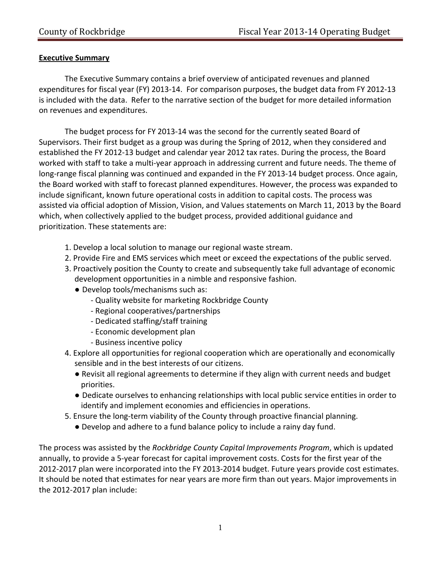## **Executive Summary**

The Executive Summary contains a brief overview of anticipated revenues and planned expenditures for fiscal year (FY) 2013‐14. For comparison purposes, the budget data from FY 2012‐13 is included with the data. Refer to the narrative section of the budget for more detailed information on revenues and expenditures.

The budget process for FY 2013‐14 was the second for the currently seated Board of Supervisors. Their first budget as a group was during the Spring of 2012, when they considered and established the FY 2012‐13 budget and calendar year 2012 tax rates. During the process, the Board worked with staff to take a multi-year approach in addressing current and future needs. The theme of long-range fiscal planning was continued and expanded in the FY 2013-14 budget process. Once again, the Board worked with staff to forecast planned expenditures. However, the process was expanded to include significant, known future operational costs in addition to capital costs. The process was assisted via official adoption of Mission, Vision, and Values statements on March 11, 2013 by the Board which, when collectively applied to the budget process, provided additional guidance and prioritization. These statements are:

- 1. Develop a local solution to manage our regional waste stream.
- 2. Provide Fire and EMS services which meet or exceed the expectations of the public served.
- 3. Proactively position the County to create and subsequently take full advantage of economic development opportunities in a nimble and responsive fashion.
	- Develop tools/mechanisms such as:
		- ‐ Quality website for marketing Rockbridge County
		- ‐ Regional cooperatives/partnerships
		- ‐ Dedicated staffing/staff training
		- ‐ Economic development plan
		- ‐ Business incentive policy
- 4. Explore all opportunities for regional cooperation which are operationally and economically sensible and in the best interests of our citizens.
	- Revisit all regional agreements to determine if they align with current needs and budget priorities.
	- Dedicate ourselves to enhancing relationships with local public service entities in order to identify and implement economies and efficiencies in operations.
- 5. Ensure the long‐term viability of the County through proactive financial planning.
	- Develop and adhere to a fund balance policy to include a rainy day fund.

The process was assisted by the *Rockbridge County Capital Improvements Program*, which is updated annually, to provide a 5‐year forecast for capital improvement costs. Costs for the first year of the 2012-2017 plan were incorporated into the FY 2013-2014 budget. Future years provide cost estimates. It should be noted that estimates for near years are more firm than out years. Major improvements in the 2012‐2017 plan include: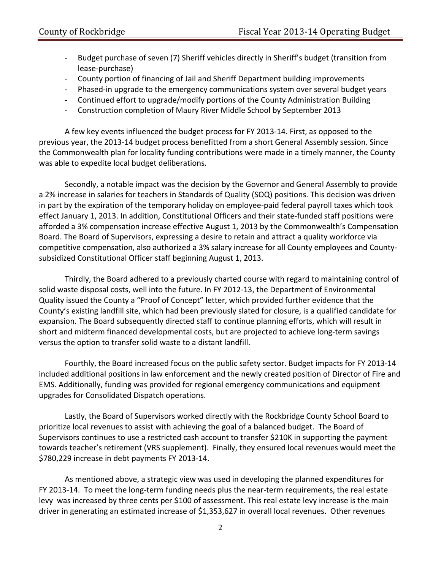- Budget purchase of seven (7) Sheriff vehicles directly in Sheriff's budget (transition from lease‐purchase)
- ‐ County portion of financing of Jail and Sheriff Department building improvements
- Phased-in upgrade to the emergency communications system over several budget years
- ‐ Continued effort to upgrade/modify portions of the County Administration Building
- ‐ Construction completion of Maury River Middle School by September 2013

A few key events influenced the budget process for FY 2013‐14. First, as opposed to the previous year, the 2013‐14 budget process benefitted from a short General Assembly session. Since the Commonwealth plan for locality funding contributions were made in a timely manner, the County was able to expedite local budget deliberations.

Secondly, a notable impact was the decision by the Governor and General Assembly to provide a 2% increase in salaries for teachers in Standards of Quality (SOQ) positions. This decision was driven in part by the expiration of the temporary holiday on employee‐paid federal payroll taxes which took effect January 1, 2013. In addition, Constitutional Officers and their state‐funded staff positions were afforded a 3% compensation increase effective August 1, 2013 by the Commonwealth's Compensation Board. The Board of Supervisors, expressing a desire to retain and attract a quality workforce via competitive compensation, also authorized a 3% salary increase for all County employees and County‐ subsidized Constitutional Officer staff beginning August 1, 2013.

Thirdly, the Board adhered to a previously charted course with regard to maintaining control of solid waste disposal costs, well into the future. In FY 2012‐13, the Department of Environmental Quality issued the County a "Proof of Concept" letter, which provided further evidence that the County's existing landfill site, which had been previously slated for closure, is a qualified candidate for expansion. The Board subsequently directed staff to continue planning efforts, which will result in short and midterm financed developmental costs, but are projected to achieve long‐term savings versus the option to transfer solid waste to a distant landfill.

Fourthly, the Board increased focus on the public safety sector. Budget impacts for FY 2013‐14 included additional positions in law enforcement and the newly created position of Director of Fire and EMS. Additionally, funding was provided for regional emergency communications and equipment upgrades for Consolidated Dispatch operations.

Lastly, the Board of Supervisors worked directly with the Rockbridge County School Board to prioritize local revenues to assist with achieving the goal of a balanced budget. The Board of Supervisors continues to use a restricted cash account to transfer \$210K in supporting the payment towards teacher's retirement (VRS supplement). Finally, they ensured local revenues would meet the \$780,229 increase in debt payments FY 2013‐14.

As mentioned above, a strategic view was used in developing the planned expenditures for FY 2013-14. To meet the long-term funding needs plus the near-term requirements, the real estate levy was increased by three cents per \$100 of assessment. This real estate levy increase is the main driver in generating an estimated increase of \$1,353,627 in overall local revenues. Other revenues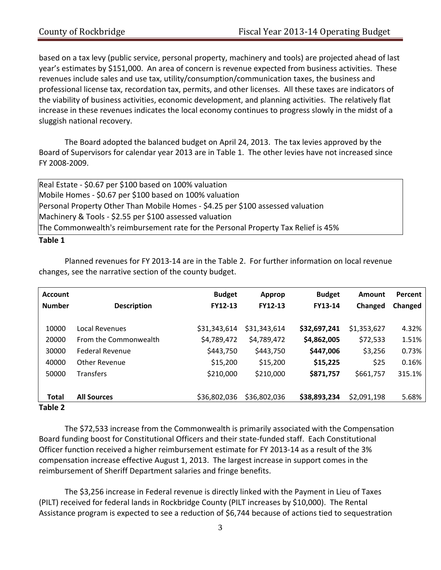based on a tax levy (public service, personal property, machinery and tools) are projected ahead of last year's estimates by \$151,000. An area of concern is revenue expected from business activities. These revenues include sales and use tax, utility/consumption/communication taxes, the business and professional license tax, recordation tax, permits, and other licenses. All these taxes are indicators of the viability of business activities, economic development, and planning activities. The relatively flat increase in these revenues indicates the local economy continues to progress slowly in the midst of a sluggish national recovery.

The Board adopted the balanced budget on April 24, 2013. The tax levies approved by the Board of Supervisors for calendar year 2013 are in Table 1. The other levies have not increased since FY 2008‐2009.

Real Estate ‐ \$0.67 per \$100 based on 100% valuation Mobile Homes ‐ \$0.67 per \$100 based on 100% valuation Personal Property Other Than Mobile Homes ‐ \$4.25 per \$100 assessed valuation Machinery & Tools ‐ \$2.55 per \$100 assessed valuation The Commonwealth's reimbursement rate for the Personal Property Tax Relief is 45% **Table 1** 

# Planned revenues for FY 2013‐14 are in the Table 2. For further information on local revenue changes, see the narrative section of the county budget.

|                        | <b>Budget</b>  | Approp       | <b>Budget</b>  | Amount      | Percent |
|------------------------|----------------|--------------|----------------|-------------|---------|
| <b>Description</b>     | <b>FY12-13</b> | FY12-13      | <b>FY13-14</b> | Changed     | Changed |
|                        |                |              |                |             |         |
| <b>Local Revenues</b>  | \$31,343,614   | \$31,343,614 | \$32,697,241   | \$1,353,627 | 4.32%   |
| From the Commonwealth  | \$4,789,472    | \$4,789,472  | \$4,862,005    | \$72,533    | 1.51%   |
| <b>Federal Revenue</b> | \$443,750      | \$443,750    | \$447,006      | \$3,256     | 0.73%   |
| Other Revenue          | \$15,200       | \$15,200     | \$15,225       | \$25        | 0.16%   |
| <b>Transfers</b>       | \$210,000      | \$210,000    | \$871,757      | \$661,757   | 315.1%  |
|                        |                |              |                |             |         |
| <b>All Sources</b>     | \$36,802,036   | \$36,802,036 | \$38,893,234   | \$2,091,198 | 5.68%   |
|                        |                |              |                |             |         |

#### **Table 2**

The \$72,533 increase from the Commonwealth is primarily associated with the Compensation Board funding boost for Constitutional Officers and their state‐funded staff. Each Constitutional Officer function received a higher reimbursement estimate for FY 2013‐14 as a result of the 3% compensation increase effective August 1, 2013. The largest increase in support comes in the reimbursement of Sheriff Department salaries and fringe benefits.

The \$3,256 increase in Federal revenue is directly linked with the Payment in Lieu of Taxes (PILT) received for federal lands in Rockbridge County (PILT increases by \$10,000). The Rental Assistance program is expected to see a reduction of \$6,744 because of actions tied to sequestration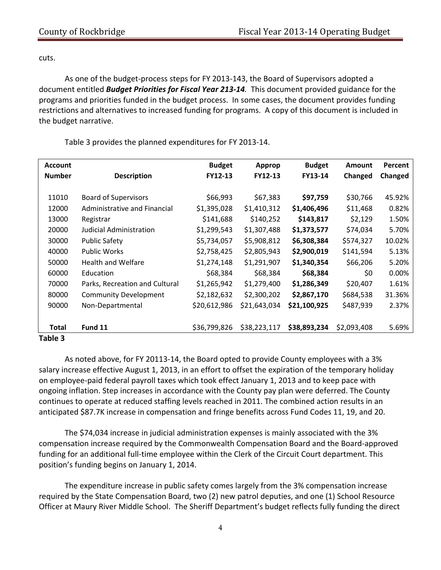cuts.

As one of the budget‐process steps for FY 2013‐143, the Board of Supervisors adopted a document entitled *Budget Priorities for Fiscal Year 213‐14.* This document provided guidance for the programs and priorities funded in the budget process. In some cases, the document provides funding restrictions and alternatives to increased funding for programs. A copy of this document is included in the budget narrative.

| <b>Account</b> |                                | <b>Budget</b> | Approp       | <b>Budget</b> | <b>Amount</b> | Percent |
|----------------|--------------------------------|---------------|--------------|---------------|---------------|---------|
| <b>Number</b>  | <b>Description</b>             | FY12-13       | FY12-13      | FY13-14       | Changed       | Changed |
|                |                                |               |              |               |               |         |
| 11010          | <b>Board of Supervisors</b>    | \$66,993      | \$67,383     | \$97,759      | \$30,766      | 45.92%  |
| 12000          | Administrative and Financial   | \$1,395,028   | \$1,410,312  | \$1,406,496   | \$11,468      | 0.82%   |
| 13000          | Registrar                      | \$141,688     | \$140,252    | \$143,817     | \$2,129       | 1.50%   |
| 20000          | Judicial Administration        | \$1,299,543   | \$1,307,488  | \$1,373,577   | \$74,034      | 5.70%   |
| 30000          | <b>Public Safety</b>           | \$5,734,057   | \$5,908,812  | \$6,308,384   | \$574,327     | 10.02%  |
| 40000          | <b>Public Works</b>            | \$2,758,425   | \$2,805,943  | \$2,900,019   | \$141,594     | 5.13%   |
| 50000          | <b>Health and Welfare</b>      | \$1,274,148   | \$1,291,907  | \$1,340,354   | \$66,206      | 5.20%   |
| 60000          | Education                      | \$68,384      | \$68,384     | \$68,384      | \$0           | 0.00%   |
| 70000          | Parks, Recreation and Cultural | \$1,265,942   | \$1,279,400  | \$1,286,349   | \$20,407      | 1.61%   |
| 80000          | <b>Community Development</b>   | \$2,182,632   | \$2,300,202  | \$2,867,170   | \$684,538     | 31.36%  |
| 90000          | Non-Departmental               | \$20,612,986  | \$21,643,034 | \$21,100,925  | \$487,939     | 2.37%   |
|                |                                |               |              |               |               |         |
| Total          | Fund 11                        | \$36,799,826  | \$38,223,117 | \$38,893,234  | \$2,093,408   | 5.69%   |
| Table 3        |                                |               |              |               |               |         |

Table 3 provides the planned expenditures for FY 2013‐14.

As noted above, for FY 20113‐14, the Board opted to provide County employees with a 3% salary increase effective August 1, 2013, in an effort to offset the expiration of the temporary holiday on employee‐paid federal payroll taxes which took effect January 1, 2013 and to keep pace with ongoing inflation. Step increases in accordance with the County pay plan were deferred. The County continues to operate at reduced staffing levels reached in 2011. The combined action results in an anticipated \$87.7K increase in compensation and fringe benefits across Fund Codes 11, 19, and 20.

The \$74,034 increase in judicial administration expenses is mainly associated with the 3% compensation increase required by the Commonwealth Compensation Board and the Board‐approved funding for an additional full‐time employee within the Clerk of the Circuit Court department. This position's funding begins on January 1, 2014.

The expenditure increase in public safety comes largely from the 3% compensation increase required by the State Compensation Board, two (2) new patrol deputies, and one (1) School Resource Officer at Maury River Middle School. The Sheriff Department's budget reflects fully funding the direct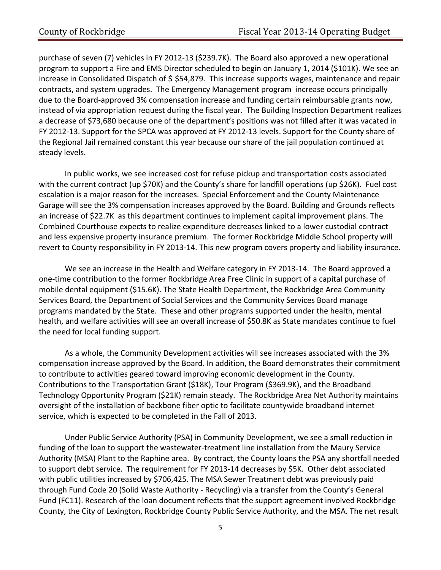purchase of seven (7) vehicles in FY 2012-13 (\$239.7K). The Board also approved a new operational program to support a Fire and EMS Director scheduled to begin on January 1, 2014 (\$101K). We see an increase in Consolidated Dispatch of \$ \$54,879. This increase supports wages, maintenance and repair contracts, and system upgrades. The Emergency Management program increase occurs principally due to the Board-approved 3% compensation increase and funding certain reimbursable grants now, instead of via appropriation request during the fiscal year. The Building Inspection Department realizes a decrease of \$73,680 because one of the department's positions was not filled after it was vacated in FY 2012‐13. Support for the SPCA was approved at FY 2012‐13 levels. Support for the County share of the Regional Jail remained constant this year because our share of the jail population continued at steady levels.

In public works, we see increased cost for refuse pickup and transportation costs associated with the current contract (up \$70K) and the County's share for landfill operations (up \$26K). Fuel cost escalation is a major reason for the increases. Special Enforcement and the County Maintenance Garage will see the 3% compensation increases approved by the Board. Building and Grounds reflects an increase of \$22.7K as this department continues to implement capital improvement plans. The Combined Courthouse expects to realize expenditure decreases linked to a lower custodial contract and less expensive property insurance premium. The former Rockbridge Middle School property will revert to County responsibility in FY 2013‐14. This new program covers property and liability insurance.

We see an increase in the Health and Welfare category in FY 2013-14. The Board approved a one‐time contribution to the former Rockbridge Area Free Clinic in support of a capital purchase of mobile dental equipment (\$15.6K). The State Health Department, the Rockbridge Area Community Services Board, the Department of Social Services and the Community Services Board manage programs mandated by the State. These and other programs supported under the health, mental health, and welfare activities will see an overall increase of \$50.8K as State mandates continue to fuel the need for local funding support.

As a whole, the Community Development activities will see increases associated with the 3% compensation increase approved by the Board. In addition, the Board demonstrates their commitment to contribute to activities geared toward improving economic development in the County. Contributions to the Transportation Grant (\$18K), Tour Program (\$369.9K), and the Broadband Technology Opportunity Program (\$21K) remain steady. The Rockbridge Area Net Authority maintains oversight of the installation of backbone fiber optic to facilitate countywide broadband internet service, which is expected to be completed in the Fall of 2013.

Under Public Service Authority (PSA) in Community Development, we see a small reduction in funding of the loan to support the wastewater-treatment line installation from the Maury Service Authority (MSA) Plant to the Raphine area. By contract, the County loans the PSA any shortfall needed to support debt service. The requirement for FY 2013-14 decreases by \$5K. Other debt associated with public utilities increased by \$706,425. The MSA Sewer Treatment debt was previously paid through Fund Code 20 (Solid Waste Authority ‐ Recycling) via a transfer from the County's General Fund (FC11). Research of the loan document reflects that the support agreement involved Rockbridge County, the City of Lexington, Rockbridge County Public Service Authority, and the MSA. The net result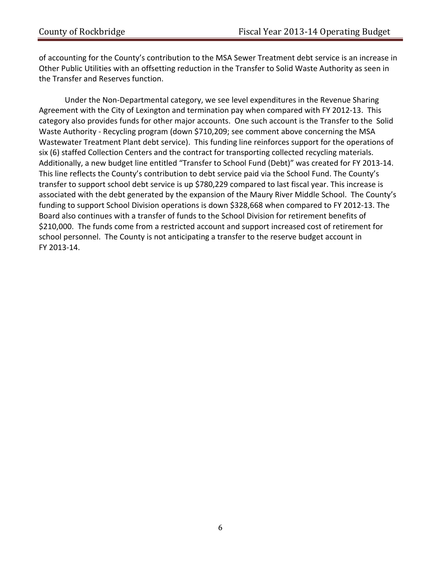of accounting for the County's contribution to the MSA Sewer Treatment debt service is an increase in Other Public Utilities with an offsetting reduction in the Transfer to Solid Waste Authority as seen in the Transfer and Reserves function.

Under the Non‐Departmental category, we see level expenditures in the Revenue Sharing Agreement with the City of Lexington and termination pay when compared with FY 2012‐13. This category also provides funds for other major accounts. One such account is the Transfer to the Solid Waste Authority ‐ Recycling program (down \$710,209; see comment above concerning the MSA Wastewater Treatment Plant debt service). This funding line reinforces support for the operations of six (6) staffed Collection Centers and the contract for transporting collected recycling materials. Additionally, a new budget line entitled "Transfer to School Fund (Debt)" was created for FY 2013‐14. This line reflects the County's contribution to debt service paid via the School Fund. The County's transfer to support school debt service is up \$780,229 compared to last fiscal year. This increase is associated with the debt generated by the expansion of the Maury River Middle School. The County's funding to support School Division operations is down \$328,668 when compared to FY 2012‐13. The Board also continues with a transfer of funds to the School Division for retirement benefits of \$210,000. The funds come from a restricted account and support increased cost of retirement for school personnel. The County is not anticipating a transfer to the reserve budget account in FY 2013‐14.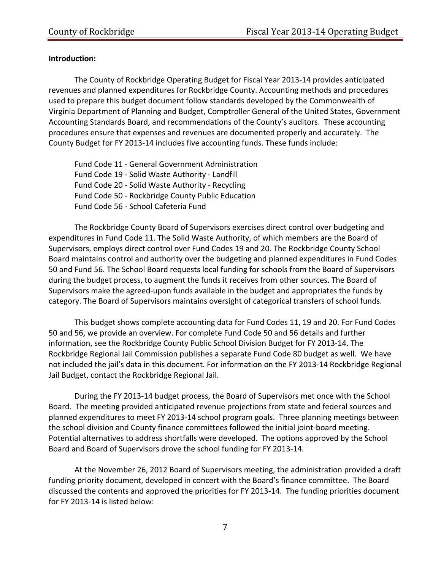# **Introduction:**

The County of Rockbridge Operating Budget for Fiscal Year 2013‐14 provides anticipated revenues and planned expenditures for Rockbridge County. Accounting methods and procedures used to prepare this budget document follow standards developed by the Commonwealth of Virginia Department of Planning and Budget, Comptroller General of the United States, Government Accounting Standards Board, and recommendations of the County's auditors. These accounting procedures ensure that expenses and revenues are documented properly and accurately. The County Budget for FY 2013‐14 includes five accounting funds. These funds include:

Fund Code 11 ‐ General Government Administration Fund Code 19 ‐ Solid Waste Authority ‐ Landfill Fund Code 20 ‐ Solid Waste Authority ‐ Recycling Fund Code 50 ‐ Rockbridge County Public Education Fund Code 56 ‐ School Cafeteria Fund

The Rockbridge County Board of Supervisors exercises direct control over budgeting and expenditures in Fund Code 11. The Solid Waste Authority, of which members are the Board of Supervisors, employs direct control over Fund Codes 19 and 20. The Rockbridge County School Board maintains control and authority over the budgeting and planned expenditures in Fund Codes 50 and Fund 56. The School Board requests local funding for schools from the Board of Supervisors during the budget process, to augment the funds it receives from other sources. The Board of Supervisors make the agreed‐upon funds available in the budget and appropriates the funds by category. The Board of Supervisors maintains oversight of categorical transfers of school funds.

This budget shows complete accounting data for Fund Codes 11, 19 and 20. For Fund Codes 50 and 56, we provide an overview. For complete Fund Code 50 and 56 details and further information, see the Rockbridge County Public School Division Budget for FY 2013‐14. The Rockbridge Regional Jail Commission publishes a separate Fund Code 80 budget as well. We have not included the jail's data in this document. For information on the FY 2013‐14 Rockbridge Regional Jail Budget, contact the Rockbridge Regional Jail.

During the FY 2013‐14 budget process, the Board of Supervisors met once with the School Board. The meeting provided anticipated revenue projections from state and federal sources and planned expenditures to meet FY 2013‐14 school program goals. Three planning meetings between the school division and County finance committees followed the initial joint‐board meeting. Potential alternatives to address shortfalls were developed. The options approved by the School Board and Board of Supervisors drove the school funding for FY 2013‐14.

At the November 26, 2012 Board of Supervisors meeting, the administration provided a draft funding priority document, developed in concert with the Board's finance committee. The Board discussed the contents and approved the priorities for FY 2013‐14. The funding priorities document for FY 2013‐14 is listed below: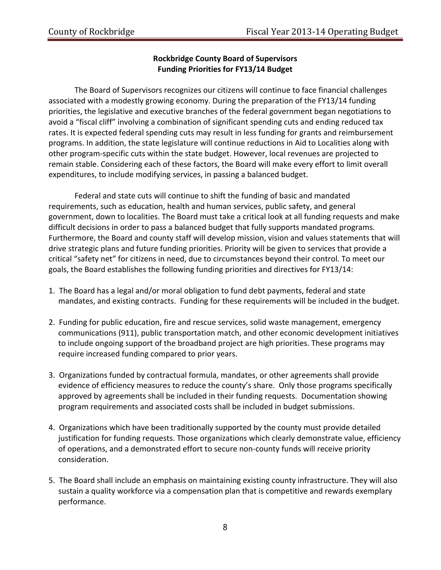# **Rockbridge County Board of Supervisors Funding Priorities for FY13/14 Budget**

The Board of Supervisors recognizes our citizens will continue to face financial challenges associated with a modestly growing economy. During the preparation of the FY13/14 funding priorities, the legislative and executive branches of the federal government began negotiations to avoid a "fiscal cliff" involving a combination of significant spending cuts and ending reduced tax rates. It is expected federal spending cuts may result in less funding for grants and reimbursement programs. In addition, the state legislature will continue reductions in Aid to Localities along with other program‐specific cuts within the state budget. However, local revenues are projected to remain stable. Considering each of these factors, the Board will make every effort to limit overall expenditures, to include modifying services, in passing a balanced budget.

Federal and state cuts will continue to shift the funding of basic and mandated requirements, such as education, health and human services, public safety, and general government, down to localities. The Board must take a critical look at all funding requests and make difficult decisions in order to pass a balanced budget that fully supports mandated programs. Furthermore, the Board and county staff will develop mission, vision and values statements that will drive strategic plans and future funding priorities. Priority will be given to services that provide a critical "safety net" for citizens in need, due to circumstances beyond their control. To meet our goals, the Board establishes the following funding priorities and directives for FY13/14:

- 1. The Board has a legal and/or moral obligation to fund debt payments, federal and state mandates, and existing contracts. Funding for these requirements will be included in the budget.
- 2. Funding for public education, fire and rescue services, solid waste management, emergency communications (911), public transportation match, and other economic development initiatives to include ongoing support of the broadband project are high priorities. These programs may require increased funding compared to prior years.
- 3. Organizations funded by contractual formula, mandates, or other agreements shall provide evidence of efficiency measures to reduce the county's share. Only those programs specifically approved by agreements shall be included in their funding requests. Documentation showing program requirements and associated costs shall be included in budget submissions.
- 4. Organizations which have been traditionally supported by the county must provide detailed justification for funding requests. Those organizations which clearly demonstrate value, efficiency of operations, and a demonstrated effort to secure non‐county funds will receive priority consideration.
- 5. The Board shall include an emphasis on maintaining existing county infrastructure. They will also sustain a quality workforce via a compensation plan that is competitive and rewards exemplary performance.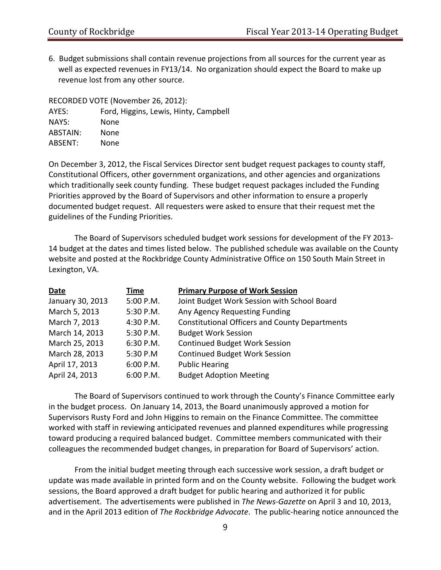6. Budget submissions shall contain revenue projections from all sources for the current year as well as expected revenues in FY13/14. No organization should expect the Board to make up revenue lost from any other source.

| RECORDED VOTE (November 26, 2012): |                                       |  |  |
|------------------------------------|---------------------------------------|--|--|
| AYES:                              | Ford, Higgins, Lewis, Hinty, Campbell |  |  |
| NAYS:                              | None                                  |  |  |
| <b>ABSTAIN:</b>                    | None                                  |  |  |
| ABSENT:                            | None                                  |  |  |

On December 3, 2012, the Fiscal Services Director sent budget request packages to county staff, Constitutional Officers, other government organizations, and other agencies and organizations which traditionally seek county funding. These budget request packages included the Funding Priorities approved by the Board of Supervisors and other information to ensure a properly documented budget request. All requesters were asked to ensure that their request met the guidelines of the Funding Priorities.

The Board of Supervisors scheduled budget work sessions for development of the FY 2013‐ 14 budget at the dates and times listed below. The published schedule was available on the County website and posted at the Rockbridge County Administrative Office on 150 South Main Street in Lexington, VA.

| Date             | Time        | <b>Primary Purpose of Work Session</b>                |
|------------------|-------------|-------------------------------------------------------|
| January 30, 2013 | 5:00 P.M.   | Joint Budget Work Session with School Board           |
| March 5, 2013    | 5:30 P.M.   | Any Agency Requesting Funding                         |
| March 7, 2013    | 4:30 P.M.   | <b>Constitutional Officers and County Departments</b> |
| March 14, 2013   | 5:30 P.M.   | <b>Budget Work Session</b>                            |
| March 25, 2013   | $6:30$ P.M. | <b>Continued Budget Work Session</b>                  |
| March 28, 2013   | 5:30 P.M    | <b>Continued Budget Work Session</b>                  |
| April 17, 2013   | 6:00 P.M.   | <b>Public Hearing</b>                                 |
| April 24, 2013   | 6:00 P.M.   | <b>Budget Adoption Meeting</b>                        |

The Board of Supervisors continued to work through the County's Finance Committee early in the budget process. On January 14, 2013, the Board unanimously approved a motion for Supervisors Rusty Ford and John Higgins to remain on the Finance Committee. The committee worked with staff in reviewing anticipated revenues and planned expenditures while progressing toward producing a required balanced budget. Committee members communicated with their colleagues the recommended budget changes, in preparation for Board of Supervisors' action.

From the initial budget meeting through each successive work session, a draft budget or update was made available in printed form and on the County website. Following the budget work sessions, the Board approved a draft budget for public hearing and authorized it for public advertisement. The advertisements were published in *The News‐Gazette* on April 3 and 10, 2013, and in the April 2013 edition of *The Rockbridge Advocate*. The public‐hearing notice announced the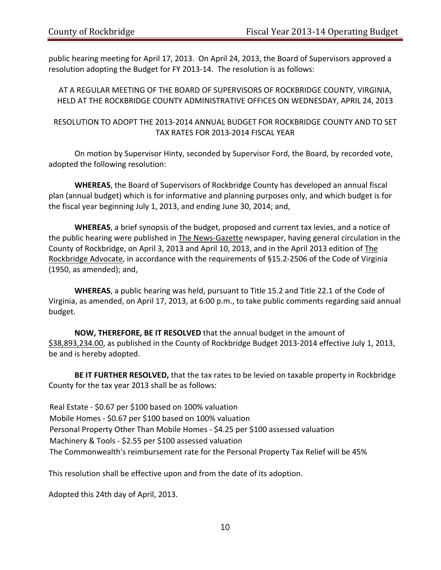public hearing meeting for April 17, 2013. On April 24, 2013, the Board of Supervisors approved a resolution adopting the Budget for FY 2013‐14. The resolution is as follows:

AT A REGULAR MEETING OF THE BOARD OF SUPERVISORS OF ROCKBRIDGE COUNTY, VIRGINIA, HELD AT THE ROCKBRIDGE COUNTY ADMINISTRATIVE OFFICES ON WEDNESDAY, APRIL 24, 2013

RESOLUTION TO ADOPT THE 2013‐2014 ANNUAL BUDGET FOR ROCKBRIDGE COUNTY AND TO SET TAX RATES FOR 2013‐2014 FISCAL YEAR

On motion by Supervisor Hinty, seconded by Supervisor Ford, the Board, by recorded vote, adopted the following resolution:

**WHEREAS**, the Board of Supervisors of Rockbridge County has developed an annual fiscal plan (annual budget) which is for informative and planning purposes only, and which budget is for the fiscal year beginning July 1, 2013, and ending June 30, 2014; and,

**WHEREAS**, a brief synopsis of the budget, proposed and current tax levies, and a notice of the public hearing were published in The News‐Gazette newspaper, having general circulation in the County of Rockbridge, on April 3, 2013 and April 10, 2013, and in the April 2013 edition of The Rockbridge Advocate, in accordance with the requirements of §15.2‐2506 of the Code of Virginia (1950, as amended); and,

**WHEREAS**, a public hearing was held, pursuant to Title 15.2 and Title 22.1 of the Code of Virginia, as amended, on April 17, 2013, at 6:00 p.m., to take public comments regarding said annual budget.

**NOW, THEREFORE, BE IT RESOLVED** that the annual budget in the amount of \$38,893,234.00, as published in the County of Rockbridge Budget 2013‐2014 effective July 1, 2013, be and is hereby adopted.

**BE IT FURTHER RESOLVED,** that the tax rates to be levied on taxable property in Rockbridge County for the tax year 2013 shall be as follows:

Real Estate ‐ \$0.67 per \$100 based on 100% valuation Mobile Homes ‐ \$0.67 per \$100 based on 100% valuation Personal Property Other Than Mobile Homes ‐ \$4.25 per \$100 assessed valuation Machinery & Tools ‐ \$2.55 per \$100 assessed valuation The Commonwealth's reimbursement rate for the Personal Property Tax Relief will be 45%

This resolution shall be effective upon and from the date of its adoption.

Adopted this 24th day of April, 2013.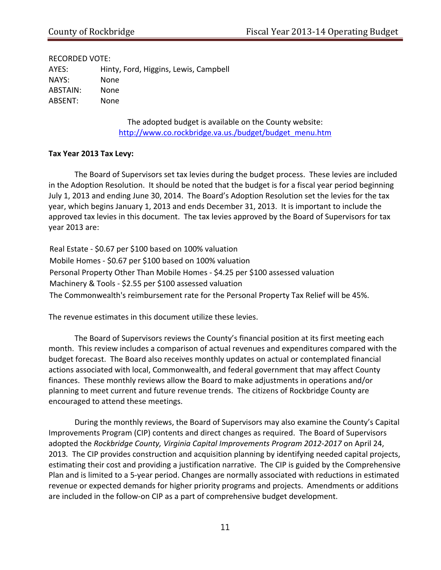RECORDED VOTE: AYES: Hinty, Ford, Higgins, Lewis, Campbell NAYS: None ABSTAIN: None ABSENT: None

> The adopted budget is available on the County website: [http://www.co.rockbridge.va.us./budget/budget\\_menu.htm](http://www.co.rockbridge.va.us./budget/budget_menu.htm)

#### **Tax Year 2013 Tax Levy:**

The Board of Supervisors set tax levies during the budget process. These levies are included in the Adoption Resolution. It should be noted that the budget is for a fiscal year period beginning July 1, 2013 and ending June 30, 2014. The Board's Adoption Resolution set the levies for the tax year, which begins January 1, 2013 and ends December 31, 2013. It is important to include the approved tax levies in this document. The tax levies approved by the Board of Supervisors for tax year 2013 are:

Real Estate ‐ \$0.67 per \$100 based on 100% valuation Mobile Homes ‐ \$0.67 per \$100 based on 100% valuation Personal Property Other Than Mobile Homes ‐ \$4.25 per \$100 assessed valuation Machinery & Tools ‐ \$2.55 per \$100 assessed valuation The Commonwealth's reimbursement rate for the Personal Property Tax Relief will be 45%.

The revenue estimates in this document utilize these levies.

The Board of Supervisors reviews the County's financial position at its first meeting each month. This review includes a comparison of actual revenues and expenditures compared with the budget forecast. The Board also receives monthly updates on actual or contemplated financial actions associated with local, Commonwealth, and federal government that may affect County finances. These monthly reviews allow the Board to make adjustments in operations and/or planning to meet current and future revenue trends. The citizens of Rockbridge County are encouraged to attend these meetings.

During the monthly reviews, the Board of Supervisors may also examine the County's Capital Improvements Program (CIP) contents and direct changes as required. The Board of Supervisors adopted the *Rockbridge County, Virginia Capital Improvements Program 2012‐2017* on April 24, 2013*.* The CIP provides construction and acquisition planning by identifying needed capital projects, estimating their cost and providing a justification narrative. The CIP is guided by the Comprehensive Plan and is limited to a 5‐year period. Changes are normally associated with reductions in estimated revenue or expected demands for higher priority programs and projects. Amendments or additions are included in the follow-on CIP as a part of comprehensive budget development.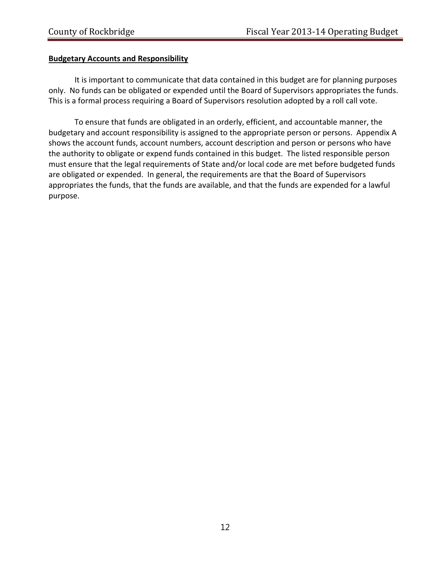## **Budgetary Accounts and Responsibility**

It is important to communicate that data contained in this budget are for planning purposes only. No funds can be obligated or expended until the Board of Supervisors appropriates the funds. This is a formal process requiring a Board of Supervisors resolution adopted by a roll call vote.

To ensure that funds are obligated in an orderly, efficient, and accountable manner, the budgetary and account responsibility is assigned to the appropriate person or persons. Appendix A shows the account funds, account numbers, account description and person or persons who have the authority to obligate or expend funds contained in this budget. The listed responsible person must ensure that the legal requirements of State and/or local code are met before budgeted funds are obligated or expended. In general, the requirements are that the Board of Supervisors appropriates the funds, that the funds are available, and that the funds are expended for a lawful purpose.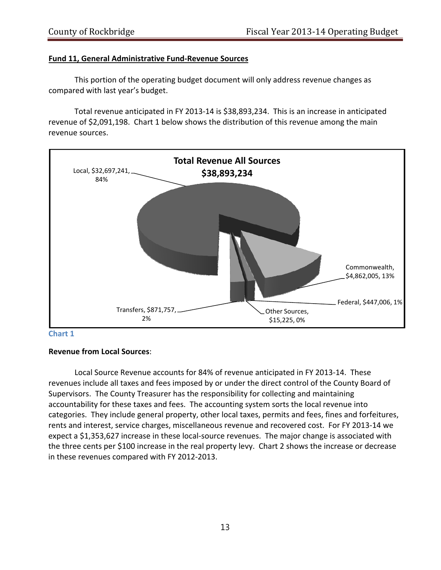### **Fund 11, General Administrative Fund‐Revenue Sources**

This portion of the operating budget document will only address revenue changes as compared with last year's budget.

Total revenue anticipated in FY 2013‐14 is \$38,893,234. This is an increase in anticipated revenue of \$2,091,198. Chart 1 below shows the distribution of this revenue among the main revenue sources.





#### **Revenue from Local Sources**:

Local Source Revenue accounts for 84% of revenue anticipated in FY 2013‐14. These revenues include all taxes and fees imposed by or under the direct control of the County Board of Supervisors. The County Treasurer has the responsibility for collecting and maintaining accountability for these taxes and fees. The accounting system sorts the local revenue into categories. They include general property, other local taxes, permits and fees, fines and forfeitures, rents and interest, service charges, miscellaneous revenue and recovered cost. For FY 2013‐14 we expect a \$1,353,627 increase in these local‐source revenues. The major change is associated with the three cents per \$100 increase in the real property levy. Chart 2 shows the increase or decrease in these revenues compared with FY 2012‐2013.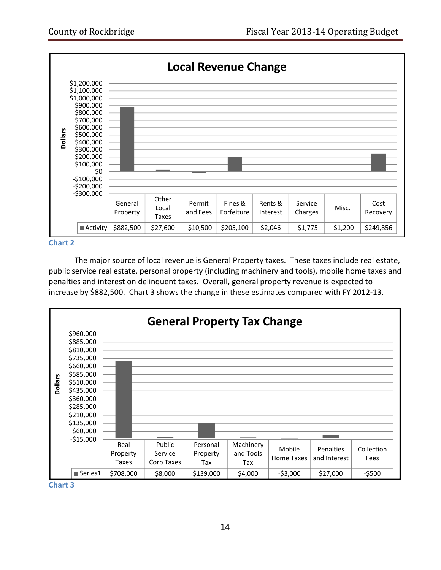

#### **Chart 2**

The major source of local revenue is General Property taxes. These taxes include real estate, public service real estate, personal property (including machinery and tools), mobile home taxes and penalties and interest on delinquent taxes. Overall, general property revenue is expected to increase by \$882,500. Chart 3 shows the change in these estimates compared with FY 2012‐13.



**Chart 3**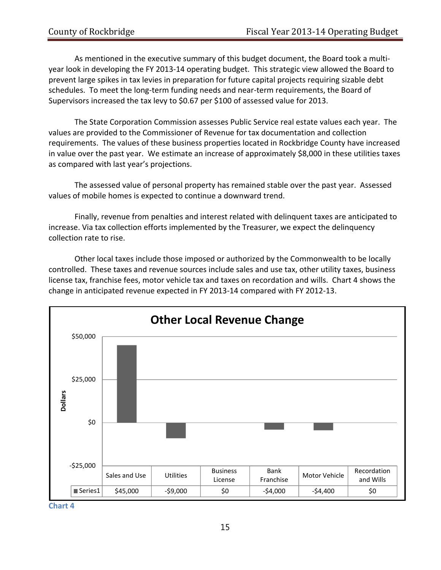As mentioned in the executive summary of this budget document, the Board took a multi‐ year look in developing the FY 2013‐14 operating budget. This strategic view allowed the Board to prevent large spikes in tax levies in preparation for future capital projects requiring sizable debt schedules. To meet the long-term funding needs and near-term requirements, the Board of Supervisors increased the tax levy to \$0.67 per \$100 of assessed value for 2013.

The State Corporation Commission assesses Public Service real estate values each year. The values are provided to the Commissioner of Revenue for tax documentation and collection requirements. The values of these business properties located in Rockbridge County have increased in value over the past year. We estimate an increase of approximately \$8,000 in these utilities taxes as compared with last year's projections.

The assessed value of personal property has remained stable over the past year. Assessed values of mobile homes is expected to continue a downward trend.

Finally, revenue from penalties and interest related with delinquent taxes are anticipated to increase. Via tax collection efforts implemented by the Treasurer, we expect the delinquency collection rate to rise.

Other local taxes include those imposed or authorized by the Commonwealth to be locally controlled. These taxes and revenue sources include sales and use tax, other utility taxes, business license tax, franchise fees, motor vehicle tax and taxes on recordation and wills. Chart 4 shows the change in anticipated revenue expected in FY 2013‐14 compared with FY 2012‐13.



**Chart 4**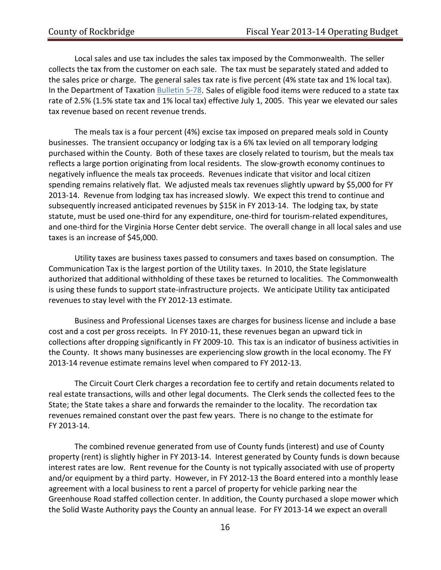Local sales and use tax includes the sales tax imposed by the Commonwealth. The seller collects the tax from the customer on each sale. The tax must be separately stated and added to the sales price or charge. The general sales tax rate is five percent (4% state tax and 1% local tax). In the Department of Taxation [Bulletin](http://www.tax.virginia.gov/policy/index.cfm?72ecd7668f3940d2852569910070c1d2/be9836e864785a9985257012004e66d0?OpenDocument) 5-78. Sales of eligible food items were reduced to a state tax rate of 2.5% (1.5% state tax and 1% local tax) effective July 1, 2005. This year we elevated our sales tax revenue based on recent revenue trends.

The meals tax is a four percent (4%) excise tax imposed on prepared meals sold in County businesses. The transient occupancy or lodging tax is a 6% tax levied on all temporary lodging purchased within the County. Both of these taxes are closely related to tourism, but the meals tax reflects a large portion originating from local residents. The slow‐growth economy continues to negatively influence the meals tax proceeds. Revenues indicate that visitor and local citizen spending remains relatively flat. We adjusted meals tax revenues slightly upward by \$5,000 for FY 2013‐14. Revenue from lodging tax has increased slowly. We expect this trend to continue and subsequently increased anticipated revenues by \$15K in FY 2013-14. The lodging tax, by state statute, must be used one‐third for any expenditure, one‐third for tourism‐related expenditures, and one-third for the Virginia Horse Center debt service. The overall change in all local sales and use taxes is an increase of \$45,000.

Utility taxes are business taxes passed to consumers and taxes based on consumption. The Communication Tax is the largest portion of the Utility taxes. In 2010, the State legislature authorized that additional withholding of these taxes be returned to localities. The Commonwealth is using these funds to support state-infrastructure projects. We anticipate Utility tax anticipated revenues to stay level with the FY 2012‐13 estimate.

Business and Professional Licenses taxes are charges for business license and include a base cost and a cost per gross receipts. In FY 2010‐11, these revenues began an upward tick in collections after dropping significantly in FY 2009‐10. This tax is an indicator of business activities in the County. It shows many businesses are experiencing slow growth in the local economy. The FY 2013‐14 revenue estimate remains level when compared to FY 2012‐13.

The Circuit Court Clerk charges a recordation fee to certify and retain documents related to real estate transactions, wills and other legal documents. The Clerk sends the collected fees to the State; the State takes a share and forwards the remainder to the locality. The recordation tax revenues remained constant over the past few years. There is no change to the estimate for FY 2013‐14.

The combined revenue generated from use of County funds (interest) and use of County property (rent) is slightly higher in FY 2013‐14. Interest generated by County funds is down because interest rates are low. Rent revenue for the County is not typically associated with use of property and/or equipment by a third party. However, in FY 2012‐13 the Board entered into a monthly lease agreement with a local business to rent a parcel of property for vehicle parking near the Greenhouse Road staffed collection center. In addition, the County purchased a slope mower which the Solid Waste Authority pays the County an annual lease. For FY 2013-14 we expect an overall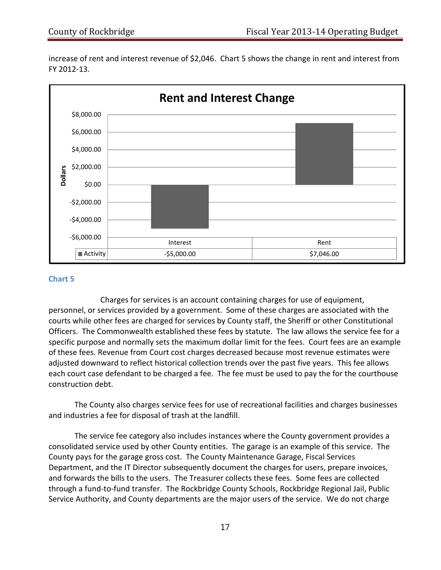increase of rent and interest revenue of \$2,046. Chart 5 shows the change in rent and interest from FY 2012‐13.



#### **Chart 5**

Charges for services is an account containing charges for use of equipment, personnel, or services provided by a government. Some of these charges are associated with the courts while other fees are charged for services by County staff, the Sheriff or other Constitutional Officers. The Commonwealth established these fees by statute. The law allows the service fee for a specific purpose and normally sets the maximum dollar limit for the fees. Court fees are an example of these fees. Revenue from Court cost charges decreased because most revenue estimates were adjusted downward to reflect historical collection trends over the past five years. This fee allows each court case defendant to be charged a fee. The fee must be used to pay the for the courthouse construction debt.

The County also charges service fees for use of recreational facilities and charges businesses and industries a fee for disposal of trash at the landfill.

The service fee category also includes instances where the County government provides a consolidated service used by other County entities. The garage is an example of this service. The County pays for the garage gross cost. The County Maintenance Garage, Fiscal Services Department, and the IT Director subsequently document the charges for users, prepare invoices, and forwards the bills to the users. The Treasurer collects these fees. Some fees are collected through a fund‐to‐fund transfer. The Rockbridge County Schools, Rockbridge Regional Jail, Public Service Authority, and County departments are the major users of the service. We do not charge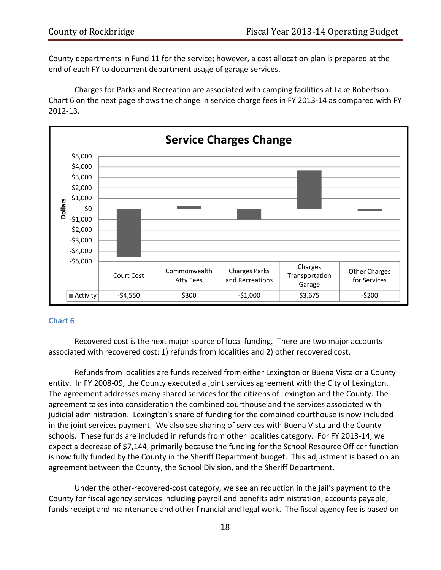County departments in Fund 11 for the service; however, a cost allocation plan is prepared at the end of each FY to document department usage of garage services.

Charges for Parks and Recreation are associated with camping facilities at Lake Robertson. Chart 6 on the next page shows the change in service charge fees in FY 2013‐14 as compared with FY 2012‐13.



#### **Chart 6**

Recovered cost is the next major source of local funding. There are two major accounts associated with recovered cost: 1) refunds from localities and 2) other recovered cost.

Refunds from localities are funds received from either Lexington or Buena Vista or a County entity. In FY 2008‐09, the County executed a joint services agreement with the City of Lexington. The agreement addresses many shared services for the citizens of Lexington and the County. The agreement takes into consideration the combined courthouse and the services associated with judicial administration. Lexington's share of funding for the combined courthouse is now included in the joint services payment. We also see sharing of services with Buena Vista and the County schools. These funds are included in refunds from other localities category. For FY 2013‐14, we expect a decrease of \$7,144, primarily because the funding for the School Resource Officer function is now fully funded by the County in the Sheriff Department budget. This adjustment is based on an agreement between the County, the School Division, and the Sheriff Department.

Under the other‐recovered‐cost category, we see an reduction in the jail's payment to the County for fiscal agency services including payroll and benefits administration, accounts payable, funds receipt and maintenance and other financial and legal work. The fiscal agency fee is based on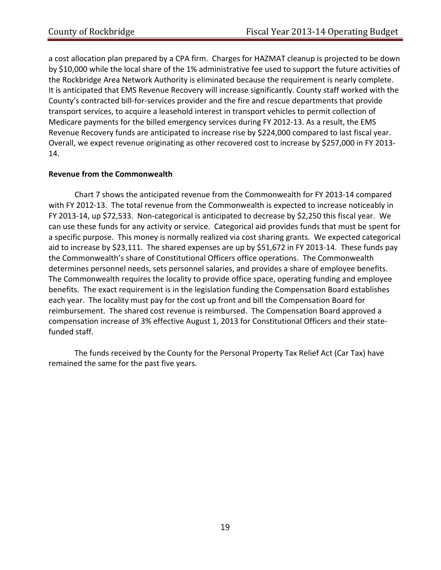a cost allocation plan prepared by a CPA firm. Charges for HAZMAT cleanup is projected to be down by \$10,000 while the local share of the 1% administrative fee used to support the future activities of the Rockbridge Area Network Authority is eliminated because the requirement is nearly complete. It is anticipated that EMS Revenue Recovery will increase significantly. County staff worked with the County's contracted bill‐for‐services provider and the fire and rescue departments that provide transport services, to acquire a leasehold interest in transport vehicles to permit collection of Medicare payments for the billed emergency services during FY 2012‐13. As a result, the EMS Revenue Recovery funds are anticipated to increase rise by \$224,000 compared to last fiscal year. Overall, we expect revenue originating as other recovered cost to increase by \$257,000 in FY 2013‐ 14.

# **Revenue from the Commonwealth**

Chart 7 shows the anticipated revenue from the Commonwealth for FY 2013‐14 compared with FY 2012-13. The total revenue from the Commonwealth is expected to increase noticeably in FY 2013-14, up \$72,533. Non-categorical is anticipated to decrease by \$2,250 this fiscal year. We can use these funds for any activity or service. Categorical aid provides funds that must be spent for a specific purpose. This money is normally realized via cost sharing grants. We expected categorical aid to increase by \$23,111. The shared expenses are up by \$51,672 in FY 2013‐14. These funds pay the Commonwealth's share of Constitutional Officers office operations. The Commonwealth determines personnel needs, sets personnel salaries, and provides a share of employee benefits. The Commonwealth requires the locality to provide office space, operating funding and employee benefits. The exact requirement is in the legislation funding the Compensation Board establishes each year. The locality must pay for the cost up front and bill the Compensation Board for reimbursement. The shared cost revenue is reimbursed. The Compensation Board approved a compensation increase of 3% effective August 1, 2013 for Constitutional Officers and their state‐ funded staff.

The funds received by the County for the Personal Property Tax Relief Act (Car Tax) have remained the same for the past five years.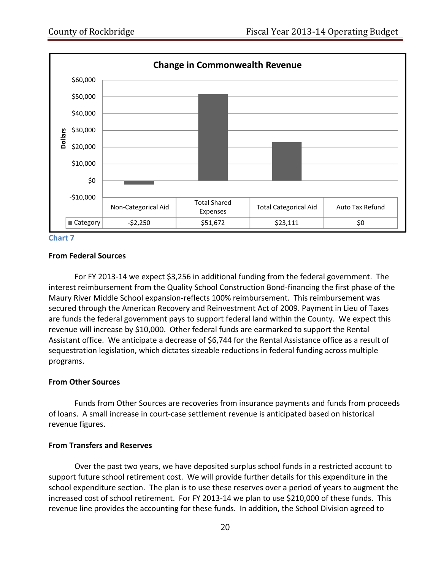

**Chart 7**

#### **From Federal Sources**

For FY 2013-14 we expect \$3,256 in additional funding from the federal government. The interest reimbursement from the Quality School Construction Bond‐financing the first phase of the Maury River Middle School expansion‐reflects 100% reimbursement. This reimbursement was secured through the American Recovery and Reinvestment Act of 2009. Payment in Lieu of Taxes are funds the federal government pays to support federal land within the County. We expect this revenue will increase by \$10,000. Other federal funds are earmarked to support the Rental Assistant office. We anticipate a decrease of \$6,744 for the Rental Assistance office as a result of sequestration legislation, which dictates sizeable reductions in federal funding across multiple programs.

#### **From Other Sources**

Funds from Other Sources are recoveries from insurance payments and funds from proceeds of loans. A small increase in court‐case settlement revenue is anticipated based on historical revenue figures.

#### **From Transfers and Reserves**

Over the past two years, we have deposited surplus school funds in a restricted account to support future school retirement cost. We will provide further details for this expenditure in the school expenditure section. The plan is to use these reserves over a period of years to augment the increased cost of school retirement. For FY 2013‐14 we plan to use \$210,000 of these funds. This revenue line provides the accounting for these funds. In addition, the School Division agreed to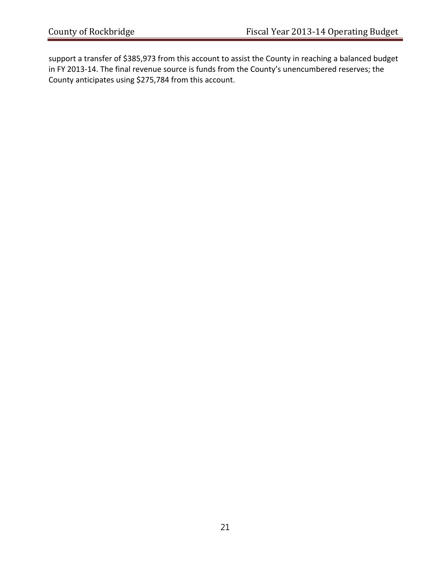support a transfer of \$385,973 from this account to assist the County in reaching a balanced budget in FY 2013‐14. The final revenue source is funds from the County's unencumbered reserves; the County anticipates using \$275,784 from this account.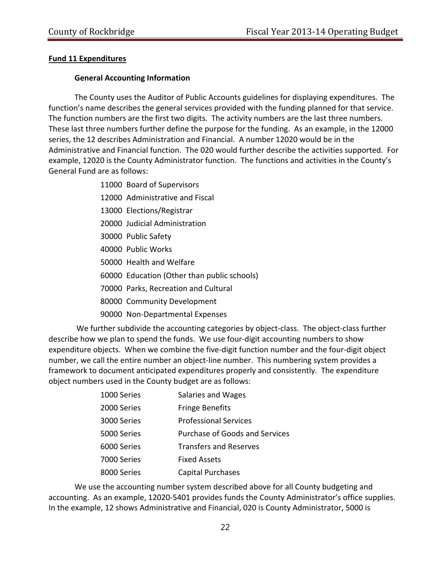# **Fund 11 Expenditures**

## **General Accounting Information**

The County uses the Auditor of Public Accounts guidelines for displaying expenditures. The function's name describes the general services provided with the funding planned for that service. The function numbers are the first two digits. The activity numbers are the last three numbers. These last three numbers further define the purpose for the funding. As an example, in the 12000 series, the 12 describes Administration and Financial. A number 12020 would be in the Administrative and Financial function. The 020 would further describe the activities supported. For example, 12020 is the County Administrator function. The functions and activities in the County's General Fund are as follows:

- 11000 Board of Supervisors
- 12000 Administrative and Fiscal
- 13000 Elections/Registrar
- 20000 Judicial Administration
- 30000 Public Safety
- 40000 Public Works
- 50000 Health and Welfare
- 60000 Education (Other than public schools)
- 70000 Parks, Recreation and Cultural
- 80000 Community Development
- 90000 Non‐Departmental Expenses

We further subdivide the accounting categories by object-class. The object-class further describe how we plan to spend the funds. We use four-digit accounting numbers to show expenditure objects. When we combine the five‐digit function number and the four‐digit object number, we call the entire number an object-line number. This numbering system provides a framework to document anticipated expenditures properly and consistently. The expenditure object numbers used in the County budget are as follows:

| 1000 Series | Salaries and Wages                    |
|-------------|---------------------------------------|
| 2000 Series | <b>Fringe Benefits</b>                |
| 3000 Series | <b>Professional Services</b>          |
| 5000 Series | <b>Purchase of Goods and Services</b> |
| 6000 Series | <b>Transfers and Reserves</b>         |
| 7000 Series | <b>Fixed Assets</b>                   |
| 8000 Series | Capital Purchases                     |

We use the accounting number system described above for all County budgeting and accounting. As an example, 12020‐5401 provides funds the County Administrator's office supplies. In the example, 12 shows Administrative and Financial, 020 is County Administrator, 5000 is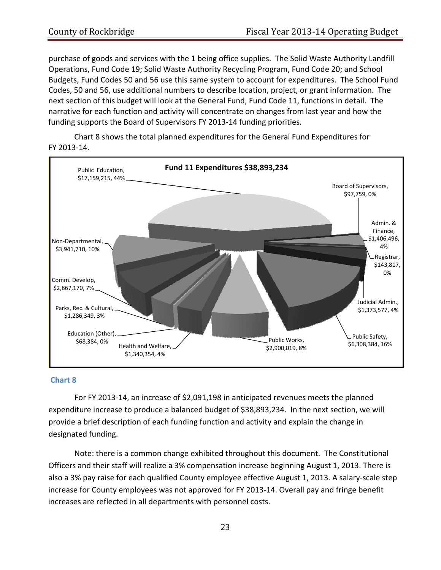purchase of goods and services with the 1 being office supplies. The Solid Waste Authority Landfill Operations, Fund Code 19; Solid Waste Authority Recycling Program, Fund Code 20; and School Budgets, Fund Codes 50 and 56 use this same system to account for expenditures. The School Fund Codes, 50 and 56, use additional numbers to describe location, project, or grant information. The next section of this budget will look at the General Fund, Fund Code 11, functions in detail. The narrative for each function and activity will concentrate on changes from last year and how the funding supports the Board of Supervisors FY 2013‐14 funding priorities.

Chart 8 shows the total planned expenditures for the General Fund Expenditures for FY 2013‐14.



#### **Chart 8**

For FY 2013‐14, an increase of \$2,091,198 in anticipated revenues meets the planned expenditure increase to produce a balanced budget of \$38,893,234. In the next section, we will provide a brief description of each funding function and activity and explain the change in designated funding.

Note: there is a common change exhibited throughout this document. The Constitutional Officers and their staff will realize a 3% compensation increase beginning August 1, 2013. There is also a 3% pay raise for each qualified County employee effective August 1, 2013. A salary‐scale step increase for County employees was not approved for FY 2013‐14. Overall pay and fringe benefit increases are reflected in all departments with personnel costs.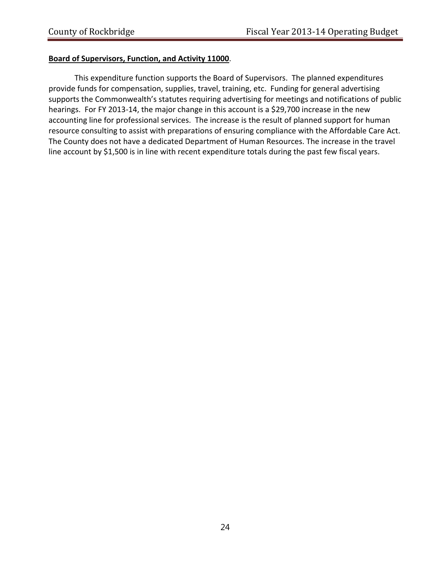### **Board of Supervisors, Function, and Activity 11000**.

This expenditure function supports the Board of Supervisors. The planned expenditures provide funds for compensation, supplies, travel, training, etc. Funding for general advertising supports the Commonwealth's statutes requiring advertising for meetings and notifications of public hearings. For FY 2013-14, the major change in this account is a \$29,700 increase in the new accounting line for professional services. The increase is the result of planned support for human resource consulting to assist with preparations of ensuring compliance with the Affordable Care Act. The County does not have a dedicated Department of Human Resources. The increase in the travel line account by \$1,500 is in line with recent expenditure totals during the past few fiscal years.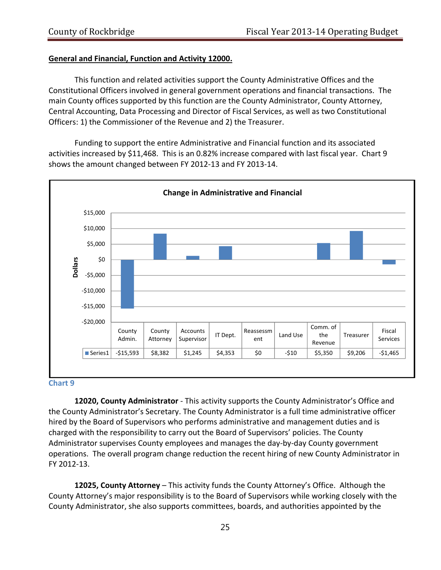#### **General and Financial, Function and Activity 12000.**

This function and related activities support the County Administrative Offices and the Constitutional Officers involved in general government operations and financial transactions. The main County offices supported by this function are the County Administrator, County Attorney, Central Accounting, Data Processing and Director of Fiscal Services, as well as two Constitutional Officers: 1) the Commissioner of the Revenue and 2) the Treasurer.

Funding to support the entire Administrative and Financial function and its associated activities increased by \$11,468. This is an 0.82% increase compared with last fiscal year. Chart 9 shows the amount changed between FY 2012‐13 and FY 2013‐14.



#### **Chart 9**

**12020, County Administrator** ‐ This activity supports the County Administrator's Office and the County Administrator's Secretary. The County Administrator is a full time administrative officer hired by the Board of Supervisors who performs administrative and management duties and is charged with the responsibility to carry out the Board of Supervisors' policies. The County Administrator supervises County employees and manages the day‐by‐day County government operations. The overall program change reduction the recent hiring of new County Administrator in FY 2012‐13.

**12025, County Attorney** – This activity funds the County Attorney's Office. Although the County Attorney's major responsibility is to the Board of Supervisors while working closely with the County Administrator, she also supports committees, boards, and authorities appointed by the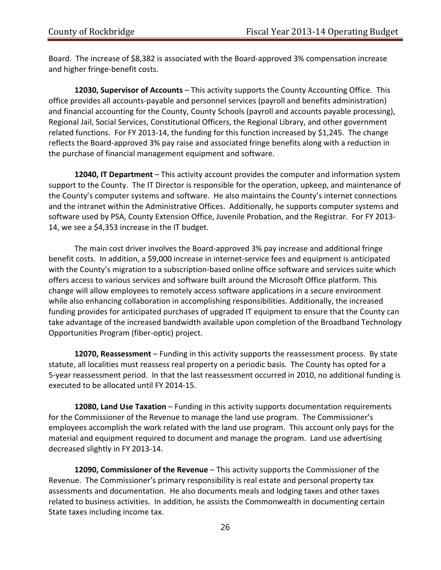Board. The increase of \$8,382 is associated with the Board‐approved 3% compensation increase and higher fringe‐benefit costs.

**12030, Supervisor of Accounts** – This activity supports the County Accounting Office. This office provides all accounts‐payable and personnel services (payroll and benefits administration) and financial accounting for the County, County Schools (payroll and accounts payable processing), Regional Jail, Social Services, Constitutional Officers, the Regional Library, and other government related functions. For FY 2013‐14, the funding for this function increased by \$1,245. The change reflects the Board‐approved 3% pay raise and associated fringe benefits along with a reduction in the purchase of financial management equipment and software.

**12040, IT Department** – This activity account provides the computer and information system support to the County. The IT Director is responsible for the operation, upkeep, and maintenance of the County's computer systems and software. He also maintains the County's internet connections and the intranet within the Administrative Offices. Additionally, he supports computer systems and software used by PSA, County Extension Office, Juvenile Probation, and the Registrar. For FY 2013-14, we see a \$4,353 increase in the IT budget.

The main cost driver involves the Board‐approved 3% pay increase and additional fringe benefit costs. In addition, a \$9,000 increase in internet-service fees and equipment is anticipated with the County's migration to a subscription-based online office software and services suite which offers access to various services and software built around the Microsoft Office platform. This change will allow employees to remotely access software applications in a secure environment while also enhancing collaboration in accomplishing responsibilities. Additionally, the increased funding provides for anticipated purchases of upgraded IT equipment to ensure that the County can take advantage of the increased bandwidth available upon completion of the Broadband Technology Opportunities Program (fiber‐optic) project.

**12070, Reassessment** – Funding in this activity supports the reassessment process. By state statute, all localities must reassess real property on a periodic basis. The County has opted for a 5‐year reassessment period. In that the last reassessment occurred in 2010, no additional funding is executed to be allocated until FY 2014‐15.

**12080, Land Use Taxation** – Funding in this activity supports documentation requirements for the Commissioner of the Revenue to manage the land use program. The Commissioner's employees accomplish the work related with the land use program. This account only pays for the material and equipment required to document and manage the program. Land use advertising decreased slightly in FY 2013‐14.

**12090, Commissioner of the Revenue** – This activity supports the Commissioner of the Revenue. The Commissioner's primary responsibility is real estate and personal property tax assessments and documentation. He also documents meals and lodging taxes and other taxes related to business activities. In addition, he assists the Commonwealth in documenting certain State taxes including income tax.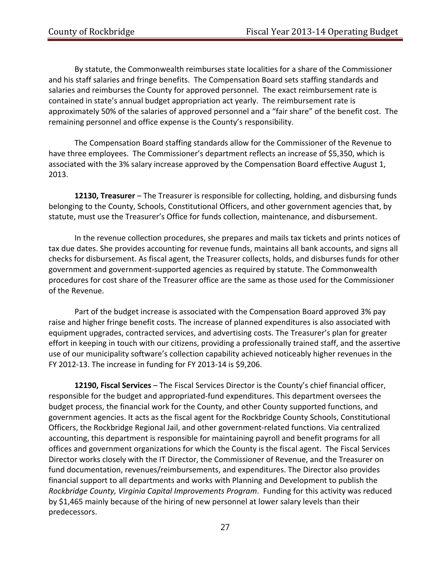By statute, the Commonwealth reimburses state localities for a share of the Commissioner and his staff salaries and fringe benefits. The Compensation Board sets staffing standards and salaries and reimburses the County for approved personnel. The exact reimbursement rate is contained in state's annual budget appropriation act yearly. The reimbursement rate is approximately 50% of the salaries of approved personnel and a "fair share" of the benefit cost. The remaining personnel and office expense is the County's responsibility.

The Compensation Board staffing standards allow for the Commissioner of the Revenue to have three employees. The Commissioner's department reflects an increase of \$5,350, which is associated with the 3% salary increase approved by the Compensation Board effective August 1, 2013.

**12130, Treasurer** – The Treasurer is responsible for collecting, holding, and disbursing funds belonging to the County, Schools, Constitutional Officers, and other government agencies that, by statute, must use the Treasurer's Office for funds collection, maintenance, and disbursement.

In the revenue collection procedures, she prepares and mails tax tickets and prints notices of tax due dates. She provides accounting for revenue funds, maintains all bank accounts, and signs all checks for disbursement. As fiscal agent, the Treasurer collects, holds, and disburses funds for other government and government‐supported agencies as required by statute. The Commonwealth procedures for cost share of the Treasurer office are the same as those used for the Commissioner of the Revenue.

Part of the budget increase is associated with the Compensation Board approved 3% pay raise and higher fringe benefit costs. The increase of planned expenditures is also associated with equipment upgrades, contracted services, and advertising costs. The Treasurer's plan for greater effort in keeping in touch with our citizens, providing a professionally trained staff, and the assertive use of our municipality software's collection capability achieved noticeably higher revenues in the FY 2012‐13. The increase in funding for FY 2013‐14 is \$9,206.

**12190, Fiscal Services** – The Fiscal Services Director is the County's chief financial officer, responsible for the budget and appropriated‐fund expenditures. This department oversees the budget process, the financial work for the County, and other County supported functions, and government agencies. It acts as the fiscal agent for the Rockbridge County Schools, Constitutional Officers, the Rockbridge Regional Jail, and other government‐related functions. Via centralized accounting, this department is responsible for maintaining payroll and benefit programs for all offices and government organizations for which the County is the fiscal agent. The Fiscal Services Director works closely with the IT Director, the Commissioner of Revenue, and the Treasurer on fund documentation, revenues/reimbursements, and expenditures. The Director also provides financial support to all departments and works with Planning and Development to publish the *Rockbridge County, Virginia Capital Improvements Program*. Funding for this activity was reduced by \$1,465 mainly because of the hiring of new personnel at lower salary levels than their predecessors.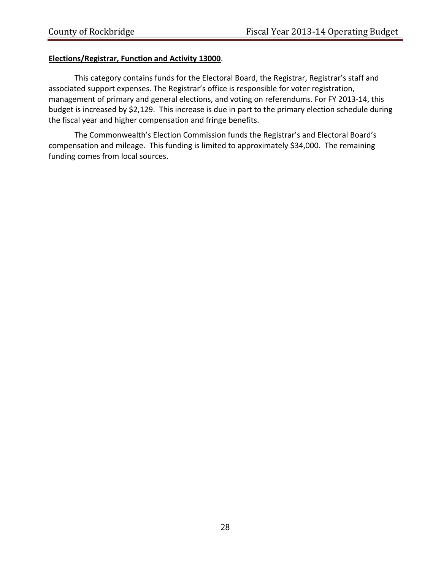# **Elections/Registrar, Function and Activity 13000**.

This category contains funds for the Electoral Board, the Registrar, Registrar's staff and associated support expenses. The Registrar's office is responsible for voter registration, management of primary and general elections, and voting on referendums. For FY 2013‐14, this budget is increased by \$2,129. This increase is due in part to the primary election schedule during the fiscal year and higher compensation and fringe benefits.

The Commonwealth's Election Commission funds the Registrar's and Electoral Board's compensation and mileage. This funding is limited to approximately \$34,000. The remaining funding comes from local sources.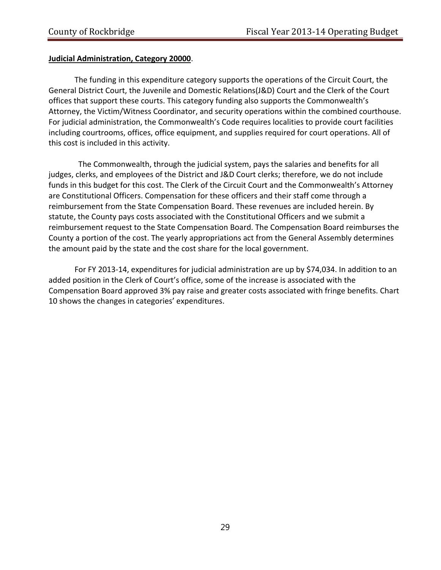## **Judicial Administration, Category 20000**.

The funding in this expenditure category supports the operations of the Circuit Court, the General District Court, the Juvenile and Domestic Relations(J&D) Court and the Clerk of the Court offices that support these courts. This category funding also supports the Commonwealth's Attorney, the Victim/Witness Coordinator, and security operations within the combined courthouse. For judicial administration, the Commonwealth's Code requires localities to provide court facilities including courtrooms, offices, office equipment, and supplies required for court operations. All of this cost is included in this activity.

 The Commonwealth, through the judicial system, pays the salaries and benefits for all judges, clerks, and employees of the District and J&D Court clerks; therefore, we do not include funds in this budget for this cost. The Clerk of the Circuit Court and the Commonwealth's Attorney are Constitutional Officers. Compensation for these officers and their staff come through a reimbursement from the State Compensation Board. These revenues are included herein. By statute, the County pays costs associated with the Constitutional Officers and we submit a reimbursement request to the State Compensation Board. The Compensation Board reimburses the County a portion of the cost. The yearly appropriations act from the General Assembly determines the amount paid by the state and the cost share for the local government.

For FY 2013‐14, expenditures for judicial administration are up by \$74,034. In addition to an added position in the Clerk of Court's office, some of the increase is associated with the Compensation Board approved 3% pay raise and greater costs associated with fringe benefits. Chart 10 shows the changes in categories' expenditures.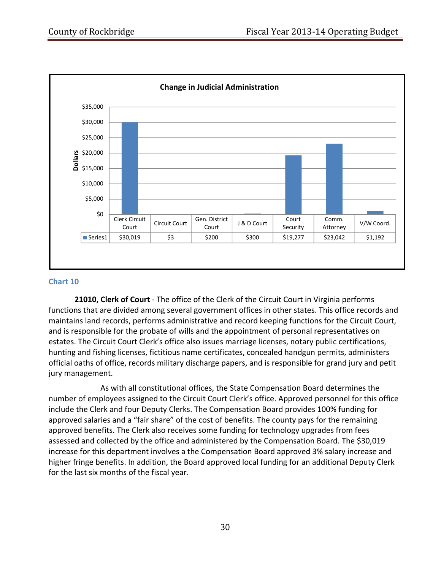

#### **Chart 10**

**21010, Clerk of Court** ‐ The office of the Clerk of the Circuit Court in Virginia performs functions that are divided among several government offices in other states. This office records and maintains land records, performs administrative and record keeping functions for the Circuit Court, and is responsible for the probate of wills and the appointment of personal representatives on estates. The Circuit Court Clerk's office also issues marriage licenses, notary public certifications, hunting and fishing licenses, fictitious name certificates, concealed handgun permits, administers official oaths of office, records military discharge papers, and is responsible for grand jury and petit jury management.

As with all constitutional offices, the State Compensation Board determines the number of employees assigned to the Circuit Court Clerk's office. Approved personnel for this office include the Clerk and four Deputy Clerks. The Compensation Board provides 100% funding for approved salaries and a "fair share" of the cost of benefits. The county pays for the remaining approved benefits. The Clerk also receives some funding for technology upgrades from fees assessed and collected by the office and administered by the Compensation Board. The \$30,019 increase for this department involves a the Compensation Board approved 3% salary increase and higher fringe benefits. In addition, the Board approved local funding for an additional Deputy Clerk for the last six months of the fiscal year.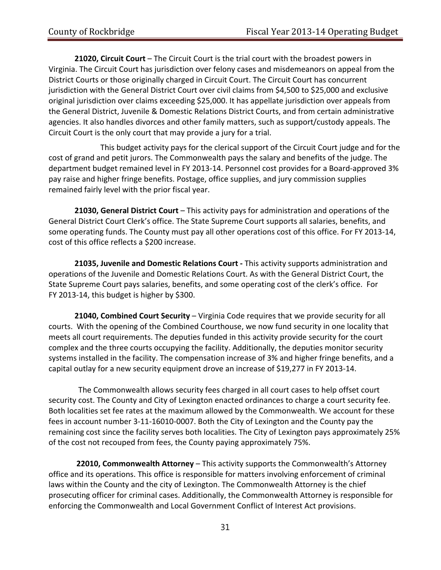**21020, Circuit Court** – The Circuit Court is the trial court with the broadest powers in Virginia. The Circuit Court has jurisdiction over felony cases and misdemeanors on appeal from the District Courts or those originally charged in Circuit Court. The Circuit Court has concurrent jurisdiction with the General District Court over civil claims from \$4,500 to \$25,000 and exclusive original jurisdiction over claims exceeding \$25,000. It has appellate jurisdiction over appeals from the General District, Juvenile & Domestic Relations District Courts, and from certain administrative agencies. It also handles divorces and other family matters, such as support/custody appeals. The Circuit Court is the only court that may provide a jury for a trial.

This budget activity pays for the clerical support of the Circuit Court judge and for the cost of grand and petit jurors. The Commonwealth pays the salary and benefits of the judge. The department budget remained level in FY 2013‐14. Personnel cost provides for a Board‐approved 3% pay raise and higher fringe benefits. Postage, office supplies, and jury commission supplies remained fairly level with the prior fiscal year.

**21030, General District Court** – This activity pays for administration and operations of the General District Court Clerk's office. The State Supreme Court supports all salaries, benefits, and some operating funds. The County must pay all other operations cost of this office. For FY 2013‐14, cost of this office reflects a \$200 increase.

**21035, Juvenile and Domestic Relations Court ‐** This activity supports administration and operations of the Juvenile and Domestic Relations Court. As with the General District Court, the State Supreme Court pays salaries, benefits, and some operating cost of the clerk's office. For FY 2013-14, this budget is higher by \$300.

**21040, Combined Court Security** – Virginia Code requires that we provide security for all courts. With the opening of the Combined Courthouse, we now fund security in one locality that meets all court requirements. The deputies funded in this activity provide security for the court complex and the three courts occupying the facility. Additionally, the deputies monitor security systems installed in the facility. The compensation increase of 3% and higher fringe benefits, and a capital outlay for a new security equipment drove an increase of \$19,277 in FY 2013‐14.

 The Commonwealth allows security fees charged in all court cases to help offset court security cost. The County and City of Lexington enacted ordinances to charge a court security fee. Both localities set fee rates at the maximum allowed by the Commonwealth. We account for these fees in account number 3‐11‐16010‐0007. Both the City of Lexington and the County pay the remaining cost since the facility serves both localities. The City of Lexington pays approximately 25% of the cost not recouped from fees, the County paying approximately 75%.

**22010, Commonwealth Attorney** – This activity supports the Commonwealth's Attorney office and its operations. This office is responsible for matters involving enforcement of criminal laws within the County and the city of Lexington. The Commonwealth Attorney is the chief prosecuting officer for criminal cases. Additionally, the Commonwealth Attorney is responsible for enforcing the Commonwealth and Local Government Conflict of Interest Act provisions.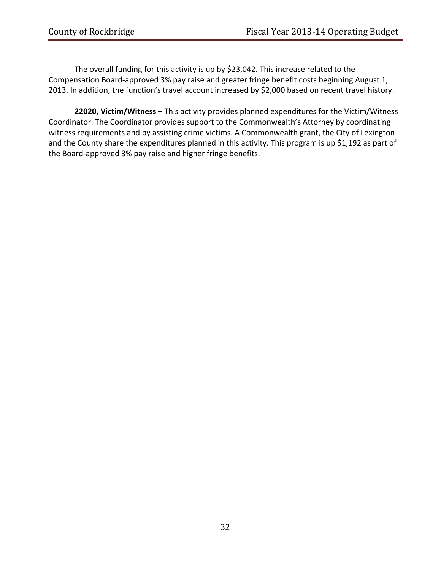The overall funding for this activity is up by \$23,042. This increase related to the Compensation Board‐approved 3% pay raise and greater fringe benefit costs beginning August 1, 2013. In addition, the function's travel account increased by \$2,000 based on recent travel history.

**22020, Victim/Witness** – This activity provides planned expenditures for the Victim/Witness Coordinator. The Coordinator provides support to the Commonwealth's Attorney by coordinating witness requirements and by assisting crime victims. A Commonwealth grant, the City of Lexington and the County share the expenditures planned in this activity. This program is up \$1,192 as part of the Board‐approved 3% pay raise and higher fringe benefits.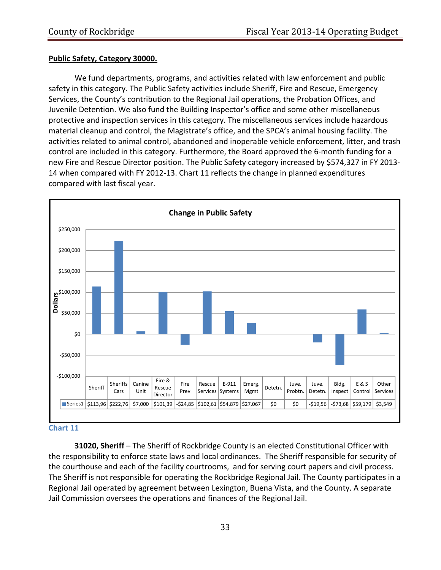# **Public Safety, Category 30000.**

We fund departments, programs, and activities related with law enforcement and public safety in this category. The Public Safety activities include Sheriff, Fire and Rescue, Emergency Services, the County's contribution to the Regional Jail operations, the Probation Offices, and Juvenile Detention. We also fund the Building Inspector's office and some other miscellaneous protective and inspection services in this category. The miscellaneous services include hazardous material cleanup and control, the Magistrate's office, and the SPCA's animal housing facility. The activities related to animal control, abandoned and inoperable vehicle enforcement, litter, and trash control are included in this category. Furthermore, the Board approved the 6‐month funding for a new Fire and Rescue Director position. The Public Safety category increased by \$574,327 in FY 2013‐ 14 when compared with FY 2012‐13. Chart 11 reflects the change in planned expenditures compared with last fiscal year.



#### **Chart 11**

**31020, Sheriff** – The Sheriff of Rockbridge County is an elected Constitutional Officer with the responsibility to enforce state laws and local ordinances. The Sheriff responsible for security of the courthouse and each of the facility courtrooms, and for serving court papers and civil process. The Sheriff is not responsible for operating the Rockbridge Regional Jail. The County participates in a Regional Jail operated by agreement between Lexington, Buena Vista, and the County. A separate Jail Commission oversees the operations and finances of the Regional Jail.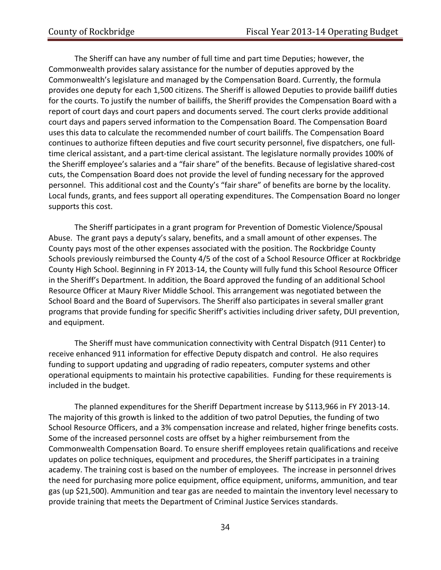The Sheriff can have any number of full time and part time Deputies; however, the Commonwealth provides salary assistance for the number of deputies approved by the Commonwealth's legislature and managed by the Compensation Board. Currently, the formula provides one deputy for each 1,500 citizens. The Sheriff is allowed Deputies to provide bailiff duties for the courts. To justify the number of bailiffs, the Sheriff provides the Compensation Board with a report of court days and court papers and documents served. The court clerks provide additional court days and papers served information to the Compensation Board. The Compensation Board uses this data to calculate the recommended number of court bailiffs. The Compensation Board continues to authorize fifteen deputies and five court security personnel, five dispatchers, one full‐ time clerical assistant, and a part‐time clerical assistant. The legislature normally provides 100% of the Sheriff employee's salaries and a "fair share" of the benefits. Because of legislative shared‐cost cuts, the Compensation Board does not provide the level of funding necessary for the approved personnel. This additional cost and the County's "fair share" of benefits are borne by the locality. Local funds, grants, and fees support all operating expenditures. The Compensation Board no longer supports this cost.

The Sheriff participates in a grant program for Prevention of Domestic Violence/Spousal Abuse. The grant pays a deputy's salary, benefits, and a small amount of other expenses. The County pays most of the other expenses associated with the position. The Rockbridge County Schools previously reimbursed the County 4/5 of the cost of a School Resource Officer at Rockbridge County High School. Beginning in FY 2013‐14, the County will fully fund this School Resource Officer in the Sheriff's Department. In addition, the Board approved the funding of an additional School Resource Officer at Maury River Middle School. This arrangement was negotiated between the School Board and the Board of Supervisors. The Sheriff also participates in several smaller grant programs that provide funding for specific Sheriff's activities including driver safety, DUI prevention, and equipment.

The Sheriff must have communication connectivity with Central Dispatch (911 Center) to receive enhanced 911 information for effective Deputy dispatch and control. He also requires funding to support updating and upgrading of radio repeaters, computer systems and other operational equipments to maintain his protective capabilities. Funding for these requirements is included in the budget.

The planned expenditures for the Sheriff Department increase by \$113,966 in FY 2013‐14. The majority of this growth is linked to the addition of two patrol Deputies, the funding of two School Resource Officers, and a 3% compensation increase and related, higher fringe benefits costs. Some of the increased personnel costs are offset by a higher reimbursement from the Commonwealth Compensation Board. To ensure sheriff employees retain qualifications and receive updates on police techniques, equipment and procedures, the Sheriff participates in a training academy. The training cost is based on the number of employees. The increase in personnel drives the need for purchasing more police equipment, office equipment, uniforms, ammunition, and tear gas (up \$21,500). Ammunition and tear gas are needed to maintain the inventory level necessary to provide training that meets the Department of Criminal Justice Services standards.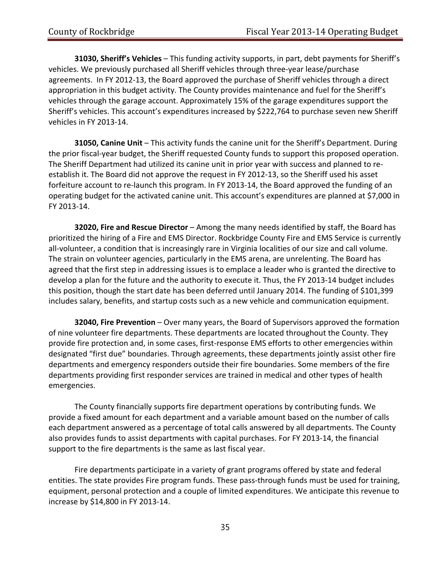**31030, Sheriff's Vehicles** – This funding activity supports, in part, debt payments for Sheriff's vehicles. We previously purchased all Sheriff vehicles through three‐year lease/purchase agreements. In FY 2012‐13, the Board approved the purchase of Sheriff vehicles through a direct appropriation in this budget activity. The County provides maintenance and fuel for the Sheriff's vehicles through the garage account. Approximately 15% of the garage expenditures support the Sheriff's vehicles. This account's expenditures increased by \$222,764 to purchase seven new Sheriff vehicles in FY 2013‐14.

**31050, Canine Unit** – This activity funds the canine unit for the Sheriff's Department. During the prior fiscal‐year budget, the Sheriff requested County funds to support this proposed operation. The Sheriff Department had utilized its canine unit in prior year with success and planned to re‐ establish it. The Board did not approve the request in FY 2012‐13, so the Sheriff used his asset forfeiture account to re-launch this program. In FY 2013-14, the Board approved the funding of an operating budget for the activated canine unit. This account's expenditures are planned at \$7,000 in FY 2013‐14.

**32020, Fire and Rescue Director** – Among the many needs identified by staff, the Board has prioritized the hiring of a Fire and EMS Director. Rockbridge County Fire and EMS Service is currently all-volunteer, a condition that is increasingly rare in Virginia localities of our size and call volume. The strain on volunteer agencies, particularly in the EMS arena, are unrelenting. The Board has agreed that the first step in addressing issues is to emplace a leader who is granted the directive to develop a plan for the future and the authority to execute it. Thus, the FY 2013‐14 budget includes this position, though the start date has been deferred until January 2014. The funding of \$101,399 includes salary, benefits, and startup costs such as a new vehicle and communication equipment.

**32040, Fire Prevention** – Over many years, the Board of Supervisors approved the formation of nine volunteer fire departments. These departments are located throughout the County. They provide fire protection and, in some cases, first-response EMS efforts to other emergencies within designated "first due" boundaries. Through agreements, these departments jointly assist other fire departments and emergency responders outside their fire boundaries. Some members of the fire departments providing first responder services are trained in medical and other types of health emergencies.

The County financially supports fire department operations by contributing funds. We provide a fixed amount for each department and a variable amount based on the number of calls each department answered as a percentage of total calls answered by all departments. The County also provides funds to assist departments with capital purchases. For FY 2013‐14, the financial support to the fire departments is the same as last fiscal year.

Fire departments participate in a variety of grant programs offered by state and federal entities. The state provides Fire program funds. These pass-through funds must be used for training, equipment, personal protection and a couple of limited expenditures. We anticipate this revenue to increase by \$14,800 in FY 2013‐14.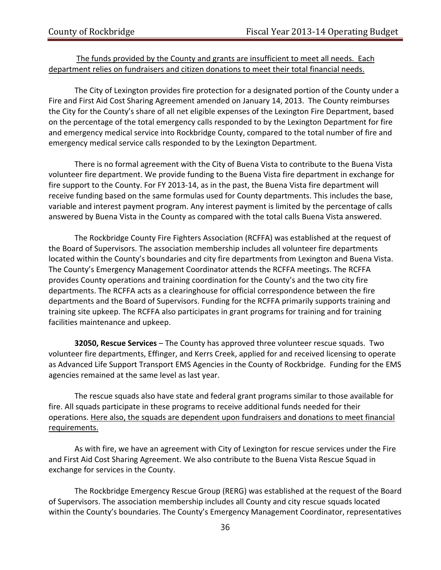#### The funds provided by the County and grants are insufficient to meet all needs. Each department relies on fundraisers and citizen donations to meet their total financial needs.

The City of Lexington provides fire protection for a designated portion of the County under a Fire and First Aid Cost Sharing Agreement amended on January 14, 2013. The County reimburses the City for the County's share of all net eligible expenses of the Lexington Fire Department, based on the percentage of the total emergency calls responded to by the Lexington Department for fire and emergency medical service into Rockbridge County, compared to the total number of fire and emergency medical service calls responded to by the Lexington Department.

There is no formal agreement with the City of Buena Vista to contribute to the Buena Vista volunteer fire department. We provide funding to the Buena Vista fire department in exchange for fire support to the County. For FY 2013-14, as in the past, the Buena Vista fire department will receive funding based on the same formulas used for County departments. This includes the base, variable and interest payment program. Any interest payment is limited by the percentage of calls answered by Buena Vista in the County as compared with the total calls Buena Vista answered.

The Rockbridge County Fire Fighters Association (RCFFA) was established at the request of the Board of Supervisors. The association membership includes all volunteer fire departments located within the County's boundaries and city fire departments from Lexington and Buena Vista. The County's Emergency Management Coordinator attends the RCFFA meetings. The RCFFA provides County operations and training coordination for the County's and the two city fire departments. The RCFFA acts as a clearinghouse for official correspondence between the fire departments and the Board of Supervisors. Funding for the RCFFA primarily supports training and training site upkeep. The RCFFA also participates in grant programs for training and for training facilities maintenance and upkeep.

**32050, Rescue Services** – The County has approved three volunteer rescue squads. Two volunteer fire departments, Effinger, and Kerrs Creek, applied for and received licensing to operate as Advanced Life Support Transport EMS Agencies in the County of Rockbridge. Funding for the EMS agencies remained at the same level as last year.

The rescue squads also have state and federal grant programs similar to those available for fire. All squads participate in these programs to receive additional funds needed for their operations. Here also, the squads are dependent upon fundraisers and donations to meet financial requirements.

As with fire, we have an agreement with City of Lexington for rescue services under the Fire and First Aid Cost Sharing Agreement. We also contribute to the Buena Vista Rescue Squad in exchange for services in the County.

The Rockbridge Emergency Rescue Group (RERG) was established at the request of the Board of Supervisors. The association membership includes all County and city rescue squads located within the County's boundaries. The County's Emergency Management Coordinator, representatives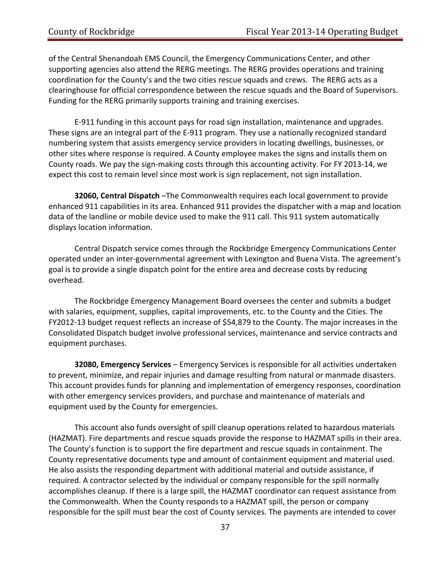of the Central Shenandoah EMS Council, the Emergency Communications Center, and other supporting agencies also attend the RERG meetings. The RERG provides operations and training coordination for the County's and the two cities rescue squads and crews. The RERG acts as a clearinghouse for official correspondence between the rescue squads and the Board of Supervisors. Funding for the RERG primarily supports training and training exercises.

E‐911 funding in this account pays for road sign installation, maintenance and upgrades. These signs are an integral part of the E‐911 program. They use a nationally recognized standard numbering system that assists emergency service providers in locating dwellings, businesses, or other sites where response is required. A County employee makes the signs and installs them on County roads. We pay the sign‐making costs through this accounting activity. For FY 2013‐14, we expect this cost to remain level since most work is sign replacement, not sign installation.

**32060, Central Dispatch** –The Commonwealth requires each local government to provide enhanced 911 capabilities in its area. Enhanced 911 provides the dispatcher with a map and location data of the landline or mobile device used to make the 911 call. This 911 system automatically displays location information.

Central Dispatch service comes through the Rockbridge Emergency Communications Center operated under an inter‐governmental agreement with Lexington and Buena Vista. The agreement's goal is to provide a single dispatch point for the entire area and decrease costs by reducing overhead.

The Rockbridge Emergency Management Board oversees the center and submits a budget with salaries, equipment, supplies, capital improvements, etc. to the County and the Cities. The FY2012‐13 budget request reflects an increase of \$54,879 to the County. The major increases in the Consolidated Dispatch budget involve professional services, maintenance and service contracts and equipment purchases.

**32080, Emergency Services** – Emergency Services is responsible for all activities undertaken to prevent, minimize, and repair injuries and damage resulting from natural or manmade disasters. This account provides funds for planning and implementation of emergency responses, coordination with other emergency services providers, and purchase and maintenance of materials and equipment used by the County for emergencies.

This account also funds oversight of spill cleanup operations related to hazardous materials (HAZMAT). Fire departments and rescue squads provide the response to HAZMAT spills in their area. The County's function is to support the fire department and rescue squads in containment. The County representative documents type and amount of containment equipment and material used. He also assists the responding department with additional material and outside assistance, if required. A contractor selected by the individual or company responsible for the spill normally accomplishes cleanup. If there is a large spill, the HAZMAT coordinator can request assistance from the Commonwealth. When the County responds to a HAZMAT spill, the person or company responsible for the spill must bear the cost of County services. The payments are intended to cover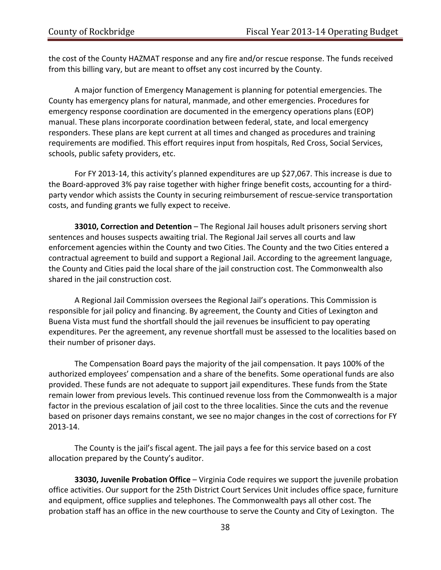the cost of the County HAZMAT response and any fire and/or rescue response. The funds received from this billing vary, but are meant to offset any cost incurred by the County.

A major function of Emergency Management is planning for potential emergencies. The County has emergency plans for natural, manmade, and other emergencies. Procedures for emergency response coordination are documented in the emergency operations plans (EOP) manual. These plans incorporate coordination between federal, state, and local emergency responders. These plans are kept current at all times and changed as procedures and training requirements are modified. This effort requires input from hospitals, Red Cross, Social Services, schools, public safety providers, etc.

For FY 2013‐14, this activity's planned expenditures are up \$27,067. This increase is due to the Board‐approved 3% pay raise together with higher fringe benefit costs, accounting for a third‐ party vendor which assists the County in securing reimbursement of rescue-service transportation costs, and funding grants we fully expect to receive.

**33010, Correction and Detention** – The Regional Jail houses adult prisoners serving short sentences and houses suspects awaiting trial. The Regional Jail serves all courts and law enforcement agencies within the County and two Cities. The County and the two Cities entered a contractual agreement to build and support a Regional Jail. According to the agreement language, the County and Cities paid the local share of the jail construction cost. The Commonwealth also shared in the jail construction cost.

A Regional Jail Commission oversees the Regional Jail's operations. This Commission is responsible for jail policy and financing. By agreement, the County and Cities of Lexington and Buena Vista must fund the shortfall should the jail revenues be insufficient to pay operating expenditures. Per the agreement, any revenue shortfall must be assessed to the localities based on their number of prisoner days.

The Compensation Board pays the majority of the jail compensation. It pays 100% of the authorized employees' compensation and a share of the benefits. Some operational funds are also provided. These funds are not adequate to support jail expenditures. These funds from the State remain lower from previous levels. This continued revenue loss from the Commonwealth is a major factor in the previous escalation of jail cost to the three localities. Since the cuts and the revenue based on prisoner days remains constant, we see no major changes in the cost of corrections for FY 2013‐14.

The County is the jail's fiscal agent. The jail pays a fee for this service based on a cost allocation prepared by the County's auditor.

**33030, Juvenile Probation Office** – Virginia Code requires we support the juvenile probation office activities. Our support for the 25th District Court Services Unit includes office space, furniture and equipment, office supplies and telephones. The Commonwealth pays all other cost. The probation staff has an office in the new courthouse to serve the County and City of Lexington. The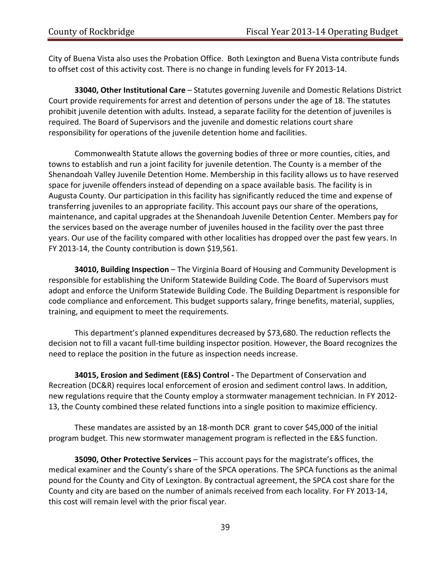City of Buena Vista also uses the Probation Office. Both Lexington and Buena Vista contribute funds to offset cost of this activity cost. There is no change in funding levels for FY 2013‐14.

**33040, Other Institutional Care** – Statutes governing Juvenile and Domestic Relations District Court provide requirements for arrest and detention of persons under the age of 18. The statutes prohibit juvenile detention with adults. Instead, a separate facility for the detention of juveniles is required. The Board of Supervisors and the juvenile and domestic relations court share responsibility for operations of the juvenile detention home and facilities.

Commonwealth Statute allows the governing bodies of three or more counties, cities, and towns to establish and run a joint facility for juvenile detention. The County is a member of the Shenandoah Valley Juvenile Detention Home. Membership in this facility allows us to have reserved space for juvenile offenders instead of depending on a space available basis. The facility is in Augusta County. Our participation in this facility has significantly reduced the time and expense of transferring juveniles to an appropriate facility. This account pays our share of the operations, maintenance, and capital upgrades at the Shenandoah Juvenile Detention Center. Members pay for the services based on the average number of juveniles housed in the facility over the past three years. Our use of the facility compared with other localities has dropped over the past few years. In FY 2013‐14, the County contribution is down \$19,561.

**34010, Building Inspection** – The Virginia Board of Housing and Community Development is responsible for establishing the Uniform Statewide Building Code. The Board of Supervisors must adopt and enforce the Uniform Statewide Building Code. The Building Department is responsible for code compliance and enforcement. This budget supports salary, fringe benefits, material, supplies, training, and equipment to meet the requirements.

This department's planned expenditures decreased by \$73,680. The reduction reflects the decision not to fill a vacant full‐time building inspector position. However, the Board recognizes the need to replace the position in the future as inspection needs increase.

**34015, Erosion and Sediment (E&S) Control ‐** The Department of Conservation and Recreation (DC&R) requires local enforcement of erosion and sediment control laws. In addition, new regulations require that the County employ a stormwater management technician. In FY 2012‐ 13, the County combined these related functions into a single position to maximize efficiency.

These mandates are assisted by an 18‐month DCR grant to cover \$45,000 of the initial program budget. This new stormwater management program is reflected in the E&S function.

**35090, Other Protective Services** – This account pays for the magistrate's offices, the medical examiner and the County's share of the SPCA operations. The SPCA functions as the animal pound for the County and City of Lexington. By contractual agreement, the SPCA cost share for the County and city are based on the number of animals received from each locality. For FY 2013‐14, this cost will remain level with the prior fiscal year.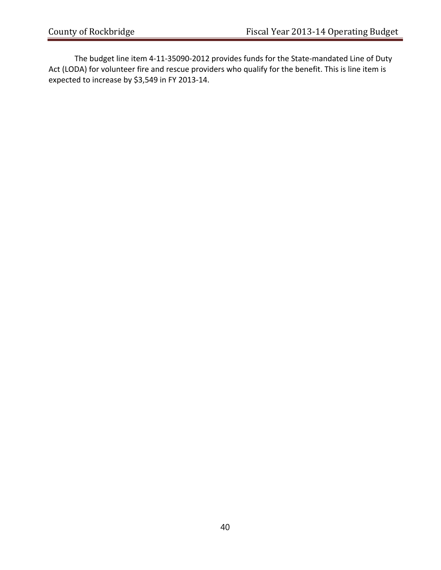The budget line item 4‐11‐35090‐2012 provides funds for the State‐mandated Line of Duty Act (LODA) for volunteer fire and rescue providers who qualify for the benefit. This is line item is expected to increase by \$3,549 in FY 2013‐14.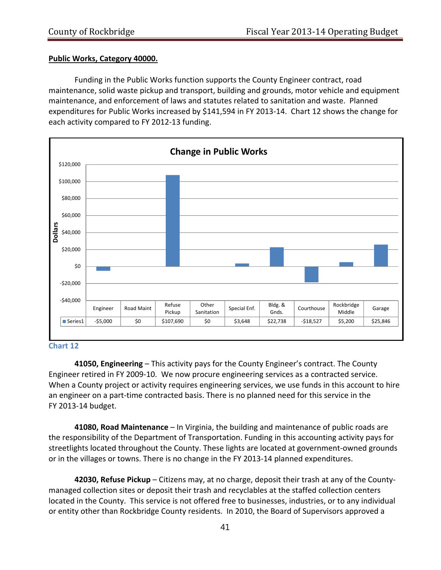#### **Public Works, Category 40000.**

Funding in the Public Works function supports the County Engineer contract, road maintenance, solid waste pickup and transport, building and grounds, motor vehicle and equipment maintenance, and enforcement of laws and statutes related to sanitation and waste. Planned expenditures for Public Works increased by \$141,594 in FY 2013‐14. Chart 12 shows the change for each activity compared to FY 2012‐13 funding.



#### **Chart 12**

**41050, Engineering** – This activity pays for the County Engineer's contract. The County Engineer retired in FY 2009‐10. We now procure engineering services as a contracted service. When a County project or activity requires engineering services, we use funds in this account to hire an engineer on a part-time contracted basis. There is no planned need for this service in the FY 2013‐14 budget.

**41080, Road Maintenance** – In Virginia, the building and maintenance of public roads are the responsibility of the Department of Transportation. Funding in this accounting activity pays for streetlights located throughout the County. These lights are located at government‐owned grounds or in the villages or towns. There is no change in the FY 2013‐14 planned expenditures.

**42030, Refuse Pickup** – Citizens may, at no charge, deposit their trash at any of the County‐ managed collection sites or deposit their trash and recyclables at the staffed collection centers located in the County. This service is not offered free to businesses, industries, or to any individual or entity other than Rockbridge County residents. In 2010, the Board of Supervisors approved a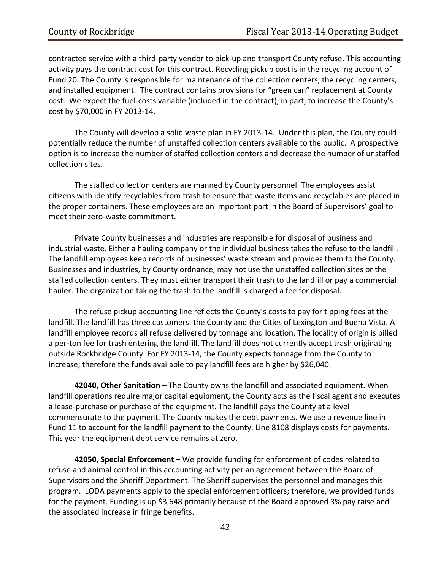contracted service with a third‐party vendor to pick‐up and transport County refuse. This accounting activity pays the contract cost for this contract. Recycling pickup cost is in the recycling account of Fund 20. The County is responsible for maintenance of the collection centers, the recycling centers, and installed equipment. The contract contains provisions for "green can" replacement at County cost. We expect the fuel‐costs variable (included in the contract), in part, to increase the County's cost by \$70,000 in FY 2013‐14.

The County will develop a solid waste plan in FY 2013-14. Under this plan, the County could potentially reduce the number of unstaffed collection centers available to the public. A prospective option is to increase the number of staffed collection centers and decrease the number of unstaffed collection sites.

The staffed collection centers are manned by County personnel. The employees assist citizens with identify recyclables from trash to ensure that waste items and recyclables are placed in the proper containers. These employees are an important part in the Board of Supervisors' goal to meet their zero‐waste commitment.

Private County businesses and industries are responsible for disposal of business and industrial waste. Either a hauling company or the individual business takes the refuse to the landfill. The landfill employees keep records of businesses' waste stream and provides them to the County. Businesses and industries, by County ordnance, may not use the unstaffed collection sites or the staffed collection centers. They must either transport their trash to the landfill or pay a commercial hauler. The organization taking the trash to the landfill is charged a fee for disposal.

The refuse pickup accounting line reflects the County's costs to pay for tipping fees at the landfill. The landfill has three customers: the County and the Cities of Lexington and Buena Vista. A landfill employee records all refuse delivered by tonnage and location. The locality of origin is billed a per-ton fee for trash entering the landfill. The landfill does not currently accept trash originating outside Rockbridge County. For FY 2013‐14, the County expects tonnage from the County to increase; therefore the funds available to pay landfill fees are higher by \$26,040.

**42040, Other Sanitation** – The County owns the landfill and associated equipment. When landfill operations require major capital equipment, the County acts as the fiscal agent and executes a lease‐purchase or purchase of the equipment. The landfill pays the County at a level commensurate to the payment. The County makes the debt payments. We use a revenue line in Fund 11 to account for the landfill payment to the County. Line 8108 displays costs for payments. This year the equipment debt service remains at zero.

**42050, Special Enforcement** – We provide funding for enforcement of codes related to refuse and animal control in this accounting activity per an agreement between the Board of Supervisors and the Sheriff Department. The Sheriff supervises the personnel and manages this program. LODA payments apply to the special enforcement officers; therefore, we provided funds for the payment. Funding is up \$3,648 primarily because of the Board‐approved 3% pay raise and the associated increase in fringe benefits.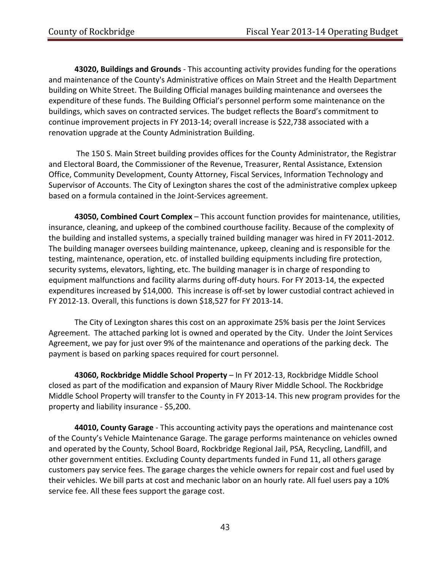**43020, Buildings and Grounds** ‐ This accounting activity provides funding for the operations and maintenance of the County's Administrative offices on Main Street and the Health Department building on White Street. The Building Official manages building maintenance and oversees the expenditure of these funds. The Building Official's personnel perform some maintenance on the buildings, which saves on contracted services. The budget reflects the Board's commitment to continue improvement projects in FY 2013‐14; overall increase is \$22,738 associated with a renovation upgrade at the County Administration Building.

The 150 S. Main Street building provides offices for the County Administrator, the Registrar and Electoral Board, the Commissioner of the Revenue, Treasurer, Rental Assistance, Extension Office, Community Development, County Attorney, Fiscal Services, Information Technology and Supervisor of Accounts. The City of Lexington shares the cost of the administrative complex upkeep based on a formula contained in the Joint‐Services agreement.

**43050, Combined Court Complex** – This account function provides for maintenance, utilities, insurance, cleaning, and upkeep of the combined courthouse facility. Because of the complexity of the building and installed systems, a specially trained building manager was hired in FY 2011‐2012. The building manager oversees building maintenance, upkeep, cleaning and is responsible for the testing, maintenance, operation, etc. of installed building equipments including fire protection, security systems, elevators, lighting, etc. The building manager is in charge of responding to equipment malfunctions and facility alarms during off‐duty hours. For FY 2013‐14, the expected expenditures increased by \$14,000. This increase is off-set by lower custodial contract achieved in FY 2012‐13. Overall, this functions is down \$18,527 for FY 2013‐14.

The City of Lexington shares this cost on an approximate 25% basis per the Joint Services Agreement. The attached parking lot is owned and operated by the City. Under the Joint Services Agreement, we pay for just over 9% of the maintenance and operations of the parking deck. The payment is based on parking spaces required for court personnel.

**43060, Rockbridge Middle School Property** – In FY 2012‐13, Rockbridge Middle School closed as part of the modification and expansion of Maury River Middle School. The Rockbridge Middle School Property will transfer to the County in FY 2013‐14. This new program provides for the property and liability insurance ‐ \$5,200.

**44010, County Garage** ‐ This accounting activity pays the operations and maintenance cost of the County's Vehicle Maintenance Garage. The garage performs maintenance on vehicles owned and operated by the County, School Board, Rockbridge Regional Jail, PSA, Recycling, Landfill, and other government entities. Excluding County departments funded in Fund 11, all others garage customers pay service fees. The garage charges the vehicle owners for repair cost and fuel used by their vehicles. We bill parts at cost and mechanic labor on an hourly rate. All fuel users pay a 10% service fee. All these fees support the garage cost.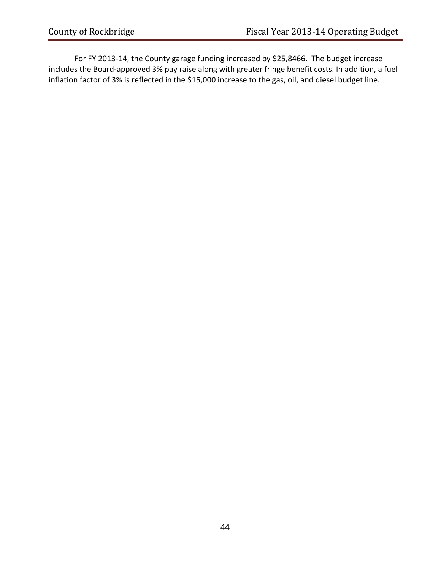For FY 2013-14, the County garage funding increased by \$25,8466. The budget increase includes the Board‐approved 3% pay raise along with greater fringe benefit costs. In addition, a fuel inflation factor of 3% is reflected in the \$15,000 increase to the gas, oil, and diesel budget line.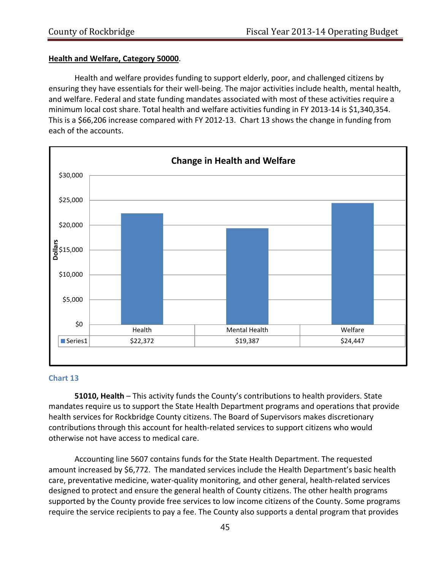#### **Health and Welfare, Category 50000**.

Health and welfare provides funding to support elderly, poor, and challenged citizens by ensuring they have essentials for their well-being. The major activities include health, mental health, and welfare. Federal and state funding mandates associated with most of these activities require a minimum local cost share. Total health and welfare activities funding in FY 2013‐14 is \$1,340,354. This is a \$66,206 increase compared with FY 2012‐13. Chart 13 shows the change in funding from each of the accounts.



#### **Chart 13**

 **51010, Health** – This activity funds the County's contributions to health providers. State mandates require us to support the State Health Department programs and operations that provide health services for Rockbridge County citizens. The Board of Supervisors makes discretionary contributions through this account for health‐related services to support citizens who would otherwise not have access to medical care.

Accounting line 5607 contains funds for the State Health Department. The requested amount increased by \$6,772. The mandated services include the Health Department's basic health care, preventative medicine, water‐quality monitoring, and other general, health‐related services designed to protect and ensure the general health of County citizens. The other health programs supported by the County provide free services to low income citizens of the County. Some programs require the service recipients to pay a fee. The County also supports a dental program that provides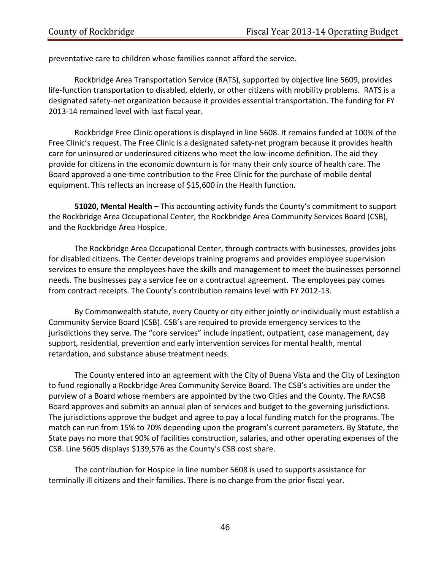preventative care to children whose families cannot afford the service.

Rockbridge Area Transportation Service (RATS), supported by objective line 5609, provides life-function transportation to disabled, elderly, or other citizens with mobility problems. RATS is a designated safety‐net organization because it provides essential transportation. The funding for FY 2013‐14 remained level with last fiscal year.

Rockbridge Free Clinic operations is displayed in line 5608. It remains funded at 100% of the Free Clinic's request. The Free Clinic is a designated safety-net program because it provides health care for uninsured or underinsured citizens who meet the low-income definition. The aid they provide for citizens in the economic downturn is for many their only source of health care. The Board approved a one‐time contribution to the Free Clinic for the purchase of mobile dental equipment. This reflects an increase of \$15,600 in the Health function.

**51020, Mental Health** – This accounting activity funds the County's commitment to support the Rockbridge Area Occupational Center, the Rockbridge Area Community Services Board (CSB), and the Rockbridge Area Hospice.

The Rockbridge Area Occupational Center, through contracts with businesses, provides jobs for disabled citizens. The Center develops training programs and provides employee supervision services to ensure the employees have the skills and management to meet the businesses personnel needs. The businesses pay a service fee on a contractual agreement. The employees pay comes from contract receipts. The County's contribution remains level with FY 2012‐13.

By Commonwealth statute, every County or city either jointly or individually must establish a Community Service Board (CSB). CSB's are required to provide emergency services to the jurisdictions they serve. The "core services" include inpatient, outpatient, case management, day support, residential, prevention and early intervention services for mental health, mental retardation, and substance abuse treatment needs.

The County entered into an agreement with the City of Buena Vista and the City of Lexington to fund regionally a Rockbridge Area Community Service Board. The CSB's activities are under the purview of a Board whose members are appointed by the two Cities and the County. The RACSB Board approves and submits an annual plan of services and budget to the governing jurisdictions. The jurisdictions approve the budget and agree to pay a local funding match for the programs. The match can run from 15% to 70% depending upon the program's current parameters. By Statute, the State pays no more that 90% of facilities construction, salaries, and other operating expenses of the CSB. Line 5605 displays \$139,576 as the County's CSB cost share.

The contribution for Hospice in line number 5608 is used to supports assistance for terminally ill citizens and their families. There is no change from the prior fiscal year.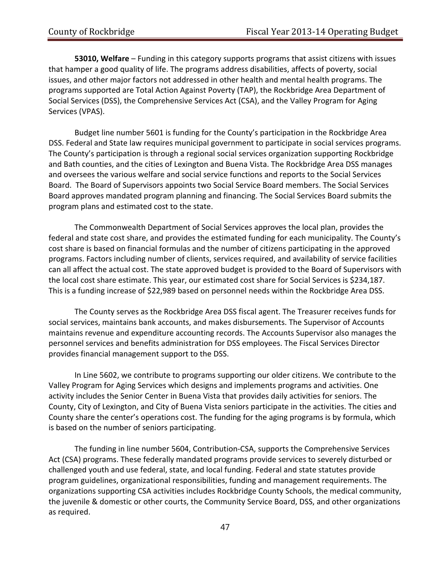**53010, Welfare** – Funding in this category supports programs that assist citizens with issues that hamper a good quality of life. The programs address disabilities, affects of poverty, social issues, and other major factors not addressed in other health and mental health programs. The programs supported are Total Action Against Poverty (TAP), the Rockbridge Area Department of Social Services (DSS), the Comprehensive Services Act (CSA), and the Valley Program for Aging Services (VPAS).

Budget line number 5601 is funding for the County's participation in the Rockbridge Area DSS. Federal and State law requires municipal government to participate in social services programs. The County's participation is through a regional social services organization supporting Rockbridge and Bath counties, and the cities of Lexington and Buena Vista. The Rockbridge Area DSS manages and oversees the various welfare and social service functions and reports to the Social Services Board. The Board of Supervisors appoints two Social Service Board members. The Social Services Board approves mandated program planning and financing. The Social Services Board submits the program plans and estimated cost to the state.

The Commonwealth Department of Social Services approves the local plan, provides the federal and state cost share, and provides the estimated funding for each municipality. The County's cost share is based on financial formulas and the number of citizens participating in the approved programs. Factors including number of clients, services required, and availability of service facilities can all affect the actual cost. The state approved budget is provided to the Board of Supervisors with the local cost share estimate. This year, our estimated cost share for Social Services is \$234,187. This is a funding increase of \$22,989 based on personnel needs within the Rockbridge Area DSS.

The County serves as the Rockbridge Area DSS fiscal agent. The Treasurer receives funds for social services, maintains bank accounts, and makes disbursements. The Supervisor of Accounts maintains revenue and expenditure accounting records. The Accounts Supervisor also manages the personnel services and benefits administration for DSS employees. The Fiscal Services Director provides financial management support to the DSS.

In Line 5602, we contribute to programs supporting our older citizens. We contribute to the Valley Program for Aging Services which designs and implements programs and activities. One activity includes the Senior Center in Buena Vista that provides daily activities for seniors. The County, City of Lexington, and City of Buena Vista seniors participate in the activities. The cities and County share the center's operations cost. The funding for the aging programs is by formula, which is based on the number of seniors participating.

 The funding in line number 5604, Contribution‐CSA, supports the Comprehensive Services Act (CSA) programs. These federally mandated programs provide services to severely disturbed or challenged youth and use federal, state, and local funding. Federal and state statutes provide program guidelines, organizational responsibilities, funding and management requirements. The organizations supporting CSA activities includes Rockbridge County Schools, the medical community, the juvenile & domestic or other courts, the Community Service Board, DSS, and other organizations as required.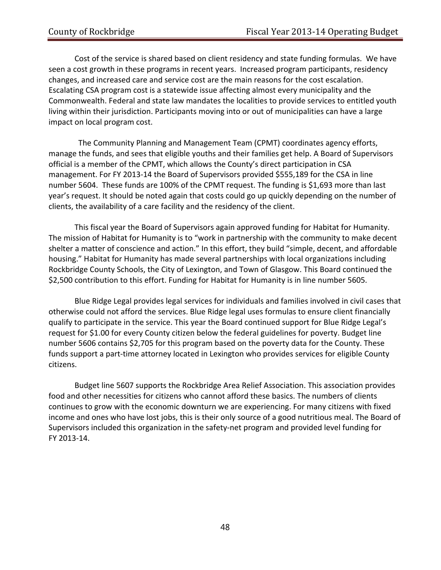Cost of the service is shared based on client residency and state funding formulas. We have seen a cost growth in these programs in recent years. Increased program participants, residency changes, and increased care and service cost are the main reasons for the cost escalation. Escalating CSA program cost is a statewide issue affecting almost every municipality and the Commonwealth. Federal and state law mandates the localities to provide services to entitled youth living within their jurisdiction. Participants moving into or out of municipalities can have a large impact on local program cost.

 The Community Planning and Management Team (CPMT) coordinates agency efforts, manage the funds, and sees that eligible youths and their families get help. A Board of Supervisors official is a member of the CPMT, which allows the County's direct participation in CSA management. For FY 2013‐14 the Board of Supervisors provided \$555,189 for the CSA in line number 5604. These funds are 100% of the CPMT request. The funding is \$1,693 more than last year's request. It should be noted again that costs could go up quickly depending on the number of clients, the availability of a care facility and the residency of the client.

This fiscal year the Board of Supervisors again approved funding for Habitat for Humanity. The mission of Habitat for Humanity is to "work in partnership with the community to make decent shelter a matter of conscience and action." In this effort, they build "simple, decent, and affordable housing." Habitat for Humanity has made several partnerships with local organizations including Rockbridge County Schools, the City of Lexington, and Town of Glasgow. This Board continued the \$2,500 contribution to this effort. Funding for Habitat for Humanity is in line number 5605.

Blue Ridge Legal provides legal services for individuals and families involved in civil cases that otherwise could not afford the services. Blue Ridge legal uses formulas to ensure client financially qualify to participate in the service. This year the Board continued support for Blue Ridge Legal's request for \$1.00 for every County citizen below the federal guidelines for poverty. Budget line number 5606 contains \$2,705 for this program based on the poverty data for the County. These funds support a part-time attorney located in Lexington who provides services for eligible County citizens.

Budget line 5607 supports the Rockbridge Area Relief Association. This association provides food and other necessities for citizens who cannot afford these basics. The numbers of clients continues to grow with the economic downturn we are experiencing. For many citizens with fixed income and ones who have lost jobs, this is their only source of a good nutritious meal. The Board of Supervisors included this organization in the safety‐net program and provided level funding for FY 2013‐14.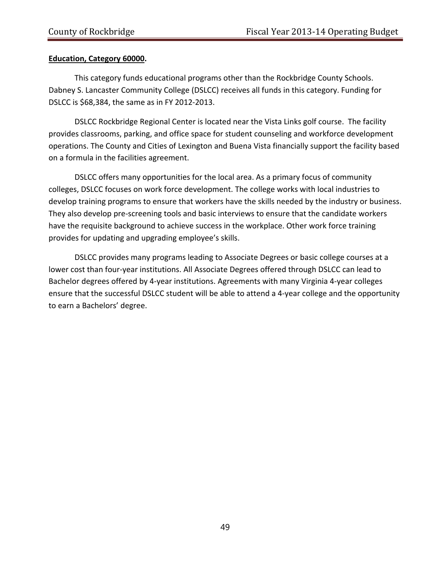### **Education, Category 60000.**

This category funds educational programs other than the Rockbridge County Schools. Dabney S. Lancaster Community College (DSLCC) receives all funds in this category. Funding for DSLCC is \$68,384, the same as in FY 2012‐2013.

DSLCC Rockbridge Regional Center is located near the Vista Links golf course. The facility provides classrooms, parking, and office space for student counseling and workforce development operations. The County and Cities of Lexington and Buena Vista financially support the facility based on a formula in the facilities agreement.

DSLCC offers many opportunities for the local area. As a primary focus of community colleges, DSLCC focuses on work force development. The college works with local industries to develop training programs to ensure that workers have the skills needed by the industry or business. They also develop pre‐screening tools and basic interviews to ensure that the candidate workers have the requisite background to achieve success in the workplace. Other work force training provides for updating and upgrading employee's skills.

DSLCC provides many programs leading to Associate Degrees or basic college courses at a lower cost than four‐year institutions. All Associate Degrees offered through DSLCC can lead to Bachelor degrees offered by 4‐year institutions. Agreements with many Virginia 4‐year colleges ensure that the successful DSLCC student will be able to attend a 4‐year college and the opportunity to earn a Bachelors' degree.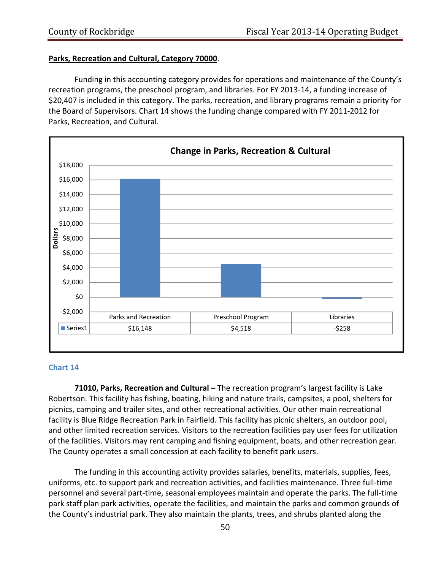#### **Parks, Recreation and Cultural, Category 70000**.

Funding in this accounting category provides for operations and maintenance of the County's recreation programs, the preschool program, and libraries. For FY 2013‐14, a funding increase of \$20,407 is included in this category. The parks, recreation, and library programs remain a priority for the Board of Supervisors. Chart 14 shows the funding change compared with FY 2011‐2012 for Parks, Recreation, and Cultural.



#### **Chart 14**

**71010, Parks, Recreation and Cultural –** The recreation program's largest facility is Lake Robertson. This facility has fishing, boating, hiking and nature trails, campsites, a pool, shelters for picnics, camping and trailer sites, and other recreational activities. Our other main recreational facility is Blue Ridge Recreation Park in Fairfield. This facility has picnic shelters, an outdoor pool, and other limited recreation services. Visitors to the recreation facilities pay user fees for utilization of the facilities. Visitors may rent camping and fishing equipment, boats, and other recreation gear. The County operates a small concession at each facility to benefit park users.

The funding in this accounting activity provides salaries, benefits, materials, supplies, fees, uniforms, etc. to support park and recreation activities, and facilities maintenance. Three full‐time personnel and several part‐time, seasonal employees maintain and operate the parks. The full‐time park staff plan park activities, operate the facilities, and maintain the parks and common grounds of the County's industrial park. They also maintain the plants, trees, and shrubs planted along the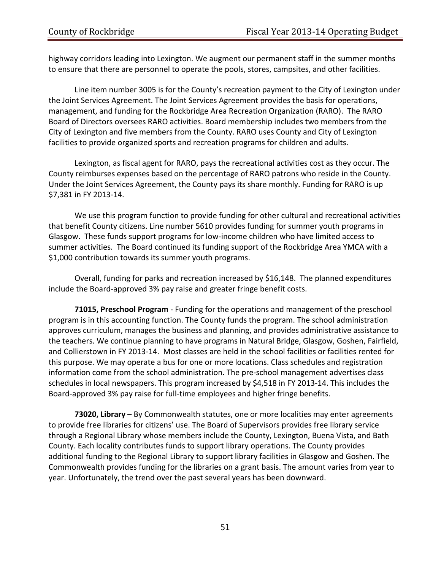highway corridors leading into Lexington. We augment our permanent staff in the summer months to ensure that there are personnel to operate the pools, stores, campsites, and other facilities.

Line item number 3005 is for the County's recreation payment to the City of Lexington under the Joint Services Agreement. The Joint Services Agreement provides the basis for operations, management, and funding for the Rockbridge Area Recreation Organization (RARO). The RARO Board of Directors oversees RARO activities. Board membership includes two members from the City of Lexington and five members from the County. RARO uses County and City of Lexington facilities to provide organized sports and recreation programs for children and adults.

Lexington, as fiscal agent for RARO, pays the recreational activities cost as they occur. The County reimburses expenses based on the percentage of RARO patrons who reside in the County. Under the Joint Services Agreement, the County pays its share monthly. Funding for RARO is up \$7,381 in FY 2013‐14.

We use this program function to provide funding for other cultural and recreational activities that benefit County citizens. Line number 5610 provides funding for summer youth programs in Glasgow. These funds support programs for low‐income children who have limited access to summer activities. The Board continued its funding support of the Rockbridge Area YMCA with a \$1,000 contribution towards its summer youth programs.

Overall, funding for parks and recreation increased by \$16,148. The planned expenditures include the Board‐approved 3% pay raise and greater fringe benefit costs.

**71015, Preschool Program** ‐ Funding for the operations and management of the preschool program is in this accounting function. The County funds the program. The school administration approves curriculum, manages the business and planning, and provides administrative assistance to the teachers. We continue planning to have programs in Natural Bridge, Glasgow, Goshen, Fairfield, and Collierstown in FY 2013-14. Most classes are held in the school facilities or facilities rented for this purpose. We may operate a bus for one or more locations. Class schedules and registration information come from the school administration. The pre‐school management advertises class schedules in local newspapers. This program increased by \$4,518 in FY 2013-14. This includes the Board‐approved 3% pay raise for full‐time employees and higher fringe benefits.

**73020, Library** – By Commonwealth statutes, one or more localities may enter agreements to provide free libraries for citizens' use. The Board of Supervisors provides free library service through a Regional Library whose members include the County, Lexington, Buena Vista, and Bath County. Each locality contributes funds to support library operations. The County provides additional funding to the Regional Library to support library facilities in Glasgow and Goshen. The Commonwealth provides funding for the libraries on a grant basis. The amount varies from year to year. Unfortunately, the trend over the past several years has been downward.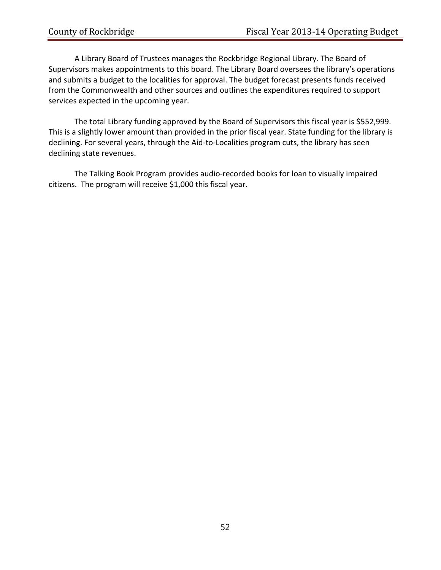A Library Board of Trustees manages the Rockbridge Regional Library. The Board of Supervisors makes appointments to this board. The Library Board oversees the library's operations and submits a budget to the localities for approval. The budget forecast presents funds received from the Commonwealth and other sources and outlines the expenditures required to support services expected in the upcoming year.

The total Library funding approved by the Board of Supervisors this fiscal year is \$552,999. This is a slightly lower amount than provided in the prior fiscal year. State funding for the library is declining. For several years, through the Aid‐to‐Localities program cuts, the library has seen declining state revenues.

The Talking Book Program provides audio‐recorded books for loan to visually impaired citizens. The program will receive \$1,000 this fiscal year.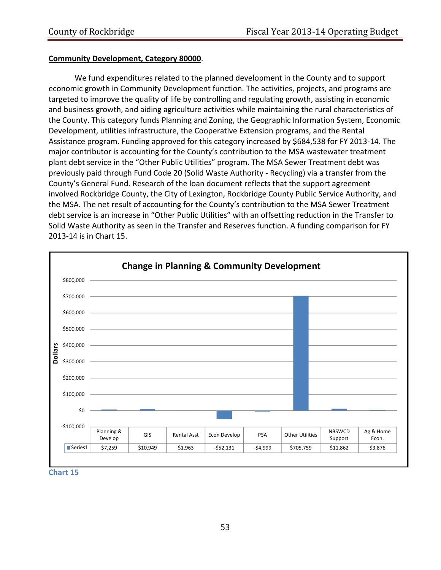#### **Community Development, Category 80000**.

We fund expenditures related to the planned development in the County and to support economic growth in Community Development function. The activities, projects, and programs are targeted to improve the quality of life by controlling and regulating growth, assisting in economic and business growth, and aiding agriculture activities while maintaining the rural characteristics of the County. This category funds Planning and Zoning, the Geographic Information System, Economic Development, utilities infrastructure, the Cooperative Extension programs, and the Rental Assistance program. Funding approved for this category increased by \$684,538 for FY 2013‐14. The major contributor is accounting for the County's contribution to the MSA wastewater treatment plant debt service in the "Other Public Utilities" program. The MSA Sewer Treatment debt was previously paid through Fund Code 20 (Solid Waste Authority ‐ Recycling) via a transfer from the County's General Fund. Research of the loan document reflects that the support agreement involved Rockbridge County, the City of Lexington, Rockbridge County Public Service Authority, and the MSA. The net result of accounting for the County's contribution to the MSA Sewer Treatment debt service is an increase in "Other Public Utilities" with an offsetting reduction in the Transfer to Solid Waste Authority as seen in the Transfer and Reserves function. A funding comparison for FY 2013‐14 is in Chart 15.



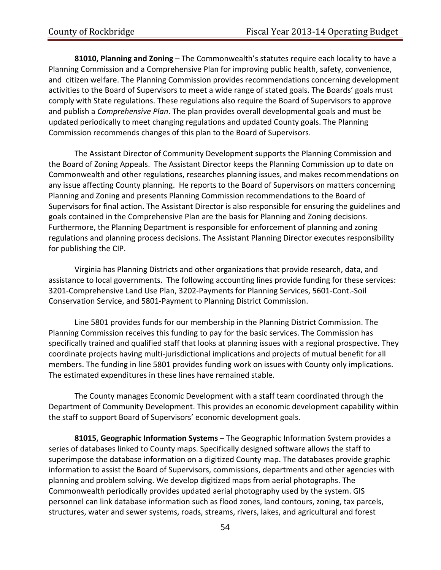**81010, Planning and Zoning** – The Commonwealth's statutes require each locality to have a Planning Commission and a Comprehensive Plan for improving public health, safety, convenience, and citizen welfare. The Planning Commission provides recommendations concerning development activities to the Board of Supervisors to meet a wide range of stated goals. The Boards' goals must comply with State regulations. These regulations also require the Board of Supervisors to approve and publish a *Comprehensive Plan*. The plan provides overall developmental goals and must be updated periodically to meet changing regulations and updated County goals. The Planning Commission recommends changes of this plan to the Board of Supervisors.

The Assistant Director of Community Development supports the Planning Commission and the Board of Zoning Appeals. The Assistant Director keeps the Planning Commission up to date on Commonwealth and other regulations, researches planning issues, and makes recommendations on any issue affecting County planning. He reports to the Board of Supervisors on matters concerning Planning and Zoning and presents Planning Commission recommendations to the Board of Supervisors for final action. The Assistant Director is also responsible for ensuring the guidelines and goals contained in the Comprehensive Plan are the basis for Planning and Zoning decisions. Furthermore, the Planning Department is responsible for enforcement of planning and zoning regulations and planning process decisions. The Assistant Planning Director executes responsibility for publishing the CIP.

Virginia has Planning Districts and other organizations that provide research, data, and assistance to local governments. The following accounting lines provide funding for these services: 3201‐Comprehensive Land Use Plan, 3202‐Payments for Planning Services, 5601‐Cont.‐Soil Conservation Service, and 5801‐Payment to Planning District Commission.

Line 5801 provides funds for our membership in the Planning District Commission. The Planning Commission receives this funding to pay for the basic services. The Commission has specifically trained and qualified staff that looks at planning issues with a regional prospective. They coordinate projects having multi‐jurisdictional implications and projects of mutual benefit for all members. The funding in line 5801 provides funding work on issues with County only implications. The estimated expenditures in these lines have remained stable.

The County manages Economic Development with a staff team coordinated through the Department of Community Development. This provides an economic development capability within the staff to support Board of Supervisors' economic development goals.

**81015, Geographic Information Systems** – The Geographic Information System provides a series of databases linked to County maps. Specifically designed software allows the staff to superimpose the database information on a digitized County map. The databases provide graphic information to assist the Board of Supervisors, commissions, departments and other agencies with planning and problem solving. We develop digitized maps from aerial photographs. The Commonwealth periodically provides updated aerial photography used by the system. GIS personnel can link database information such as flood zones, land contours, zoning, tax parcels, structures, water and sewer systems, roads, streams, rivers, lakes, and agricultural and forest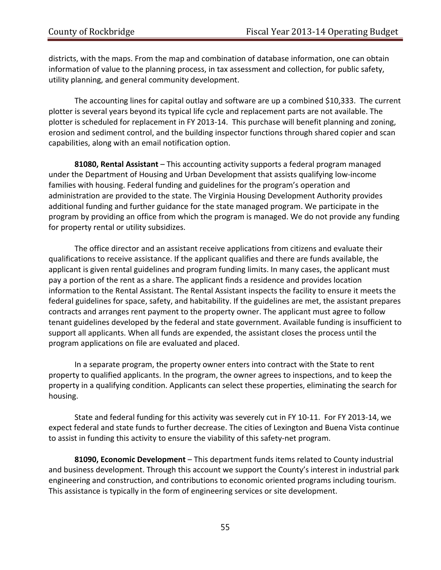districts, with the maps. From the map and combination of database information, one can obtain information of value to the planning process, in tax assessment and collection, for public safety, utility planning, and general community development.

The accounting lines for capital outlay and software are up a combined \$10,333. The current plotter is several years beyond its typical life cycle and replacement parts are not available. The plotter is scheduled for replacement in FY 2013‐14. This purchase will benefit planning and zoning, erosion and sediment control, and the building inspector functions through shared copier and scan capabilities, along with an email notification option.

**81080, Rental Assistant** – This accounting activity supports a federal program managed under the Department of Housing and Urban Development that assists qualifying low‐income families with housing. Federal funding and guidelines for the program's operation and administration are provided to the state. The Virginia Housing Development Authority provides additional funding and further guidance for the state managed program. We participate in the program by providing an office from which the program is managed. We do not provide any funding for property rental or utility subsidizes.

The office director and an assistant receive applications from citizens and evaluate their qualifications to receive assistance. If the applicant qualifies and there are funds available, the applicant is given rental guidelines and program funding limits. In many cases, the applicant must pay a portion of the rent as a share. The applicant finds a residence and provides location information to the Rental Assistant. The Rental Assistant inspects the facility to ensure it meets the federal guidelines for space, safety, and habitability. If the guidelines are met, the assistant prepares contracts and arranges rent payment to the property owner. The applicant must agree to follow tenant guidelines developed by the federal and state government. Available funding is insufficient to support all applicants. When all funds are expended, the assistant closes the process until the program applications on file are evaluated and placed.

In a separate program, the property owner enters into contract with the State to rent property to qualified applicants. In the program, the owner agrees to inspections, and to keep the property in a qualifying condition. Applicants can select these properties, eliminating the search for housing.

State and federal funding for this activity was severely cut in FY 10‐11. For FY 2013‐14, we expect federal and state funds to further decrease. The cities of Lexington and Buena Vista continue to assist in funding this activity to ensure the viability of this safety‐net program.

**81090, Economic Development** – This department funds items related to County industrial and business development. Through this account we support the County's interest in industrial park engineering and construction, and contributions to economic oriented programs including tourism. This assistance is typically in the form of engineering services or site development.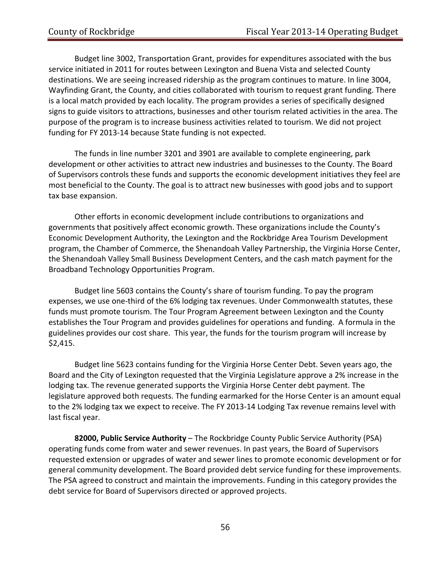Budget line 3002, Transportation Grant, provides for expenditures associated with the bus service initiated in 2011 for routes between Lexington and Buena Vista and selected County destinations. We are seeing increased ridership as the program continues to mature. In line 3004, Wayfinding Grant, the County, and cities collaborated with tourism to request grant funding. There is a local match provided by each locality. The program provides a series of specifically designed signs to guide visitors to attractions, businesses and other tourism related activities in the area. The purpose of the program is to increase business activities related to tourism. We did not project funding for FY 2013‐14 because State funding is not expected.

 The funds in line number 3201 and 3901 are available to complete engineering, park development or other activities to attract new industries and businesses to the County. The Board of Supervisors controls these funds and supports the economic development initiatives they feel are most beneficial to the County. The goal is to attract new businesses with good jobs and to support tax base expansion.

Other efforts in economic development include contributions to organizations and governments that positively affect economic growth. These organizations include the County's Economic Development Authority, the Lexington and the Rockbridge Area Tourism Development program, the Chamber of Commerce, the Shenandoah Valley Partnership, the Virginia Horse Center, the Shenandoah Valley Small Business Development Centers, and the cash match payment for the Broadband Technology Opportunities Program.

Budget line 5603 contains the County's share of tourism funding. To pay the program expenses, we use one-third of the 6% lodging tax revenues. Under Commonwealth statutes, these funds must promote tourism. The Tour Program Agreement between Lexington and the County establishes the Tour Program and provides guidelines for operations and funding. A formula in the guidelines provides our cost share. This year, the funds for the tourism program will increase by \$2,415.

Budget line 5623 contains funding for the Virginia Horse Center Debt. Seven years ago, the Board and the City of Lexington requested that the Virginia Legislature approve a 2% increase in the lodging tax. The revenue generated supports the Virginia Horse Center debt payment. The legislature approved both requests. The funding earmarked for the Horse Center is an amount equal to the 2% lodging tax we expect to receive. The FY 2013‐14 Lodging Tax revenue remains level with last fiscal year.

**82000, Public Service Authority** – The Rockbridge County Public Service Authority (PSA) operating funds come from water and sewer revenues. In past years, the Board of Supervisors requested extension or upgrades of water and sewer lines to promote economic development or for general community development. The Board provided debt service funding for these improvements. The PSA agreed to construct and maintain the improvements. Funding in this category provides the debt service for Board of Supervisors directed or approved projects.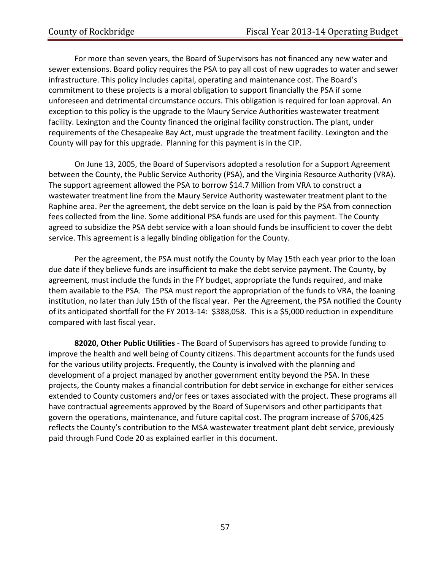For more than seven years, the Board of Supervisors has not financed any new water and sewer extensions. Board policy requires the PSA to pay all cost of new upgrades to water and sewer infrastructure. This policy includes capital, operating and maintenance cost. The Board's commitment to these projects is a moral obligation to support financially the PSA if some unforeseen and detrimental circumstance occurs. This obligation is required for loan approval. An exception to this policy is the upgrade to the Maury Service Authorities wastewater treatment facility. Lexington and the County financed the original facility construction. The plant, under requirements of the Chesapeake Bay Act, must upgrade the treatment facility. Lexington and the County will pay for this upgrade. Planning for this payment is in the CIP.

On June 13, 2005, the Board of Supervisors adopted a resolution for a Support Agreement between the County, the Public Service Authority (PSA), and the Virginia Resource Authority (VRA). The support agreement allowed the PSA to borrow \$14.7 Million from VRA to construct a wastewater treatment line from the Maury Service Authority wastewater treatment plant to the Raphine area. Per the agreement, the debt service on the loan is paid by the PSA from connection fees collected from the line. Some additional PSA funds are used for this payment. The County agreed to subsidize the PSA debt service with a loan should funds be insufficient to cover the debt service. This agreement is a legally binding obligation for the County.

Per the agreement, the PSA must notify the County by May 15th each year prior to the loan due date if they believe funds are insufficient to make the debt service payment. The County, by agreement, must include the funds in the FY budget, appropriate the funds required, and make them available to the PSA. The PSA must report the appropriation of the funds to VRA, the loaning institution, no later than July 15th of the fiscal year. Per the Agreement, the PSA notified the County of its anticipated shortfall for the FY 2013‐14: \$388,058. This is a \$5,000 reduction in expenditure compared with last fiscal year.

**82020, Other Public Utilities** ‐ The Board of Supervisors has agreed to provide funding to improve the health and well being of County citizens. This department accounts for the funds used for the various utility projects. Frequently, the County is involved with the planning and development of a project managed by another government entity beyond the PSA. In these projects, the County makes a financial contribution for debt service in exchange for either services extended to County customers and/or fees or taxes associated with the project. These programs all have contractual agreements approved by the Board of Supervisors and other participants that govern the operations, maintenance, and future capital cost. The program increase of \$706,425 reflects the County's contribution to the MSA wastewater treatment plant debt service, previously paid through Fund Code 20 as explained earlier in this document.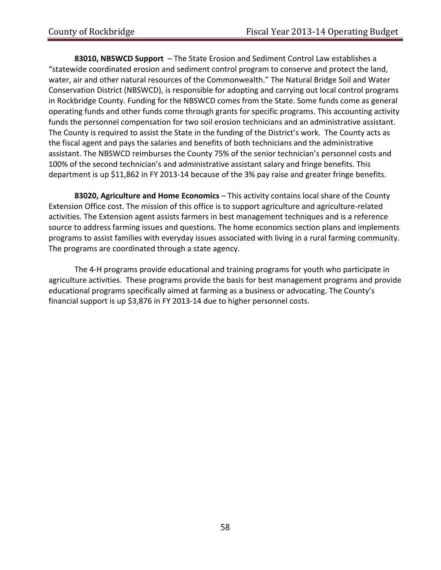**83010, NBSWCD Support** – The State Erosion and Sediment Control Law establishes a "statewide coordinated erosion and sediment control program to conserve and protect the land, water, air and other natural resources of the Commonwealth." The Natural Bridge Soil and Water Conservation District (NBSWCD), is responsible for adopting and carrying out local control programs in Rockbridge County. Funding for the NBSWCD comes from the State. Some funds come as general operating funds and other funds come through grants for specific programs. This accounting activity funds the personnel compensation for two soil erosion technicians and an administrative assistant. The County is required to assist the State in the funding of the District's work. The County acts as the fiscal agent and pays the salaries and benefits of both technicians and the administrative assistant. The NBSWCD reimburses the County 75% of the senior technician's personnel costs and 100% of the second technician's and administrative assistant salary and fringe benefits. This department is up \$11,862 in FY 2013‐14 because of the 3% pay raise and greater fringe benefits.

**83020, Agriculture and Home Economics** – This activity contains local share of the County Extension Office cost. The mission of this office is to support agriculture and agriculture‐related activities. The Extension agent assists farmers in best management techniques and is a reference source to address farming issues and questions. The home economics section plans and implements programs to assist families with everyday issues associated with living in a rural farming community. The programs are coordinated through a state agency.

The 4‐H programs provide educational and training programs for youth who participate in agriculture activities. These programs provide the basis for best management programs and provide educational programs specifically aimed at farming as a business or advocating. The County's financial support is up \$3,876 in FY 2013-14 due to higher personnel costs.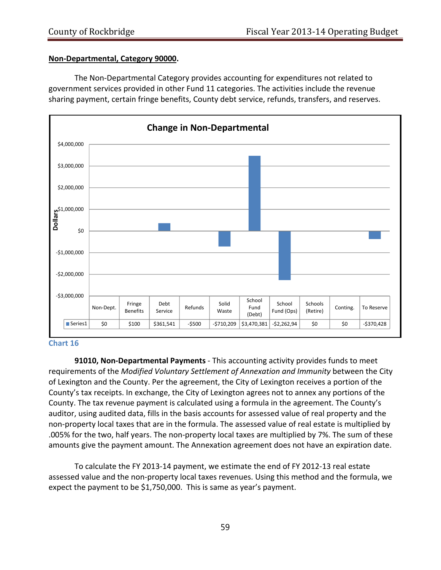#### **Non‐Departmental, Category 90000.**

The Non‐Departmental Category provides accounting for expenditures not related to government services provided in other Fund 11 categories. The activities include the revenue sharing payment, certain fringe benefits, County debt service, refunds, transfers, and reserves.



#### **Chart 16**

**91010, Non‐Departmental Payments** ‐ This accounting activity provides funds to meet requirements of the *Modified Voluntary Settlement of Annexation and Immunity* between the City of Lexington and the County. Per the agreement, the City of Lexington receives a portion of the County's tax receipts. In exchange, the City of Lexington agrees not to annex any portions of the County. The tax revenue payment is calculated using a formula in the agreement. The County's auditor, using audited data, fills in the basis accounts for assessed value of real property and the non‐property local taxes that are in the formula. The assessed value of real estate is multiplied by .005% for the two, half years. The non‐property local taxes are multiplied by 7%. The sum of these amounts give the payment amount. The Annexation agreement does not have an expiration date.

To calculate the FY 2013‐14 payment, we estimate the end of FY 2012‐13 real estate assessed value and the non‐property local taxes revenues. Using this method and the formula, we expect the payment to be \$1,750,000. This is same as year's payment.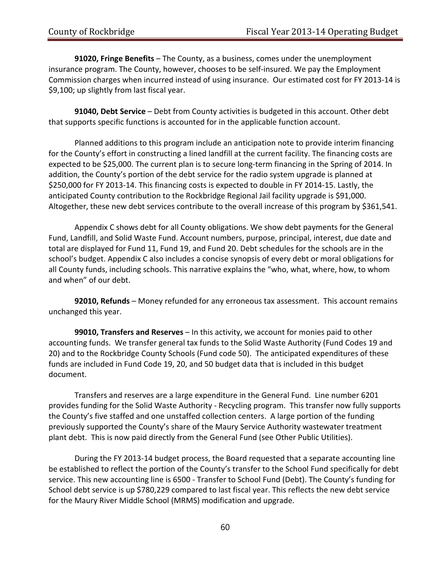**91020, Fringe Benefits** – The County, as a business, comes under the unemployment insurance program. The County, however, chooses to be self‐insured. We pay the Employment Commission charges when incurred instead of using insurance. Our estimated cost for FY 2013‐14 is \$9,100; up slightly from last fiscal year.

**91040, Debt Service** – Debt from County activities is budgeted in this account. Other debt that supports specific functions is accounted for in the applicable function account.

Planned additions to this program include an anticipation note to provide interim financing for the County's effort in constructing a lined landfill at the current facility. The financing costs are expected to be \$25,000. The current plan is to secure long-term financing in the Spring of 2014. In addition, the County's portion of the debt service for the radio system upgrade is planned at \$250,000 for FY 2013‐14. This financing costs is expected to double in FY 2014‐15. Lastly, the anticipated County contribution to the Rockbridge Regional Jail facility upgrade is \$91,000. Altogether, these new debt services contribute to the overall increase of this program by \$361,541.

Appendix C shows debt for all County obligations. We show debt payments for the General Fund, Landfill, and Solid Waste Fund. Account numbers, purpose, principal, interest, due date and total are displayed for Fund 11, Fund 19, and Fund 20. Debt schedules for the schools are in the school's budget. Appendix C also includes a concise synopsis of every debt or moral obligations for all County funds, including schools. This narrative explains the "who, what, where, how, to whom and when" of our debt.

**92010, Refunds** – Money refunded for any erroneous tax assessment. This account remains unchanged this year.

**99010, Transfers and Reserves** – In this activity, we account for monies paid to other accounting funds. We transfer general tax funds to the Solid Waste Authority (Fund Codes 19 and 20) and to the Rockbridge County Schools (Fund code 50). The anticipated expenditures of these funds are included in Fund Code 19, 20, and 50 budget data that is included in this budget document.

Transfers and reserves are a large expenditure in the General Fund. Line number 6201 provides funding for the Solid Waste Authority ‐ Recycling program. This transfer now fully supports the County's five staffed and one unstaffed collection centers. A large portion of the funding previously supported the County's share of the Maury Service Authority wastewater treatment plant debt. This is now paid directly from the General Fund (see Other Public Utilities).

During the FY 2013‐14 budget process, the Board requested that a separate accounting line be established to reflect the portion of the County's transfer to the School Fund specifically for debt service. This new accounting line is 6500 ‐ Transfer to School Fund (Debt). The County's funding for School debt service is up \$780,229 compared to last fiscal year. This reflects the new debt service for the Maury River Middle School (MRMS) modification and upgrade.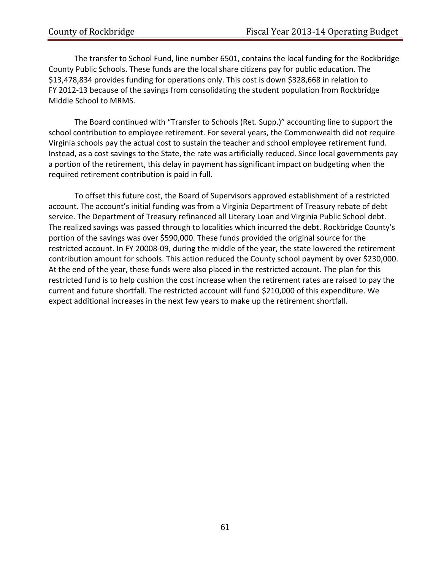The transfer to School Fund, line number 6501, contains the local funding for the Rockbridge County Public Schools. These funds are the local share citizens pay for public education. The \$13,478,834 provides funding for operations only. This cost is down \$328,668 in relation to FY 2012-13 because of the savings from consolidating the student population from Rockbridge Middle School to MRMS.

The Board continued with "Transfer to Schools (Ret. Supp.)" accounting line to support the school contribution to employee retirement. For several years, the Commonwealth did not require Virginia schools pay the actual cost to sustain the teacher and school employee retirement fund. Instead, as a cost savings to the State, the rate was artificially reduced. Since local governments pay a portion of the retirement, this delay in payment has significant impact on budgeting when the required retirement contribution is paid in full.

To offset this future cost, the Board of Supervisors approved establishment of a restricted account. The account's initial funding was from a Virginia Department of Treasury rebate of debt service. The Department of Treasury refinanced all Literary Loan and Virginia Public School debt. The realized savings was passed through to localities which incurred the debt. Rockbridge County's portion of the savings was over \$590,000. These funds provided the original source for the restricted account. In FY 20008‐09, during the middle of the year, the state lowered the retirement contribution amount for schools. This action reduced the County school payment by over \$230,000. At the end of the year, these funds were also placed in the restricted account. The plan for this restricted fund is to help cushion the cost increase when the retirement rates are raised to pay the current and future shortfall. The restricted account will fund \$210,000 of this expenditure. We expect additional increases in the next few years to make up the retirement shortfall.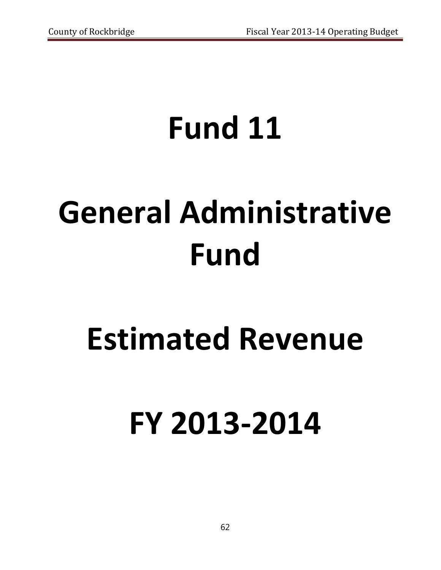# **Fund 11**

# **General Administrative Fund**

## **Estimated Revenue**

# **FY 2013‐2014**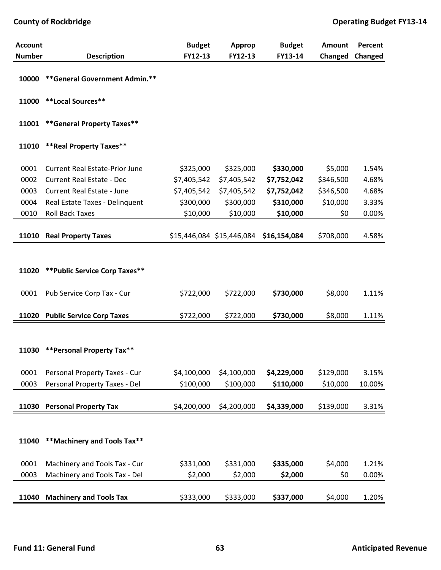| <b>Account</b><br><b>Number</b> |                                       | <b>Budget</b><br>FY12-13 | Approp<br>FY12-13         | <b>Budget</b><br>FY13-14 | Amount    | Percent |
|---------------------------------|---------------------------------------|--------------------------|---------------------------|--------------------------|-----------|---------|
|                                 | <b>Description</b>                    |                          |                           |                          | Changed   | Changed |
| 10000                           | ** General Government Admin.**        |                          |                           |                          |           |         |
|                                 | 11000 **Local Sources**               |                          |                           |                          |           |         |
| 11001                           | ** General Property Taxes**           |                          |                           |                          |           |         |
| 11010                           | ** Real Property Taxes**              |                          |                           |                          |           |         |
| 0001                            | <b>Current Real Estate-Prior June</b> | \$325,000                | \$325,000                 | \$330,000                | \$5,000   | 1.54%   |
| 0002                            | <b>Current Real Estate - Dec</b>      | \$7,405,542              | \$7,405,542               | \$7,752,042              | \$346,500 | 4.68%   |
| 0003                            | <b>Current Real Estate - June</b>     | \$7,405,542              | \$7,405,542               | \$7,752,042              | \$346,500 | 4.68%   |
| 0004                            | Real Estate Taxes - Delinquent        | \$300,000                | \$300,000                 | \$310,000                | \$10,000  | 3.33%   |
| 0010                            | <b>Roll Back Taxes</b>                | \$10,000                 | \$10,000                  | \$10,000                 | \$0       | 0.00%   |
|                                 |                                       |                          |                           |                          |           |         |
| 11010                           | <b>Real Property Taxes</b>            |                          | \$15,446,084 \$15,446,084 | \$16,154,084             | \$708,000 | 4.58%   |
|                                 |                                       |                          |                           |                          |           |         |
|                                 |                                       |                          |                           |                          |           |         |
| 11020                           | ** Public Service Corp Taxes**        |                          |                           |                          |           |         |
| 0001                            | Pub Service Corp Tax - Cur            | \$722,000                | \$722,000                 | \$730,000                | \$8,000   | 1.11%   |
|                                 |                                       |                          |                           |                          |           |         |
|                                 | 11020 Public Service Corp Taxes       | \$722,000                | \$722,000                 | \$730,000                | \$8,000   | 1.11%   |
|                                 |                                       |                          |                           |                          |           |         |
|                                 |                                       |                          |                           |                          |           |         |
|                                 | 11030 ** Personal Property Tax**      |                          |                           |                          |           |         |
|                                 |                                       |                          |                           |                          |           |         |
| 0001                            | Personal Property Taxes - Cur         | \$4,100,000              | \$4,100,000               | \$4,229,000              | \$129,000 | 3.15%   |
| 0003                            | Personal Property Taxes - Del         | \$100,000                | \$100,000                 | \$110,000                | \$10,000  | 10.00%  |
|                                 |                                       |                          |                           |                          |           |         |
| 11030                           | <b>Personal Property Tax</b>          | \$4,200,000              | \$4,200,000               | \$4,339,000              | \$139,000 | 3.31%   |
|                                 |                                       |                          |                           |                          |           |         |
|                                 |                                       |                          |                           |                          |           |         |
| 11040                           | ** Machinery and Tools Tax**          |                          |                           |                          |           |         |
|                                 |                                       |                          |                           |                          |           |         |
| 0001                            | Machinery and Tools Tax - Cur         | \$331,000                | \$331,000                 | \$335,000                | \$4,000   | 1.21%   |
| 0003                            | Machinery and Tools Tax - Del         | \$2,000                  | \$2,000                   | \$2,000                  | \$0       | 0.00%   |
|                                 |                                       |                          |                           |                          |           |         |
| 11040                           | <b>Machinery and Tools Tax</b>        | \$333,000                | \$333,000                 | \$337,000                | \$4,000   | 1.20%   |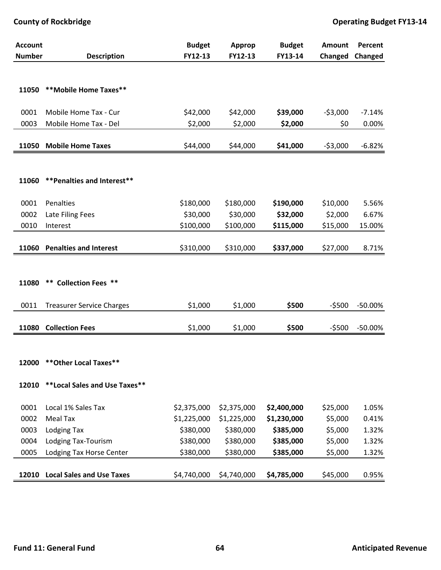| <b>Account</b> |                                  | <b>Budget</b> | Approp      | <b>Budget</b> | <b>Amount</b> | Percent   |
|----------------|----------------------------------|---------------|-------------|---------------|---------------|-----------|
| <b>Number</b>  | <b>Description</b>               | FY12-13       | FY12-13     | FY13-14       | Changed       | Changed   |
|                |                                  |               |             |               |               |           |
| 11050          | **Mobile Home Taxes**            |               |             |               |               |           |
| 0001           | Mobile Home Tax - Cur            | \$42,000      | \$42,000    | \$39,000      | $-53,000$     | $-7.14%$  |
| 0003           | Mobile Home Tax - Del            | \$2,000       | \$2,000     | \$2,000       | \$0           | 0.00%     |
|                |                                  |               |             |               |               |           |
| 11050          | <b>Mobile Home Taxes</b>         | \$44,000      | \$44,000    | \$41,000      | $-53,000$     | $-6.82%$  |
|                |                                  |               |             |               |               |           |
| 11060          | ** Penalties and Interest**      |               |             |               |               |           |
|                |                                  |               |             |               |               |           |
| 0001           | Penalties                        | \$180,000     | \$180,000   | \$190,000     | \$10,000      | 5.56%     |
| 0002           | Late Filing Fees                 | \$30,000      | \$30,000    | \$32,000      | \$2,000       | 6.67%     |
| 0010           | Interest                         | \$100,000     | \$100,000   | \$115,000     | \$15,000      | 15.00%    |
|                |                                  |               |             |               |               |           |
| 11060          | <b>Penalties and Interest</b>    | \$310,000     | \$310,000   | \$337,000     | \$27,000      | 8.71%     |
|                |                                  |               |             |               |               |           |
|                |                                  |               |             |               |               |           |
| 11080          | <b>** Collection Fees **</b>     |               |             |               |               |           |
| 0011           | <b>Treasurer Service Charges</b> | \$1,000       | \$1,000     | \$500         | $-5500$       | $-50.00%$ |
|                |                                  |               |             |               |               |           |
| 11080          | <b>Collection Fees</b>           | \$1,000       | \$1,000     | \$500         | $-5500$       | $-50.00%$ |
|                |                                  |               |             |               |               |           |
|                |                                  |               |             |               |               |           |
| 12000          | ** Other Local Taxes**           |               |             |               |               |           |
| 12010          | **Local Sales and Use Taxes**    |               |             |               |               |           |
|                |                                  |               |             |               |               |           |
| 0001           | Local 1% Sales Tax               | \$2,375,000   | \$2,375,000 | \$2,400,000   | \$25,000      | 1.05%     |
| 0002           | Meal Tax                         | \$1,225,000   | \$1,225,000 | \$1,230,000   | \$5,000       | 0.41%     |
| 0003           | <b>Lodging Tax</b>               | \$380,000     | \$380,000   | \$385,000     | \$5,000       | 1.32%     |
| 0004           | Lodging Tax-Tourism              | \$380,000     | \$380,000   | \$385,000     | \$5,000       | 1.32%     |
| 0005           | Lodging Tax Horse Center         | \$380,000     | \$380,000   | \$385,000     | \$5,000       | 1.32%     |
|                |                                  |               |             |               |               |           |
| 12010          | <b>Local Sales and Use Taxes</b> | \$4,740,000   | \$4,740,000 | \$4,785,000   | \$45,000      | 0.95%     |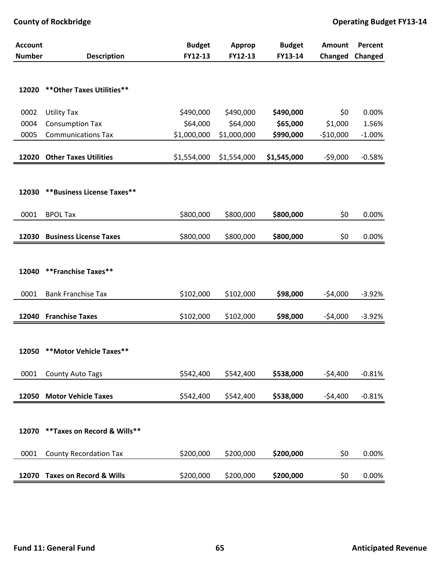| <b>Account</b> |                                    | <b>Budget</b> | <b>Approp</b> | <b>Budget</b> | Amount     | Percent  |
|----------------|------------------------------------|---------------|---------------|---------------|------------|----------|
| <b>Number</b>  | <b>Description</b>                 | FY12-13       | FY12-13       | FY13-14       | Changed    | Changed  |
| 12020          | ** Other Taxes Utilities**         |               |               |               |            |          |
| 0002           | <b>Utility Tax</b>                 | \$490,000     | \$490,000     | \$490,000     | \$0        | 0.00%    |
| 0004           | <b>Consumption Tax</b>             | \$64,000      | \$64,000      | \$65,000      | \$1,000    | 1.56%    |
| 0005           | <b>Communications Tax</b>          | \$1,000,000   | \$1,000,000   | \$990,000     | $-510,000$ | $-1.00%$ |
|                | 12020 Other Taxes Utilities        | \$1,554,000   | \$1,554,000   | \$1,545,000   | $-59,000$  | $-0.58%$ |
| 12030          | **Business License Taxes**         |               |               |               |            |          |
| 0001           | <b>BPOL Tax</b>                    | \$800,000     | \$800,000     | \$800,000     | \$0        | 0.00%    |
| 12030          | <b>Business License Taxes</b>      | \$800,000     | \$800,000     | \$800,000     | \$0        | 0.00%    |
| 12040          | <b>**Franchise Taxes**</b>         |               |               |               |            |          |
| 0001           | <b>Bank Franchise Tax</b>          | \$102,000     | \$102,000     | \$98,000      | $-54,000$  | $-3.92%$ |
| 12040          | <b>Franchise Taxes</b>             | \$102,000     | \$102,000     | \$98,000      | $-54,000$  | $-3.92%$ |
| 12050          | **Motor Vehicle Taxes**            |               |               |               |            |          |
| 0001           | <b>County Auto Tags</b>            | \$542,400     | \$542,400     | \$538,000     | $-54,400$  | $-0.81%$ |
| 12050          | <b>Motor Vehicle Taxes</b>         | \$542,400     | \$542,400     | \$538,000     | $-54,400$  | $-0.81%$ |
| 12070          | ** Taxes on Record & Wills**       |               |               |               |            |          |
| 0001           | <b>County Recordation Tax</b>      | \$200,000     | \$200,000     | \$200,000     | \$0        | 0.00%    |
| 12070          | <b>Taxes on Record &amp; Wills</b> | \$200,000     | \$200,000     | \$200,000     | \$0        | 0.00%    |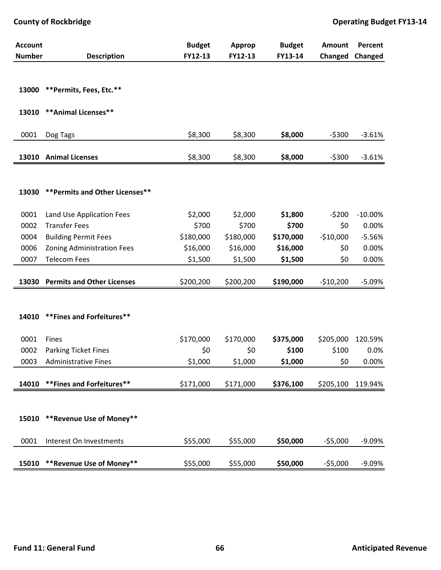| <b>Account</b> |                                   | <b>Budget</b> | <b>Approp</b> | <b>Budget</b> | <b>Amount</b> | Percent   |
|----------------|-----------------------------------|---------------|---------------|---------------|---------------|-----------|
| <b>Number</b>  | <b>Description</b>                | FY12-13       | FY12-13       | FY13-14       | Changed       | Changed   |
|                |                                   |               |               |               |               |           |
| 13000          | **Permits, Fees, Etc.**           |               |               |               |               |           |
| 13010          | ** Animal Licenses**              |               |               |               |               |           |
| 0001           | Dog Tags                          | \$8,300       | \$8,300       | \$8,000       | $-5300$       | $-3.61%$  |
| 13010          | <b>Animal Licenses</b>            | \$8,300       | \$8,300       | \$8,000       | $-5300$       | $-3.61%$  |
|                |                                   |               |               |               |               |           |
| 13030          | ** Permits and Other Licenses**   |               |               |               |               |           |
|                |                                   |               |               |               |               |           |
| 0001           | Land Use Application Fees         | \$2,000       | \$2,000       | \$1,800       | $-5200$       | $-10.00%$ |
| 0002           | <b>Transfer Fees</b>              | \$700         | \$700         | \$700         | \$0           | 0.00%     |
| 0004           | <b>Building Permit Fees</b>       | \$180,000     | \$180,000     | \$170,000     | $-$10,000$    | $-5.56%$  |
| 0006           | <b>Zoning Administration Fees</b> | \$16,000      | \$16,000      | \$16,000      | \$0           | 0.00%     |
| 0007           | <b>Telecom Fees</b>               | \$1,500       | \$1,500       | \$1,500       | \$0           | 0.00%     |
|                | 13030 Permits and Other Licenses  | \$200,200     | \$200,200     | \$190,000     | $-510,200$    | $-5.09%$  |
|                |                                   |               |               |               |               |           |
|                |                                   |               |               |               |               |           |
| 14010          | ** Fines and Forfeitures**        |               |               |               |               |           |
| 0001           | Fines                             | \$170,000     | \$170,000     | \$375,000     | \$205,000     | 120.59%   |
| 0002           | <b>Parking Ticket Fines</b>       | \$0           | \$0           | \$100         | \$100         | 0.0%      |
| 0003           | <b>Administrative Fines</b>       | \$1,000       | \$1,000       | \$1,000       | \$0           | 0.00%     |
|                |                                   |               |               |               |               |           |
| 14010          | ** Fines and Forfeitures**        | \$171,000     | \$171,000     | \$376,100     | \$205,100     | 119.94%   |
|                |                                   |               |               |               |               |           |
|                |                                   |               |               |               |               |           |
| 15010          | **Revenue Use of Money**          |               |               |               |               |           |
| 0001           | Interest On Investments           | \$55,000      | \$55,000      | \$50,000      | $-55,000$     | $-9.09%$  |
|                |                                   |               |               |               |               |           |
| 15010          | **Revenue Use of Money**          | \$55,000      | \$55,000      | \$50,000      | $-55,000$     | $-9.09%$  |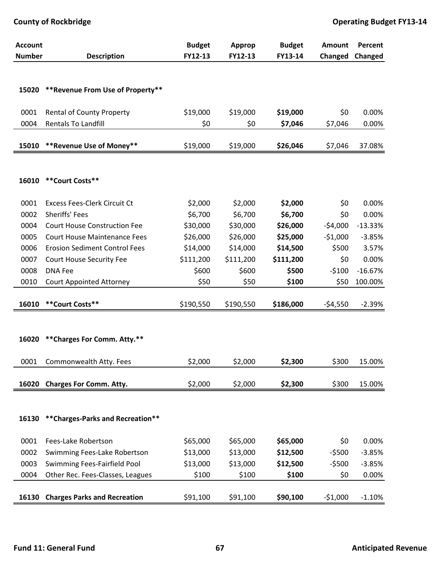| <b>Account</b> |                                      | <b>Budget</b> | Approp    | <b>Budget</b> | Amount    | Percent   |
|----------------|--------------------------------------|---------------|-----------|---------------|-----------|-----------|
| <b>Number</b>  | <b>Description</b>                   | FY12-13       | FY12-13   | FY13-14       | Changed   | Changed   |
|                |                                      |               |           |               |           |           |
| 15020          | ** Revenue From Use of Property**    |               |           |               |           |           |
|                |                                      |               |           |               |           |           |
| 0001           | <b>Rental of County Property</b>     | \$19,000      | \$19,000  | \$19,000      | \$0       | 0.00%     |
| 0004           | <b>Rentals To Landfill</b>           | \$0           | \$0       | \$7,046       | \$7,046   | 0.00%     |
|                |                                      |               |           |               |           |           |
| 15010          | **Revenue Use of Money**             | \$19,000      | \$19,000  | \$26,046      | \$7,046   | 37.08%    |
|                |                                      |               |           |               |           |           |
|                |                                      |               |           |               |           |           |
| 16010          | **Court Costs**                      |               |           |               |           |           |
| 0001           | <b>Excess Fees-Clerk Circuit Ct</b>  | \$2,000       | \$2,000   | \$2,000       | \$0       | 0.00%     |
| 0002           | Sheriffs' Fees                       | \$6,700       | \$6,700   | \$6,700       | \$0       | 0.00%     |
| 0004           | <b>Court House Construction Fee</b>  | \$30,000      | \$30,000  | \$26,000      | $-54,000$ | $-13.33%$ |
| 0005           | <b>Court House Maintenance Fees</b>  | \$26,000      | \$26,000  | \$25,000      | $-51,000$ | $-3.85%$  |
| 0006           | <b>Erosion Sediment Control Fees</b> | \$14,000      | \$14,000  | \$14,500      | \$500     | 3.57%     |
| 0007           | Court House Security Fee             | \$111,200     | \$111,200 | \$111,200     | \$0       | 0.00%     |
| 0008           | <b>DNA Fee</b>                       | \$600         | \$600     | \$500         | $-5100$   | $-16.67%$ |
| 0010           | <b>Court Appointed Attorney</b>      | \$50          | \$50      | \$100         | \$50      | 100.00%   |
|                |                                      |               |           |               |           |           |
| 16010          | **Court Costs**                      | \$190,550     | \$190,550 | \$186,000     | $-54,550$ | $-2.39%$  |
|                |                                      |               |           |               |           |           |
|                |                                      |               |           |               |           |           |
| 16020          | ** Charges For Comm. Atty.**         |               |           |               |           |           |
| 0001           | Commonwealth Atty. Fees              | \$2,000       | \$2,000   | \$2,300       | \$300     | 15.00%    |
|                |                                      |               |           |               |           |           |
| 16020          | <b>Charges For Comm. Atty.</b>       | \$2,000       | \$2,000   | \$2,300       | \$300     | 15.00%    |
|                |                                      |               |           |               |           |           |
|                |                                      |               |           |               |           |           |
| 16130          | ** Charges-Parks and Recreation**    |               |           |               |           |           |
| 0001           | Fees-Lake Robertson                  | \$65,000      | \$65,000  | \$65,000      | \$0       | 0.00%     |
| 0002           | Swimming Fees-Lake Robertson         | \$13,000      | \$13,000  | \$12,500      | $-5500$   | $-3.85%$  |
| 0003           | Swimming Fees-Fairfield Pool         | \$13,000      | \$13,000  | \$12,500      | $-5500$   | $-3.85%$  |
| 0004           | Other Rec. Fees-Classes, Leagues     | \$100         | \$100     | \$100         | \$0       | 0.00%     |
|                |                                      |               |           |               |           |           |
| 16130          | <b>Charges Parks and Recreation</b>  | \$91,100      | \$91,100  | \$90,100      | $-$1,000$ | $-1.10%$  |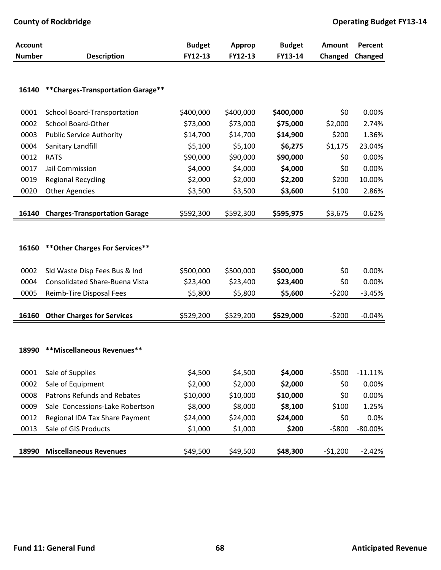| <b>Account</b> |                                       | <b>Budget</b> | <b>Approp</b> | <b>Budget</b> | Amount    | Percent    |
|----------------|---------------------------------------|---------------|---------------|---------------|-----------|------------|
| <b>Number</b>  | <b>Description</b>                    | FY12-13       | FY12-13       | FY13-14       | Changed   | Changed    |
|                |                                       |               |               |               |           |            |
| 16140          | ** Charges-Transportation Garage**    |               |               |               |           |            |
| 0001           | <b>School Board-Transportation</b>    | \$400,000     | \$400,000     | \$400,000     | \$0       | 0.00%      |
| 0002           | School Board-Other                    | \$73,000      | \$73,000      | \$75,000      | \$2,000   | 2.74%      |
| 0003           | <b>Public Service Authority</b>       | \$14,700      | \$14,700      | \$14,900      | \$200     | 1.36%      |
| 0004           | Sanitary Landfill                     | \$5,100       | \$5,100       | \$6,275       | \$1,175   | 23.04%     |
| 0012           | <b>RATS</b>                           | \$90,000      | \$90,000      | \$90,000      | \$0       | 0.00%      |
| 0017           | Jail Commission                       | \$4,000       | \$4,000       | \$4,000       | \$0       | 0.00%      |
| 0019           | <b>Regional Recycling</b>             | \$2,000       | \$2,000       | \$2,200       | \$200     | 10.00%     |
| 0020           | <b>Other Agencies</b>                 | \$3,500       | \$3,500       | \$3,600       | \$100     | 2.86%      |
|                |                                       |               |               |               |           |            |
| 16140          | <b>Charges-Transportation Garage</b>  | \$592,300     | \$592,300     | \$595,975     | \$3,675   | 0.62%      |
|                |                                       |               |               |               |           |            |
|                |                                       |               |               |               |           |            |
| 16160          | ** Other Charges For Services**       |               |               |               |           |            |
|                |                                       |               |               |               |           |            |
| 0002           | Sld Waste Disp Fees Bus & Ind         | \$500,000     | \$500,000     | \$500,000     | \$0       | 0.00%      |
| 0004           | <b>Consolidated Share-Buena Vista</b> | \$23,400      | \$23,400      | \$23,400      | \$0       | 0.00%      |
| 0005           | Reimb-Tire Disposal Fees              | \$5,800       | \$5,800       | \$5,600       | $-5200$   | $-3.45%$   |
|                |                                       |               |               |               |           |            |
| 16160          | <b>Other Charges for Services</b>     | \$529,200     | \$529,200     | \$529,000     | $-5200$   | $-0.04%$   |
|                |                                       |               |               |               |           |            |
|                |                                       |               |               |               |           |            |
| 18990          | **Miscellaneous Revenues**            |               |               |               |           |            |
|                |                                       |               |               |               |           |            |
| 0001           | Sale of Supplies                      | \$4,500       | \$4,500       | \$4,000       | $-5500$   | $-11.11%$  |
| 0002           | Sale of Equipment                     | \$2,000       | \$2,000       | \$2,000       | \$0       | 0.00%      |
| 0008           | <b>Patrons Refunds and Rebates</b>    | \$10,000      | \$10,000      | \$10,000      | \$0       | 0.00%      |
| 0009           | Sale Concessions-Lake Robertson       | \$8,000       | \$8,000       | \$8,100       | \$100     | 1.25%      |
| 0012           | Regional IDA Tax Share Payment        | \$24,000      | \$24,000      | \$24,000      | \$0       | 0.0%       |
| 0013           | Sale of GIS Products                  | \$1,000       | \$1,000       | \$200         | $-5800$   | $-80.00\%$ |
|                |                                       |               |               |               |           |            |
| 18990          | <b>Miscellaneous Revenues</b>         | \$49,500      | \$49,500      | \$48,300      | $-51,200$ | $-2.42%$   |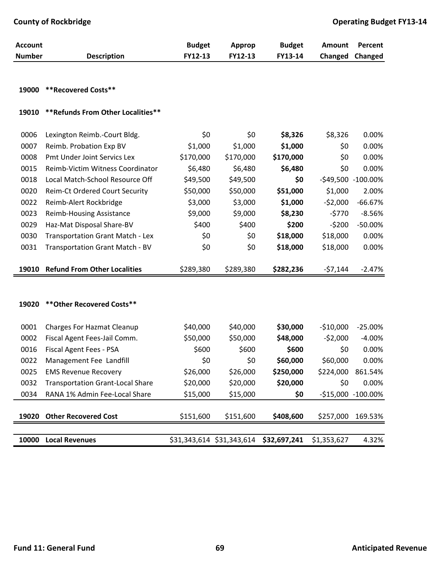| <b>Account</b> |                                         | <b>Budget</b> | <b>Approp</b>             | <b>Budget</b> | Amount      | Percent            |
|----------------|-----------------------------------------|---------------|---------------------------|---------------|-------------|--------------------|
| <b>Number</b>  | <b>Description</b>                      | FY12-13       | FY12-13                   | FY13-14       | Changed     | Changed            |
|                |                                         |               |                           |               |             |                    |
| 19000          | <b>**Recovered Costs**</b>              |               |                           |               |             |                    |
|                |                                         |               |                           |               |             |                    |
| 19010          | ** Refunds From Other Localities**      |               |                           |               |             |                    |
| 0006           | Lexington Reimb.-Court Bldg.            | \$0           | \$0                       | \$8,326       | \$8,326     | 0.00%              |
| 0007           | Reimb. Probation Exp BV                 | \$1,000       | \$1,000                   | \$1,000       | \$0         | 0.00%              |
| 0008           | Pmt Under Joint Servics Lex             | \$170,000     | \$170,000                 | \$170,000     | \$0         | 0.00%              |
| 0015           | Reimb-Victim Witness Coordinator        | \$6,480       | \$6,480                   | \$6,480       | \$0         | 0.00%              |
| 0018           | Local Match-School Resource Off         | \$49,500      | \$49,500                  | \$0           |             | -\$49,500 -100.00% |
| 0020           | Reim-Ct Ordered Court Security          | \$50,000      | \$50,000                  | \$51,000      | \$1,000     | 2.00%              |
| 0022           | Reimb-Alert Rockbridge                  | \$3,000       | \$3,000                   | \$1,000       | $-52,000$   | $-66.67%$          |
| 0023           | <b>Reimb-Housing Assistance</b>         | \$9,000       | \$9,000                   | \$8,230       | $-5770$     | $-8.56%$           |
| 0029           | Haz-Mat Disposal Share-BV               | \$400         | \$400                     | \$200         | $-5200$     | $-50.00%$          |
| 0030           | Transportation Grant Match - Lex        | \$0           | \$0                       | \$18,000      | \$18,000    | 0.00%              |
| 0031           | Transportation Grant Match - BV         | \$0           | \$0                       | \$18,000      | \$18,000    | 0.00%              |
|                |                                         |               |                           |               |             |                    |
| 19010          | <b>Refund From Other Localities</b>     | \$289,380     | \$289,380                 | \$282,236     | $-57,144$   | $-2.47%$           |
|                |                                         |               |                           |               |             |                    |
|                |                                         |               |                           |               |             |                    |
| 19020          | ** Other Recovered Costs**              |               |                           |               |             |                    |
| 0001           | <b>Charges For Hazmat Cleanup</b>       | \$40,000      | \$40,000                  | \$30,000      | $-$10,000$  | $-25.00%$          |
| 0002           | Fiscal Agent Fees-Jail Comm.            | \$50,000      | \$50,000                  | \$48,000      | $-52,000$   | $-4.00%$           |
| 0016           | Fiscal Agent Fees - PSA                 | \$600         | \$600                     | \$600         | \$0         | 0.00%              |
| 0022           | Management Fee Landfill                 | \$0           | \$0                       | \$60,000      | \$60,000    | 0.00%              |
| 0025           | <b>EMS Revenue Recovery</b>             | \$26,000      | \$26,000                  | \$250,000     | \$224,000   | 861.54%            |
| 0032           | <b>Transportation Grant-Local Share</b> | \$20,000      | \$20,000                  | \$20,000      | \$0         | 0.00%              |
| 0034           | RANA 1% Admin Fee-Local Share           | \$15,000      | \$15,000                  | \$0           |             | -\$15,000 -100.00% |
|                |                                         |               |                           |               |             |                    |
| 19020          | <b>Other Recovered Cost</b>             | \$151,600     | \$151,600                 | \$408,600     | \$257,000   | 169.53%            |
| 10000          | <b>Local Revenues</b>                   |               |                           |               | \$1,353,627 |                    |
|                |                                         |               | \$31,343,614 \$31,343,614 | \$32,697,241  |             | 4.32%              |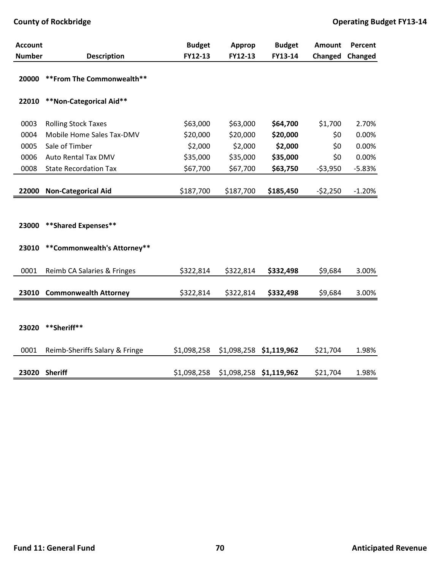| <b>Account</b> |                                | <b>Budget</b> | Approp      | <b>Budget</b>           | <b>Amount</b> | Percent  |
|----------------|--------------------------------|---------------|-------------|-------------------------|---------------|----------|
| <b>Number</b>  | <b>Description</b>             | FY12-13       | FY12-13     | FY13-14                 | Changed       | Changed  |
| 20000          | ** From The Commonwealth**     |               |             |                         |               |          |
| 22010          | **Non-Categorical Aid**        |               |             |                         |               |          |
| 0003           | <b>Rolling Stock Taxes</b>     | \$63,000      | \$63,000    | \$64,700                | \$1,700       | 2.70%    |
| 0004           | Mobile Home Sales Tax-DMV      | \$20,000      | \$20,000    | \$20,000                | \$0           | 0.00%    |
| 0005           | Sale of Timber                 | \$2,000       | \$2,000     | \$2,000                 | \$0           | 0.00%    |
| 0006           | Auto Rental Tax DMV            | \$35,000      | \$35,000    | \$35,000                | \$0           | 0.00%    |
| 0008           | <b>State Recordation Tax</b>   | \$67,700      | \$67,700    | \$63,750                | $-53,950$     | $-5.83%$ |
| 22000          | <b>Non-Categorical Aid</b>     | \$187,700     | \$187,700   | \$185,450               | $-52,250$     | $-1.20%$ |
|                |                                |               |             |                         |               |          |
| 23000          | **Shared Expenses**            |               |             |                         |               |          |
| 23010          | **Commonwealth's Attorney**    |               |             |                         |               |          |
| 0001           | Reimb CA Salaries & Fringes    | \$322,814     | \$322,814   | \$332,498               | \$9,684       | 3.00%    |
| 23010          | <b>Commonwealth Attorney</b>   | \$322,814     | \$322,814   | \$332,498               | \$9,684       | 3.00%    |
|                |                                |               |             |                         |               |          |
| 23020          | **Sheriff**                    |               |             |                         |               |          |
| 0001           | Reimb-Sheriffs Salary & Fringe | \$1,098,258   | \$1,098,258 | \$1,119,962             | \$21,704      | 1.98%    |
|                | 23020 Sheriff                  | \$1,098,258   |             | \$1,098,258 \$1,119,962 | \$21,704      | 1.98%    |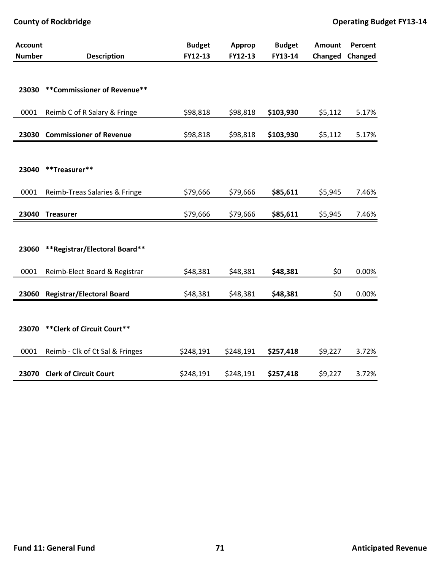| <b>Account</b> |                                  | <b>Budget</b> | Approp    | <b>Budget</b> | Amount  | Percent |
|----------------|----------------------------------|---------------|-----------|---------------|---------|---------|
| <b>Number</b>  | <b>Description</b>               | FY12-13       | FY12-13   | FY13-14       | Changed | Changed |
|                |                                  |               |           |               |         |         |
| 23030          | **Commissioner of Revenue**      |               |           |               |         |         |
|                |                                  |               |           |               |         |         |
| 0001           | Reimb C of R Salary & Fringe     | \$98,818      | \$98,818  | \$103,930     | \$5,112 | 5.17%   |
|                |                                  |               |           |               |         |         |
| 23030          | <b>Commissioner of Revenue</b>   | \$98,818      | \$98,818  | \$103,930     | \$5,112 | 5.17%   |
|                |                                  |               |           |               |         |         |
|                |                                  |               |           |               |         |         |
| 23040          | **Treasurer**                    |               |           |               |         |         |
|                |                                  |               |           |               |         |         |
| 0001           | Reimb-Treas Salaries & Fringe    | \$79,666      | \$79,666  | \$85,611      | \$5,945 | 7.46%   |
| 23040          | <b>Treasurer</b>                 | \$79,666      | \$79,666  | \$85,611      | \$5,945 | 7.46%   |
|                |                                  |               |           |               |         |         |
|                |                                  |               |           |               |         |         |
| 23060          | **Registrar/Electoral Board**    |               |           |               |         |         |
|                |                                  |               |           |               |         |         |
| 0001           | Reimb-Elect Board & Registrar    | \$48,381      | \$48,381  | \$48,381      | \$0     | 0.00%   |
|                |                                  |               |           |               |         |         |
| 23060          | <b>Registrar/Electoral Board</b> | \$48,381      | \$48,381  | \$48,381      | \$0     | 0.00%   |
|                |                                  |               |           |               |         |         |
|                |                                  |               |           |               |         |         |
| 23070          | ** Clerk of Circuit Court**      |               |           |               |         |         |
| 0001           | Reimb - Clk of Ct Sal & Fringes  | \$248,191     | \$248,191 | \$257,418     | \$9,227 | 3.72%   |
|                |                                  |               |           |               |         |         |
| 23070          | <b>Clerk of Circuit Court</b>    | \$248,191     | \$248,191 | \$257,418     | \$9,227 | 3.72%   |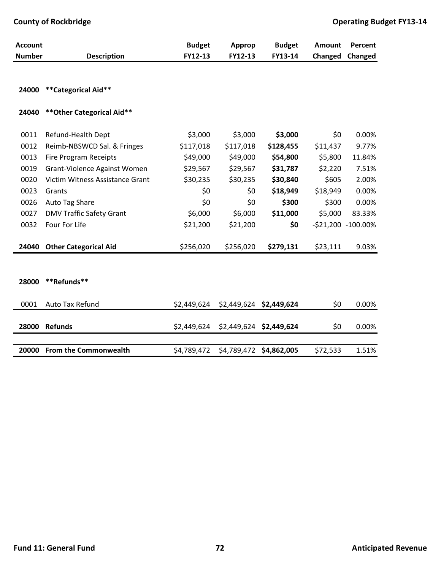| <b>Account</b> |                                 | <b>Budget</b> | Approp      | <b>Budget</b> | Amount     | Percent     |
|----------------|---------------------------------|---------------|-------------|---------------|------------|-------------|
| <b>Number</b>  | <b>Description</b>              | FY12-13       | FY12-13     | FY13-14       | Changed    | Changed     |
| 24000          | **Categorical Aid**             |               |             |               |            |             |
| 24040          | ** Other Categorical Aid**      |               |             |               |            |             |
| 0011           | Refund-Health Dept              | \$3,000       | \$3,000     | \$3,000       | \$0        | 0.00%       |
| 0012           | Reimb-NBSWCD Sal. & Fringes     | \$117,018     | \$117,018   | \$128,455     | \$11,437   | 9.77%       |
| 0013           | <b>Fire Program Receipts</b>    | \$49,000      | \$49,000    | \$54,800      | \$5,800    | 11.84%      |
| 0019           | Grant-Violence Against Women    | \$29,567      | \$29,567    | \$31,787      | \$2,220    | 7.51%       |
| 0020           | Victim Witness Assistance Grant | \$30,235      | \$30,235    | \$30,840      | \$605      | 2.00%       |
| 0023           | Grants                          | \$0           | \$0         | \$18,949      | \$18,949   | 0.00%       |
| 0026           | Auto Tag Share                  | \$0           | \$0         | \$300         | \$300      | 0.00%       |
| 0027           | <b>DMV Traffic Safety Grant</b> | \$6,000       | \$6,000     | \$11,000      | \$5,000    | 83.33%      |
| 0032           | Four For Life                   | \$21,200      | \$21,200    | \$0           | $-521,200$ | $-100.00\%$ |
| 24040          | <b>Other Categorical Aid</b>    | \$256,020     | \$256,020   | \$279,131     | \$23,111   | 9.03%       |
|                |                                 |               |             |               |            |             |
| 28000          | **Refunds**                     |               |             |               |            |             |
| 0001           | Auto Tax Refund                 | \$2,449,624   | \$2,449,624 | \$2,449,624   | \$0        | 0.00%       |
| 28000          | <b>Refunds</b>                  | \$2,449,624   | \$2,449,624 | \$2,449,624   | \$0        | 0.00%       |
| 20000          | <b>From the Commonwealth</b>    | \$4,789,472   | \$4,789,472 | \$4,862,005   | \$72,533   | 1.51%       |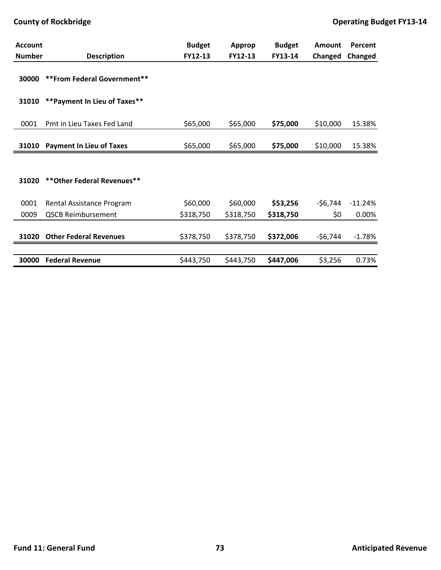| <b>Account</b> |                                 | <b>Budget</b> | <b>Approp</b> | <b>Budget</b> | <b>Amount</b> | Percent   |
|----------------|---------------------------------|---------------|---------------|---------------|---------------|-----------|
| <b>Number</b>  | <b>Description</b>              | FY12-13       | FY12-13       | FY13-14       | Changed       | Changed   |
| 30000          | ** From Federal Government**    |               |               |               |               |           |
| 31010          | ** Payment In Lieu of Taxes**   |               |               |               |               |           |
| 0001           | Pmt in Lieu Taxes Fed Land      | \$65,000      | \$65,000      | \$75,000      | \$10,000      | 15.38%    |
| 31010          | <b>Payment In Lieu of Taxes</b> | \$65,000      | \$65,000      | \$75,000      | \$10,000      | 15.38%    |
|                |                                 |               |               |               |               |           |
| 31020          | ** Other Federal Revenues**     |               |               |               |               |           |
| 0001           | Rental Assistance Program       | \$60,000      | \$60,000      | \$53,256      | $-56,744$     | $-11.24%$ |
| 0009           | <b>QSCB Reimbursement</b>       | \$318,750     | \$318,750     | \$318,750     | \$0           | 0.00%     |
|                |                                 |               |               |               |               |           |
| 31020          | <b>Other Federal Revenues</b>   | \$378,750     | \$378,750     | \$372,006     | $-56,744$     | $-1.78%$  |
|                |                                 |               |               |               |               |           |
| 30000          | <b>Federal Revenue</b>          | \$443,750     | \$443,750     | \$447,006     | \$3,256       | 0.73%     |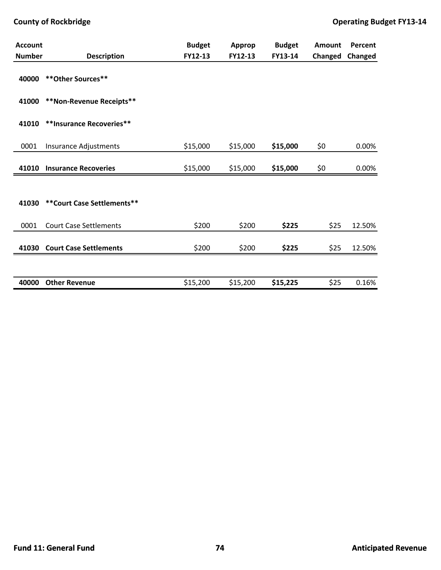| <b>Account</b> |                               | <b>Budget</b> | Approp   | <b>Budget</b> | Amount  | Percent |
|----------------|-------------------------------|---------------|----------|---------------|---------|---------|
| <b>Number</b>  | <b>Description</b>            | FY12-13       | FY12-13  | FY13-14       | Changed | Changed |
| 40000          | ** Other Sources**            |               |          |               |         |         |
| 41000          | **Non-Revenue Receipts**      |               |          |               |         |         |
| 41010          | **Insurance Recoveries**      |               |          |               |         |         |
| 0001           | Insurance Adjustments         | \$15,000      | \$15,000 | \$15,000      | \$0     | 0.00%   |
| 41010          | <b>Insurance Recoveries</b>   | \$15,000      | \$15,000 | \$15,000      | \$0     | 0.00%   |
|                |                               |               |          |               |         |         |
| 41030          | ** Court Case Settlements**   |               |          |               |         |         |
| 0001           | <b>Court Case Settlements</b> | \$200         | \$200    | \$225         | \$25    | 12.50%  |
| 41030          | <b>Court Case Settlements</b> | \$200         | \$200    | \$225         | \$25    | 12.50%  |
|                |                               |               |          |               |         |         |
| 40000          | <b>Other Revenue</b>          | \$15,200      | \$15,200 | \$15,225      | \$25    | 0.16%   |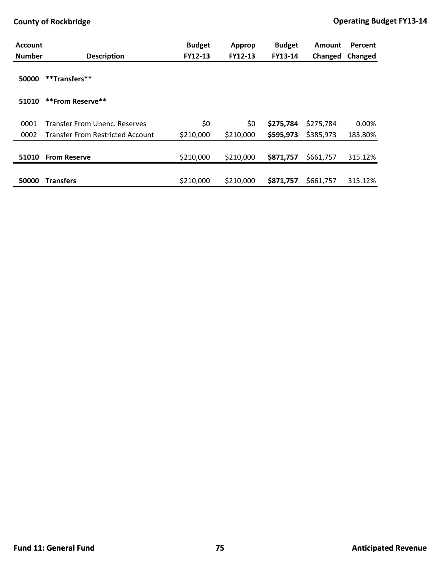| <b>Account</b><br><b>Number</b> | <b>Description</b>                      | <b>Budget</b><br>FY12-13 | <b>Approp</b><br>FY12-13 | <b>Budget</b><br>FY13-14 | Amount    | Percent |
|---------------------------------|-----------------------------------------|--------------------------|--------------------------|--------------------------|-----------|---------|
|                                 |                                         |                          |                          |                          | Changed   | Changed |
| 50000                           | **Transfers**                           |                          |                          |                          |           |         |
| 51010                           | **From Reserve**                        |                          |                          |                          |           |         |
| 0001                            | Transfer From Unenc. Reserves           | \$0                      | \$0                      | \$275,784                | \$275,784 | 0.00%   |
| 0002                            | <b>Transfer From Restricted Account</b> | \$210,000                | \$210,000                | \$595,973                | \$385,973 | 183.80% |
|                                 |                                         |                          |                          |                          |           |         |
| 51010                           | <b>From Reserve</b>                     | \$210,000                | \$210,000                | \$871,757                | \$661,757 | 315.12% |
|                                 |                                         |                          |                          |                          |           |         |
| 50000                           | <b>Transfers</b>                        | \$210,000                | \$210,000                | \$871,757                | \$661,757 | 315.12% |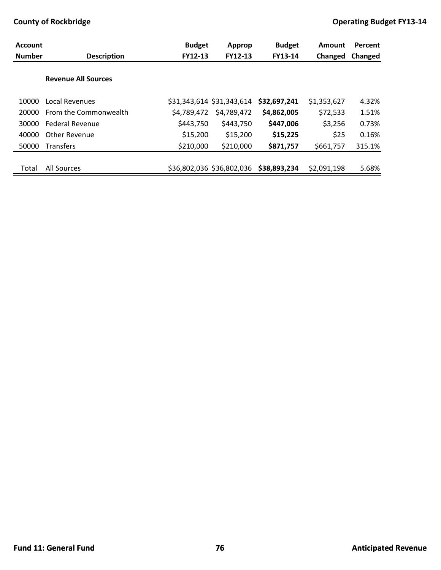| <b>Account</b> |                            | <b>Budget</b> | Approp                    | <b>Budget</b> | <b>Amount</b> | Percent |
|----------------|----------------------------|---------------|---------------------------|---------------|---------------|---------|
| <b>Number</b>  | <b>Description</b>         | FY12-13       | <b>FY12-13</b>            | FY13-14       | Changed       | Changed |
|                |                            |               |                           |               |               |         |
|                | <b>Revenue All Sources</b> |               |                           |               |               |         |
|                |                            |               |                           |               |               |         |
| 10000          | Local Revenues             |               | \$31,343,614 \$31,343,614 | \$32,697,241  | \$1,353,627   | 4.32%   |
| 20000          | From the Commonwealth      | \$4,789,472   | \$4,789,472               | \$4,862,005   | \$72,533      | 1.51%   |
| 30000          | <b>Federal Revenue</b>     | \$443,750     | \$443,750                 | \$447,006     | \$3,256       | 0.73%   |
| 40000          | Other Revenue              | \$15,200      | \$15,200                  | \$15,225      | \$25          | 0.16%   |
| 50000          | <b>Transfers</b>           | \$210,000     | \$210,000                 | \$871,757     | \$661,757     | 315.1%  |
|                |                            |               |                           |               |               |         |
| Total          | All Sources                |               | \$36,802,036 \$36,802,036 | \$38,893,234  | \$2,091,198   | 5.68%   |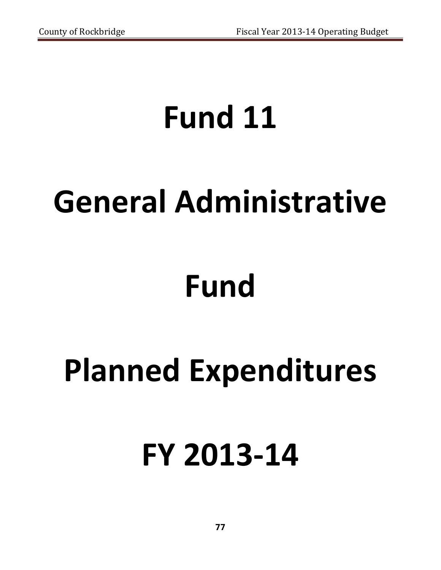## **Fund 11**

## **General Administrative**

# **Fund**

## **Planned Expenditures**

## **FY 2013‐14**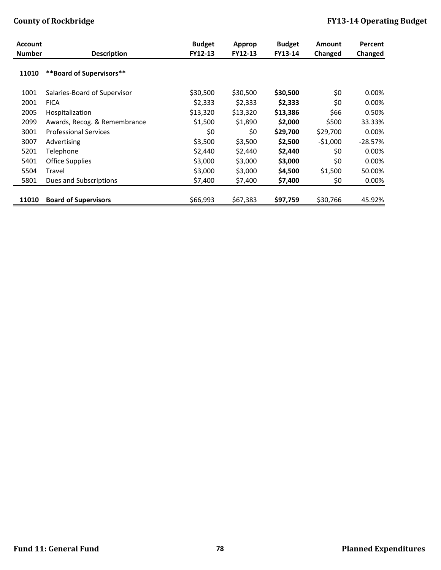| <b>Account</b> |                              | <b>Budget</b> | Approp   | <b>Budget</b> | <b>Amount</b> | Percent   |
|----------------|------------------------------|---------------|----------|---------------|---------------|-----------|
| <b>Number</b>  | <b>Description</b>           | FY12-13       | FY12-13  | FY13-14       | Changed       | Changed   |
| 11010          | **Board of Supervisors**     |               |          |               |               |           |
| 1001           | Salaries-Board of Supervisor | \$30,500      | \$30,500 | \$30,500      | \$0           | 0.00%     |
| 2001           | <b>FICA</b>                  | \$2,333       | \$2,333  | \$2,333       | \$0           | 0.00%     |
| 2005           | Hospitalization              | \$13,320      | \$13,320 | \$13,386      | \$66          | 0.50%     |
| 2099           | Awards, Recog. & Remembrance | \$1,500       | \$1,890  | \$2,000       | \$500         | 33.33%    |
| 3001           | <b>Professional Services</b> | \$0           | \$0      | \$29,700      | \$29,700      | 0.00%     |
| 3007           | Advertising                  | \$3,500       | \$3,500  | \$2,500       | $-51,000$     | $-28.57%$ |
| 5201           | Telephone                    | \$2,440       | \$2,440  | \$2,440       | \$0           | 0.00%     |
| 5401           | <b>Office Supplies</b>       | \$3,000       | \$3,000  | \$3,000       | \$0           | 0.00%     |
| 5504           | Travel                       | \$3,000       | \$3,000  | \$4,500       | \$1,500       | 50.00%    |
| 5801           | Dues and Subscriptions       | \$7,400       | \$7,400  | \$7,400       | \$0           | 0.00%     |
|                |                              |               |          |               |               |           |
| 11010          | <b>Board of Supervisors</b>  | \$66,993      | \$67,383 | \$97,759      | \$30,766      | 45.92%    |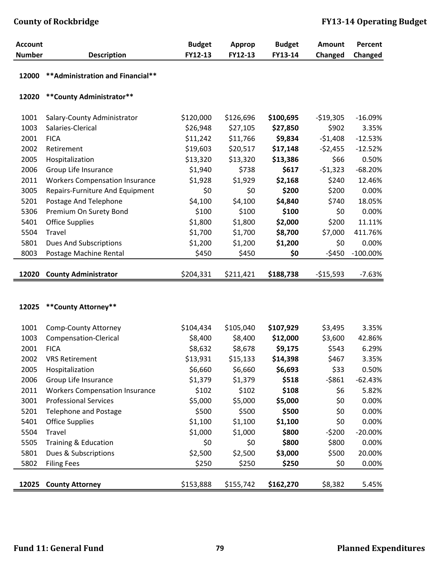| <b>Account</b> |                                       | <b>Budget</b> | Approp    | <b>Budget</b> | <b>Amount</b> | <b>Percent</b> |
|----------------|---------------------------------------|---------------|-----------|---------------|---------------|----------------|
| <b>Number</b>  | <b>Description</b>                    | FY12-13       | FY12-13   | FY13-14       | Changed       | Changed        |
|                |                                       |               |           |               |               |                |
| 12000          | ** Administration and Financial**     |               |           |               |               |                |
| 12020          | ** County Administrator**             |               |           |               |               |                |
| 1001           | Salary-County Administrator           | \$120,000     | \$126,696 | \$100,695     | $-519,305$    | $-16.09%$      |
| 1003           | Salaries-Clerical                     | \$26,948      | \$27,105  | \$27,850      | \$902         | 3.35%          |
| 2001           | <b>FICA</b>                           | \$11,242      | \$11,766  | \$9,834       | $-51,408$     | $-12.53%$      |
| 2002           | Retirement                            | \$19,603      | \$20,517  | \$17,148      | $-52,455$     | $-12.52%$      |
| 2005           | Hospitalization                       | \$13,320      | \$13,320  | \$13,386      | \$66          | 0.50%          |
| 2006           | Group Life Insurance                  | \$1,940       | \$738     | \$617         | $-51,323$     | $-68.20%$      |
| 2011           | <b>Workers Compensation Insurance</b> | \$1,928       | \$1,929   | \$2,168       | \$240         | 12.46%         |
| 3005           | Repairs-Furniture And Equipment       | \$0           | \$0       | \$200         | \$200         | 0.00%          |
| 5201           | Postage And Telephone                 | \$4,100       | \$4,100   | \$4,840       | \$740         | 18.05%         |
| 5306           | Premium On Surety Bond                | \$100         | \$100     | \$100         | \$0           | 0.00%          |
| 5401           | <b>Office Supplies</b>                | \$1,800       | \$1,800   | \$2,000       | \$200         | 11.11%         |
| 5504           | Travel                                | \$1,700       | \$1,700   | \$8,700       | \$7,000       | 411.76%        |
| 5801           | <b>Dues And Subscriptions</b>         | \$1,200       | \$1,200   | \$1,200       | \$0           | 0.00%          |
| 8003           | Postage Machine Rental                | \$450         | \$450     | \$0           | $-5450$       | $-100.00\%$    |
|                |                                       |               |           |               |               |                |
| 12020          | <b>County Administrator</b>           | \$204,331     | \$211,421 | \$188,738     | $-$15,593$    | $-7.63%$       |
|                |                                       |               |           |               |               |                |
| 12025          | ** County Attorney**                  |               |           |               |               |                |
| 1001           | <b>Comp-County Attorney</b>           | \$104,434     | \$105,040 | \$107,929     | \$3,495       | 3.35%          |
| 1003           | Compensation-Clerical                 | \$8,400       | \$8,400   | \$12,000      | \$3,600       | 42.86%         |
| 2001           | <b>FICA</b>                           | \$8,632       | \$8,678   | \$9,175       | \$543         | 6.29%          |
| 2002           | <b>VRS Retirement</b>                 | \$13,931      | \$15,133  | \$14,398      | \$467         | 3.35%          |
| 2005           | Hospitalization                       | \$6,660       | \$6,660   | \$6,693       | \$33          | 0.50%          |
| 2006           | Group Life Insurance                  | \$1,379       | \$1,379   | \$518         | $-5861$       | $-62.43%$      |
| 2011           | <b>Workers Compensation Insurance</b> | \$102         | \$102     | \$108         | \$6           | 5.82%          |
| 3001           | <b>Professional Services</b>          | \$5,000       | \$5,000   | \$5,000       | \$0           | 0.00%          |
| 5201           | <b>Telephone and Postage</b>          | \$500         | \$500     | \$500         | \$0           | 0.00%          |
| 5401           | <b>Office Supplies</b>                | \$1,100       | \$1,100   | \$1,100       | \$0           | 0.00%          |
| 5504           | Travel                                | \$1,000       | \$1,000   | \$800         | $-5200$       | $-20.00%$      |

5505 Training & Education \$0 \$0 **\$800** \$800 0.00% 5801 Dues & Subscriptions \$2,500 \$2,500 **\$3,000** \$500 20.00% 5802 Filing Fees \$250 \$250 **\$250** \$0 0.00%

**12025 County Attorney** \$153,888 \$155,742 **\$162,270** \$8,382 5.45%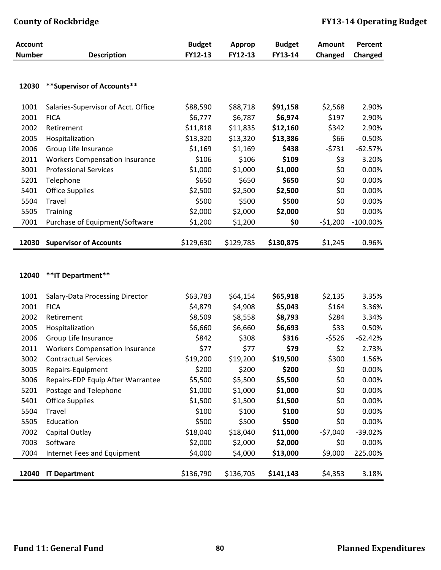| <b>Account</b> |                                       | <b>Budget</b> | <b>Approp</b> | <b>Budget</b> | <b>Amount</b> | Percent     |
|----------------|---------------------------------------|---------------|---------------|---------------|---------------|-------------|
| <b>Number</b>  | <b>Description</b>                    | FY12-13       | FY12-13       | FY13-14       | Changed       | Changed     |
|                |                                       |               |               |               |               |             |
|                |                                       |               |               |               |               |             |
| 12030          | ** Supervisor of Accounts**           |               |               |               |               |             |
| 1001           | Salaries-Supervisor of Acct. Office   | \$88,590      | \$88,718      | \$91,158      | \$2,568       | 2.90%       |
| 2001           | <b>FICA</b>                           | \$6,777       | \$6,787       | \$6,974       | \$197         | 2.90%       |
| 2002           | Retirement                            | \$11,818      | \$11,835      | \$12,160      | \$342         | 2.90%       |
| 2005           | Hospitalization                       | \$13,320      | \$13,320      | \$13,386      | \$66          | 0.50%       |
| 2006           | Group Life Insurance                  | \$1,169       | \$1,169       | \$438         | $-5731$       | $-62.57%$   |
| 2011           | <b>Workers Compensation Insurance</b> | \$106         | \$106         | \$109         | \$3           | 3.20%       |
| 3001           | <b>Professional Services</b>          | \$1,000       | \$1,000       | \$1,000       | \$0           | 0.00%       |
| 5201           | Telephone                             | \$650         | \$650         | \$650         | \$0           | 0.00%       |
| 5401           | <b>Office Supplies</b>                | \$2,500       | \$2,500       | \$2,500       | \$0           | 0.00%       |
| 5504           | Travel                                | \$500         | \$500         | \$500         | \$0           | 0.00%       |
| 5505           | <b>Training</b>                       | \$2,000       | \$2,000       | \$2,000       | \$0           | 0.00%       |
| 7001           | Purchase of Equipment/Software        | \$1,200       | \$1,200       | \$0           | $-51,200$     | $-100.00\%$ |
|                |                                       |               |               |               |               |             |
| 12030          | <b>Supervisor of Accounts</b>         | \$129,630     | \$129,785     | \$130,875     | \$1,245       | 0.96%       |
|                |                                       |               |               |               |               |             |
|                |                                       |               |               |               |               |             |
| 12040          | ** IT Department**                    |               |               |               |               |             |
|                |                                       |               |               |               |               |             |
| 1001           | Salary-Data Processing Director       | \$63,783      | \$64,154      | \$65,918      | \$2,135       | 3.35%       |
| 2001           | <b>FICA</b>                           | \$4,879       | \$4,908       | \$5,043       | \$164         | 3.36%       |
| 2002           | Retirement                            | \$8,509       | \$8,558       | \$8,793       | \$284         | 3.34%       |
| 2005           | Hospitalization                       | \$6,660       | \$6,660       | \$6,693       | \$33          | 0.50%       |
| 2006           | Group Life Insurance                  | \$842         | \$308         | \$316         | $-5526$       | $-62.42%$   |
| 2011           | <b>Workers Compensation Insurance</b> | \$77          | \$77          | \$79          | \$2           | 2.73%       |
| 3002           | <b>Contractual Services</b>           | \$19,200      | \$19,200      | \$19,500      | \$300         | 1.56%       |
| 3005           | Repairs-Equipment                     | \$200         | \$200         | \$200         | \$0           | 0.00%       |
| 3006           | Repairs-EDP Equip After Warrantee     | \$5,500       | \$5,500       | \$5,500       | \$0           | 0.00%       |
| 5201           | Postage and Telephone                 | \$1,000       | \$1,000       | \$1,000       | \$0           | 0.00%       |
| 5401           | <b>Office Supplies</b>                | \$1,500       | \$1,500       | \$1,500       | \$0           | 0.00%       |
| 5504           | Travel                                | \$100         | \$100         | \$100         | \$0           | 0.00%       |
| 5505           | Education                             | \$500         | \$500         | \$500         | \$0           | 0.00%       |
| 7002           | Capital Outlay                        | \$18,040      | \$18,040      | \$11,000      | $-57,040$     | $-39.02%$   |
| 7003           | Software                              | \$2,000       | \$2,000       | \$2,000       | \$0           | 0.00%       |
| 7004           | Internet Fees and Equipment           | \$4,000       | \$4,000       | \$13,000      | \$9,000       | 225.00%     |
|                |                                       |               |               |               |               |             |
| 12040          | <b>IT Department</b>                  | \$136,790     | \$136,705     | \$141,143     | \$4,353       | 3.18%       |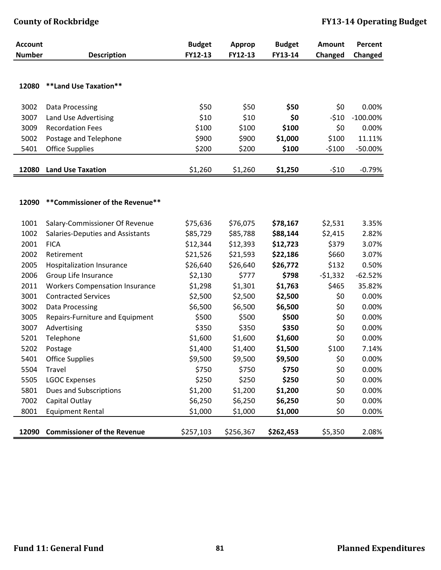| <b>Account</b> |                                                 | <b>Budget</b>        | Approp               | <b>Budget</b>        | Amount         | Percent        |
|----------------|-------------------------------------------------|----------------------|----------------------|----------------------|----------------|----------------|
| <b>Number</b>  | <b>Description</b>                              | FY12-13              | FY12-13              | FY13-14              | Changed        | Changed        |
|                |                                                 |                      |                      |                      |                |                |
| 12080          | **Land Use Taxation**                           |                      |                      |                      |                |                |
|                |                                                 |                      |                      |                      |                |                |
| 3002           | Data Processing                                 | \$50                 | \$50                 | \$50                 | \$0            | 0.00%          |
| 3007           | Land Use Advertising                            | \$10                 | \$10                 | \$0                  | $-510$         | $-100.00\%$    |
| 3009           | <b>Recordation Fees</b>                         | \$100                | \$100                | \$100                | \$0            | 0.00%          |
| 5002           | Postage and Telephone                           | \$900                | \$900                | \$1,000              | \$100          | 11.11%         |
| 5401           | <b>Office Supplies</b>                          | \$200                | \$200                | \$100                | $-5100$        | $-50.00%$      |
|                |                                                 |                      |                      |                      |                |                |
| 12080          | <b>Land Use Taxation</b>                        | \$1,260              | \$1,260              | \$1,250              | $-510$         | $-0.79%$       |
|                |                                                 |                      |                      |                      |                |                |
|                |                                                 |                      |                      |                      |                |                |
| 12090          | ** Commissioner of the Revenue**                |                      |                      |                      |                |                |
|                |                                                 |                      |                      |                      |                |                |
| 1001           | Salary-Commissioner Of Revenue                  | \$75,636             | \$76,075             | \$78,167             | \$2,531        | 3.35%<br>2.82% |
| 1002<br>2001   | Salaries-Deputies and Assistants<br><b>FICA</b> | \$85,729             | \$85,788             | \$88,144             | \$2,415        | 3.07%          |
| 2002           | Retirement                                      | \$12,344<br>\$21,526 | \$12,393<br>\$21,593 | \$12,723<br>\$22,186 | \$379<br>\$660 | 3.07%          |
| 2005           | Hospitalization Insurance                       | \$26,640             | \$26,640             | \$26,772             | \$132          | 0.50%          |
| 2006           | Group Life Insurance                            | \$2,130              | \$777                | \$798                | $-51,332$      | $-62.52%$      |
| 2011           | <b>Workers Compensation Insurance</b>           | \$1,298              | \$1,301              | \$1,763              | \$465          | 35.82%         |
| 3001           | <b>Contracted Services</b>                      | \$2,500              | \$2,500              | \$2,500              | \$0            | 0.00%          |
| 3002           | Data Processing                                 | \$6,500              | \$6,500              | \$6,500              | \$0            | 0.00%          |
| 3005           | Repairs-Furniture and Equipment                 | \$500                | \$500                | \$500                | \$0            | 0.00%          |
| 3007           | Advertising                                     | \$350                | \$350                | \$350                | \$0            | 0.00%          |
| 5201           | Telephone                                       | \$1,600              | \$1,600              | \$1,600              | \$0            | 0.00%          |
| 5202           | Postage                                         | \$1,400              | \$1,400              | \$1,500              | \$100          | 7.14%          |
| 5401           | <b>Office Supplies</b>                          | \$9,500              | \$9,500              | \$9,500              | \$0            | 0.00%          |
| 5504           | Travel                                          | \$750                | \$750                | \$750                | \$0            | 0.00%          |
| 5505           | <b>LGOC Expenses</b>                            | \$250                | \$250                | \$250                | \$0            | 0.00%          |
| 5801           | <b>Dues and Subscriptions</b>                   | \$1,200              | \$1,200              | \$1,200              | \$0            | 0.00%          |
| 7002           | Capital Outlay                                  | \$6,250              | \$6,250              | \$6,250              | \$0            | 0.00%          |
| 8001           | <b>Equipment Rental</b>                         | \$1,000              | \$1,000              | \$1,000              | \$0            | 0.00%          |
|                |                                                 |                      |                      |                      |                |                |
| 12090          | <b>Commissioner of the Revenue</b>              | \$257,103            | \$256,367            | \$262,453            | \$5,350        | 2.08%          |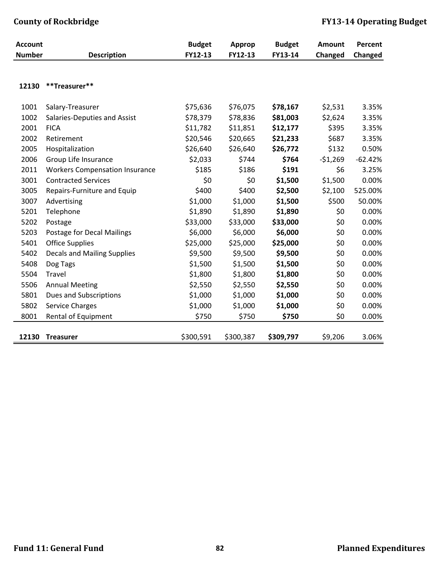| <b>Account</b> |                                       | <b>Budget</b> | Approp    | <b>Budget</b> | Amount    | Percent   |
|----------------|---------------------------------------|---------------|-----------|---------------|-----------|-----------|
| <b>Number</b>  | <b>Description</b>                    | FY12-13       | FY12-13   | FY13-14       | Changed   | Changed   |
|                |                                       |               |           |               |           |           |
| 12130          | **Treasurer**                         |               |           |               |           |           |
|                |                                       |               |           |               |           |           |
| 1001           | Salary-Treasurer                      | \$75,636      | \$76,075  | \$78,167      | \$2,531   | 3.35%     |
| 1002           | Salaries-Deputies and Assist          | \$78,379      | \$78,836  | \$81,003      | \$2,624   | 3.35%     |
| 2001           | <b>FICA</b>                           | \$11,782      | \$11,851  | \$12,177      | \$395     | 3.35%     |
| 2002           | Retirement                            | \$20,546      | \$20,665  | \$21,233      | \$687     | 3.35%     |
| 2005           | Hospitalization                       | \$26,640      | \$26,640  | \$26,772      | \$132     | 0.50%     |
| 2006           | Group Life Insurance                  | \$2,033       | \$744     | \$764         | $-51,269$ | $-62.42%$ |
| 2011           | <b>Workers Compensation Insurance</b> | \$185         | \$186     | \$191         | \$6       | 3.25%     |
| 3001           | <b>Contracted Services</b>            | \$0           | \$0       | \$1,500       | \$1,500   | 0.00%     |
| 3005           | Repairs-Furniture and Equip           | \$400         | \$400     | \$2,500       | \$2,100   | 525.00%   |
| 3007           | Advertising                           | \$1,000       | \$1,000   | \$1,500       | \$500     | 50.00%    |
| 5201           | Telephone                             | \$1,890       | \$1,890   | \$1,890       | \$0       | 0.00%     |
| 5202           | Postage                               | \$33,000      | \$33,000  | \$33,000      | \$0       | 0.00%     |
| 5203           | <b>Postage for Decal Mailings</b>     | \$6,000       | \$6,000   | \$6,000       | \$0       | 0.00%     |
| 5401           | <b>Office Supplies</b>                | \$25,000      | \$25,000  | \$25,000      | \$0       | 0.00%     |
| 5402           | <b>Decals and Mailing Supplies</b>    | \$9,500       | \$9,500   | \$9,500       | \$0       | 0.00%     |
| 5408           | Dog Tags                              | \$1,500       | \$1,500   | \$1,500       | \$0       | 0.00%     |
| 5504           | Travel                                | \$1,800       | \$1,800   | \$1,800       | \$0       | 0.00%     |
| 5506           | <b>Annual Meeting</b>                 | \$2,550       | \$2,550   | \$2,550       | \$0       | 0.00%     |
| 5801           | <b>Dues and Subscriptions</b>         | \$1,000       | \$1,000   | \$1,000       | \$0       | 0.00%     |
| 5802           | <b>Service Charges</b>                | \$1,000       | \$1,000   | \$1,000       | \$0       | 0.00%     |
| 8001           | Rental of Equipment                   | \$750         | \$750     | \$750         | \$0       | 0.00%     |
|                |                                       |               |           |               |           |           |
| 12130          | <b>Treasurer</b>                      | \$300,591     | \$300,387 | \$309,797     | \$9,206   | 3.06%     |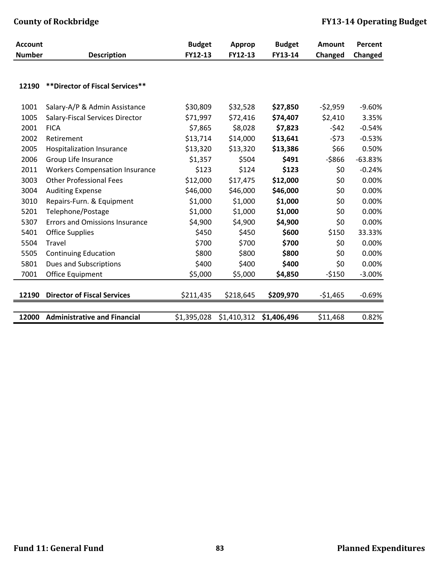| <b>Account</b> |                                       | <b>Budget</b> | Approp      | <b>Budget</b> | <b>Amount</b> | Percent   |
|----------------|---------------------------------------|---------------|-------------|---------------|---------------|-----------|
| <b>Number</b>  | <b>Description</b>                    | FY12-13       | FY12-13     | FY13-14       | Changed       | Changed   |
|                |                                       |               |             |               |               |           |
| 12190          | ** Director of Fiscal Services**      |               |             |               |               |           |
| 1001           | Salary-A/P & Admin Assistance         | \$30,809      | \$32,528    | \$27,850      | $-52,959$     | $-9.60%$  |
| 1005           | Salary-Fiscal Services Director       | \$71,997      | \$72,416    | \$74,407      | \$2,410       | 3.35%     |
| 2001           | <b>FICA</b>                           | \$7,865       | \$8,028     | \$7,823       | $-542$        | $-0.54%$  |
| 2002           | Retirement                            | \$13,714      | \$14,000    | \$13,641      | $-573$        | $-0.53%$  |
| 2005           | Hospitalization Insurance             | \$13,320      | \$13,320    | \$13,386      | \$66          | 0.50%     |
| 2006           | Group Life Insurance                  | \$1,357       | \$504       | \$491         | $-5866$       | $-63.83%$ |
| 2011           | <b>Workers Compensation Insurance</b> | \$123         | \$124       | \$123         | \$0           | $-0.24%$  |
| 3003           | <b>Other Professional Fees</b>        | \$12,000      | \$17,475    | \$12,000      | \$0           | 0.00%     |
| 3004           | <b>Auditing Expense</b>               | \$46,000      | \$46,000    | \$46,000      | \$0           | 0.00%     |
| 3010           | Repairs-Furn. & Equipment             | \$1,000       | \$1,000     | \$1,000       | \$0           | 0.00%     |
| 5201           | Telephone/Postage                     | \$1,000       | \$1,000     | \$1,000       | \$0           | 0.00%     |
| 5307           | <b>Errors and Omissions Insurance</b> | \$4,900       | \$4,900     | \$4,900       | \$0           | 0.00%     |
| 5401           | <b>Office Supplies</b>                | \$450         | \$450       | \$600         | \$150         | 33.33%    |
| 5504           | Travel                                | \$700         | \$700       | \$700         | \$0           | 0.00%     |
| 5505           | <b>Continuing Education</b>           | \$800         | \$800       | \$800         | \$0           | 0.00%     |
| 5801           | Dues and Subscriptions                | \$400         | \$400       | \$400         | \$0           | 0.00%     |
| 7001           | Office Equipment                      | \$5,000       | \$5,000     | \$4,850       | $-5150$       | $-3.00%$  |
| 12190          | <b>Director of Fiscal Services</b>    | \$211,435     | \$218,645   | \$209,970     | $-51,465$     | $-0.69%$  |
|                |                                       |               |             |               |               |           |
| 12000          | <b>Administrative and Financial</b>   | \$1,395,028   | \$1,410,312 | \$1,406,496   | \$11,468      | 0.82%     |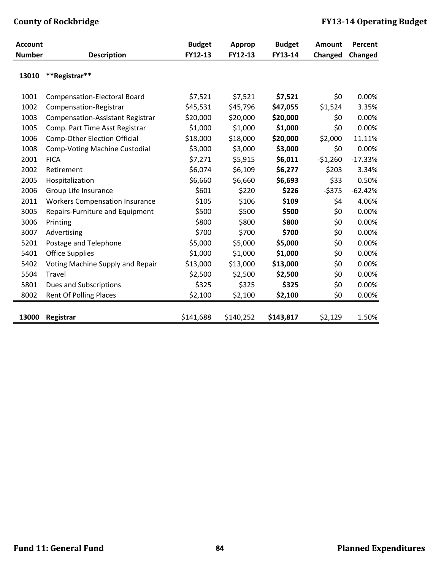| <b>Account</b> |                                         | <b>Budget</b> | <b>Approp</b> | <b>Budget</b> | Amount    | Percent   |
|----------------|-----------------------------------------|---------------|---------------|---------------|-----------|-----------|
| <b>Number</b>  | <b>Description</b>                      | FY12-13       | FY12-13       | FY13-14       | Changed   | Changed   |
| 13010          | **Registrar**                           |               |               |               |           |           |
| 1001           | <b>Compensation-Electoral Board</b>     | \$7,521       | \$7,521       | \$7,521       | \$0       | 0.00%     |
| 1002           | Compensation-Registrar                  | \$45,531      | \$45,796      | \$47,055      | \$1,524   | 3.35%     |
| 1003           | <b>Compensation-Assistant Registrar</b> | \$20,000      | \$20,000      | \$20,000      | \$0       | 0.00%     |
| 1005           | Comp. Part Time Asst Registrar          | \$1,000       | \$1,000       | \$1,000       | \$0       | 0.00%     |
| 1006           | <b>Comp-Other Election Official</b>     | \$18,000      | \$18,000      | \$20,000      | \$2,000   | 11.11%    |
| 1008           | <b>Comp-Voting Machine Custodial</b>    | \$3,000       | \$3,000       | \$3,000       | \$0       | 0.00%     |
| 2001           | <b>FICA</b>                             | \$7,271       | \$5,915       | \$6,011       | $-51,260$ | $-17.33%$ |
| 2002           | Retirement                              | \$6,074       | \$6,109       | \$6,277       | \$203     | 3.34%     |
| 2005           | Hospitalization                         | \$6,660       | \$6,660       | \$6,693       | \$33      | 0.50%     |
| 2006           | Group Life Insurance                    | \$601         | \$220         | \$226         | $-5375$   | $-62.42%$ |
| 2011           | <b>Workers Compensation Insurance</b>   | \$105         | \$106         | \$109         | \$4       | 4.06%     |
| 3005           | Repairs-Furniture and Equipment         | \$500         | \$500         | \$500         | \$0       | 0.00%     |
| 3006           | Printing                                | \$800         | \$800         | \$800         | \$0       | 0.00%     |
| 3007           | Advertising                             | \$700         | \$700         | \$700         | \$0       | 0.00%     |
| 5201           | Postage and Telephone                   | \$5,000       | \$5,000       | \$5,000       | \$0       | 0.00%     |
| 5401           | <b>Office Supplies</b>                  | \$1,000       | \$1,000       | \$1,000       | \$0       | 0.00%     |
| 5402           | Voting Machine Supply and Repair        | \$13,000      | \$13,000      | \$13,000      | \$0       | 0.00%     |
| 5504           | Travel                                  | \$2,500       | \$2,500       | \$2,500       | \$0       | 0.00%     |
| 5801           | Dues and Subscriptions                  | \$325         | \$325         | \$325         | \$0       | 0.00%     |
| 8002           | Rent Of Polling Places                  | \$2,100       | \$2,100       | \$2,100       | \$0       | 0.00%     |
| 13000          | Registrar                               | \$141,688     | \$140,252     | \$143,817     | \$2,129   | 1.50%     |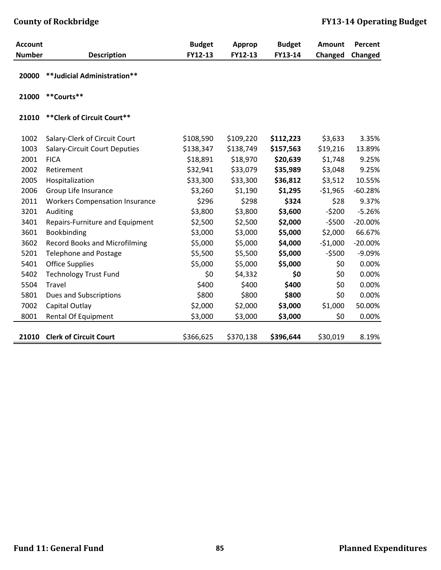| <b>Account</b> |                                       | <b>Budget</b> | Approp    | <b>Budget</b> | Amount    | Percent   |
|----------------|---------------------------------------|---------------|-----------|---------------|-----------|-----------|
| <b>Number</b>  | <b>Description</b>                    | FY12-13       | FY12-13   | FY13-14       | Changed   | Changed   |
| 20000          | **Judicial Administration**           |               |           |               |           |           |
| 21000          | **Courts**                            |               |           |               |           |           |
| 21010          | ** Clerk of Circuit Court**           |               |           |               |           |           |
| 1002           | Salary-Clerk of Circuit Court         | \$108,590     | \$109,220 | \$112,223     | \$3,633   | 3.35%     |
| 1003           | <b>Salary-Circuit Court Deputies</b>  | \$138,347     | \$138,749 | \$157,563     | \$19,216  | 13.89%    |
| 2001           | <b>FICA</b>                           | \$18,891      | \$18,970  | \$20,639      | \$1,748   | 9.25%     |
| 2002           | Retirement                            | \$32,941      | \$33,079  | \$35,989      | \$3,048   | 9.25%     |
| 2005           | Hospitalization                       | \$33,300      | \$33,300  | \$36,812      | \$3,512   | 10.55%    |
| 2006           | Group Life Insurance                  | \$3,260       | \$1,190   | \$1,295       | $-$1,965$ | $-60.28%$ |
| 2011           | <b>Workers Compensation Insurance</b> | \$296         | \$298     | \$324         | \$28      | 9.37%     |
| 3201           | Auditing                              | \$3,800       | \$3,800   | \$3,600       | $-5200$   | $-5.26%$  |
| 3401           | Repairs-Furniture and Equipment       | \$2,500       | \$2,500   | \$2,000       | $-5500$   | $-20.00%$ |
| 3601           | Bookbinding                           | \$3,000       | \$3,000   | \$5,000       | \$2,000   | 66.67%    |
| 3602           | <b>Record Books and Microfilming</b>  | \$5,000       | \$5,000   | \$4,000       | $-51,000$ | $-20.00%$ |
| 5201           | <b>Telephone and Postage</b>          | \$5,500       | \$5,500   | \$5,000       | $-5500$   | $-9.09%$  |
| 5401           | <b>Office Supplies</b>                | \$5,000       | \$5,000   | \$5,000       | \$0       | 0.00%     |
| 5402           | <b>Technology Trust Fund</b>          | \$0           | \$4,332   | \$0           | \$0       | 0.00%     |
| 5504           | Travel                                | \$400         | \$400     | \$400         | \$0       | 0.00%     |
| 5801           | Dues and Subscriptions                | \$800         | \$800     | \$800         | \$0       | 0.00%     |
| 7002           | Capital Outlay                        | \$2,000       | \$2,000   | \$3,000       | \$1,000   | 50.00%    |
| 8001           | Rental Of Equipment                   | \$3,000       | \$3,000   | \$3,000       | \$0       | 0.00%     |
| 21010          | <b>Clerk of Circuit Court</b>         | \$366,625     | \$370,138 | \$396,644     | \$30,019  | 8.19%     |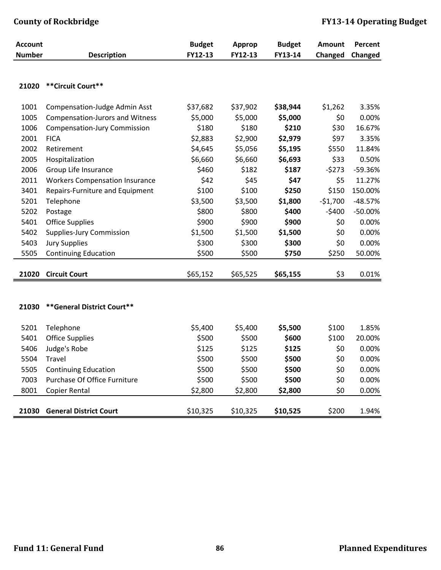| <b>Account</b> |                                       | <b>Budget</b> | Approp   | <b>Budget</b> | Amount    | Percent   |
|----------------|---------------------------------------|---------------|----------|---------------|-----------|-----------|
| <b>Number</b>  | <b>Description</b>                    | FY12-13       | FY12-13  | FY13-14       | Changed   | Changed   |
| 21020          | ** Circuit Court**                    |               |          |               |           |           |
|                |                                       |               |          |               |           |           |
| 1001           | <b>Compensation-Judge Admin Asst</b>  | \$37,682      | \$37,902 | \$38,944      | \$1,262   | 3.35%     |
| 1005           | Compensation-Jurors and Witness       | \$5,000       | \$5,000  | \$5,000       | \$0       | 0.00%     |
| 1006           | <b>Compensation-Jury Commission</b>   | \$180         | \$180    | \$210         | \$30      | 16.67%    |
| 2001           | <b>FICA</b>                           | \$2,883       | \$2,900  | \$2,979       | \$97      | 3.35%     |
| 2002           | Retirement                            | \$4,645       | \$5,056  | \$5,195       | \$550     | 11.84%    |
| 2005           | Hospitalization                       | \$6,660       | \$6,660  | \$6,693       | \$33      | 0.50%     |
| 2006           | Group Life Insurance                  | \$460         | \$182    | \$187         | $-5273$   | -59.36%   |
| 2011           | <b>Workers Compensation Insurance</b> | \$42          | \$45     | \$47          | \$5       | 11.27%    |
| 3401           | Repairs-Furniture and Equipment       | \$100         | \$100    | \$250         | \$150     | 150.00%   |
| 5201           | Telephone                             | \$3,500       | \$3,500  | \$1,800       | $-$1,700$ | $-48.57%$ |
| 5202           | Postage                               | \$800         | \$800    | \$400         | $-5400$   | $-50.00%$ |
| 5401           | <b>Office Supplies</b>                | \$900         | \$900    | \$900         | \$0       | 0.00%     |
| 5402           | <b>Supplies-Jury Commission</b>       | \$1,500       | \$1,500  | \$1,500       | \$0       | 0.00%     |
| 5403           | <b>Jury Supplies</b>                  | \$300         | \$300    | \$300         | \$0       | 0.00%     |
| 5505           | <b>Continuing Education</b>           | \$500         | \$500    | \$750         | \$250     | 50.00%    |
|                |                                       |               |          |               |           |           |
| 21020          | <b>Circuit Court</b>                  | \$65,152      | \$65,525 | \$65,155      | \$3       | 0.01%     |
|                |                                       |               |          |               |           |           |
|                |                                       |               |          |               |           |           |
| 21030          | ** General District Court**           |               |          |               |           |           |
| 5201           | Telephone                             | \$5,400       | \$5,400  | \$5,500       | \$100     | 1.85%     |
| 5401           | <b>Office Supplies</b>                | \$500         | \$500    | \$600         | \$100     | 20.00%    |
| 5406           | Judge's Robe                          | \$125         | \$125    | \$125         | \$0       | 0.00%     |
| 5504           | Travel                                | \$500         | \$500    | \$500         | \$0       | 0.00%     |
| 5505           | <b>Continuing Education</b>           | \$500         | \$500    | \$500         | \$0       | 0.00%     |
| 7003           | Purchase Of Office Furniture          | \$500         | \$500    | \$500         | \$0       | 0.00%     |
| 8001           | Copier Rental                         | \$2,800       | \$2,800  | \$2,800       | \$0       | 0.00%     |
|                |                                       |               |          |               |           |           |
| 21030          | <b>General District Court</b>         | \$10,325      | \$10,325 | \$10,525      | \$200     | 1.94%     |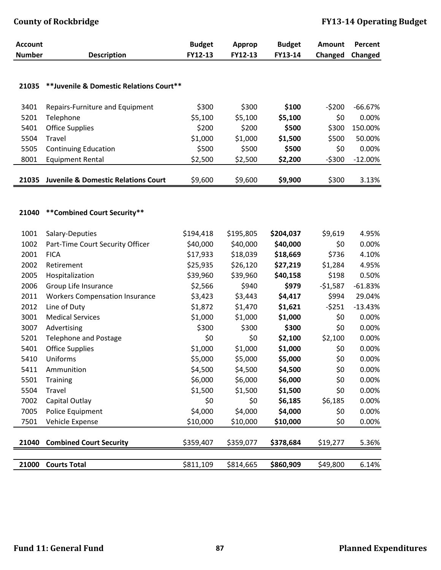| <b>Account</b> |                                                | <b>Budget</b><br>FY12-13 | Approp<br>FY12-13 | <b>Budget</b><br>FY13-14 | Amount    | Percent   |
|----------------|------------------------------------------------|--------------------------|-------------------|--------------------------|-----------|-----------|
| <b>Number</b>  | <b>Description</b>                             |                          |                   |                          | Changed   | Changed   |
|                |                                                |                          |                   |                          |           |           |
| 21035          | **Juvenile & Domestic Relations Court**        |                          |                   |                          |           |           |
|                |                                                |                          |                   |                          |           |           |
| 3401           | Repairs-Furniture and Equipment                | \$300                    | \$300             | \$100                    | $-5200$   | $-66.67%$ |
| 5201           | Telephone                                      | \$5,100                  | \$5,100           | \$5,100                  | \$0       | 0.00%     |
| 5401           | <b>Office Supplies</b>                         | \$200                    | \$200             | \$500                    | \$300     | 150.00%   |
| 5504           | Travel                                         | \$1,000                  | \$1,000           | \$1,500                  | \$500     | 50.00%    |
| 5505           | <b>Continuing Education</b>                    | \$500                    | \$500             | \$500                    | \$0       | 0.00%     |
| 8001           | <b>Equipment Rental</b>                        | \$2,500                  | \$2,500           | \$2,200                  | $-5300$   | $-12.00%$ |
| 21035          | <b>Juvenile &amp; Domestic Relations Court</b> | \$9,600                  | \$9,600           | \$9,900                  | \$300     | 3.13%     |
|                |                                                |                          |                   |                          |           |           |
|                |                                                |                          |                   |                          |           |           |
| 21040          | **Combined Court Security**                    |                          |                   |                          |           |           |
| 1001           | Salary-Deputies                                | \$194,418                | \$195,805         | \$204,037                | \$9,619   | 4.95%     |
| 1002           | Part-Time Court Security Officer               | \$40,000                 | \$40,000          | \$40,000                 | \$0       | 0.00%     |
| 2001           | <b>FICA</b>                                    | \$17,933                 | \$18,039          | \$18,669                 | \$736     | 4.10%     |
| 2002           | Retirement                                     | \$25,935                 | \$26,120          | \$27,219                 | \$1,284   | 4.95%     |
| 2005           | Hospitalization                                | \$39,960                 | \$39,960          | \$40,158                 | \$198     | 0.50%     |
| 2006           | Group Life Insurance                           | \$2,566                  | \$940             | \$979                    | $-$1,587$ | $-61.83%$ |
| 2011           | <b>Workers Compensation Insurance</b>          | \$3,423                  | \$3,443           | \$4,417                  | \$994     | 29.04%    |
| 2012           | Line of Duty                                   | \$1,872                  | \$1,470           | \$1,621                  | $-5251$   | $-13.43%$ |
| 3001           | <b>Medical Services</b>                        | \$1,000                  | \$1,000           | \$1,000                  | \$0       | 0.00%     |
| 3007           | Advertising                                    | \$300                    | \$300             | \$300                    | \$0       | 0.00%     |
| 5201           | <b>Telephone and Postage</b>                   | \$0                      | \$0               | \$2,100                  | \$2,100   | 0.00%     |
| 5401           | <b>Office Supplies</b>                         | \$1,000                  | \$1,000           | \$1,000                  | \$0       | 0.00%     |
| 5410           | Uniforms                                       | \$5,000                  | \$5,000           | \$5,000                  | \$0       | 0.00%     |
| 5411           | Ammunition                                     | \$4,500                  | \$4,500           | \$4,500                  | \$0       | 0.00%     |
| 5501           | <b>Training</b>                                | \$6,000                  | \$6,000           | \$6,000                  | \$0       | 0.00%     |
| 5504           | Travel                                         | \$1,500                  | \$1,500           | \$1,500                  | \$0       | 0.00%     |
| 7002           | Capital Outlay                                 | \$0                      | \$0               | \$6,185                  | \$6,185   | 0.00%     |
| 7005           | Police Equipment                               | \$4,000                  | \$4,000           | \$4,000                  | \$0       | 0.00%     |
| 7501           | Vehicle Expense                                | \$10,000                 | \$10,000          | \$10,000                 | \$0       | 0.00%     |
|                |                                                |                          |                   |                          |           |           |
| 21040          | <b>Combined Court Security</b>                 | \$359,407                | \$359,077         | \$378,684                | \$19,277  | 5.36%     |
|                |                                                |                          |                   |                          |           |           |
| 21000          | <b>Courts Total</b>                            | \$811,109                | \$814,665         | \$860,909                | \$49,800  | 6.14%     |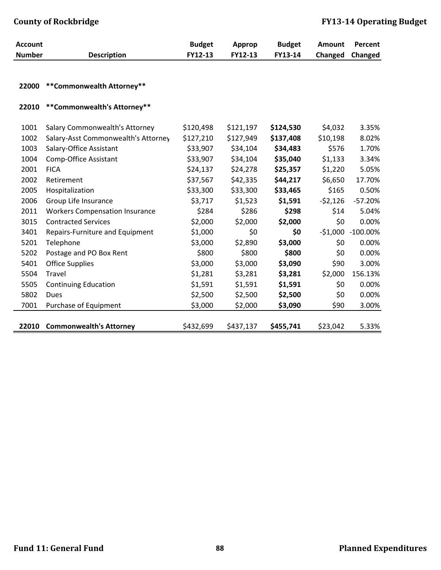| <b>Account</b> |                                       | <b>Budget</b> | Approp    | <b>Budget</b> | Amount    | Percent     |
|----------------|---------------------------------------|---------------|-----------|---------------|-----------|-------------|
| <b>Number</b>  | <b>Description</b>                    | FY12-13       | FY12-13   | FY13-14       | Changed   | Changed     |
|                |                                       |               |           |               |           |             |
| 22000          | **Commonwealth Attorney**             |               |           |               |           |             |
|                |                                       |               |           |               |           |             |
| 22010          | **Commonwealth's Attorney**           |               |           |               |           |             |
|                |                                       |               |           |               |           |             |
| 1001           | <b>Salary Commonwealth's Attorney</b> | \$120,498     | \$121,197 | \$124,530     | \$4,032   | 3.35%       |
| 1002           | Salary-Asst Commonwealth's Attorney   | \$127,210     | \$127,949 | \$137,408     | \$10,198  | 8.02%       |
| 1003           | Salary-Office Assistant               | \$33,907      | \$34,104  | \$34,483      | \$576     | 1.70%       |
| 1004           | Comp-Office Assistant                 | \$33,907      | \$34,104  | \$35,040      | \$1,133   | 3.34%       |
| 2001           | <b>FICA</b>                           | \$24,137      | \$24,278  | \$25,357      | \$1,220   | 5.05%       |
| 2002           | Retirement                            | \$37,567      | \$42,335  | \$44,217      | \$6,650   | 17.70%      |
| 2005           | Hospitalization                       | \$33,300      | \$33,300  | \$33,465      | \$165     | 0.50%       |
| 2006           | Group Life Insurance                  | \$3,717       | \$1,523   | \$1,591       | $-52,126$ | $-57.20%$   |
| 2011           | <b>Workers Compensation Insurance</b> | \$284         | \$286     | \$298         | \$14      | 5.04%       |
| 3015           | <b>Contracted Services</b>            | \$2,000       | \$2,000   | \$2,000       | \$0       | 0.00%       |
| 3401           | Repairs-Furniture and Equipment       | \$1,000       | \$0       | \$0           | $-$1,000$ | $-100.00\%$ |
| 5201           | Telephone                             | \$3,000       | \$2,890   | \$3,000       | \$0       | 0.00%       |
| 5202           | Postage and PO Box Rent               | \$800         | \$800     | \$800         | \$0       | 0.00%       |
| 5401           | <b>Office Supplies</b>                | \$3,000       | \$3,000   | \$3,090       | \$90      | 3.00%       |
| 5504           | Travel                                | \$1,281       | \$3,281   | \$3,281       | \$2,000   | 156.13%     |
| 5505           | <b>Continuing Education</b>           | \$1,591       | \$1,591   | \$1,591       | \$0       | 0.00%       |
| 5802           | Dues                                  | \$2,500       | \$2,500   | \$2,500       | \$0       | 0.00%       |
| 7001           | Purchase of Equipment                 | \$3,000       | \$2,000   | \$3,090       | \$90      | 3.00%       |
|                |                                       |               |           |               |           |             |
| 22010          | <b>Commonwealth's Attorney</b>        | \$432,699     | \$437,137 | \$455,741     | \$23,042  | 5.33%       |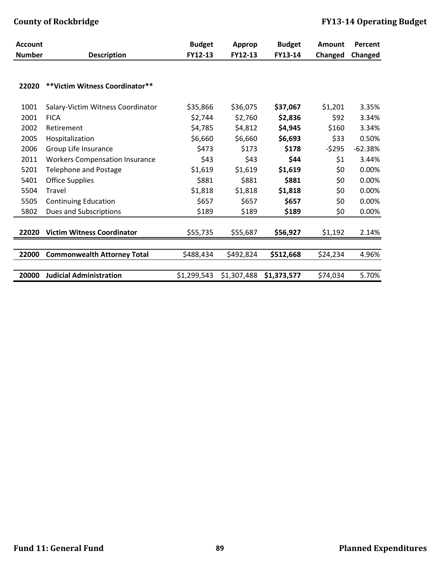| <b>Account</b> |                                       | <b>Budget</b> | Approp      | <b>Budget</b> | <b>Amount</b> | Percent   |
|----------------|---------------------------------------|---------------|-------------|---------------|---------------|-----------|
| <b>Number</b>  | <b>Description</b>                    | FY12-13       | FY12-13     | FY13-14       | Changed       | Changed   |
| 22020          | **Victim Witness Coordinator**        |               |             |               |               |           |
| 1001           | Salary-Victim Witness Coordinator     | \$35,866      | \$36,075    | \$37,067      | \$1,201       | 3.35%     |
| 2001           | <b>FICA</b>                           | \$2,744       | \$2,760     | \$2,836       | \$92          | 3.34%     |
| 2002           | Retirement                            | \$4,785       | \$4,812     | \$4,945       | \$160         | 3.34%     |
| 2005           | Hospitalization                       | \$6,660       | \$6,660     | \$6,693       | \$33          | 0.50%     |
| 2006           | Group Life Insurance                  | \$473         | \$173       | \$178         | $-5295$       | $-62.38%$ |
| 2011           | <b>Workers Compensation Insurance</b> | \$43          | \$43        | \$44          | \$1           | 3.44%     |
| 5201           | <b>Telephone and Postage</b>          | \$1,619       | \$1,619     | \$1,619       | \$0           | 0.00%     |
| 5401           | <b>Office Supplies</b>                | \$881         | \$881       | \$881         | \$0           | 0.00%     |
| 5504           | Travel                                | \$1,818       | \$1,818     | \$1,818       | \$0           | 0.00%     |
| 5505           | <b>Continuing Education</b>           | \$657         | \$657       | \$657         | \$0           | 0.00%     |
| 5802           | Dues and Subscriptions                | \$189         | \$189       | \$189         | \$0           | 0.00%     |
| 22020          | <b>Victim Witness Coordinator</b>     | \$55,735      | \$55,687    | \$56,927      | \$1,192       | 2.14%     |
|                |                                       |               |             |               |               |           |
| 22000          | <b>Commonwealth Attorney Total</b>    | \$488,434     | \$492,824   | \$512,668     | \$24,234      | 4.96%     |
|                |                                       |               |             |               |               |           |
| 20000          | <b>Judicial Administration</b>        | \$1,299,543   | \$1,307,488 | \$1,373,577   | \$74,034      | 5.70%     |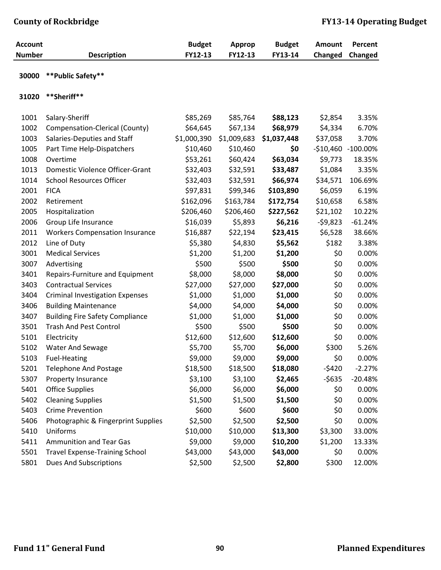| <b>Account</b><br><b>Number</b> | <b>Description</b>                     | <b>Budget</b><br>FY12-13 | <b>Approp</b><br>FY12-13 | <b>Budget</b><br>FY13-14 | <b>Amount</b><br>Changed | Percent<br>Changed |
|---------------------------------|----------------------------------------|--------------------------|--------------------------|--------------------------|--------------------------|--------------------|
| 30000                           | ** Public Safety**                     |                          |                          |                          |                          |                    |
| 31020                           | **Sheriff**                            |                          |                          |                          |                          |                    |
| 1001                            | Salary-Sheriff                         | \$85,269                 | \$85,764                 | \$88,123                 | \$2,854                  | 3.35%              |
| 1002                            | Compensation-Clerical (County)         | \$64,645                 | \$67,134                 | \$68,979                 | \$4,334                  | 6.70%              |
| 1003                            | Salaries-Deputies and Staff            | \$1,000,390              | \$1,009,683              | \$1,037,448              | \$37,058                 | 3.70%              |
| 1005                            | Part Time Help-Dispatchers             | \$10,460                 | \$10,460                 | \$0                      |                          | -\$10,460 -100.00% |
| 1008                            | Overtime                               | \$53,261                 | \$60,424                 | \$63,034                 | \$9,773                  | 18.35%             |
| 1013                            | Domestic Violence Officer-Grant        | \$32,403                 | \$32,591                 | \$33,487                 | \$1,084                  | 3.35%              |
| 1014                            | <b>School Resources Officer</b>        | \$32,403                 | \$32,591                 | \$66,974                 | \$34,571                 | 106.69%            |
| 2001                            | <b>FICA</b>                            | \$97,831                 | \$99,346                 | \$103,890                | \$6,059                  | 6.19%              |
| 2002                            | Retirement                             | \$162,096                | \$163,784                | \$172,754                | \$10,658                 | 6.58%              |
| 2005                            | Hospitalization                        | \$206,460                | \$206,460                | \$227,562                | \$21,102                 | 10.22%             |
| 2006                            | Group Life Insurance                   | \$16,039                 | \$5,893                  | \$6,216                  | $-59,823$                | $-61.24%$          |
| 2011                            | <b>Workers Compensation Insurance</b>  | \$16,887                 | \$22,194                 | \$23,415                 | \$6,528                  | 38.66%             |
| 2012                            | Line of Duty                           | \$5,380                  | \$4,830                  | \$5,562                  | \$182                    | 3.38%              |
| 3001                            | <b>Medical Services</b>                | \$1,200                  | \$1,200                  | \$1,200                  | \$0                      | 0.00%              |
| 3007                            | Advertising                            | \$500                    | \$500                    | \$500                    | \$0                      | 0.00%              |
| 3401                            | Repairs-Furniture and Equipment        | \$8,000                  | \$8,000                  | \$8,000                  | \$0                      | 0.00%              |
| 3403                            | <b>Contractual Services</b>            | \$27,000                 | \$27,000                 | \$27,000                 | \$0                      | 0.00%              |
| 3404                            | <b>Criminal Investigation Expenses</b> | \$1,000                  | \$1,000                  | \$1,000                  | \$0                      | 0.00%              |
| 3406                            | <b>Building Maintenance</b>            | \$4,000                  | \$4,000                  | \$4,000                  | \$0                      | 0.00%              |
| 3407                            | <b>Building Fire Safety Compliance</b> | \$1,000                  | \$1,000                  | \$1,000                  | \$0                      | 0.00%              |
| 3501                            | <b>Trash And Pest Control</b>          | \$500                    | \$500                    | \$500                    | \$0                      | 0.00%              |
| 5101                            | Electricity                            | \$12,600                 | \$12,600                 | \$12,600                 | \$0                      | 0.00%              |
| 5102                            | Water And Sewage                       | \$5,700                  | \$5,700                  | \$6,000                  | \$300                    | 5.26%              |
| 5103                            | <b>Fuel-Heating</b>                    | \$9,000                  | \$9,000                  | \$9,000                  | \$0                      | 0.00%              |
| 5201                            | <b>Telephone And Postage</b>           | \$18,500                 | \$18,500                 | \$18,080                 | $-5420$                  | $-2.27%$           |
| 5307                            | Property Insurance                     | \$3,100                  | \$3,100                  | \$2,465                  | $-5635$                  | $-20.48%$          |
| 5401                            | <b>Office Supplies</b>                 | \$6,000                  | \$6,000                  | \$6,000                  | \$0                      | 0.00%              |
| 5402                            | <b>Cleaning Supplies</b>               | \$1,500                  | \$1,500                  | \$1,500                  | \$0                      | 0.00%              |
| 5403                            | <b>Crime Prevention</b>                | \$600                    | \$600                    | \$600                    | \$0                      | 0.00%              |
| 5406                            | Photographic & Fingerprint Supplies    | \$2,500                  | \$2,500                  | \$2,500                  | \$0                      | 0.00%              |
| 5410                            | Uniforms                               | \$10,000                 | \$10,000                 | \$13,300                 | \$3,300                  | 33.00%             |
| 5411                            | <b>Ammunition and Tear Gas</b>         | \$9,000                  | \$9,000                  | \$10,200                 | \$1,200                  | 13.33%             |
| 5501                            | <b>Travel Expense-Training School</b>  | \$43,000                 | \$43,000                 | \$43,000                 | \$0                      | 0.00%              |
| 5801                            | <b>Dues And Subscriptions</b>          | \$2,500                  | \$2,500                  | \$2,800                  | \$300                    | 12.00%             |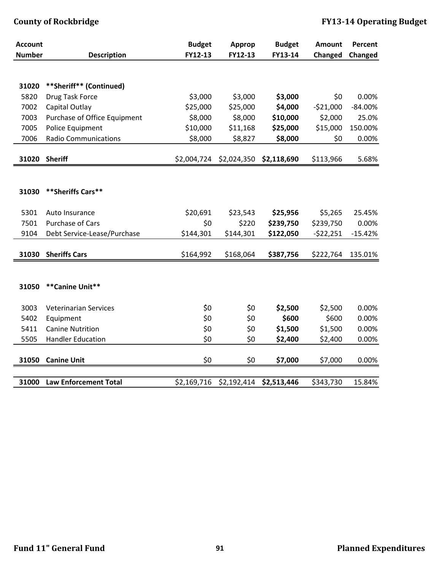| <b>Account</b> |                                    | <b>Budget</b>   | Approp            | <b>Budget</b>         | <b>Amount</b>        | Percent   |
|----------------|------------------------------------|-----------------|-------------------|-----------------------|----------------------|-----------|
| <b>Number</b>  | <b>Description</b>                 | FY12-13         | FY12-13           | FY13-14               | Changed              | Changed   |
|                |                                    |                 |                   |                       |                      |           |
| 31020          | **Sheriff** (Continued)            |                 |                   |                       |                      |           |
| 5820           | Drug Task Force                    | \$3,000         | \$3,000           | \$3,000               | \$0                  | 0.00%     |
| 7002           | Capital Outlay                     | \$25,000        | \$25,000          | \$4,000               | $-521,000$           | $-84.00%$ |
| 7003           | Purchase of Office Equipment       | \$8,000         | \$8,000           | \$10,000              | \$2,000              | 25.0%     |
| 7005           | Police Equipment                   | \$10,000        | \$11,168          | \$25,000              | \$15,000             | 150.00%   |
| 7006           | <b>Radio Communications</b>        | \$8,000         | \$8,827           | \$8,000               | \$0                  | 0.00%     |
|                |                                    |                 |                   |                       |                      |           |
| 31020          | <b>Sheriff</b>                     | \$2,004,724     | \$2,024,350       | \$2,118,690           | \$113,966            | 5.68%     |
|                |                                    |                 |                   |                       |                      |           |
|                |                                    |                 |                   |                       |                      |           |
| 31030          | ** Sheriffs Cars**                 |                 |                   |                       |                      |           |
| 5301           |                                    |                 |                   |                       |                      | 25.45%    |
| 7501           | Auto Insurance<br>Purchase of Cars | \$20,691<br>\$0 | \$23,543<br>\$220 | \$25,956<br>\$239,750 | \$5,265<br>\$239,750 | 0.00%     |
| 9104           | Debt Service-Lease/Purchase        | \$144,301       | \$144,301         | \$122,050             | $-522,251$           | $-15.42%$ |
|                |                                    |                 |                   |                       |                      |           |
| 31030          | <b>Sheriffs Cars</b>               | \$164,992       | \$168,064         | \$387,756             | \$222,764            | 135.01%   |
|                |                                    |                 |                   |                       |                      |           |
|                |                                    |                 |                   |                       |                      |           |
| 31050          | **Canine Unit**                    |                 |                   |                       |                      |           |
|                |                                    |                 |                   |                       |                      |           |
| 3003           | <b>Veterinarian Services</b>       | \$0             | \$0               | \$2,500               | \$2,500              | 0.00%     |
| 5402           | Equipment                          | \$0             | \$0               | \$600                 | \$600                | 0.00%     |
| 5411           | <b>Canine Nutrition</b>            | \$0             | \$0               | \$1,500               | \$1,500              | 0.00%     |
| 5505           | <b>Handler Education</b>           | \$0             | \$0               | \$2,400               | \$2,400              | 0.00%     |
|                |                                    |                 |                   |                       |                      |           |
| 31050          | <b>Canine Unit</b>                 | \$0             | \$0               | \$7,000               | \$7,000              | 0.00%     |
|                |                                    |                 |                   |                       |                      |           |
| 31000          | <b>Law Enforcement Total</b>       | \$2,169,716     | \$2,192,414       | \$2,513,446           | \$343,730            | 15.84%    |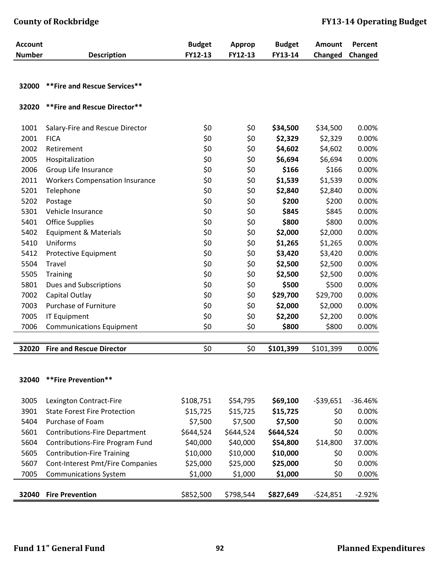## **County of Rockbridge FY1314 Operating Budget**

| <b>Account</b> |                                       | <b>Budget</b> | <b>Approp</b> | <b>Budget</b> | Amount         | Percent   |
|----------------|---------------------------------------|---------------|---------------|---------------|----------------|-----------|
| <b>Number</b>  | <b>Description</b>                    | FY12-13       | FY12-13       | FY13-14       | <b>Changed</b> | Changed   |
|                |                                       |               |               |               |                |           |
| 32000          | ** Fire and Rescue Services**         |               |               |               |                |           |
| 32020          | **Fire and Rescue Director**          |               |               |               |                |           |
| 1001           | Salary-Fire and Rescue Director       | \$0           | \$0           | \$34,500      | \$34,500       | 0.00%     |
| 2001           | <b>FICA</b>                           | \$0           | \$0           | \$2,329       | \$2,329        | 0.00%     |
| 2002           | Retirement                            | \$0           | \$0           | \$4,602       | \$4,602        | 0.00%     |
| 2005           | Hospitalization                       | \$0           | \$0           | \$6,694       | \$6,694        | 0.00%     |
| 2006           | Group Life Insurance                  | \$0           | \$0           | \$166         | \$166          | 0.00%     |
| 2011           | <b>Workers Compensation Insurance</b> | \$0           | \$0           | \$1,539       | \$1,539        | 0.00%     |
| 5201           | Telephone                             | \$0           | \$0           | \$2,840       | \$2,840        | 0.00%     |
| 5202           | Postage                               | \$0           | \$0           | \$200         | \$200          | 0.00%     |
| 5301           | Vehicle Insurance                     | \$0           | \$0           | \$845         | \$845          | 0.00%     |
| 5401           | <b>Office Supplies</b>                | \$0           | \$0           | \$800         | \$800          | 0.00%     |
| 5402           | <b>Equipment &amp; Materials</b>      | \$0           | \$0           | \$2,000       | \$2,000        | 0.00%     |
| 5410           | Uniforms                              | \$0           | \$0           | \$1,265       | \$1,265        | 0.00%     |
| 5412           | Protective Equipment                  | \$0           | \$0           | \$3,420       | \$3,420        | 0.00%     |
| 5504           | Travel                                | \$0           | \$0           | \$2,500       | \$2,500        | 0.00%     |
| 5505           | <b>Training</b>                       | \$0           | \$0           | \$2,500       | \$2,500        | 0.00%     |
| 5801           | Dues and Subscriptions                | \$0           | \$0           | \$500         | \$500          | 0.00%     |
| 7002           | Capital Outlay                        | \$0           | \$0           | \$29,700      | \$29,700       | 0.00%     |
| 7003           | Purchase of Furniture                 | \$0           | \$0           | \$2,000       | \$2,000        | 0.00%     |
| 7005           | <b>IT Equipment</b>                   | \$0           | \$0           | \$2,200       | \$2,200        | 0.00%     |
| 7006           | <b>Communications Equipment</b>       | \$0           | \$0           | \$800         | \$800          | 0.00%     |
|                |                                       |               |               |               |                |           |
| 32020          | <b>Fire and Rescue Director</b>       | \$0           | \$0           | \$101,399     | \$101,399      | 0.00%     |
|                |                                       |               |               |               |                |           |
| 32040          | **Fire Prevention**                   |               |               |               |                |           |
|                |                                       |               |               |               |                |           |
| 3005           | Lexington Contract-Fire               | \$108,751     | \$54,795      | \$69,100      | $-539,651$     | $-36.46%$ |
| 3901           | <b>State Forest Fire Protection</b>   | \$15,725      | \$15,725      | \$15,725      | \$0            | 0.00%     |
| 5404           | Purchase of Foam                      | \$7,500       | \$7,500       | \$7,500       | \$0            | 0.00%     |
| 5601           | <b>Contributions-Fire Department</b>  | \$644,524     | \$644,524     | \$644,524     | \$0            | 0.00%     |
| 5604           | Contributions-Fire Program Fund       | \$40,000      | \$40,000      | \$54,800      | \$14,800       | 37.00%    |
| 5605           | <b>Contribution-Fire Training</b>     | \$10,000      | \$10,000      | \$10,000      | \$0            | 0.00%     |
| 5607           | Cont-Interest Pmt/Fire Companies      | \$25,000      | \$25,000      | \$25,000      | \$0            | 0.00%     |
| 7005           | <b>Communications System</b>          | \$1,000       | \$1,000       | \$1,000       | \$0            | 0.00%     |
|                |                                       |               |               |               |                |           |
| 32040          | <b>Fire Prevention</b>                | \$852,500     | \$798,544     | \$827,649     | $-524,851$     | $-2.92%$  |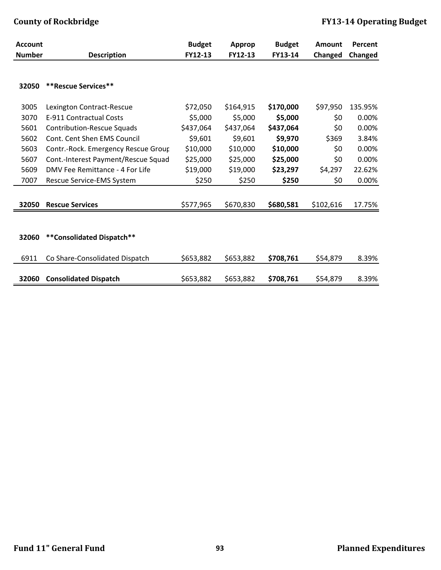| <b>Account</b> |                                     | <b>Budget</b> | Approp    | <b>Budget</b> | Amount    | Percent |
|----------------|-------------------------------------|---------------|-----------|---------------|-----------|---------|
| <b>Number</b>  | <b>Description</b>                  | FY12-13       | FY12-13   | FY13-14       | Changed   | Changed |
| 32050          | **Rescue Services**                 |               |           |               |           |         |
| 3005           | Lexington Contract-Rescue           | \$72,050      | \$164,915 | \$170,000     | \$97,950  | 135.95% |
| 3070           | E-911 Contractual Costs             | \$5,000       | \$5,000   | \$5,000       | \$0       | 0.00%   |
| 5601           | <b>Contribution-Rescue Squads</b>   | \$437,064     | \$437,064 | \$437,064     | \$0       | 0.00%   |
| 5602           | Cont. Cent Shen EMS Council         | \$9,601       | \$9,601   | \$9,970       | \$369     | 3.84%   |
| 5603           | Contr.-Rock. Emergency Rescue Group | \$10,000      | \$10,000  | \$10,000      | \$0       | 0.00%   |
| 5607           | Cont.-Interest Payment/Rescue Squad | \$25,000      | \$25,000  | \$25,000      | \$0       | 0.00%   |
| 5609           | DMV Fee Remittance - 4 For Life     | \$19,000      | \$19,000  | \$23,297      | \$4,297   | 22.62%  |
| 7007           | Rescue Service-EMS System           | \$250         | \$250     | \$250         | \$0       | 0.00%   |
| 32050          | <b>Rescue Services</b>              | \$577,965     | \$670,830 | \$680,581     | \$102,616 | 17.75%  |
| 32060          | **Consolidated Dispatch**           |               |           |               |           |         |
|                |                                     |               |           |               |           |         |
| 6911           | Co Share-Consolidated Dispatch      | \$653,882     | \$653,882 | \$708,761     | \$54,879  | 8.39%   |
| 32060          | <b>Consolidated Dispatch</b>        | \$653,882     | \$653,882 | \$708,761     | \$54,879  | 8.39%   |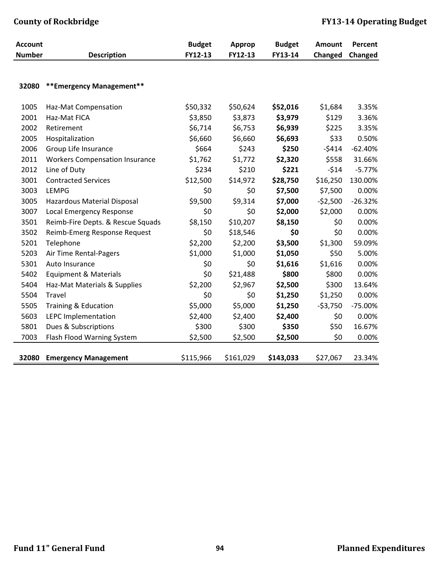| <b>Account</b> |                                       | <b>Budget</b> | <b>Approp</b> | <b>Budget</b> | Amount    | Percent   |
|----------------|---------------------------------------|---------------|---------------|---------------|-----------|-----------|
| <b>Number</b>  | <b>Description</b>                    | FY12-13       | FY12-13       | FY13-14       | Changed   | Changed   |
|                |                                       |               |               |               |           |           |
| 32080          | **Emergency Management**              |               |               |               |           |           |
| 1005           | Haz-Mat Compensation                  | \$50,332      | \$50,624      | \$52,016      | \$1,684   | 3.35%     |
| 2001           | Haz-Mat FICA                          | \$3,850       | \$3,873       | \$3,979       | \$129     | 3.36%     |
| 2002           | Retirement                            | \$6,714       | \$6,753       | \$6,939       | \$225     | 3.35%     |
| 2005           | Hospitalization                       | \$6,660       | \$6,660       | \$6,693       | \$33      | 0.50%     |
| 2006           | Group Life Insurance                  | \$664         | \$243         | \$250         | $-5414$   | $-62.40%$ |
| 2011           | <b>Workers Compensation Insurance</b> | \$1,762       | \$1,772       | \$2,320       | \$558     | 31.66%    |
| 2012           | Line of Duty                          | \$234         | \$210         | \$221         | $-514$    | $-5.77%$  |
| 3001           | <b>Contracted Services</b>            | \$12,500      | \$14,972      | \$28,750      | \$16,250  | 130.00%   |
| 3003           | <b>LEMPG</b>                          | \$0           | \$0           | \$7,500       | \$7,500   | 0.00%     |
| 3005           | Hazardous Material Disposal           | \$9,500       | \$9,314       | \$7,000       | $-52,500$ | $-26.32%$ |
| 3007           | Local Emergency Response              | \$0           | \$0           | \$2,000       | \$2,000   | 0.00%     |
| 3501           | Reimb-Fire Depts. & Rescue Squads     | \$8,150       | \$10,207      | \$8,150       | \$0       | 0.00%     |
| 3502           | Reimb-Emerg Response Request          | \$0           | \$18,546      | \$0           | \$0       | 0.00%     |
| 5201           | Telephone                             | \$2,200       | \$2,200       | \$3,500       | \$1,300   | 59.09%    |
| 5203           | Air Time Rental-Pagers                | \$1,000       | \$1,000       | \$1,050       | \$50      | 5.00%     |
| 5301           | Auto Insurance                        | \$0           | \$0           | \$1,616       | \$1,616   | 0.00%     |
| 5402           | <b>Equipment &amp; Materials</b>      | \$0           | \$21,488      | \$800         | \$800     | 0.00%     |
| 5404           | Haz-Mat Materials & Supplies          | \$2,200       | \$2,967       | \$2,500       | \$300     | 13.64%    |
| 5504           | Travel                                | \$0           | \$0           | \$1,250       | \$1,250   | 0.00%     |
| 5505           | Training & Education                  | \$5,000       | \$5,000       | \$1,250       | $-53,750$ | $-75.00%$ |
| 5603           | <b>LEPC Implementation</b>            | \$2,400       | \$2,400       | \$2,400       | \$0       | 0.00%     |
| 5801           | Dues & Subscriptions                  | \$300         | \$300         | \$350         | \$50      | 16.67%    |
| 7003           | Flash Flood Warning System            | \$2,500       | \$2,500       | \$2,500       | \$0       | 0.00%     |
| 32080          | <b>Emergency Management</b>           | \$115,966     | \$161,029     | \$143,033     | \$27,067  | 23.34%    |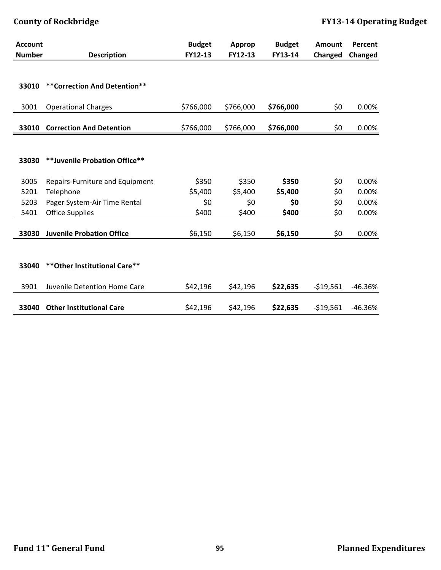| <b>Account</b> |                                  | <b>Budget</b> | Approp    | <b>Budget</b> | Amount     | Percent   |
|----------------|----------------------------------|---------------|-----------|---------------|------------|-----------|
| <b>Number</b>  | <b>Description</b>               | FY12-13       | FY12-13   | FY13-14       | Changed    | Changed   |
| 33010          | ** Correction And Detention**    |               |           |               |            |           |
|                |                                  |               |           |               |            |           |
| 3001           | <b>Operational Charges</b>       | \$766,000     | \$766,000 | \$766,000     | \$0        | 0.00%     |
| 33010          | <b>Correction And Detention</b>  | \$766,000     | \$766,000 | \$766,000     | \$0        | 0.00%     |
|                |                                  |               |           |               |            |           |
| 33030          | **Juvenile Probation Office**    |               |           |               |            |           |
| 3005           | Repairs-Furniture and Equipment  | \$350         | \$350     | \$350         | \$0        | 0.00%     |
| 5201           | Telephone                        | \$5,400       | \$5,400   | \$5,400       | \$0        | 0.00%     |
| 5203           | Pager System-Air Time Rental     | \$0           | \$0       | \$0           | \$0        | 0.00%     |
| 5401           | <b>Office Supplies</b>           | \$400         | \$400     | \$400         | \$0        | 0.00%     |
| 33030          | <b>Juvenile Probation Office</b> | \$6,150       | \$6,150   | \$6,150       | \$0        | 0.00%     |
|                |                                  |               |           |               |            |           |
| 33040          | ** Other Institutional Care**    |               |           |               |            |           |
| 3901           | Juvenile Detention Home Care     | \$42,196      | \$42,196  | \$22,635      | $-519,561$ | $-46.36%$ |
| 33040          | <b>Other Institutional Care</b>  | \$42,196      | \$42,196  | \$22,635      | $-519,561$ | $-46.36%$ |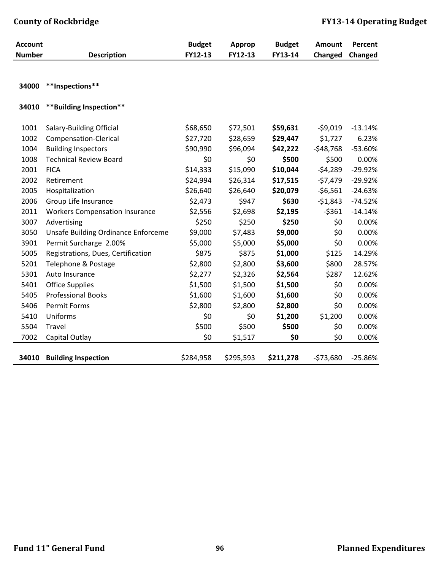| <b>Account</b> |                                            | <b>Budget</b> | <b>Approp</b> | <b>Budget</b> | Amount     | Percent   |
|----------------|--------------------------------------------|---------------|---------------|---------------|------------|-----------|
| <b>Number</b>  | <b>Description</b>                         | FY12-13       | FY12-13       | FY13-14       | Changed    | Changed   |
|                |                                            |               |               |               |            |           |
| 34000          | **Inspections**                            |               |               |               |            |           |
| 34010          | **Building Inspection**                    |               |               |               |            |           |
| 1001           | Salary-Building Official                   | \$68,650      | \$72,501      | \$59,631      | $-59,019$  | $-13.14%$ |
| 1002           | Compensation-Clerical                      | \$27,720      | \$28,659      | \$29,447      | \$1,727    | 6.23%     |
| 1004           | <b>Building Inspectors</b>                 | \$90,990      | \$96,094      | \$42,222      | $-548,768$ | -53.60%   |
| 1008           | <b>Technical Review Board</b>              | \$0           | \$0           | \$500         | \$500      | 0.00%     |
| 2001           | <b>FICA</b>                                | \$14,333      | \$15,090      | \$10,044      | $-54,289$  | $-29.92%$ |
| 2002           | Retirement                                 | \$24,994      | \$26,314      | \$17,515      | $-57,479$  | $-29.92%$ |
| 2005           | Hospitalization                            | \$26,640      | \$26,640      | \$20,079      | $-56,561$  | $-24.63%$ |
| 2006           | Group Life Insurance                       | \$2,473       | \$947         | \$630         | $-51,843$  | $-74.52%$ |
| 2011           | <b>Workers Compensation Insurance</b>      | \$2,556       | \$2,698       | \$2,195       | $-5361$    | $-14.14%$ |
| 3007           | Advertising                                | \$250         | \$250         | \$250         | \$0        | 0.00%     |
| 3050           | <b>Unsafe Building Ordinance Enforceme</b> | \$9,000       | \$7,483       | \$9,000       | \$0        | 0.00%     |
| 3901           | Permit Surcharge 2.00%                     | \$5,000       | \$5,000       | \$5,000       | \$0        | 0.00%     |
| 5005           | Registrations, Dues, Certification         | \$875         | \$875         | \$1,000       | \$125      | 14.29%    |
| 5201           | Telephone & Postage                        | \$2,800       | \$2,800       | \$3,600       | \$800      | 28.57%    |
| 5301           | Auto Insurance                             | \$2,277       | \$2,326       | \$2,564       | \$287      | 12.62%    |
| 5401           | <b>Office Supplies</b>                     | \$1,500       | \$1,500       | \$1,500       | \$0        | 0.00%     |
| 5405           | <b>Professional Books</b>                  | \$1,600       | \$1,600       | \$1,600       | \$0        | 0.00%     |
| 5406           | Permit Forms                               | \$2,800       | \$2,800       | \$2,800       | \$0        | 0.00%     |
| 5410           | Uniforms                                   | \$0           | \$0           | \$1,200       | \$1,200    | 0.00%     |
| 5504           | Travel                                     | \$500         | \$500         | \$500         | \$0        | 0.00%     |
| 7002           | Capital Outlay                             | \$0           | \$1,517       | \$0           | \$0        | 0.00%     |
| 34010          | <b>Building Inspection</b>                 | \$284,958     | \$295,593     | \$211,278     | $-573,680$ | $-25.86%$ |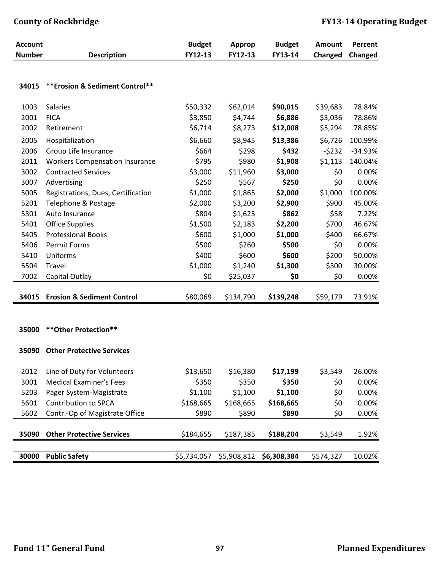| <b>Account</b><br><b>Number</b> |                                       | <b>Budget</b><br>FY12-13 | <b>Approp</b><br>FY12-13 | <b>Budget</b><br>FY13-14 | <b>Amount</b> | Percent   |
|---------------------------------|---------------------------------------|--------------------------|--------------------------|--------------------------|---------------|-----------|
|                                 | <b>Description</b>                    |                          |                          |                          | Changed       | Changed   |
|                                 |                                       |                          |                          |                          |               |           |
| 34015                           | ** Erosion & Sediment Control**       |                          |                          |                          |               |           |
| 1003                            | Salaries                              | \$50,332                 | \$62,014                 | \$90,015                 | \$39,683      | 78.84%    |
| 2001                            | <b>FICA</b>                           | \$3,850                  | \$4,744                  | \$6,886                  | \$3,036       | 78.86%    |
| 2002                            | Retirement                            | \$6,714                  | \$8,273                  | \$12,008                 | \$5,294       | 78.85%    |
| 2005                            | Hospitalization                       | \$6,660                  | \$8,945                  | \$13,386                 | \$6,726       | 100.99%   |
| 2006                            | Group Life Insurance                  | \$664                    | \$298                    | \$432                    | $-5232$       | $-34.93%$ |
| 2011                            | <b>Workers Compensation Insurance</b> | \$795                    | \$980                    | \$1,908                  | \$1,113       | 140.04%   |
| 3002                            | <b>Contracted Services</b>            | \$3,000                  | \$11,960                 | \$3,000                  | \$0           | 0.00%     |
| 3007                            | Advertising                           | \$250                    | \$567                    | \$250                    | \$0           | 0.00%     |
| 5005                            | Registrations, Dues, Certification    | \$1,000                  | \$1,865                  | \$2,000                  | \$1,000       | 100.00%   |
| 5201                            | Telephone & Postage                   | \$2,000                  | \$3,200                  | \$2,900                  | \$900         | 45.00%    |
| 5301                            | Auto Insurance                        | \$804                    | \$1,625                  | \$862                    | \$58          | 7.22%     |
| 5401                            | <b>Office Supplies</b>                | \$1,500                  | \$2,183                  | \$2,200                  | \$700         | 46.67%    |
| 5405                            | <b>Professional Books</b>             | \$600                    | \$1,000                  | \$1,000                  | \$400         | 66.67%    |
| 5406                            | <b>Permit Forms</b>                   | \$500                    | \$260                    | \$500                    | \$0           | 0.00%     |
| 5410                            | Uniforms                              | \$400                    | \$600                    | \$600                    | \$200         | 50.00%    |
| 5504                            | Travel                                | \$1,000                  | \$1,240                  | \$1,300                  | \$300         | 30.00%    |
| 7002                            | Capital Outlay                        | \$0                      | \$25,037                 | \$0                      | \$0           | 0.00%     |
|                                 |                                       |                          |                          |                          |               |           |
| 34015                           | <b>Erosion &amp; Sediment Control</b> | \$80,069                 | \$134,790                | \$139,248                | \$59,179      | 73.91%    |
|                                 |                                       |                          |                          |                          |               |           |
|                                 | ** Other Protection**                 |                          |                          |                          |               |           |
| 35000                           |                                       |                          |                          |                          |               |           |
| 35090                           | <b>Other Protective Services</b>      |                          |                          |                          |               |           |
|                                 |                                       |                          |                          |                          |               |           |
| 2012                            | Line of Duty for Volunteers           | \$13,650                 | \$16,380                 | \$17,199                 | \$3,549       | 26.00%    |
| 3001                            | <b>Medical Examiner's Fees</b>        | \$350                    | \$350                    | \$350                    | \$0           | 0.00%     |
| 5203                            | Pager System-Magistrate               | \$1,100                  | \$1,100                  | \$1,100                  | \$0           | 0.00%     |
| 5601                            | Contribution to SPCA                  | \$168,665                | \$168,665                | \$168,665                | \$0           | 0.00%     |
| 5602                            | Contr.-Op of Magistrate Office        | \$890                    | \$890                    | \$890                    | \$0           | 0.00%     |
|                                 |                                       |                          |                          |                          |               |           |
| 35090                           | <b>Other Protective Services</b>      | \$184,655                | \$187,385                | \$188,204                | \$3,549       | 1.92%     |
| 30000                           | <b>Public Safety</b>                  | \$5,734,057              | \$5,908,812              | \$6,308,384              | \$574,327     | 10.02%    |
|                                 |                                       |                          |                          |                          |               |           |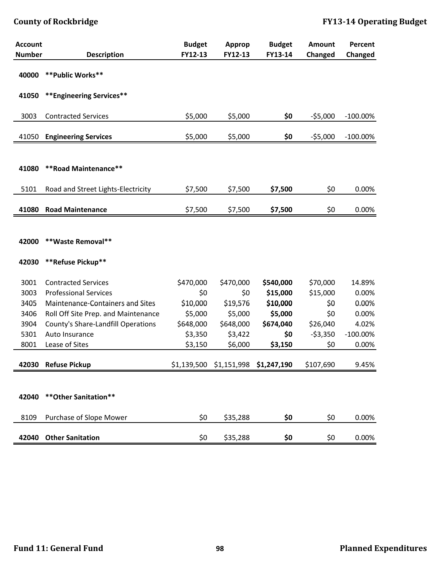| <b>Account</b> |                                           | <b>Budget</b> | Approp      | <b>Budget</b> | <b>Amount</b> | Percent     |
|----------------|-------------------------------------------|---------------|-------------|---------------|---------------|-------------|
| <b>Number</b>  | <b>Description</b>                        | FY12-13       | FY12-13     | FY13-14       | Changed       | Changed     |
| 40000          | ** Public Works**                         |               |             |               |               |             |
|                |                                           |               |             |               |               |             |
| 41050          | ** Engineering Services**                 |               |             |               |               |             |
|                |                                           |               |             |               |               |             |
| 3003           | <b>Contracted Services</b>                | \$5,000       | \$5,000     | \$0           | $-55,000$     | $-100.00\%$ |
| 41050          | <b>Engineering Services</b>               | \$5,000       | \$5,000     | \$0           | $-55,000$     | $-100.00\%$ |
|                |                                           |               |             |               |               |             |
|                |                                           |               |             |               |               |             |
| 41080          | ** Road Maintenance**                     |               |             |               |               |             |
| 5101           | Road and Street Lights-Electricity        | \$7,500       | \$7,500     | \$7,500       | \$0           | 0.00%       |
|                |                                           |               |             |               |               |             |
| 41080          | <b>Road Maintenance</b>                   | \$7,500       | \$7,500     | \$7,500       | \$0           | 0.00%       |
|                |                                           |               |             |               |               |             |
|                |                                           |               |             |               |               |             |
| 42000          | **Waste Removal**                         |               |             |               |               |             |
| 42030          | **Refuse Pickup**                         |               |             |               |               |             |
|                |                                           |               |             |               |               |             |
| 3001           | <b>Contracted Services</b>                | \$470,000     | \$470,000   | \$540,000     | \$70,000      | 14.89%      |
| 3003           | <b>Professional Services</b>              | \$0           | \$0         | \$15,000      | \$15,000      | 0.00%       |
| 3405           | Maintenance-Containers and Sites          | \$10,000      | \$19,576    | \$10,000      | \$0           | 0.00%       |
| 3406           | Roll Off Site Prep. and Maintenance       | \$5,000       | \$5,000     | \$5,000       | \$0           | 0.00%       |
| 3904           | <b>County's Share-Landfill Operations</b> | \$648,000     | \$648,000   | \$674,040     | \$26,040      | 4.02%       |
| 5301           | Auto Insurance                            | \$3,350       | \$3,422     | \$0           | $-53,350$     | $-100.00\%$ |
| 8001           | Lease of Sites                            | \$3,150       | \$6,000     | \$3,150       | \$0           | 0.00%       |
|                |                                           |               |             |               |               |             |
|                | 42030 Refuse Pickup                       | \$1,139,500   | \$1,151,998 | \$1,247,190   | \$107,690     | 9.45%       |
|                |                                           |               |             |               |               |             |
| 42040          | ** Other Sanitation**                     |               |             |               |               |             |
|                |                                           |               |             |               |               |             |
| 8109           | Purchase of Slope Mower                   | \$0           | \$35,288    | \$0           | \$0           | 0.00%       |
|                |                                           |               |             |               |               |             |
| 42040          | <b>Other Sanitation</b>                   | \$0           | \$35,288    | \$0           | \$0           | 0.00%       |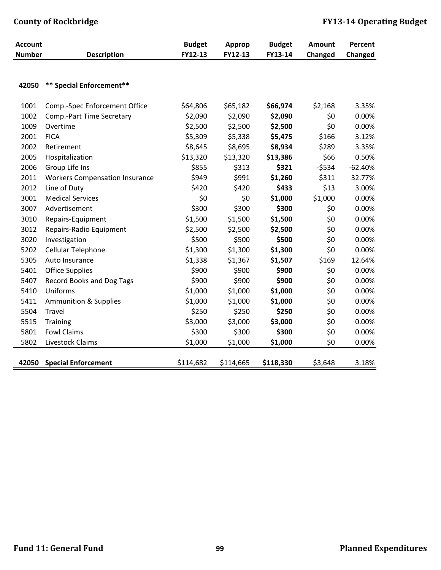| <b>Account</b> |                                       | <b>Budget</b> | Approp    | <b>Budget</b> | Amount  | Percent   |
|----------------|---------------------------------------|---------------|-----------|---------------|---------|-----------|
| <b>Number</b>  | <b>Description</b>                    | FY12-13       | FY12-13   | FY13-14       | Changed | Changed   |
|                |                                       |               |           |               |         |           |
| 42050          | ** Special Enforcement**              |               |           |               |         |           |
| 1001           | Comp.-Spec Enforcement Office         | \$64,806      | \$65,182  | \$66,974      | \$2,168 | 3.35%     |
| 1002           | Comp.-Part Time Secretary             | \$2,090       | \$2,090   | \$2,090       | \$0     | 0.00%     |
| 1009           | Overtime                              | \$2,500       | \$2,500   | \$2,500       | \$0     | 0.00%     |
| 2001           | <b>FICA</b>                           | \$5,309       | \$5,338   | \$5,475       | \$166   | 3.12%     |
| 2002           | Retirement                            | \$8,645       | \$8,695   | \$8,934       | \$289   | 3.35%     |
| 2005           | Hospitalization                       | \$13,320      | \$13,320  | \$13,386      | \$66    | 0.50%     |
| 2006           | Group Life Ins                        | \$855         | \$313     | \$321         | $-5534$ | $-62.40%$ |
| 2011           | <b>Workers Compensation Insurance</b> | \$949         | \$991     | \$1,260       | \$311   | 32.77%    |
| 2012           | Line of Duty                          | \$420         | \$420     | \$433         | \$13    | 3.00%     |
| 3001           | <b>Medical Services</b>               | \$0           | \$0       | \$1,000       | \$1,000 | 0.00%     |
| 3007           | Advertisement                         | \$300         | \$300     | \$300         | \$0     | 0.00%     |
| 3010           | Repairs-Equipment                     | \$1,500       | \$1,500   | \$1,500       | \$0     | 0.00%     |
| 3012           | Repairs-Radio Equipment               | \$2,500       | \$2,500   | \$2,500       | \$0     | 0.00%     |
| 3020           | Investigation                         | \$500         | \$500     | \$500         | \$0     | 0.00%     |
| 5202           | Cellular Telephone                    | \$1,300       | \$1,300   | \$1,300       | \$0     | 0.00%     |
| 5305           | Auto Insurance                        | \$1,338       | \$1,367   | \$1,507       | \$169   | 12.64%    |
| 5401           | <b>Office Supplies</b>                | \$900         | \$900     | \$900         | \$0     | 0.00%     |
| 5407           | Record Books and Dog Tags             | \$900         | \$900     | \$900         | \$0     | 0.00%     |
| 5410           | Uniforms                              | \$1,000       | \$1,000   | \$1,000       | \$0     | 0.00%     |
| 5411           | <b>Ammunition &amp; Supplies</b>      | \$1,000       | \$1,000   | \$1,000       | \$0     | 0.00%     |
| 5504           | Travel                                | \$250         | \$250     | \$250         | \$0     | 0.00%     |
| 5515           | <b>Training</b>                       | \$3,000       | \$3,000   | \$3,000       | \$0     | 0.00%     |
| 5801           | <b>Fowl Claims</b>                    | \$300         | \$300     | \$300         | \$0     | 0.00%     |
| 5802           | Livestock Claims                      | \$1,000       | \$1,000   | \$1,000       | \$0     | 0.00%     |
| 42050          | <b>Special Enforcement</b>            | \$114,682     | \$114,665 | \$118,330     | \$3,648 | 3.18%     |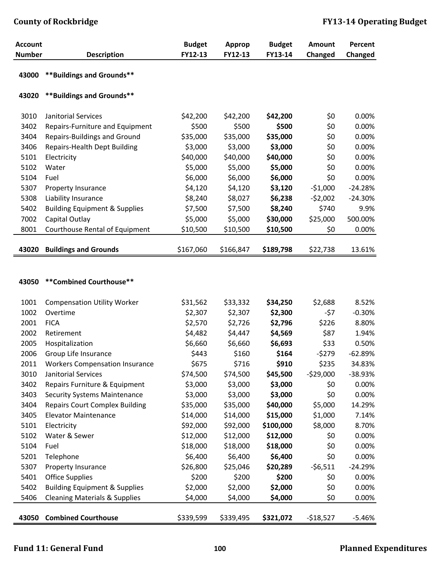| <b>Account</b> |                                          | <b>Budget</b> | <b>Approp</b> | <b>Budget</b> | Amount    | Percent   |
|----------------|------------------------------------------|---------------|---------------|---------------|-----------|-----------|
| <b>Number</b>  | <b>Description</b>                       | FY12-13       | FY12-13       | FY13-14       | Changed   | Changed   |
| 43000          | **Buildings and Grounds**                |               |               |               |           |           |
| 43020          | **Buildings and Grounds**                |               |               |               |           |           |
| 3010           | Janitorial Services                      | \$42,200      | \$42,200      | \$42,200      | \$0       | 0.00%     |
| 3402           | Repairs-Furniture and Equipment          | \$500         | \$500         | \$500         | \$0       | 0.00%     |
| 3404           | Repairs-Buildings and Ground             | \$35,000      | \$35,000      | \$35,000      | \$0       | 0.00%     |
| 3406           | <b>Repairs-Health Dept Building</b>      | \$3,000       | \$3,000       | \$3,000       | \$0       | 0.00%     |
| 5101           | Electricity                              | \$40,000      | \$40,000      | \$40,000      | \$0       | 0.00%     |
| 5102           | Water                                    | \$5,000       | \$5,000       | \$5,000       | \$0       | 0.00%     |
| 5104           | Fuel                                     | \$6,000       | \$6,000       | \$6,000       | \$0       | 0.00%     |
| 5307           | Property Insurance                       | \$4,120       | \$4,120       | \$3,120       | $-51,000$ | $-24.28%$ |
| 5308           | Liability Insurance                      | \$8,240       | \$8,027       | \$6,238       | $-52,002$ | $-24.30%$ |
| 5402           | <b>Building Equipment &amp; Supplies</b> | \$7,500       | \$7,500       | \$8,240       | \$740     | 9.9%      |
| 7002           | Capital Outlay                           | \$5,000       | \$5,000       | \$30,000      | \$25,000  | 500.00%   |
| 8001           | Courthouse Rental of Equipment           | \$10,500      | \$10,500      | \$10,500      | \$0       | 0.00%     |
| 43020          | <b>Buildings and Grounds</b>             | \$167,060     | \$166,847     | \$189,798     | \$22,738  | 13.61%    |
|                |                                          |               |               |               |           |           |
| 130F Q         |                                          |               |               |               |           |           |

## **43050 \*\*Combined Courthouse\*\***

| 1001  | <b>Compensation Utility Worker</b>       | \$31,562  | \$33,332  | \$34,250  | \$2,688    | 8.52%     |
|-------|------------------------------------------|-----------|-----------|-----------|------------|-----------|
| 1002  | Overtime                                 | \$2,307   | \$2,307   | \$2,300   | $-57$      | $-0.30%$  |
|       |                                          |           |           |           |            |           |
| 2001  | <b>FICA</b>                              | \$2,570   | \$2,726   | \$2,796   | \$226      | 8.80%     |
| 2002  | Retirement                               | \$4,482   | \$4,447   | \$4,569   | \$87       | 1.94%     |
| 2005  | Hospitalization                          | \$6,660   | \$6,660   | \$6,693   | \$33       | 0.50%     |
| 2006  | Group Life Insurance                     | \$443     | \$160     | \$164     | $-5279$    | $-62.89%$ |
| 2011  | <b>Workers Compensation Insurance</b>    | \$675     | \$716     | \$910     | \$235      | 34.83%    |
| 3010  | Janitorial Services                      | \$74,500  | \$74,500  | \$45,500  | $-529,000$ | $-38.93%$ |
| 3402  | Repairs Furniture & Equipment            | \$3,000   | \$3,000   | \$3,000   | \$0        | 0.00%     |
| 3403  | <b>Security Systems Maintenance</b>      | \$3,000   | \$3,000   | \$3,000   | \$0        | 0.00%     |
| 3404  | <b>Repairs Court Complex Building</b>    | \$35,000  | \$35,000  | \$40,000  | \$5,000    | 14.29%    |
| 3405  | <b>Elevator Maintenance</b>              | \$14,000  | \$14,000  | \$15,000  | \$1,000    | 7.14%     |
| 5101  | Electricity                              | \$92,000  | \$92,000  | \$100,000 | \$8,000    | 8.70%     |
| 5102  | Water & Sewer                            | \$12,000  | \$12,000  | \$12,000  | \$0        | 0.00%     |
| 5104  | Fuel                                     | \$18,000  | \$18,000  | \$18,000  | \$0        | 0.00%     |
| 5201  | Telephone                                | \$6,400   | \$6,400   | \$6,400   | \$0        | 0.00%     |
| 5307  | Property Insurance                       | \$26,800  | \$25,046  | \$20,289  | $-56,511$  | $-24.29%$ |
| 5401  | <b>Office Supplies</b>                   | \$200     | \$200     | \$200     | \$0        | 0.00%     |
| 5402  | <b>Building Equipment &amp; Supplies</b> | \$2,000   | \$2,000   | \$2,000   | \$0        | 0.00%     |
| 5406  | <b>Cleaning Materials &amp; Supplies</b> | \$4,000   | \$4,000   | \$4,000   | \$0        | 0.00%     |
|       |                                          |           |           |           |            |           |
| 43050 | <b>Combined Courthouse</b>               | \$339,599 | \$339,495 | \$321,072 | $-518,527$ | $-5.46%$  |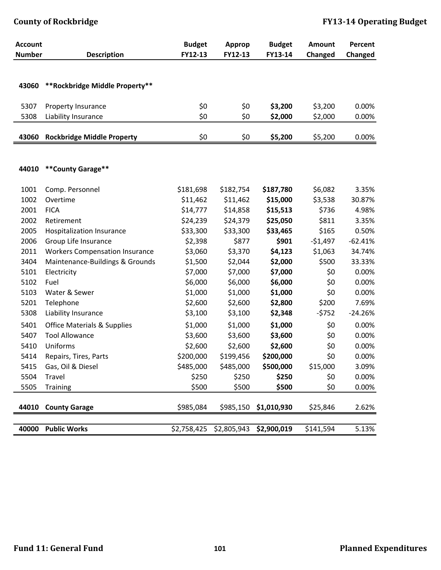| <b>Account</b> |                                        | <b>Budget</b> | <b>Approp</b> | <b>Budget</b> | <b>Amount</b> | Percent   |
|----------------|----------------------------------------|---------------|---------------|---------------|---------------|-----------|
| <b>Number</b>  | <b>Description</b>                     | FY12-13       | FY12-13       | FY13-14       | Changed       | Changed   |
|                |                                        |               |               |               |               |           |
|                |                                        |               |               |               |               |           |
| 43060          | **Rockbridge Middle Property**         |               |               |               |               |           |
| 5307           | Property Insurance                     | \$0           | \$0           | \$3,200       | \$3,200       | 0.00%     |
| 5308           | Liability Insurance                    | \$0           | \$0           | \$2,000       | \$2,000       | 0.00%     |
|                |                                        |               |               |               |               |           |
| 43060          | <b>Rockbridge Middle Property</b>      | \$0           | \$0           | \$5,200       | \$5,200       | 0.00%     |
|                |                                        |               |               |               |               |           |
|                |                                        |               |               |               |               |           |
| 44010          | **County Garage**                      |               |               |               |               |           |
| 1001           | Comp. Personnel                        | \$181,698     | \$182,754     | \$187,780     | \$6,082       | 3.35%     |
| 1002           | Overtime                               | \$11,462      | \$11,462      | \$15,000      | \$3,538       | 30.87%    |
| 2001           | <b>FICA</b>                            | \$14,777      | \$14,858      | \$15,513      | \$736         | 4.98%     |
| 2002           | Retirement                             | \$24,239      | \$24,379      | \$25,050      | \$811         | 3.35%     |
| 2005           | Hospitalization Insurance              | \$33,300      | \$33,300      | \$33,465      | \$165         | 0.50%     |
| 2006           | Group Life Insurance                   | \$2,398       | \$877         | \$901         | $-51,497$     | $-62.41%$ |
| 2011           | <b>Workers Compensation Insurance</b>  | \$3,060       | \$3,370       | \$4,123       | \$1,063       | 34.74%    |
| 3404           | Maintenance-Buildings & Grounds        | \$1,500       | \$2,044       | \$2,000       | \$500         | 33.33%    |
| 5101           | Electricity                            | \$7,000       | \$7,000       | \$7,000       | \$0           | 0.00%     |
| 5102           | Fuel                                   | \$6,000       | \$6,000       | \$6,000       | \$0           | 0.00%     |
| 5103           | Water & Sewer                          | \$1,000       | \$1,000       | \$1,000       | \$0           | 0.00%     |
| 5201           | Telephone                              | \$2,600       | \$2,600       | \$2,800       | \$200         | 7.69%     |
| 5308           | Liability Insurance                    | \$3,100       | \$3,100       | \$2,348       | $-5752$       | $-24.26%$ |
| 5401           | <b>Office Materials &amp; Supplies</b> | \$1,000       | \$1,000       | \$1,000       | \$0           | 0.00%     |
| 5407           | <b>Tool Allowance</b>                  | \$3,600       | \$3,600       | \$3,600       | \$0           | 0.00%     |
| 5410           | Uniforms                               | \$2,600       | \$2,600       | \$2,600       | \$0           | 0.00%     |
| 5414           | Repairs, Tires, Parts                  | \$200,000     | \$199,456     | \$200,000     | \$0           | 0.00%     |
| 5415           | Gas, Oil & Diesel                      | \$485,000     | \$485,000     | \$500,000     | \$15,000      | 3.09%     |
| 5504           | Travel                                 | \$250         | \$250         | \$250         | \$0           | 0.00%     |
| 5505           | <b>Training</b>                        | \$500         | \$500         | \$500         | \$0           | 0.00%     |
|                |                                        |               |               |               |               |           |
| 44010          | <b>County Garage</b>                   | \$985,084     | \$985,150     | \$1,010,930   | \$25,846      | 2.62%     |
| 40000          |                                        |               |               |               |               |           |
|                | <b>Public Works</b>                    | \$2,758,425   | \$2,805,943   | \$2,900,019   | \$141,594     | 5.13%     |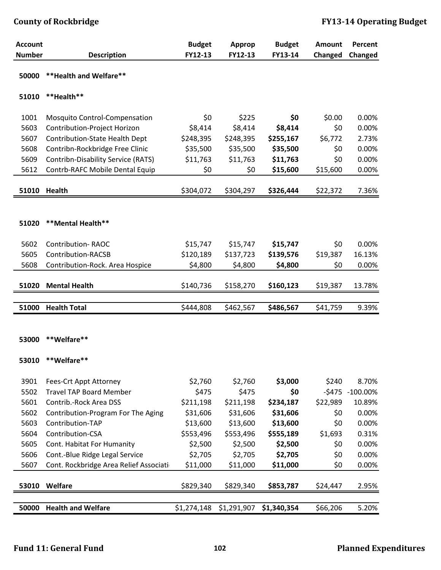| <b>Account</b> |                                        | <b>Budget</b> | <b>Approp</b> | <b>Budget</b> | Amount   | Percent     |
|----------------|----------------------------------------|---------------|---------------|---------------|----------|-------------|
| <b>Number</b>  | <b>Description</b>                     | FY12-13       | FY12-13       | FY13-14       | Changed  | Changed     |
| 50000          | ** Health and Welfare**                |               |               |               |          |             |
| 51010          | **Health**                             |               |               |               |          |             |
| 1001           | Mosquito Control-Compensation          | \$0           | \$225         | \$0           | \$0.00   | 0.00%       |
| 5603           | Contribution-Project Horizon           | \$8,414       | \$8,414       | \$8,414       | \$0      | 0.00%       |
| 5607           | Contribution-State Health Dept         | \$248,395     | \$248,395     | \$255,167     | \$6,772  | 2.73%       |
| 5608           | Contribn-Rockbridge Free Clinic        | \$35,500      | \$35,500      | \$35,500      | \$0      | 0.00%       |
| 5609           | Contribn-Disability Service (RATS)     | \$11,763      | \$11,763      | \$11,763      | \$0      | 0.00%       |
| 5612           | Contrb-RAFC Mobile Dental Equip        | \$0           | \$0           | \$15,600      | \$15,600 | 0.00%       |
| 51010          | <b>Health</b>                          | \$304,072     | \$304,297     | \$326,444     | \$22,372 | 7.36%       |
|                |                                        |               |               |               |          |             |
|                |                                        |               |               |               |          |             |
| 51020          | **Mental Health**                      |               |               |               |          |             |
|                |                                        |               |               |               |          |             |
| 5602           | <b>Contribution-RAOC</b>               | \$15,747      | \$15,747      | \$15,747      | \$0      | 0.00%       |
| 5605           | Contribution-RACSB                     | \$120,189     | \$137,723     | \$139,576     | \$19,387 | 16.13%      |
| 5608           | Contribution-Rock. Area Hospice        | \$4,800       | \$4,800       | \$4,800       | \$0      | 0.00%       |
| 51020          | <b>Mental Health</b>                   | \$140,736     | \$158,270     | \$160,123     | \$19,387 | 13.78%      |
|                |                                        |               |               |               |          |             |
| 51000          | <b>Health Total</b>                    | \$444,808     | \$462,567     | \$486,567     | \$41,759 | 9.39%       |
|                |                                        |               |               |               |          |             |
| 53000          | **Welfare**                            |               |               |               |          |             |
|                |                                        |               |               |               |          |             |
|                |                                        |               |               |               |          |             |
| 53010          | **Welfare**                            |               |               |               |          |             |
| 3901           | Fees-Crt Appt Attorney                 | \$2,760       | \$2,760       | \$3,000       | \$240    | 8.70%       |
| 5502           | <b>Travel TAP Board Member</b>         | \$475         | \$475         | \$0           | $-5475$  | $-100.00\%$ |
| 5601           | Contrib.-Rock Area DSS                 | \$211,198     | \$211,198     | \$234,187     | \$22,989 | 10.89%      |
| 5602           | Contribution-Program For The Aging     | \$31,606      | \$31,606      | \$31,606      | \$0      | 0.00%       |
| 5603           | Contribution-TAP                       | \$13,600      | \$13,600      | \$13,600      | \$0      | 0.00%       |
| 5604           | Contribution-CSA                       | \$553,496     | \$553,496     | \$555,189     | \$1,693  | 0.31%       |
| 5605           | Cont. Habitat For Humanity             | \$2,500       | \$2,500       | \$2,500       | \$0      | 0.00%       |
| 5606           | Cont.-Blue Ridge Legal Service         | \$2,705       | \$2,705       | \$2,705       | \$0      | 0.00%       |
| 5607           | Cont. Rockbridge Area Relief Associati | \$11,000      | \$11,000      | \$11,000      | \$0      | 0.00%       |
| 53010          | Welfare                                | \$829,340     | \$829,340     | \$853,787     | \$24,447 | 2.95%       |
|                |                                        |               |               |               |          |             |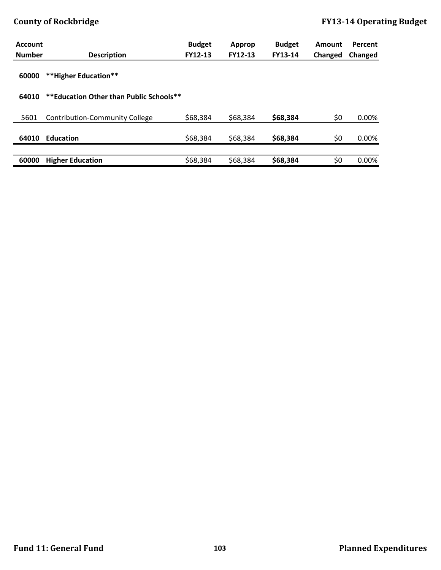| <b>Account</b> |                                         | <b>Budget</b> | Approp   | <b>Budget</b> | Amount  | Percent |
|----------------|-----------------------------------------|---------------|----------|---------------|---------|---------|
| <b>Number</b>  | <b>Description</b>                      | FY12-13       | FY12-13  | FY13-14       | Changed | Changed |
| 60000          | **Higher Education**                    |               |          |               |         |         |
| 64010          | **Education Other than Public Schools** |               |          |               |         |         |
|                |                                         |               |          |               |         |         |
| 5601           | Contribution-Community College          | \$68,384      | \$68,384 | \$68,384      | \$0     | 0.00%   |
|                |                                         |               |          |               |         |         |
| 64010          | <b>Education</b>                        | \$68,384      | \$68,384 | \$68,384      | \$0     | 0.00%   |
|                |                                         |               |          |               |         |         |
| 60000          | <b>Higher Education</b>                 | \$68,384      | \$68,384 | \$68,384      | \$0     | 0.00%   |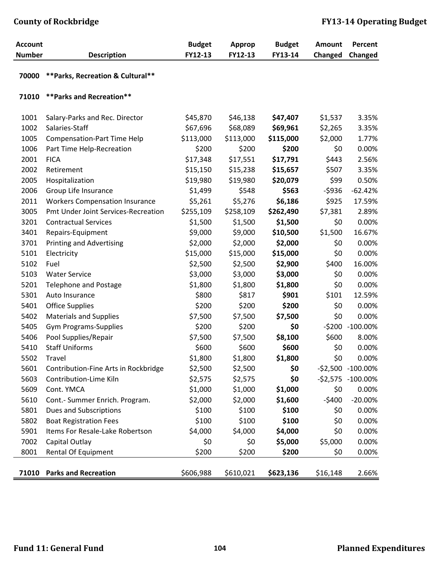| <b>Account</b><br><b>Number</b> | <b>Description</b>                    | <b>Budget</b><br>FY12-13 | <b>Approp</b><br>FY12-13 | <b>Budget</b><br>FY13-14 | <b>Amount</b><br>Changed | Percent<br>Changed  |
|---------------------------------|---------------------------------------|--------------------------|--------------------------|--------------------------|--------------------------|---------------------|
|                                 |                                       |                          |                          |                          |                          |                     |
| 70000                           | ** Parks, Recreation & Cultural**     |                          |                          |                          |                          |                     |
| 71010                           | ** Parks and Recreation**             |                          |                          |                          |                          |                     |
| 1001                            | Salary-Parks and Rec. Director        | \$45,870                 | \$46,138                 | \$47,407                 | \$1,537                  | 3.35%               |
| 1002                            | Salaries-Staff                        | \$67,696                 | \$68,089                 | \$69,961                 | \$2,265                  | 3.35%               |
| 1005                            | <b>Compensation-Part Time Help</b>    | \$113,000                | \$113,000                | \$115,000                | \$2,000                  | 1.77%               |
| 1006                            | Part Time Help-Recreation             | \$200                    | \$200                    | \$200                    | \$0                      | 0.00%               |
| 2001                            | <b>FICA</b>                           | \$17,348                 | \$17,551                 | \$17,791                 | \$443                    | 2.56%               |
| 2002                            | Retirement                            | \$15,150                 | \$15,238                 | \$15,657                 | \$507                    | 3.35%               |
| 2005                            | Hospitalization                       | \$19,980                 | \$19,980                 | \$20,079                 | \$99                     | 0.50%               |
| 2006                            | Group Life Insurance                  | \$1,499                  | \$548                    | \$563                    | $-5936$                  | $-62.42%$           |
| 2011                            | <b>Workers Compensation Insurance</b> | \$5,261                  | \$5,276                  | \$6,186                  | \$925                    | 17.59%              |
| 3005                            | Pmt Under Joint Services-Recreation   | \$255,109                | \$258,109                | \$262,490                | \$7,381                  | 2.89%               |
| 3201                            | <b>Contractual Services</b>           | \$1,500                  | \$1,500                  | \$1,500                  | \$0                      | 0.00%               |
| 3401                            | Repairs-Equipment                     | \$9,000                  | \$9,000                  | \$10,500                 | \$1,500                  | 16.67%              |
| 3701                            | <b>Printing and Advertising</b>       | \$2,000                  | \$2,000                  | \$2,000                  | \$0                      | 0.00%               |
| 5101                            | Electricity                           | \$15,000                 | \$15,000                 | \$15,000                 | \$0                      | 0.00%               |
| 5102                            | Fuel                                  | \$2,500                  | \$2,500                  | \$2,900                  | \$400                    | 16.00%              |
| 5103                            | <b>Water Service</b>                  | \$3,000                  | \$3,000                  | \$3,000                  | \$0                      | 0.00%               |
| 5201                            | Telephone and Postage                 | \$1,800                  | \$1,800                  | \$1,800                  | \$0                      | 0.00%               |
| 5301                            | Auto Insurance                        | \$800                    | \$817                    | \$901                    | \$101                    | 12.59%              |
| 5401                            | <b>Office Supplies</b>                | \$200                    | \$200                    | \$200                    | \$0                      | 0.00%               |
| 5402                            | <b>Materials and Supplies</b>         | \$7,500                  | \$7,500                  | \$7,500                  | \$0                      | 0.00%               |
| 5405                            | <b>Gym Programs-Supplies</b>          | \$200                    | \$200                    | \$0                      |                          | -\$200 -100.00%     |
| 5406                            | Pool Supplies/Repair                  | \$7,500                  | \$7,500                  | \$8,100                  | \$600                    | 8.00%               |
| 5410                            | <b>Staff Uniforms</b>                 | \$600                    | \$600                    | \$600                    | \$0                      | 0.00%               |
| 5502                            | Travel                                | \$1,800                  | \$1,800                  | \$1,800                  | \$0                      | 0.00%               |
| 5601                            | Contribution-Fine Arts in Rockbridge  | \$2,500                  | \$2,500                  | \$0                      |                          | $-52,500 -100.00\%$ |
| 5603                            | Contribution-Lime Kiln                | \$2,575                  | \$2,575                  | \$0                      |                          | -\$2,575 -100.00%   |
| 5609                            | Cont. YMCA                            | \$1,000                  | \$1,000                  | \$1,000                  | \$0                      | 0.00%               |
| 5610                            | Cont.- Summer Enrich. Program.        | \$2,000                  | \$2,000                  | \$1,600                  | $-5400$                  | $-20.00\%$          |
| 5801                            | <b>Dues and Subscriptions</b>         | \$100                    | \$100                    | \$100                    | \$0                      | 0.00%               |
| 5802                            | <b>Boat Registration Fees</b>         | \$100                    | \$100                    | \$100                    | \$0                      | 0.00%               |
| 5901                            | Items For Resale-Lake Robertson       | \$4,000                  | \$4,000                  | \$4,000                  | \$0                      | 0.00%               |
| 7002                            | Capital Outlay                        | \$0                      | \$0                      | \$5,000                  | \$5,000                  | 0.00%               |
| 8001                            | <b>Rental Of Equipment</b>            | \$200                    | \$200                    | \$200                    | \$0                      | 0.00%               |
|                                 | 71010 Parks and Recreation            | \$606,988                | \$610,021                | \$623,136                | \$16,148                 | 2.66%               |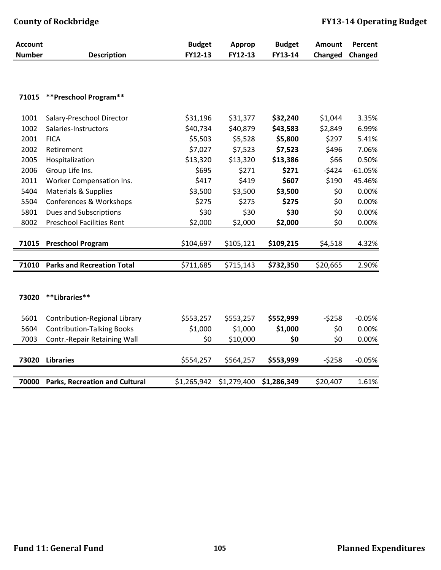| <b>Account</b> |                                       | <b>Budget</b> | <b>Approp</b> | <b>Budget</b> | Amount   | Percent   |
|----------------|---------------------------------------|---------------|---------------|---------------|----------|-----------|
| <b>Number</b>  | <b>Description</b>                    | FY12-13       | FY12-13       | FY13-14       | Changed  | Changed   |
|                |                                       |               |               |               |          |           |
| 71015          | **Preschool Program**                 |               |               |               |          |           |
|                |                                       |               |               |               |          |           |
| 1001           | Salary-Preschool Director             | \$31,196      | \$31,377      | \$32,240      | \$1,044  | 3.35%     |
| 1002           | Salaries-Instructors                  | \$40,734      | \$40,879      | \$43,583      | \$2,849  | 6.99%     |
| 2001           | <b>FICA</b>                           | \$5,503       | \$5,528       | \$5,800       | \$297    | 5.41%     |
| 2002           | Retirement                            | \$7,027       | \$7,523       | \$7,523       | \$496    | 7.06%     |
| 2005           | Hospitalization                       | \$13,320      | \$13,320      | \$13,386      | \$66     | 0.50%     |
| 2006           | Group Life Ins.                       | \$695         | \$271         | \$271         | $-5424$  | $-61.05%$ |
| 2011           | Worker Compensation Ins.              | \$417         | \$419         | \$607         | \$190    | 45.46%    |
| 5404           | Materials & Supplies                  | \$3,500       | \$3,500       | \$3,500       | \$0      | 0.00%     |
| 5504           | Conferences & Workshops               | \$275         | \$275         | \$275         | \$0      | 0.00%     |
| 5801           | Dues and Subscriptions                | \$30          | \$30          | \$30          | \$0      | 0.00%     |
| 8002           | <b>Preschool Facilities Rent</b>      | \$2,000       | \$2,000       | \$2,000       | \$0      | 0.00%     |
|                |                                       |               |               |               |          |           |
| 71015          | <b>Preschool Program</b>              | \$104,697     | \$105,121     | \$109,215     | \$4,518  | 4.32%     |
|                |                                       |               |               |               |          |           |
| 71010          | <b>Parks and Recreation Total</b>     | \$711,685     | \$715,143     | \$732,350     | \$20,665 | 2.90%     |
|                |                                       |               |               |               |          |           |
|                |                                       |               |               |               |          |           |
| 73020          | **Libraries**                         |               |               |               |          |           |
|                |                                       |               |               |               |          |           |
| 5601           | Contribution-Regional Library         | \$553,257     | \$553,257     | \$552,999     | $-5258$  | $-0.05%$  |
| 5604           | <b>Contribution-Talking Books</b>     | \$1,000       | \$1,000       | \$1,000       | \$0      | 0.00%     |
| 7003           | Contr.-Repair Retaining Wall          | \$0           | \$10,000      | \$0           | \$0      | 0.00%     |
|                |                                       |               |               |               |          |           |
| 73020          | <b>Libraries</b>                      | \$554,257     | \$564,257     | \$553,999     | $-5258$  | $-0.05%$  |
|                |                                       |               |               |               |          |           |
| 70000          | <b>Parks, Recreation and Cultural</b> | \$1,265,942   | \$1,279,400   | \$1,286,349   | \$20,407 | 1.61%     |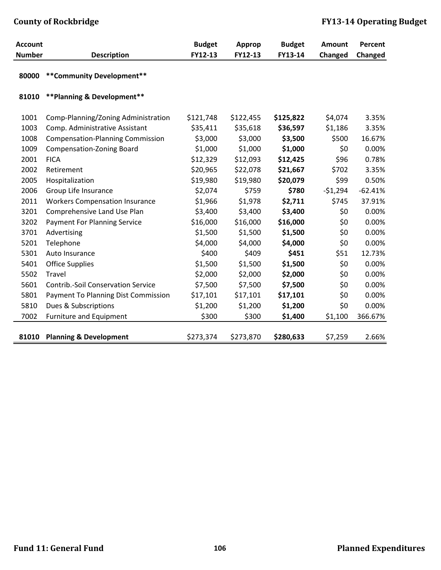| <b>Account</b> |                                            | <b>Budget</b> | <b>Approp</b> | <b>Budget</b> | <b>Amount</b> | Percent   |
|----------------|--------------------------------------------|---------------|---------------|---------------|---------------|-----------|
| <b>Number</b>  | <b>Description</b>                         | FY12-13       | FY12-13       | FY13-14       | Changed       | Changed   |
| 80000          | ** Community Development**                 |               |               |               |               |           |
| 81010          | ** Planning & Development**                |               |               |               |               |           |
| 1001           | Comp-Planning/Zoning Administration        | \$121,748     | \$122,455     | \$125,822     | \$4,074       | 3.35%     |
| 1003           | Comp. Administrative Assistant             | \$35,411      | \$35,618      | \$36,597      | \$1,186       | 3.35%     |
| 1008           | <b>Compensation-Planning Commission</b>    | \$3,000       | \$3,000       | \$3,500       | \$500         | 16.67%    |
| 1009           | <b>Compensation-Zoning Board</b>           | \$1,000       | \$1,000       | \$1,000       | \$0           | 0.00%     |
| 2001           | <b>FICA</b>                                | \$12,329      | \$12,093      | \$12,425      | \$96          | 0.78%     |
| 2002           | Retirement                                 | \$20,965      | \$22,078      | \$21,667      | \$702         | 3.35%     |
| 2005           | Hospitalization                            | \$19,980      | \$19,980      | \$20,079      | \$99          | 0.50%     |
| 2006           | Group Life Insurance                       | \$2,074       | \$759         | \$780         | $-51,294$     | $-62.41%$ |
| 2011           | <b>Workers Compensation Insurance</b>      | \$1,966       | \$1,978       | \$2,711       | \$745         | 37.91%    |
| 3201           | Comprehensive Land Use Plan                | \$3,400       | \$3,400       | \$3,400       | \$0           | 0.00%     |
| 3202           | <b>Payment For Planning Service</b>        | \$16,000      | \$16,000      | \$16,000      | \$0           | 0.00%     |
| 3701           | Advertising                                | \$1,500       | \$1,500       | \$1,500       | \$0           | 0.00%     |
| 5201           | Telephone                                  | \$4,000       | \$4,000       | \$4,000       | \$0           | 0.00%     |
| 5301           | Auto Insurance                             | \$400         | \$409         | \$451         | \$51          | 12.73%    |
| 5401           | <b>Office Supplies</b>                     | \$1,500       | \$1,500       | \$1,500       | \$0           | 0.00%     |
| 5502           | Travel                                     | \$2,000       | \$2,000       | \$2,000       | \$0           | 0.00%     |
| 5601           | <b>Contrib.-Soil Conservation Service</b>  | \$7,500       | \$7,500       | \$7,500       | \$0           | 0.00%     |
| 5801           | <b>Payment To Planning Dist Commission</b> | \$17,101      | \$17,101      | \$17,101      | \$0           | 0.00%     |
| 5810           | Dues & Subscriptions                       | \$1,200       | \$1,200       | \$1,200       | \$0           | 0.00%     |
| 7002           | <b>Furniture and Equipment</b>             | \$300         | \$300         | \$1,400       | \$1,100       | 366.67%   |
|                |                                            |               |               |               |               |           |
| 81010          | <b>Planning &amp; Development</b>          | \$273,374     | \$273,870     | \$280,633     | \$7,259       | 2.66%     |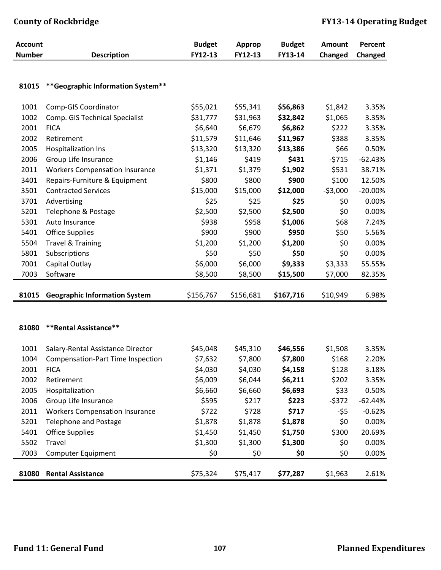| <b>Account</b> |                                          | <b>Budget</b> | <b>Approp</b> | <b>Budget</b> | Amount    | Percent   |
|----------------|------------------------------------------|---------------|---------------|---------------|-----------|-----------|
| <b>Number</b>  | <b>Description</b>                       | FY12-13       | FY12-13       | FY13-14       | Changed   | Changed   |
|                |                                          |               |               |               |           |           |
| 81015          | ** Geographic Information System**       |               |               |               |           |           |
|                |                                          |               |               |               |           |           |
| 1001           | Comp-GIS Coordinator                     | \$55,021      | \$55,341      | \$56,863      | \$1,842   | 3.35%     |
| 1002           | Comp. GIS Technical Specialist           | \$31,777      | \$31,963      | \$32,842      | \$1,065   | 3.35%     |
| 2001           | <b>FICA</b>                              | \$6,640       | \$6,679       | \$6,862       | \$222     | 3.35%     |
| 2002           | Retirement                               | \$11,579      | \$11,646      | \$11,967      | \$388     | 3.35%     |
| 2005           | <b>Hospitalization Ins</b>               | \$13,320      | \$13,320      | \$13,386      | \$66      | 0.50%     |
| 2006           | Group Life Insurance                     | \$1,146       | \$419         | \$431         | $-5715$   | $-62.43%$ |
| 2011           | <b>Workers Compensation Insurance</b>    | \$1,371       | \$1,379       | \$1,902       | \$531     | 38.71%    |
| 3401           | Repairs-Furniture & Equipment            | \$800         | \$800         | \$900         | \$100     | 12.50%    |
| 3501           | <b>Contracted Services</b>               | \$15,000      | \$15,000      | \$12,000      | $-53,000$ | $-20.00%$ |
| 3701           | Advertising                              | \$25          | \$25          | \$25          | \$0       | 0.00%     |
| 5201           | Telephone & Postage                      | \$2,500       | \$2,500       | \$2,500       | \$0       | 0.00%     |
| 5301           | Auto Insurance                           | \$938         | \$958         | \$1,006       | \$68      | 7.24%     |
| 5401           | <b>Office Supplies</b>                   | \$900         | \$900         | \$950         | \$50      | 5.56%     |
| 5504           | <b>Travel &amp; Training</b>             | \$1,200       | \$1,200       | \$1,200       | \$0       | 0.00%     |
| 5801           | Subscriptions                            | \$50          | \$50          | \$50          | \$0       | 0.00%     |
| 7001           | Capital Outlay                           | \$6,000       | \$6,000       | \$9,333       | \$3,333   | 55.55%    |
| 7003           | Software                                 | \$8,500       | \$8,500       | \$15,500      | \$7,000   | 82.35%    |
|                |                                          |               |               |               |           |           |
| 81015          | <b>Geographic Information System</b>     | \$156,767     | \$156,681     | \$167,716     | \$10,949  | 6.98%     |
|                |                                          |               |               |               |           |           |
|                |                                          |               |               |               |           |           |
| 81080          | **Rental Assistance**                    |               |               |               |           |           |
| 1001           | Salary-Rental Assistance Director        | \$45,048      | \$45,310      | \$46,556      | \$1,508   | 3.35%     |
| 1004           | <b>Compensation-Part Time Inspection</b> | \$7,632       | \$7,800       | \$7,800       | \$168     | 2.20%     |
| 2001           | <b>FICA</b>                              | \$4,030       | \$4,030       | \$4,158       | \$128     | 3.18%     |
| 2002           | Retirement                               | \$6,009       | \$6,044       | \$6,211       | \$202     | 3.35%     |
| 2005           | Hospitalization                          | \$6,660       | \$6,660       | \$6,693       | \$33      | 0.50%     |
| 2006           | Group Life Insurance                     | \$595         | \$217         | \$223         | $-5372$   | $-62.44%$ |
| 2011           | <b>Workers Compensation Insurance</b>    | \$722         | \$728         | \$717         | -\$5      | $-0.62%$  |
| 5201           | <b>Telephone and Postage</b>             | \$1,878       | \$1,878       | \$1,878       | \$0       | 0.00%     |
| 5401           | <b>Office Supplies</b>                   | \$1,450       | \$1,450       | \$1,750       | \$300     | 20.69%    |
| 5502           | Travel                                   | \$1,300       | \$1,300       | \$1,300       | \$0       | 0.00%     |
| 7003           | <b>Computer Equipment</b>                | \$0           | \$0           | \$0           | \$0       | 0.00%     |
|                |                                          |               |               |               |           |           |
| 81080          | <b>Rental Assistance</b>                 | \$75,324      | \$75,417      | \$77,287      | \$1,963   | 2.61%     |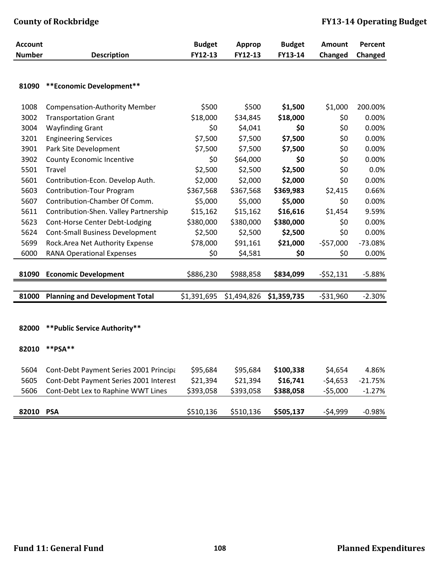| <b>Account</b> |                                        | <b>Budget</b> | <b>Approp</b> | <b>Budget</b> | Amount     | Percent   |
|----------------|----------------------------------------|---------------|---------------|---------------|------------|-----------|
| <b>Number</b>  | <b>Description</b>                     | FY12-13       | FY12-13       | FY13-14       | Changed    | Changed   |
| 81090          | ** Economic Development**              |               |               |               |            |           |
| 1008           | <b>Compensation-Authority Member</b>   | \$500         | \$500         | \$1,500       | \$1,000    | 200.00%   |
| 3002           | <b>Transportation Grant</b>            | \$18,000      | \$34,845      | \$18,000      | \$0        | 0.00%     |
| 3004           | <b>Wayfinding Grant</b>                | \$0           | \$4,041       | \$0           | \$0        | 0.00%     |
| 3201           | <b>Engineering Services</b>            | \$7,500       | \$7,500       | \$7,500       | \$0        | 0.00%     |
| 3901           | Park Site Development                  | \$7,500       | \$7,500       | \$7,500       | \$0        | 0.00%     |
| 3902           | <b>County Economic Incentive</b>       | \$0           | \$64,000      | \$0           | \$0        | 0.00%     |
| 5501           | Travel                                 | \$2,500       | \$2,500       | \$2,500       | \$0        | 0.0%      |
| 5601           | Contribution-Econ. Develop Auth.       | \$2,000       | \$2,000       | \$2,000       | \$0        | 0.00%     |
| 5603           | <b>Contribution-Tour Program</b>       | \$367,568     | \$367,568     | \$369,983     | \$2,415    | 0.66%     |
| 5607           | Contribution-Chamber Of Comm.          | \$5,000       | \$5,000       | \$5,000       | \$0        | 0.00%     |
| 5611           | Contribution-Shen. Valley Partnership  | \$15,162      | \$15,162      | \$16,616      | \$1,454    | 9.59%     |
| 5623           | Cont-Horse Center Debt-Lodging         | \$380,000     | \$380,000     | \$380,000     | \$0        | 0.00%     |
| 5624           | <b>Cont-Small Business Development</b> | \$2,500       | \$2,500       | \$2,500       | \$0        | 0.00%     |
| 5699           | Rock.Area Net Authority Expense        | \$78,000      | \$91,161      | \$21,000      | $-$57,000$ | $-73.08%$ |
| 6000           | <b>RANA Operational Expenses</b>       | \$0           | \$4,581       | \$0           | \$0        | 0.00%     |
| 81090          | <b>Economic Development</b>            | \$886,230     | \$988,858     | \$834,099     | $-552,131$ | $-5.88%$  |
|                |                                        |               |               |               |            |           |
| 81000          | <b>Planning and Development Total</b>  | \$1,391,695   | \$1,494,826   | \$1,359,735   | $-531,960$ | $-2.30%$  |
| 82000          | ** Public Service Authority**          |               |               |               |            |           |
| 82010          | ** $PSA$ **                            |               |               |               |            |           |
| 5604           | Cont-Debt Payment Series 2001 Principa | \$95,684      | \$95,684      | \$100,338     | \$4,654    | 4.86%     |
| 5605           | Cont-Debt Payment Series 2001 Interest | \$21,394      | \$21,394      | \$16,741      | $-54,653$  | $-21.75%$ |
| 5606           | Cont-Debt Lex to Raphine WWT Lines     | \$393,058     | \$393,058     | \$388,058     | $-55,000$  | $-1.27%$  |
| 82010 PSA      |                                        | \$510,136     | \$510,136     | \$505,137     | $-54,999$  | $-0.98%$  |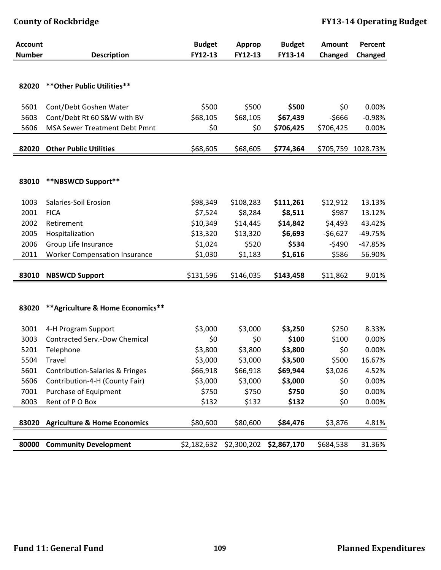| <b>Account</b> |                                         | <b>Budget</b> | Approp      | <b>Budget</b> | Amount    | Percent   |
|----------------|-----------------------------------------|---------------|-------------|---------------|-----------|-----------|
| <b>Number</b>  | <b>Description</b>                      | FY12-13       | FY12-13     | FY13-14       | Changed   | Changed   |
|                |                                         |               |             |               |           |           |
| 82020          | ** Other Public Utilities**             |               |             |               |           |           |
|                |                                         |               |             |               |           |           |
| 5601           | Cont/Debt Goshen Water                  | \$500         | \$500       | \$500         | \$0       | 0.00%     |
| 5603           | Cont/Debt Rt 60 S&W with BV             | \$68,105      | \$68,105    | \$67,439      | $-5666$   | $-0.98%$  |
| 5606           | <b>MSA Sewer Treatment Debt Pmnt</b>    | \$0           | \$0         | \$706,425     | \$706,425 | 0.00%     |
|                |                                         |               |             |               |           |           |
| 82020          | <b>Other Public Utilities</b>           | \$68,605      | \$68,605    | \$774,364     | \$705,759 | 1028.73%  |
|                |                                         |               |             |               |           |           |
|                |                                         |               |             |               |           |           |
| 83010          | **NBSWCD Support**                      |               |             |               |           |           |
| 1003           | Salaries-Soil Erosion                   | \$98,349      | \$108,283   | \$111,261     | \$12,912  | 13.13%    |
| 2001           | <b>FICA</b>                             | \$7,524       | \$8,284     | \$8,511       | \$987     | 13.12%    |
| 2002           | Retirement                              | \$10,349      | \$14,445    | \$14,842      | \$4,493   | 43.42%    |
| 2005           |                                         | \$13,320      | \$13,320    | \$6,693       | $-56,627$ | $-49.75%$ |
|                | Hospitalization                         |               |             | \$534         |           |           |
| 2006           | Group Life Insurance                    | \$1,024       | \$520       |               | $-5490$   | $-47.85%$ |
| 2011           | <b>Worker Compensation Insurance</b>    | \$1,030       | \$1,183     | \$1,616       | \$586     | 56.90%    |
| 83010          | <b>NBSWCD Support</b>                   | \$131,596     | \$146,035   | \$143,458     | \$11,862  | 9.01%     |
|                |                                         |               |             |               |           |           |
|                |                                         |               |             |               |           |           |
| 83020          | ** Agriculture & Home Economics**       |               |             |               |           |           |
|                |                                         |               |             |               |           |           |
| 3001           | 4-H Program Support                     | \$3,000       | \$3,000     | \$3,250       | \$250     | 8.33%     |
| 3003           | <b>Contracted Serv.-Dow Chemical</b>    | \$0           | \$0         | \$100         | \$100     | 0.00%     |
| 5201           | Telephone                               | \$3,800       | \$3,800     | \$3,800       | \$0       | 0.00%     |
| 5504           | Travel                                  | \$3,000       | \$3,000     | \$3,500       | \$500     | 16.67%    |
| 5601           | Contribution-Salaries & Fringes         | \$66,918      | \$66,918    | \$69,944      | \$3,026   | 4.52%     |
| 5606           | Contribution-4-H (County Fair)          | \$3,000       | \$3,000     | \$3,000       | \$0       | 0.00%     |
| 7001           | Purchase of Equipment                   | \$750         | \$750       | \$750         | \$0       | 0.00%     |
| 8003           | Rent of P O Box                         | \$132         | \$132       | \$132         | \$0       | 0.00%     |
|                |                                         |               |             |               |           |           |
| 83020          | <b>Agriculture &amp; Home Economics</b> | \$80,600      | \$80,600    | \$84,476      | \$3,876   | 4.81%     |
|                |                                         |               |             |               |           |           |
| 80000          | <b>Community Development</b>            | \$2,182,632   | \$2,300,202 | \$2,867,170   | \$684,538 | 31.36%    |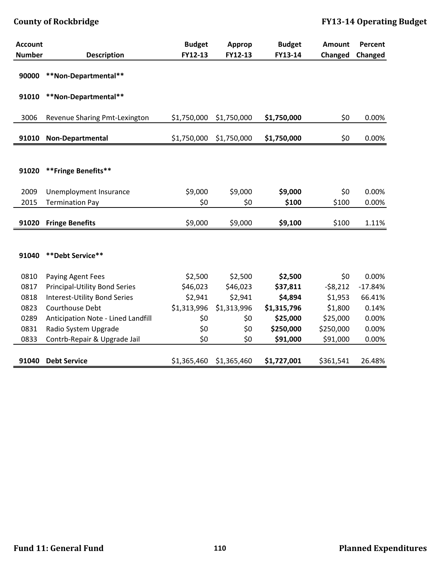| <b>Account</b> |                                      | <b>Budget</b> | Approp      | <b>Budget</b> | <b>Amount</b> | Percent   |
|----------------|--------------------------------------|---------------|-------------|---------------|---------------|-----------|
| <b>Number</b>  | <b>Description</b>                   | FY12-13       | FY12-13     | FY13-14       | Changed       | Changed   |
| 90000          | **Non-Departmental**                 |               |             |               |               |           |
| 91010          | **Non-Departmental**                 |               |             |               |               |           |
| 3006           | Revenue Sharing Pmt-Lexington        | \$1,750,000   | \$1,750,000 | \$1,750,000   | \$0           | 0.00%     |
| 91010          | <b>Non-Departmental</b>              | \$1,750,000   | \$1,750,000 | \$1,750,000   | \$0           | 0.00%     |
|                |                                      |               |             |               |               |           |
| 91020          | **Fringe Benefits**                  |               |             |               |               |           |
| 2009           | Unemployment Insurance               | \$9,000       | \$9,000     | \$9,000       | \$0           | 0.00%     |
| 2015           | <b>Termination Pay</b>               | \$0           | \$0         | \$100         | \$100         | 0.00%     |
| 91020          | <b>Fringe Benefits</b>               | \$9,000       | \$9,000     | \$9,100       | \$100         | 1.11%     |
|                |                                      |               |             |               |               |           |
|                |                                      |               |             |               |               |           |
| 91040          | **Debt Service**                     |               |             |               |               |           |
| 0810           | Paying Agent Fees                    | \$2,500       | \$2,500     | \$2,500       | \$0           | 0.00%     |
| 0817           | <b>Principal-Utility Bond Series</b> | \$46,023      | \$46,023    | \$37,811      | $-58,212$     | $-17.84%$ |
| 0818           | Interest-Utility Bond Series         | \$2,941       | \$2,941     | \$4,894       | \$1,953       | 66.41%    |
| 0823           | Courthouse Debt                      | \$1,313,996   | \$1,313,996 | \$1,315,796   | \$1,800       | 0.14%     |
| 0289           | Anticipation Note - Lined Landfill   | \$0           | \$0         | \$25,000      | \$25,000      | 0.00%     |
| 0831           | Radio System Upgrade                 | \$0           | \$0         | \$250,000     | \$250,000     | 0.00%     |
| 0833           | Contrb-Repair & Upgrade Jail         | \$0           | \$0         | \$91,000      | \$91,000      | 0.00%     |
|                |                                      |               |             |               |               |           |
| 91040          | <b>Debt Service</b>                  | \$1,365,460   | \$1,365,460 | \$1,727,001   | \$361,541     | 26.48%    |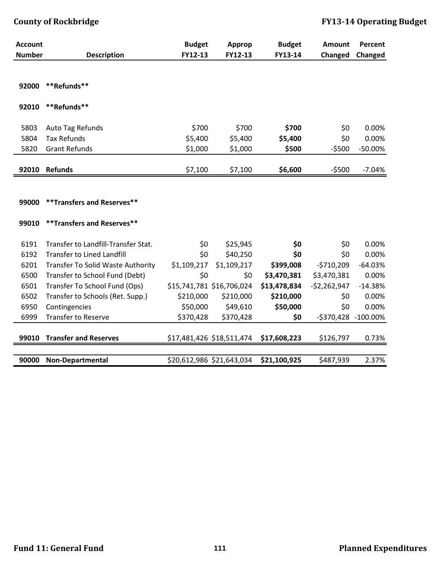| <b>Account</b> |                                     | <b>Budget</b> | <b>Approp</b>             | <b>Budget</b> | <b>Amount</b> | Percent     |
|----------------|-------------------------------------|---------------|---------------------------|---------------|---------------|-------------|
| <b>Number</b>  | <b>Description</b>                  | FY12-13       | FY12-13                   | FY13-14       | Changed       | Changed     |
| 92000          | **Refunds**                         |               |                           |               |               |             |
| 92010          | **Refunds**                         |               |                           |               |               |             |
| 5803           | Auto Tag Refunds                    | \$700         | \$700                     | \$700         | \$0           | 0.00%       |
| 5804           | <b>Tax Refunds</b>                  | \$5,400       | \$5,400                   | \$5,400       | \$0           | 0.00%       |
| 5820           | <b>Grant Refunds</b>                | \$1,000       | \$1,000                   | \$500         | $-5500$       | -50.00%     |
| 92010          | <b>Refunds</b>                      | \$7,100       | \$7,100                   | \$6,600       | $-5500$       | $-7.04%$    |
|                |                                     |               |                           |               |               |             |
| 99000          | ** Transfers and Reserves**         |               |                           |               |               |             |
| 99010          | **Transfers and Reserves**          |               |                           |               |               |             |
| 6191           | Transfer to Landfill-Transfer Stat. | \$0           | \$25,945                  | \$0           | \$0           | 0.00%       |
| 6192           | <b>Transfer to Lined Landfill</b>   | \$0           | \$40,250                  | \$0           | \$0           | 0.00%       |
| 6201           | Transfer To Solid Waste Authority   | \$1,109,217   | \$1,109,217               | \$399,008     | $-5710,209$   | $-64.03%$   |
| 6500           | Transfer to School Fund (Debt)      | \$0           | \$0                       | \$3,470,381   | \$3,470,381   | 0.00%       |
| 6501           | Transfer To School Fund (Ops)       |               | \$15,741,781 \$16,706,024 | \$13,478,834  | $-52,262,947$ | $-14.38%$   |
| 6502           | Transfer to Schools (Ret. Supp.)    | \$210,000     | \$210,000                 | \$210,000     | \$0           | 0.00%       |
| 6950           | Contingencies                       | \$50,000      | \$49,610                  | \$50,000      | \$0           | 0.00%       |
| 6999           | <b>Transfer to Reserve</b>          | \$370,428     | \$370,428                 | \$0           | $-$ \$370,428 | $-100.00\%$ |
| 99010          | <b>Transfer and Reserves</b>        |               | \$17,481,426 \$18,511,474 | \$17,608,223  | \$126,797     | 0.73%       |
| 90000          | <b>Non-Departmental</b>             |               | \$20,612,986 \$21,643,034 | \$21,100,925  | \$487,939     | 2.37%       |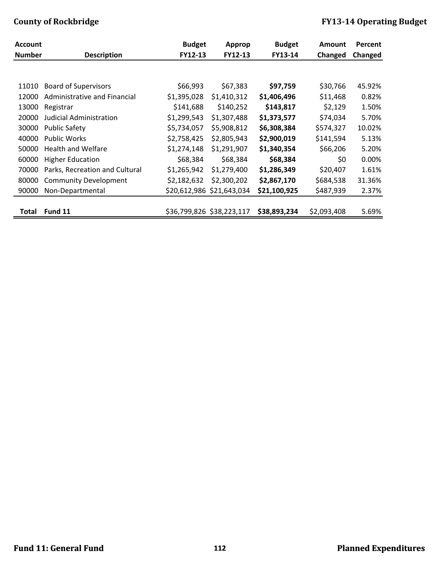| <b>Account</b><br><b>Number</b> | <b>Description</b>             | <b>Budget</b><br>FY12-13 | <b>Approp</b><br>FY12-13  | <b>Budget</b><br>FY13-14 | <b>Amount</b><br>Changed | Percent<br>Changed |
|---------------------------------|--------------------------------|--------------------------|---------------------------|--------------------------|--------------------------|--------------------|
|                                 |                                |                          |                           |                          |                          |                    |
|                                 |                                |                          |                           |                          |                          |                    |
| 11010                           | <b>Board of Supervisors</b>    | \$66,993                 | \$67,383                  | \$97,759                 | \$30,766                 | 45.92%             |
| 12000                           | Administrative and Financial   | \$1,395,028              | \$1,410,312               | \$1,406,496              | \$11,468                 | 0.82%              |
| 13000                           | Registrar                      | \$141,688                | \$140,252                 | \$143,817                | \$2,129                  | 1.50%              |
| 20000                           | Judicial Administration        | \$1,299,543              | \$1,307,488               | \$1,373,577              | \$74,034                 | 5.70%              |
| 30000                           | <b>Public Safety</b>           | \$5,734,057              | \$5,908,812               | \$6,308,384              | \$574,327                | 10.02%             |
| 40000                           | <b>Public Works</b>            | \$2,758,425              | \$2,805,943               | \$2,900,019              | \$141,594                | 5.13%              |
| 50000                           | <b>Health and Welfare</b>      | \$1,274,148              | \$1,291,907               | \$1,340,354              | \$66,206                 | 5.20%              |
| 60000                           | <b>Higher Education</b>        | \$68,384                 | \$68,384                  | \$68,384                 | \$0                      | 0.00%              |
| 70000                           | Parks, Recreation and Cultural | \$1,265,942              | \$1,279,400               | \$1,286,349              | \$20,407                 | 1.61%              |
| 80000                           | <b>Community Development</b>   | \$2,182,632              | \$2,300,202               | \$2,867,170              | \$684,538                | 31.36%             |
| 90000                           | Non-Departmental               |                          | \$20,612,986 \$21,643,034 | \$21,100,925             | \$487,939                | 2.37%              |
|                                 |                                |                          |                           |                          |                          |                    |
| <b>Total</b>                    | Fund 11                        |                          | \$36,799,826 \$38,223,117 | \$38,893,234             | \$2,093,408              | 5.69%              |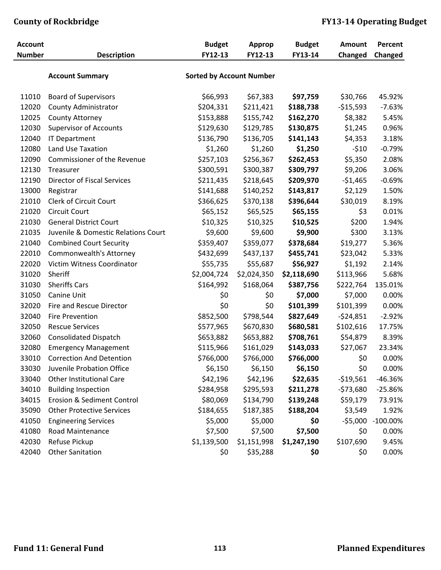| <b>Account</b> |                                     | <b>Budget</b>                   | <b>Approp</b> | <b>Budget</b> | <b>Amount</b> | Percent     |
|----------------|-------------------------------------|---------------------------------|---------------|---------------|---------------|-------------|
| <b>Number</b>  | <b>Description</b>                  | FY12-13                         | FY12-13       | FY13-14       | Changed       | Changed     |
|                |                                     |                                 |               |               |               |             |
|                | <b>Account Summary</b>              | <b>Sorted by Account Number</b> |               |               |               |             |
|                |                                     |                                 |               |               |               |             |
| 11010          | <b>Board of Supervisors</b>         | \$66,993                        | \$67,383      | \$97,759      | \$30,766      | 45.92%      |
| 12020          | County Administrator                | \$204,331                       | \$211,421     | \$188,738     | $-$15,593$    | $-7.63%$    |
| 12025          | County Attorney                     | \$153,888                       | \$155,742     | \$162,270     | \$8,382       | 5.45%       |
| 12030          | <b>Supervisor of Accounts</b>       | \$129,630                       | \$129,785     | \$130,875     | \$1,245       | 0.96%       |
| 12040          | <b>IT Department</b>                | \$136,790                       | \$136,705     | \$141,143     | \$4,353       | 3.18%       |
| 12080          | Land Use Taxation                   | \$1,260                         | \$1,260       | \$1,250       | $-510$        | $-0.79%$    |
| 12090          | Commissioner of the Revenue         | \$257,103                       | \$256,367     | \$262,453     | \$5,350       | 2.08%       |
| 12130          | Treasurer                           | \$300,591                       | \$300,387     | \$309,797     | \$9,206       | 3.06%       |
| 12190          | <b>Director of Fiscal Services</b>  | \$211,435                       | \$218,645     | \$209,970     | $-51,465$     | $-0.69%$    |
| 13000          | Registrar                           | \$141,688                       | \$140,252     | \$143,817     | \$2,129       | 1.50%       |
| 21010          | Clerk of Circuit Court              | \$366,625                       | \$370,138     | \$396,644     | \$30,019      | 8.19%       |
| 21020          | <b>Circuit Court</b>                | \$65,152                        | \$65,525      | \$65,155      | \$3           | 0.01%       |
| 21030          | <b>General District Court</b>       | \$10,325                        | \$10,325      | \$10,525      | \$200         | 1.94%       |
| 21035          | Juvenile & Domestic Relations Court | \$9,600                         | \$9,600       | \$9,900       | \$300         | 3.13%       |
| 21040          | <b>Combined Court Security</b>      | \$359,407                       | \$359,077     | \$378,684     | \$19,277      | 5.36%       |
| 22010          | Commonwealth's Attorney             | \$432,699                       | \$437,137     | \$455,741     | \$23,042      | 5.33%       |
| 22020          | Victim Witness Coordinator          | \$55,735                        | \$55,687      | \$56,927      | \$1,192       | 2.14%       |
| 31020          | Sheriff                             | \$2,004,724                     | \$2,024,350   | \$2,118,690   | \$113,966     | 5.68%       |
| 31030          | <b>Sheriffs Cars</b>                | \$164,992                       | \$168,064     | \$387,756     | \$222,764     | 135.01%     |
| 31050          | Canine Unit                         | \$0                             | \$0           | \$7,000       | \$7,000       | 0.00%       |
| 32020          | Fire and Rescue Director            | \$0                             | \$0           | \$101,399     | \$101,399     | 0.00%       |
| 32040          | <b>Fire Prevention</b>              | \$852,500                       | \$798,544     | \$827,649     | $-524,851$    | $-2.92%$    |
| 32050          | <b>Rescue Services</b>              | \$577,965                       | \$670,830     | \$680,581     | \$102,616     | 17.75%      |
| 32060          | <b>Consolidated Dispatch</b>        | \$653,882                       | \$653,882     | \$708,761     | \$54,879      | 8.39%       |
| 32080          | <b>Emergency Management</b>         | \$115,966                       | \$161,029     | \$143,033     | \$27,067      | 23.34%      |
| 33010          | <b>Correction And Detention</b>     | \$766,000                       | \$766,000     | \$766,000     | \$0           | 0.00%       |
| 33030          | Juvenile Probation Office           | \$6,150                         | \$6,150       | \$6,150       | \$0           | 0.00%       |
| 33040          | <b>Other Institutional Care</b>     |                                 |               | \$22,635      |               |             |
|                |                                     | \$42,196                        | \$42,196      |               | $-519,561$    | -46.36%     |
| 34010          | <b>Building Inspection</b>          | \$284,958                       | \$295,593     | \$211,278     | $-573,680$    | $-25.86%$   |
| 34015          | Erosion & Sediment Control          | \$80,069                        | \$134,790     | \$139,248     | \$59,179      | 73.91%      |
| 35090          | <b>Other Protective Services</b>    | \$184,655                       | \$187,385     | \$188,204     | \$3,549       | 1.92%       |
| 41050          | <b>Engineering Services</b>         | \$5,000                         | \$5,000       | \$0           | $-55,000$     | $-100.00\%$ |
| 41080          | Road Maintenance                    | \$7,500                         | \$7,500       | \$7,500       | \$0           | 0.00%       |
| 42030          | Refuse Pickup                       | \$1,139,500                     | \$1,151,998   | \$1,247,190   | \$107,690     | 9.45%       |
| 42040          | <b>Other Sanitation</b>             | \$0                             | \$35,288      | \$0           | \$0           | 0.00%       |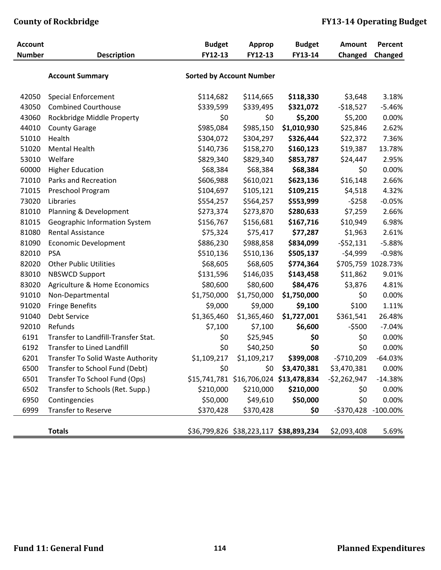| <b>Account</b> |                                     | <b>Budget</b> | <b>Approp</b>                          | <b>Budget</b>                                 | <b>Amount</b> | Percent            |
|----------------|-------------------------------------|---------------|----------------------------------------|-----------------------------------------------|---------------|--------------------|
| <b>Number</b>  | <b>Description</b>                  | FY12-13       | FY12-13                                | FY13-14                                       | Changed       | Changed            |
|                |                                     |               |                                        |                                               |               |                    |
|                | <b>Account Summary</b>              |               | <b>Sorted by Account Number</b>        |                                               |               |                    |
| 42050          | <b>Special Enforcement</b>          | \$114,682     | \$114,665                              | \$118,330                                     | \$3,648       | 3.18%              |
| 43050          | <b>Combined Courthouse</b>          | \$339,599     | \$339,495                              | \$321,072                                     | $-518,527$    | $-5.46%$           |
| 43060          | Rockbridge Middle Property          | \$0           | \$0                                    | \$5,200                                       | \$5,200       | 0.00%              |
| 44010          | <b>County Garage</b>                | \$985,084     | \$985,150                              | \$1,010,930                                   | \$25,846      | 2.62%              |
| 51010          | Health                              | \$304,072     | \$304,297                              | \$326,444                                     | \$22,372      | 7.36%              |
| 51020          | <b>Mental Health</b>                | \$140,736     | \$158,270                              | \$160,123                                     | \$19,387      | 13.78%             |
| 53010          | Welfare                             | \$829,340     | \$829,340                              | \$853,787                                     | \$24,447      | 2.95%              |
| 60000          | <b>Higher Education</b>             | \$68,384      | \$68,384                               | \$68,384                                      | \$0           | 0.00%              |
| 71010          | Parks and Recreation                | \$606,988     | \$610,021                              | \$623,136                                     | \$16,148      | 2.66%              |
| 71015          | Preschool Program                   | \$104,697     | \$105,121                              | \$109,215                                     | \$4,518       | 4.32%              |
| 73020          | Libraries                           | \$554,257     | \$564,257                              | \$553,999                                     | $-5258$       | $-0.05%$           |
| 81010          | Planning & Development              | \$273,374     | \$273,870                              | \$280,633                                     | \$7,259       | 2.66%              |
| 81015          | Geographic Information System       | \$156,767     | \$156,681                              | \$167,716                                     | \$10,949      | 6.98%              |
| 81080          | <b>Rental Assistance</b>            | \$75,324      | \$75,417                               | \$77,287                                      | \$1,963       | 2.61%              |
| 81090          | <b>Economic Development</b>         | \$886,230     | \$988,858                              | \$834,099                                     | $-552,131$    | $-5.88%$           |
| 82010          | <b>PSA</b>                          | \$510,136     | \$510,136                              | \$505,137                                     | $-54,999$     | $-0.98%$           |
| 82020          | <b>Other Public Utilities</b>       | \$68,605      | \$68,605                               | \$774,364                                     |               | \$705,759 1028.73% |
| 83010          | <b>NBSWCD Support</b>               | \$131,596     | \$146,035                              | \$143,458                                     | \$11,862      | 9.01%              |
| 83020          | Agriculture & Home Economics        | \$80,600      | \$80,600                               | \$84,476                                      | \$3,876       | 4.81%              |
| 91010          | Non-Departmental                    | \$1,750,000   | \$1,750,000                            | \$1,750,000                                   | \$0           | 0.00%              |
| 91020          | <b>Fringe Benefits</b>              | \$9,000       | \$9,000                                | \$9,100                                       | \$100         | 1.11%              |
| 91040          | Debt Service                        | \$1,365,460   | \$1,365,460                            | \$1,727,001                                   | \$361,541     | 26.48%             |
| 92010          | Refunds                             | \$7,100       | \$7,100                                | \$6,600                                       | $-5500$       | $-7.04%$           |
| 6191           | Transfer to Landfill-Transfer Stat. | \$0           | \$25,945                               | \$0                                           | \$0           | 0.00%              |
| 6192           | <b>Transfer to Lined Landfill</b>   | \$0           | \$40,250                               | \$0                                           | \$0           | 0.00%              |
| 6201           | Transfer To Solid Waste Authority   | \$1,109,217   | \$1,109,217                            | \$399,008                                     | $-5710,209$   | $-64.03%$          |
| 6500           | Transfer to School Fund (Debt)      | \$0           | \$0                                    | \$3,470,381                                   | \$3,470,381   | 0.00%              |
| 6501           | Transfer To School Fund (Ops)       |               | \$15,741,781 \$16,706,024 \$13,478,834 |                                               | $-$2,262,947$ | $-14.38%$          |
| 6502           | Transfer to Schools (Ret. Supp.)    | \$210,000     | \$210,000                              | \$210,000                                     | \$0           | 0.00%              |
| 6950           | Contingencies                       | \$50,000      | \$49,610                               | \$50,000                                      | \$0           | 0.00%              |
| 6999           | Transfer to Reserve                 | \$370,428     | \$370,428                              | \$0                                           | -\$370,428    | $-100.00\%$        |
|                |                                     |               |                                        |                                               |               |                    |
|                | <b>Totals</b>                       |               |                                        | \$36,799,826 \$38,223,117 <b>\$38,893,234</b> | \$2,093,408   | 5.69%              |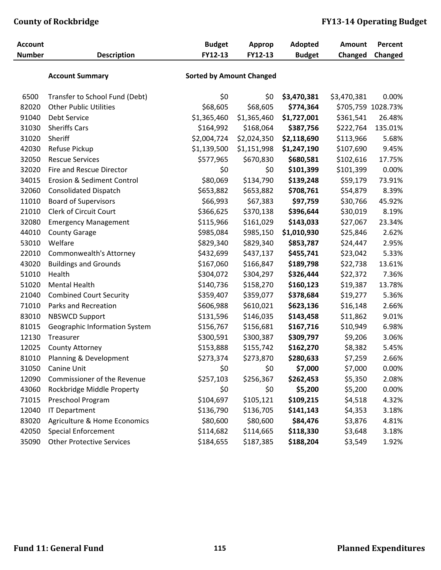| <b>Account</b> |                                  | <b>Budget</b>                   | <b>Approp</b> | <b>Adopted</b> | <b>Amount</b> | Percent            |
|----------------|----------------------------------|---------------------------------|---------------|----------------|---------------|--------------------|
| <b>Number</b>  | <b>Description</b>               | FY12-13                         | FY12-13       | <b>Budget</b>  | Changed       | Changed            |
|                |                                  |                                 |               |                |               |                    |
|                | <b>Account Summary</b>           | <b>Sorted by Amount Changed</b> |               |                |               |                    |
| 6500           | Transfer to School Fund (Debt)   | \$0                             | \$0           | \$3,470,381    | \$3,470,381   | 0.00%              |
| 82020          | <b>Other Public Utilities</b>    | \$68,605                        | \$68,605      | \$774,364      |               | \$705,759 1028.73% |
| 91040          | Debt Service                     | \$1,365,460                     | \$1,365,460   | \$1,727,001    | \$361,541     | 26.48%             |
| 31030          | <b>Sheriffs Cars</b>             | \$164,992                       | \$168,064     | \$387,756      | \$222,764     | 135.01%            |
| 31020          | Sheriff                          | \$2,004,724                     | \$2,024,350   | \$2,118,690    | \$113,966     | 5.68%              |
| 42030          | Refuse Pickup                    | \$1,139,500                     | \$1,151,998   | \$1,247,190    | \$107,690     | 9.45%              |
| 32050          | <b>Rescue Services</b>           | \$577,965                       | \$670,830     | \$680,581      | \$102,616     | 17.75%             |
| 32020          | Fire and Rescue Director         | \$0                             | \$0           | \$101,399      | \$101,399     | 0.00%              |
| 34015          | Erosion & Sediment Control       | \$80,069                        | \$134,790     | \$139,248      | \$59,179      | 73.91%             |
| 32060          | <b>Consolidated Dispatch</b>     | \$653,882                       | \$653,882     | \$708,761      | \$54,879      | 8.39%              |
| 11010          | <b>Board of Supervisors</b>      | \$66,993                        | \$67,383      | \$97,759       | \$30,766      | 45.92%             |
| 21010          | <b>Clerk of Circuit Court</b>    | \$366,625                       | \$370,138     | \$396,644      | \$30,019      | 8.19%              |
| 32080          | <b>Emergency Management</b>      | \$115,966                       | \$161,029     | \$143,033      | \$27,067      | 23.34%             |
| 44010          | <b>County Garage</b>             | \$985,084                       | \$985,150     | \$1,010,930    | \$25,846      | 2.62%              |
| 53010          | Welfare                          | \$829,340                       | \$829,340     | \$853,787      | \$24,447      | 2.95%              |
| 22010          | Commonwealth's Attorney          | \$432,699                       | \$437,137     | \$455,741      | \$23,042      | 5.33%              |
| 43020          | <b>Buildings and Grounds</b>     | \$167,060                       | \$166,847     | \$189,798      | \$22,738      | 13.61%             |
| 51010          | Health                           | \$304,072                       | \$304,297     | \$326,444      | \$22,372      | 7.36%              |
| 51020          | <b>Mental Health</b>             | \$140,736                       | \$158,270     | \$160,123      | \$19,387      | 13.78%             |
| 21040          | <b>Combined Court Security</b>   | \$359,407                       | \$359,077     | \$378,684      | \$19,277      | 5.36%              |
| 71010          | Parks and Recreation             | \$606,988                       | \$610,021     | \$623,136      | \$16,148      | 2.66%              |
| 83010          | <b>NBSWCD Support</b>            | \$131,596                       | \$146,035     | \$143,458      | \$11,862      | 9.01%              |
| 81015          | Geographic Information System    | \$156,767                       | \$156,681     | \$167,716      | \$10,949      | 6.98%              |
| 12130          | Treasurer                        | \$300,591                       | \$300,387     | \$309,797      | \$9,206       | 3.06%              |
| 12025          | <b>County Attorney</b>           | \$153,888                       | \$155,742     | \$162,270      | \$8,382       | 5.45%              |
| 81010          | Planning & Development           | \$273,374                       | \$273,870     | \$280,633      | \$7,259       | 2.66%              |
| 31050          | Canine Unit                      | \$0                             | \$0           | \$7,000        | \$7,000       | 0.00%              |
| 12090          | Commissioner of the Revenue      | \$257,103                       | \$256,367     | \$262,453      | \$5,350       | 2.08%              |
| 43060          | Rockbridge Middle Property       | \$0                             | \$0           | \$5,200        | \$5,200       | 0.00%              |
| 71015          | Preschool Program                | \$104,697                       | \$105,121     | \$109,215      | \$4,518       | 4.32%              |
| 12040          | <b>IT Department</b>             | \$136,790                       | \$136,705     | \$141,143      | \$4,353       | 3.18%              |
| 83020          | Agriculture & Home Economics     | \$80,600                        | \$80,600      | \$84,476       | \$3,876       | 4.81%              |
| 42050          | <b>Special Enforcement</b>       | \$114,682                       | \$114,665     | \$118,330      | \$3,648       | 3.18%              |
| 35090          | <b>Other Protective Services</b> | \$184,655                       | \$187,385     | \$188,204      | \$3,549       | 1.92%              |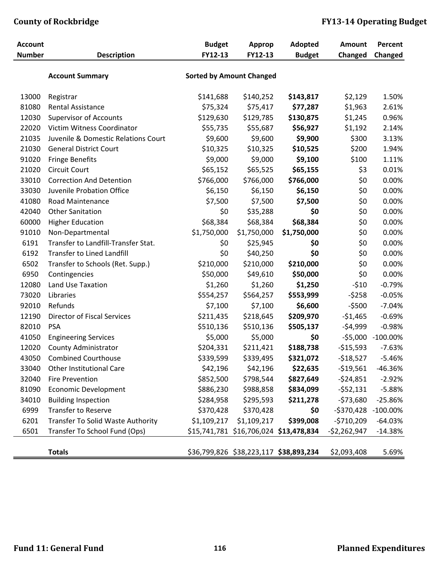| 13000 | Registrar                           | \$141,688   | \$140,252   | \$143,817                              | \$2,129       | 1.50%             |
|-------|-------------------------------------|-------------|-------------|----------------------------------------|---------------|-------------------|
| 81080 | Rental Assistance                   | \$75,324    | \$75,417    | \$77,287                               | \$1,963       | 2.61%             |
| 12030 | <b>Supervisor of Accounts</b>       | \$129,630   | \$129,785   | \$130,875                              | \$1,245       | 0.96%             |
| 22020 | Victim Witness Coordinator          | \$55,735    | \$55,687    | \$56,927                               | \$1,192       | 2.14%             |
| 21035 | Juvenile & Domestic Relations Court | \$9,600     | \$9,600     | \$9,900                                | \$300         | 3.13%             |
| 21030 | <b>General District Court</b>       | \$10,325    | \$10,325    | \$10,525                               | \$200         | 1.94%             |
| 91020 | <b>Fringe Benefits</b>              | \$9,000     | \$9,000     | \$9,100                                | \$100         | 1.11%             |
| 21020 | <b>Circuit Court</b>                | \$65,152    | \$65,525    | \$65,155                               | \$3           | 0.01%             |
| 33010 | <b>Correction And Detention</b>     | \$766,000   | \$766,000   | \$766,000                              | \$0           | 0.00%             |
| 33030 | Juvenile Probation Office           | \$6,150     | \$6,150     | \$6,150                                | \$0           | 0.00%             |
| 41080 | Road Maintenance                    | \$7,500     | \$7,500     | \$7,500                                | \$0           | 0.00%             |
| 42040 | <b>Other Sanitation</b>             | \$0         | \$35,288    | \$0                                    | \$0           | 0.00%             |
| 60000 | <b>Higher Education</b>             | \$68,384    | \$68,384    | \$68,384                               | \$0           | 0.00%             |
| 91010 | Non-Departmental                    | \$1,750,000 | \$1,750,000 | \$1,750,000                            | \$0           | 0.00%             |
| 6191  | Transfer to Landfill-Transfer Stat. | \$0         | \$25,945    | \$0                                    | \$0           | 0.00%             |
| 6192  | <b>Transfer to Lined Landfill</b>   | \$0         | \$40,250    | \$0                                    | \$0           | 0.00%             |
| 6502  | Transfer to Schools (Ret. Supp.)    | \$210,000   | \$210,000   | \$210,000                              | \$0           | 0.00%             |
| 6950  | Contingencies                       | \$50,000    | \$49,610    | \$50,000                               | \$0           | 0.00%             |
| 12080 | Land Use Taxation                   | \$1,260     | \$1,260     | \$1,250                                | $-510$        | $-0.79%$          |
| 73020 | Libraries                           | \$554,257   | \$564,257   | \$553,999                              | $-5258$       | $-0.05%$          |
| 92010 | Refunds                             | \$7,100     | \$7,100     | \$6,600                                | $-5500$       | $-7.04%$          |
| 12190 | <b>Director of Fiscal Services</b>  | \$211,435   | \$218,645   | \$209,970                              | $-51,465$     | $-0.69%$          |
| 82010 | <b>PSA</b>                          | \$510,136   | \$510,136   | \$505,137                              | $-54,999$     | $-0.98%$          |
| 41050 | <b>Engineering Services</b>         | \$5,000     | \$5,000     | \$0                                    |               | -\$5,000 -100.00% |
| 12020 | County Administrator                | \$204,331   | \$211,421   | \$188,738                              | $-$15,593$    | $-7.63%$          |
| 43050 | <b>Combined Courthouse</b>          | \$339,599   | \$339,495   | \$321,072                              | $-518,527$    | $-5.46%$          |
| 33040 | <b>Other Institutional Care</b>     | \$42,196    | \$42,196    | \$22,635                               | $-519,561$    | -46.36%           |
| 32040 | <b>Fire Prevention</b>              | \$852,500   | \$798,544   | \$827,649                              | $-524,851$    | $-2.92%$          |
| 81090 | <b>Economic Development</b>         | \$886,230   | \$988,858   | \$834,099                              | $-552,131$    | $-5.88%$          |
| 34010 | <b>Building Inspection</b>          | \$284,958   | \$295,593   | \$211,278                              | $-573,680$    | $-25.86%$         |
| 6999  | <b>Transfer to Reserve</b>          | \$370,428   | \$370,428   | \$0                                    | $-5370,428$   | $-100.00\%$       |
| 6201  | Transfer To Solid Waste Authority   | \$1,109,217 | \$1,109,217 | \$399,008                              | $-5710,209$   | $-64.03%$         |
| 6501  | Transfer To School Fund (Ops)       |             |             | \$15,741,781 \$16,706,024 \$13,478,834 | $-52,262,947$ | $-14.38%$         |
|       | <b>Totals</b>                       |             |             | \$36,799,826 \$38,223,117 \$38,893,234 | \$2,093,408   | 5.69%             |
|       |                                     |             |             |                                        |               |                   |

**Account Budget Approp Adopted Amount Percent Number Description FY12‐13 FY12‐13 Budget Changed Changed**

**Account Summary Sorted by Amount Changed**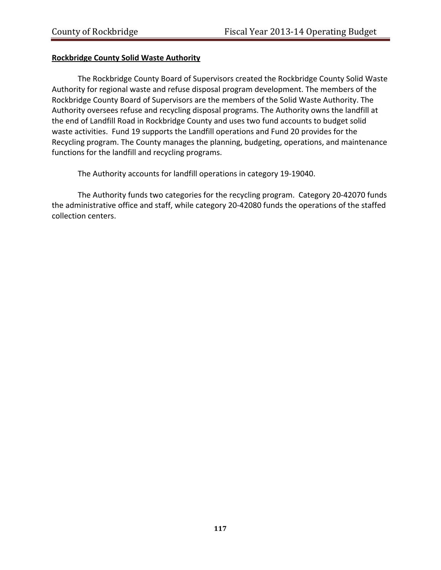#### **Rockbridge County Solid Waste Authority**

The Rockbridge County Board of Supervisors created the Rockbridge County Solid Waste Authority for regional waste and refuse disposal program development. The members of the Rockbridge County Board of Supervisors are the members of the Solid Waste Authority. The Authority oversees refuse and recycling disposal programs. The Authority owns the landfill at the end of Landfill Road in Rockbridge County and uses two fund accounts to budget solid waste activities. Fund 19 supports the Landfill operations and Fund 20 provides for the Recycling program. The County manages the planning, budgeting, operations, and maintenance functions for the landfill and recycling programs.

The Authority accounts for landfill operations in category 19‐19040.

The Authority funds two categories for the recycling program. Category 20‐42070 funds the administrative office and staff, while category 20‐42080 funds the operations of the staffed collection centers.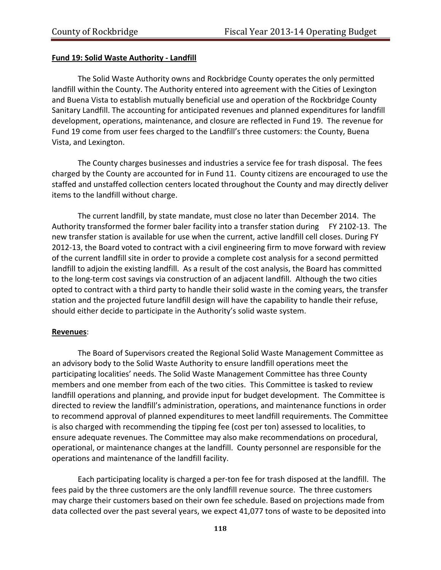#### **Fund 19: Solid Waste Authority ‐ Landfill**

The Solid Waste Authority owns and Rockbridge County operates the only permitted landfill within the County. The Authority entered into agreement with the Cities of Lexington and Buena Vista to establish mutually beneficial use and operation of the Rockbridge County Sanitary Landfill. The accounting for anticipated revenues and planned expenditures for landfill development, operations, maintenance, and closure are reflected in Fund 19. The revenue for Fund 19 come from user fees charged to the Landfill's three customers: the County, Buena Vista, and Lexington.

The County charges businesses and industries a service fee for trash disposal. The fees charged by the County are accounted for in Fund 11. County citizens are encouraged to use the staffed and unstaffed collection centers located throughout the County and may directly deliver items to the landfill without charge.

The current landfill, by state mandate, must close no later than December 2014. The Authority transformed the former baler facility into a transfer station during FY 2102‐13. The new transfer station is available for use when the current, active landfill cell closes. During FY 2012‐13, the Board voted to contract with a civil engineering firm to move forward with review of the current landfill site in order to provide a complete cost analysis for a second permitted landfill to adjoin the existing landfill. As a result of the cost analysis, the Board has committed to the long‐term cost savings via construction of an adjacent landfill. Although the two cities opted to contract with a third party to handle their solid waste in the coming years, the transfer station and the projected future landfill design will have the capability to handle their refuse, should either decide to participate in the Authority's solid waste system.

#### **Revenues**:

The Board of Supervisors created the Regional Solid Waste Management Committee as an advisory body to the Solid Waste Authority to ensure landfill operations meet the participating localities' needs. The Solid Waste Management Committee has three County members and one member from each of the two cities. This Committee is tasked to review landfill operations and planning, and provide input for budget development. The Committee is directed to review the landfill's administration, operations, and maintenance functions in order to recommend approval of planned expenditures to meet landfill requirements. The Committee is also charged with recommending the tipping fee (cost per ton) assessed to localities, to ensure adequate revenues. The Committee may also make recommendations on procedural, operational, or maintenance changes at the landfill. County personnel are responsible for the operations and maintenance of the landfill facility.

Each participating locality is charged a per‐ton fee for trash disposed at the landfill. The fees paid by the three customers are the only landfill revenue source. The three customers may charge their customers based on their own fee schedule. Based on projections made from data collected over the past several years, we expect 41,077 tons of waste to be deposited into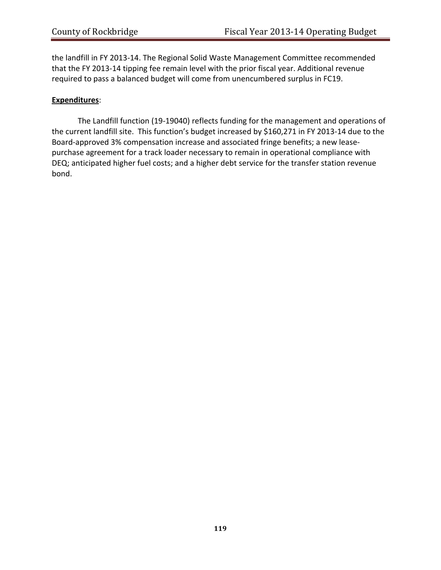the landfill in FY 2013‐14. The Regional Solid Waste Management Committee recommended that the FY 2013‐14 tipping fee remain level with the prior fiscal year. Additional revenue required to pass a balanced budget will come from unencumbered surplus in FC19.

#### **Expenditures**:

The Landfill function (19‐19040) reflects funding for the management and operations of the current landfill site. This function's budget increased by \$160,271 in FY 2013‐14 due to the Board‐approved 3% compensation increase and associated fringe benefits; a new lease‐ purchase agreement for a track loader necessary to remain in operational compliance with DEQ; anticipated higher fuel costs; and a higher debt service for the transfer station revenue bond.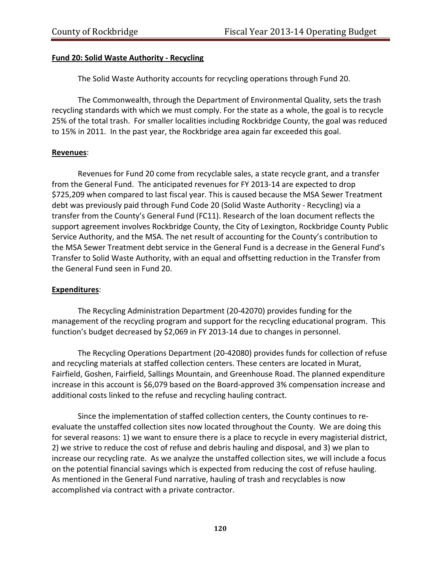#### **Fund 20: Solid Waste Authority ‐ Recycling**

The Solid Waste Authority accounts for recycling operations through Fund 20.

The Commonwealth, through the Department of Environmental Quality, sets the trash recycling standards with which we must comply. For the state as a whole, the goal is to recycle 25% of the total trash. For smaller localities including Rockbridge County, the goal was reduced to 15% in 2011. In the past year, the Rockbridge area again far exceeded this goal.

#### **Revenues**:

Revenues for Fund 20 come from recyclable sales, a state recycle grant, and a transfer from the General Fund. The anticipated revenues for FY 2013‐14 are expected to drop \$725,209 when compared to last fiscal year. This is caused because the MSA Sewer Treatment debt was previously paid through Fund Code 20 (Solid Waste Authority ‐ Recycling) via a transfer from the County's General Fund (FC11). Research of the loan document reflects the support agreement involves Rockbridge County, the City of Lexington, Rockbridge County Public Service Authority, and the MSA. The net result of accounting for the County's contribution to the MSA Sewer Treatment debt service in the General Fund is a decrease in the General Fund's Transfer to Solid Waste Authority, with an equal and offsetting reduction in the Transfer from the General Fund seen in Fund 20.

#### **Expenditures**:

The Recycling Administration Department (20‐42070) provides funding for the management of the recycling program and support for the recycling educational program. This function's budget decreased by \$2,069 in FY 2013‐14 due to changes in personnel.

The Recycling Operations Department (20‐42080) provides funds for collection of refuse and recycling materials at staffed collection centers. These centers are located in Murat, Fairfield, Goshen, Fairfield, Sallings Mountain, and Greenhouse Road. The planned expenditure increase in this account is \$6,079 based on the Board-approved 3% compensation increase and additional costs linked to the refuse and recycling hauling contract.

 Since the implementation of staffed collection centers, the County continues to re‐ evaluate the unstaffed collection sites now located throughout the County. We are doing this for several reasons: 1) we want to ensure there is a place to recycle in every magisterial district, 2) we strive to reduce the cost of refuse and debris hauling and disposal, and 3) we plan to increase our recycling rate. As we analyze the unstaffed collection sites, we will include a focus on the potential financial savings which is expected from reducing the cost of refuse hauling. As mentioned in the General Fund narrative, hauling of trash and recyclables is now accomplished via contract with a private contractor.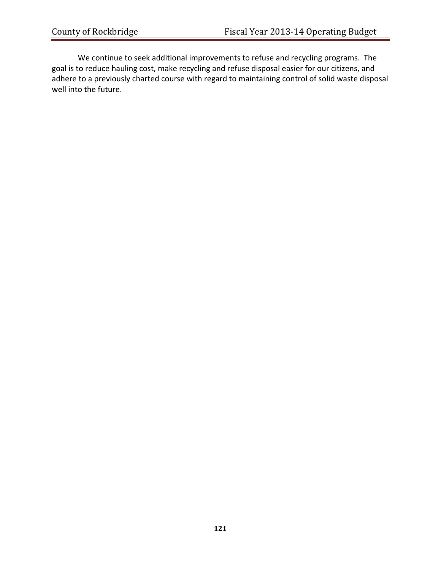We continue to seek additional improvements to refuse and recycling programs. The goal is to reduce hauling cost, make recycling and refuse disposal easier for our citizens, and adhere to a previously charted course with regard to maintaining control of solid waste disposal well into the future.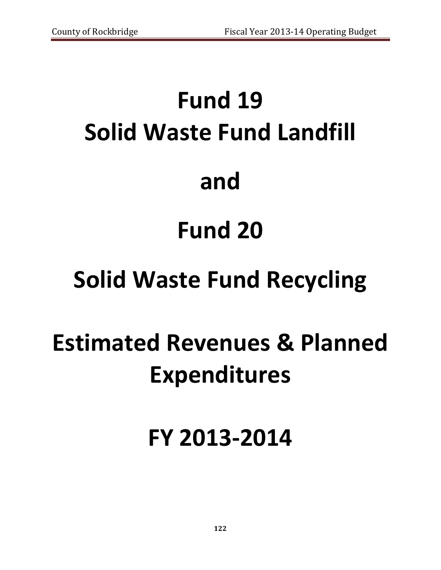# **Fund 19 Solid Waste Fund Landfill and Fund 20 Solid Waste Fund Recycling Estimated Revenues & Planned**

# **Expenditures**

# **FY 2013‐2014**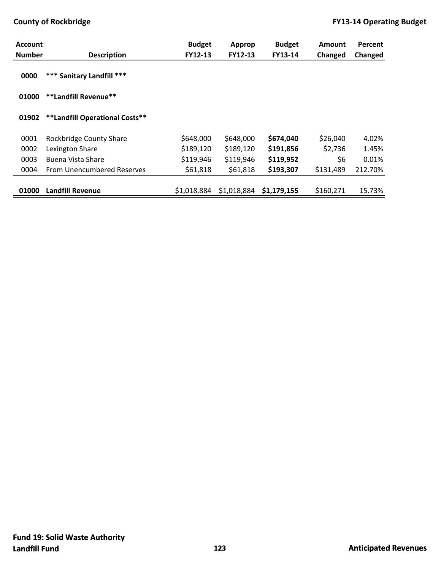| <b>Account</b> |                                | <b>Budget</b> | <b>Approp</b> | <b>Budget</b> | <b>Amount</b> | Percent |
|----------------|--------------------------------|---------------|---------------|---------------|---------------|---------|
| <b>Number</b>  | <b>Description</b>             | FY12-13       | FY12-13       | FY13-14       | Changed       | Changed |
| 0000           | *** Sanitary Landfill ***      |               |               |               |               |         |
| 01000          | **Landfill Revenue**           |               |               |               |               |         |
| 01902          | **Landfill Operational Costs** |               |               |               |               |         |
| 0001           | <b>Rockbridge County Share</b> | \$648,000     | \$648,000     | \$674,040     | \$26,040      | 4.02%   |
| 0002           | Lexington Share                | \$189,120     | \$189,120     | \$191,856     | \$2,736       | 1.45%   |
| 0003           | Buena Vista Share              | \$119,946     | \$119,946     | \$119,952     | \$6           | 0.01%   |
| 0004           | From Unencumbered Reserves     | \$61,818      | \$61,818      | \$193,307     | \$131,489     | 212.70% |
|                |                                |               |               |               |               |         |
| 01000          | <b>Landfill Revenue</b>        | \$1,018,884   | \$1,018,884   | \$1,179,155   | \$160,271     | 15.73%  |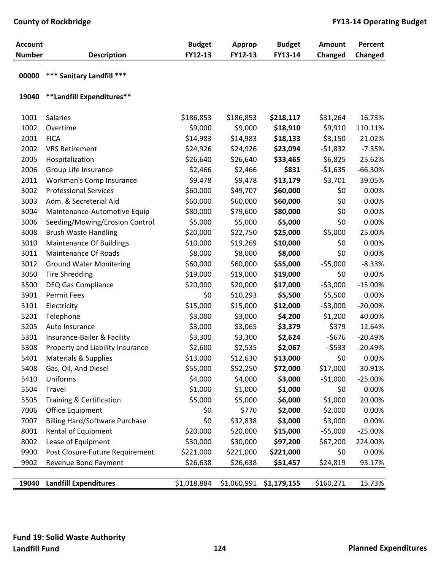| <b>Account</b><br><b>Number</b> | <b>Description</b>                    | <b>Budget</b><br>FY12-13 | <b>Approp</b><br>FY12-13 | <b>Budget</b><br>FY13-14 | Amount<br>Changed | Percent<br>Changed |
|---------------------------------|---------------------------------------|--------------------------|--------------------------|--------------------------|-------------------|--------------------|
| 00000                           | *** Sanitary Landfill ***             |                          |                          |                          |                   |                    |
| 19040                           | **Landfill Expenditures**             |                          |                          |                          |                   |                    |
| 1001                            | <b>Salaries</b>                       | \$186,853                | \$186,853                | \$218,117                | \$31,264          | 16.73%             |
| 1002                            | Overtime                              | \$9,000                  | \$9,000                  | \$18,910                 | \$9,910           | 110.11%            |
| 2001                            | <b>FICA</b>                           | \$14,983                 | \$14,983                 | \$18,133                 | \$3,150           | 21.02%             |
| 2002                            | <b>VRS Retirement</b>                 | \$24,926                 | \$24,926                 | \$23,094                 | $-51,832$         | $-7.35%$           |
| 2005                            | Hospitalization                       | \$26,640                 | \$26,640                 | \$33,465                 | \$6,825           | 25.62%             |
| 2006                            | Group Life Insurance                  | \$2,466                  | \$2,466                  | \$831                    | $-51,635$         | $-66.30%$          |
| 2011                            | Workman's Comp Insurance              | \$9,478                  | \$9,478                  | \$13,179                 | \$3,701           | 39.05%             |
| 3002                            | <b>Professional Services</b>          | \$60,000                 | \$49,707                 | \$60,000                 | \$0               | 0.00%              |
| 3003                            | Adm. & Secreterial Aid                | \$60,000                 | \$60,000                 | \$60,000                 | \$0               | 0.00%              |
| 3004                            | Maintenance-Automotive Equip          | \$80,000                 | \$79,600                 | \$80,000                 | \$0               | 0.00%              |
| 3006                            | Seeding/Mowing/Erosion Control        | \$5,000                  | \$5,000                  | \$5,000                  | \$0               | 0.00%              |
| 3008                            | <b>Brush Waste Handling</b>           | \$20,000                 | \$22,750                 | \$25,000                 | \$5,000           | 25.00%             |
| 3010                            | <b>Maintenance Of Buildings</b>       | \$10,000                 | \$19,269                 | \$10,000                 | \$0               | 0.00%              |
| 3011                            | <b>Maintenance Of Roads</b>           | \$8,000                  | \$8,000                  | \$8,000                  | \$0               | 0.00%              |
| 3012                            | <b>Ground Water Monitering</b>        | \$60,000                 | \$60,000                 | \$55,000                 | $-55,000$         | $-8.33%$           |
| 3050                            | <b>Tire Shredding</b>                 | \$19,000                 | \$19,000                 | \$19,000                 | \$0               | 0.00%              |
| 3500                            | <b>DEQ Gas Compliance</b>             | \$20,000                 | \$20,000                 | \$17,000                 | $-53,000$         | $-15.00%$          |
| 3901                            | <b>Permit Fees</b>                    | \$0                      | \$10,293                 | \$5,500                  | \$5,500           | 0.00%              |
| 5101                            | Electricity                           | \$15,000                 | \$15,000                 | \$12,000                 | $-53,000$         | $-20.00\%$         |
| 5201                            | Telephone                             | \$3,000                  | \$3,000                  | \$4,200                  | \$1,200           | 40.00%             |
| 5205                            | Auto Insurance                        | \$3,000                  | \$3,065                  | \$3,379                  | \$379             | 12.64%             |
| 5301                            | Insurance-Bailer & Facility           | \$3,300                  | \$3,300                  | \$2,624                  | $-5676$           | $-20.49%$          |
| 5308                            | Property and Liability Insurance      | \$2,600                  | \$2,535                  | \$2,067                  | $-5533$           | $-20.49%$          |
| 5401                            | Materials & Supplies                  | \$13,000                 | \$12,630                 | \$13,000                 | \$0               | 0.00%              |
| 5408                            | Gas, Oil, And Diesel                  | \$55,000                 | \$52,250                 | \$72,000                 | \$17,000          | 30.91%             |
| 5410                            | Uniforms                              | \$4,000                  | \$4,000                  | \$3,000                  | $-51,000$         | $-25.00%$          |
| 5504                            | Travel                                | \$1,000                  | \$1,000                  | \$1,000                  | \$0               | 0.00%              |
| 5505                            | Training & Certification              | \$5,000                  | \$5,000                  | \$6,000                  | \$1,000           | 20.00%             |
| 7006                            | <b>Office Equipment</b>               | \$0                      | \$770                    | \$2,000                  | \$2,000           | 0.00%              |
| 7007                            | <b>Billing Hard/Software Purchase</b> | \$0                      | \$32,838                 | \$3,000                  | \$3,000           | 0.00%              |
| 8001                            | Rental of Equipment                   | \$20,000                 | \$20,000                 | \$15,000                 | $-55,000$         | $-25.00%$          |
| 8002                            | Lease of Equipment                    | \$30,000                 | \$30,000                 | \$97,200                 | \$67,200          | 224.00%            |
| 9900                            | Post Closure-Future Requirement       | \$221,000                | \$221,000                | \$221,000                | \$0               | 0.00%              |
| 9902                            | Revenue Bond Payment                  | \$26,638                 | \$26,638                 | \$51,457                 | \$24,819          | 93.17%             |
|                                 |                                       |                          |                          |                          |                   |                    |
| 19040                           | <b>Landfill Expenditures</b>          | \$1,018,884              | \$1,060,991              | \$1,179,155              | \$160,271         | 15.73%             |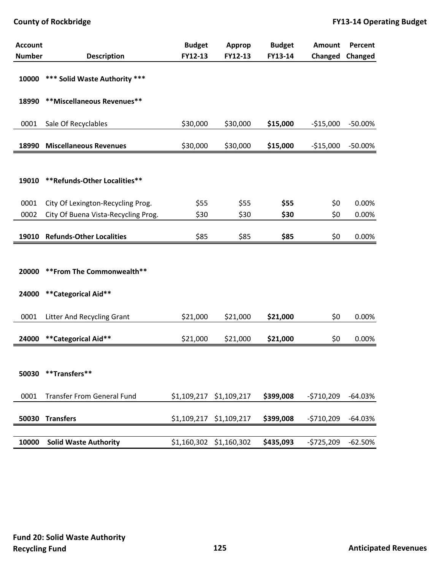| <b>Account</b> |                                     | <b>Budget</b> | <b>Approp</b> | <b>Budget</b> | Amount      | Percent    |
|----------------|-------------------------------------|---------------|---------------|---------------|-------------|------------|
| <b>Number</b>  | <b>Description</b>                  | FY12-13       | FY12-13       | FY13-14       | Changed     | Changed    |
| 10000          | *** Solid Waste Authority ***       |               |               |               |             |            |
| 18990          | **Miscellaneous Revenues**          |               |               |               |             |            |
| 0001           | Sale Of Recyclables                 | \$30,000      | \$30,000      | \$15,000      | $-$15,000$  | $-50.00\%$ |
| 18990          | <b>Miscellaneous Revenues</b>       | \$30,000      | \$30,000      | \$15,000      | $-$15,000$  | $-50.00%$  |
|                |                                     |               |               |               |             |            |
| 19010          | **Refunds-Other Localities**        |               |               |               |             |            |
| 0001           | City Of Lexington-Recycling Prog.   | \$55          | \$55          | \$55          | \$0         | 0.00%      |
| 0002           | City Of Buena Vista-Recycling Prog. | \$30          | \$30          | \$30          | \$0         | 0.00%      |
| 19010          | <b>Refunds-Other Localities</b>     | \$85          | \$85          | \$85          | \$0         | 0.00%      |
|                |                                     |               |               |               |             |            |
| 20000          | ** From The Commonwealth**          |               |               |               |             |            |
| 24000          | **Categorical Aid**                 |               |               |               |             |            |
| 0001           | Litter And Recycling Grant          | \$21,000      | \$21,000      | \$21,000      | \$0         | 0.00%      |
| 24000          | **Categorical Aid**                 | \$21,000      | \$21,000      | \$21,000      | \$0         | 0.00%      |
|                |                                     |               |               |               |             |            |
| 50030          | **Transfers**                       |               |               |               |             |            |
| 0001           | <b>Transfer From General Fund</b>   | \$1,109,217   | \$1,109,217   | \$399,008     | $-5710,209$ | $-64.03%$  |
| 50030          | <b>Transfers</b>                    | \$1,109,217   | \$1,109,217   | \$399,008     | $-5710,209$ | $-64.03%$  |
|                |                                     |               |               |               |             |            |
| 10000          | <b>Solid Waste Authority</b>        | \$1,160,302   | \$1,160,302   | \$435,093     | $-5725,209$ | $-62.50%$  |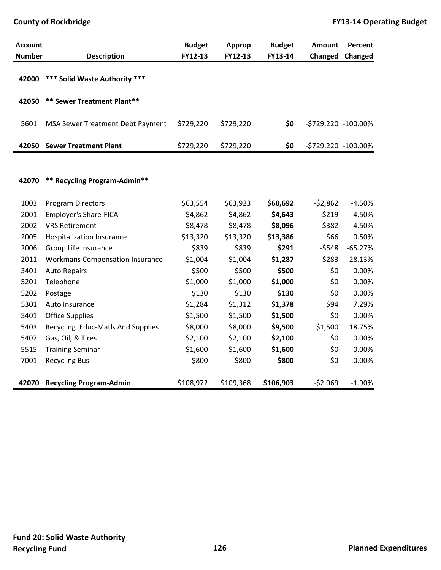| <b>Account</b> |                                        | <b>Budget</b> | Approp    | <b>Budget</b> | <b>Amount</b>       | Percent   |
|----------------|----------------------------------------|---------------|-----------|---------------|---------------------|-----------|
| <b>Number</b>  | <b>Description</b>                     | FY12-13       | FY12-13   | FY13-14       | Changed             | Changed   |
| 42000          | *** Solid Waste Authority ***          |               |           |               |                     |           |
| 42050          | ** Sewer Treatment Plant**             |               |           |               |                     |           |
| 5601           | MSA Sewer Treatment Debt Payment       | \$729,220     | \$729,220 | \$0           | -\$729,220 -100.00% |           |
| 42050          | <b>Sewer Treatment Plant</b>           | \$729,220     | \$729,220 | \$0           | -\$729,220 -100.00% |           |
|                |                                        |               |           |               |                     |           |
| 42070          | ** Recycling Program-Admin**           |               |           |               |                     |           |
| 1003           | <b>Program Directors</b>               | \$63,554      | \$63,923  | \$60,692      | $-52,862$           | $-4.50%$  |
| 2001           | <b>Employer's Share-FICA</b>           | \$4,862       | \$4,862   | \$4,643       | $-5219$             | $-4.50%$  |
| 2002           | <b>VRS Retirement</b>                  | \$8,478       | \$8,478   | \$8,096       | $-5382$             | $-4.50%$  |
| 2005           | Hospitalization Insurance              | \$13,320      | \$13,320  | \$13,386      | \$66                | 0.50%     |
| 2006           | Group Life Insurance                   | \$839         | \$839     | \$291         | $-5548$             | $-65.27%$ |
| 2011           | <b>Workmans Compensation Insurance</b> | \$1,004       | \$1,004   | \$1,287       | \$283               | 28.13%    |
| 3401           | <b>Auto Repairs</b>                    | \$500         | \$500     | \$500         | \$0                 | 0.00%     |
| 5201           | Telephone                              | \$1,000       | \$1,000   | \$1,000       | \$0                 | 0.00%     |
| 5202           | Postage                                | \$130         | \$130     | \$130         | \$0                 | 0.00%     |
| 5301           | Auto Insurance                         | \$1,284       | \$1,312   | \$1,378       | \$94                | 7.29%     |
| 5401           | <b>Office Supplies</b>                 | \$1,500       | \$1,500   | \$1,500       | \$0                 | 0.00%     |
| 5403           | Recycling Educ-Matls And Supplies      | \$8,000       | \$8,000   | \$9,500       | \$1,500             | 18.75%    |
| 5407           | Gas, Oil, & Tires                      | \$2,100       | \$2,100   | \$2,100       | \$0                 | 0.00%     |
| 5515           | <b>Training Seminar</b>                | \$1,600       | \$1,600   | \$1,600       | \$0                 | 0.00%     |
| 7001           | <b>Recycling Bus</b>                   | \$800         | \$800     | \$800         | \$0                 | 0.00%     |
| 42070          | <b>Recycling Program-Admin</b>         | \$108,972     | \$109,368 | \$106,903     | $-52,069$           | $-1.90%$  |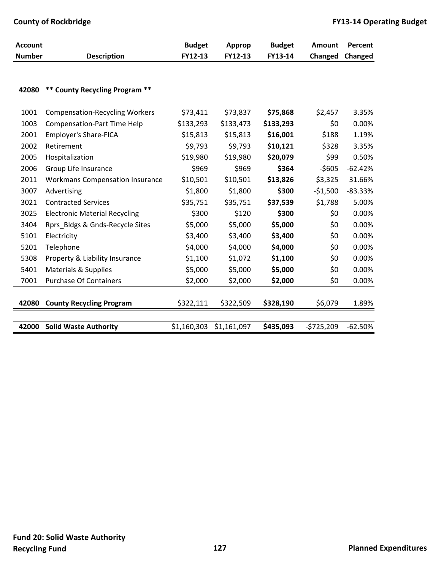| <b>Account</b> |                                        | <b>Budget</b> | Approp      | <b>Budget</b> | <b>Amount</b> | Percent   |
|----------------|----------------------------------------|---------------|-------------|---------------|---------------|-----------|
| <b>Number</b>  | <b>Description</b>                     | FY12-13       | FY12-13     | FY13-14       | Changed       | Changed   |
|                |                                        |               |             |               |               |           |
| 42080          | ** County Recycling Program **         |               |             |               |               |           |
|                |                                        |               |             |               |               |           |
| 1001           | <b>Compensation-Recycling Workers</b>  | \$73,411      | \$73,837    | \$75,868      | \$2,457       | 3.35%     |
| 1003           | <b>Compensation-Part Time Help</b>     | \$133,293     | \$133,473   | \$133,293     | \$0           | 0.00%     |
| 2001           | <b>Employer's Share-FICA</b>           | \$15,813      | \$15,813    | \$16,001      | \$188         | 1.19%     |
| 2002           | Retirement                             | \$9,793       | \$9,793     | \$10,121      | \$328         | 3.35%     |
| 2005           | Hospitalization                        | \$19,980      | \$19,980    | \$20,079      | \$99          | 0.50%     |
| 2006           | Group Life Insurance                   | \$969         | \$969       | \$364         | $-5605$       | $-62.42%$ |
| 2011           | <b>Workmans Compensation Insurance</b> | \$10,501      | \$10,501    | \$13,826      | \$3,325       | 31.66%    |
| 3007           | Advertising                            | \$1,800       | \$1,800     | \$300         | $-$1,500$     | $-83.33%$ |
| 3021           | <b>Contracted Services</b>             | \$35,751      | \$35,751    | \$37,539      | \$1,788       | 5.00%     |
| 3025           | <b>Electronic Material Recycling</b>   | \$300         | \$120       | \$300         | \$0           | 0.00%     |
| 3404           | Rprs_Bldgs & Gnds-Recycle Sites        | \$5,000       | \$5,000     | \$5,000       | \$0           | 0.00%     |
| 5101           | Electricity                            | \$3,400       | \$3,400     | \$3,400       | \$0           | 0.00%     |
| 5201           | Telephone                              | \$4,000       | \$4,000     | \$4,000       | \$0           | 0.00%     |
| 5308           | Property & Liability Insurance         | \$1,100       | \$1,072     | \$1,100       | \$0           | 0.00%     |
| 5401           | <b>Materials &amp; Supplies</b>        | \$5,000       | \$5,000     | \$5,000       | \$0           | 0.00%     |
| 7001           | <b>Purchase Of Containers</b>          | \$2,000       | \$2,000     | \$2,000       | \$0           | 0.00%     |
|                |                                        |               |             |               |               |           |
| 42080          | <b>County Recycling Program</b>        | \$322,111     | \$322,509   | \$328,190     | \$6,079       | 1.89%     |
|                |                                        |               |             |               |               |           |
| 42000          | <b>Solid Waste Authority</b>           | \$1,160,303   | \$1,161,097 | \$435,093     | $-5725,209$   | $-62.50%$ |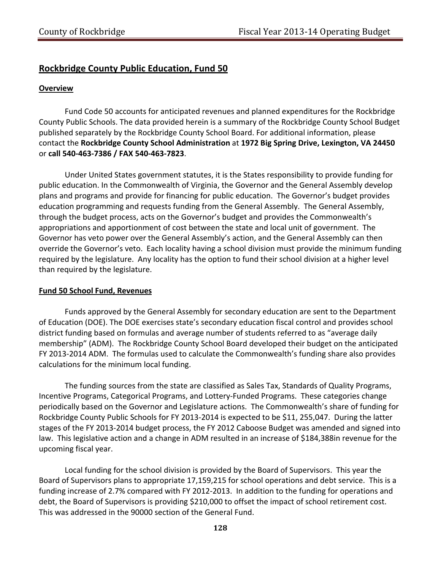#### **Rockbridge County Public Education, Fund 50**

#### **Overview**

Fund Code 50 accounts for anticipated revenues and planned expenditures for the Rockbridge County Public Schools. The data provided herein is a summary of the Rockbridge County School Budget published separately by the Rockbridge County School Board. For additional information, please contact the **Rockbridge County School Administration** at **1972 Big Spring Drive, Lexington, VA 24450** or **call 540‐463‐7386 / FAX 540‐463‐7823**.

Under United States government statutes, it is the States responsibility to provide funding for public education. In the Commonwealth of Virginia, the Governor and the General Assembly develop plans and programs and provide for financing for public education. The Governor's budget provides education programming and requests funding from the General Assembly. The General Assembly, through the budget process, acts on the Governor's budget and provides the Commonwealth's appropriations and apportionment of cost between the state and local unit of government. The Governor has veto power over the General Assembly's action, and the General Assembly can then override the Governor's veto. Each locality having a school division must provide the minimum funding required by the legislature. Any locality has the option to fund their school division at a higher level than required by the legislature.

#### **Fund 50 School Fund, Revenues**

Funds approved by the General Assembly for secondary education are sent to the Department of Education (DOE). The DOE exercises state's secondary education fiscal control and provides school district funding based on formulas and average number of students referred to as "average daily membership" (ADM). The Rockbridge County School Board developed their budget on the anticipated FY 2013‐2014 ADM. The formulas used to calculate the Commonwealth's funding share also provides calculations for the minimum local funding.

The funding sources from the state are classified as Sales Tax, Standards of Quality Programs, Incentive Programs, Categorical Programs, and Lottery‐Funded Programs. These categories change periodically based on the Governor and Legislature actions. The Commonwealth's share of funding for Rockbridge County Public Schools for FY 2013‐2014 is expected to be \$11, 255,047. During the latter stages of the FY 2013‐2014 budget process, the FY 2012 Caboose Budget was amended and signed into law. This legislative action and a change in ADM resulted in an increase of \$184,388in revenue for the upcoming fiscal year.

Local funding for the school division is provided by the Board of Supervisors. This year the Board of Supervisors plans to appropriate 17,159,215 for school operations and debt service. This is a funding increase of 2.7% compared with FY 2012-2013. In addition to the funding for operations and debt, the Board of Supervisors is providing \$210,000 to offset the impact of school retirement cost. This was addressed in the 90000 section of the General Fund.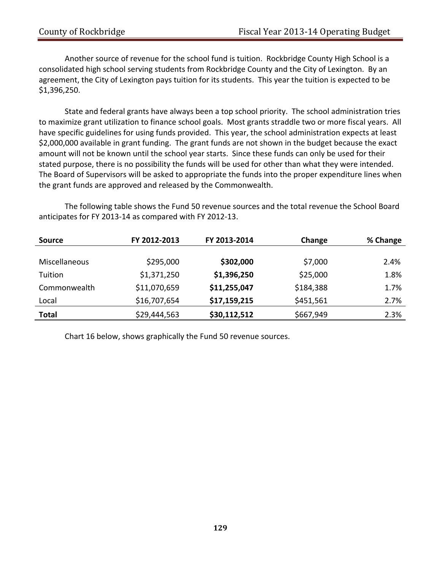Another source of revenue for the school fund is tuition. Rockbridge County High School is a consolidated high school serving students from Rockbridge County and the City of Lexington. By an agreement, the City of Lexington pays tuition for its students. This year the tuition is expected to be \$1,396,250.

State and federal grants have always been a top school priority. The school administration tries to maximize grant utilization to finance school goals. Most grants straddle two or more fiscal years. All have specific guidelines for using funds provided. This year, the school administration expects at least \$2,000,000 available in grant funding. The grant funds are not shown in the budget because the exact amount will not be known until the school year starts. Since these funds can only be used for their stated purpose, there is no possibility the funds will be used for other than what they were intended. The Board of Supervisors will be asked to appropriate the funds into the proper expenditure lines when the grant funds are approved and released by the Commonwealth.

The following table shows the Fund 50 revenue sources and the total revenue the School Board anticipates for FY 2013‐14 as compared with FY 2012‐13.

| <b>Source</b>        | FY 2012-2013 | FY 2013-2014 | Change    | % Change |
|----------------------|--------------|--------------|-----------|----------|
|                      |              |              |           |          |
| <b>Miscellaneous</b> | \$295,000    | \$302,000    | \$7,000   | 2.4%     |
| Tuition              | \$1,371,250  | \$1,396,250  | \$25,000  | 1.8%     |
| Commonwealth         | \$11,070,659 | \$11,255,047 | \$184,388 | 1.7%     |
| Local                | \$16,707,654 | \$17,159,215 | \$451,561 | 2.7%     |
| <b>Total</b>         | \$29,444,563 | \$30,112,512 | \$667,949 | 2.3%     |

Chart 16 below, shows graphically the Fund 50 revenue sources.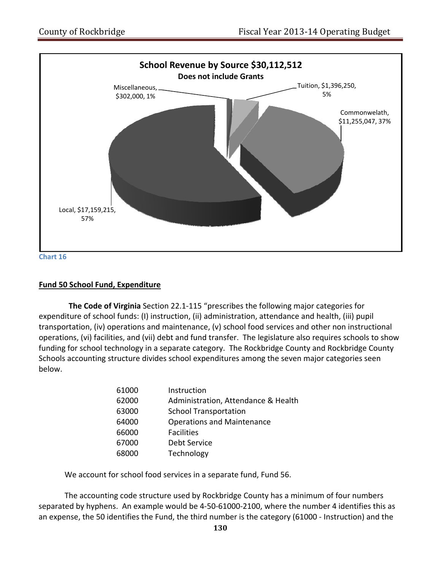

#### **Fund 50 School Fund, Expenditure**

 **The Code of Virginia** Section 22.1‐115 "prescribes the following major categories for expenditure of school funds: (I) instruction, (ii) administration, attendance and health, (iii) pupil transportation, (iv) operations and maintenance, (v) school food services and other non instructional operations, (vi) facilities, and (vii) debt and fund transfer. The legislature also requires schools to show funding for school technology in a separate category. The Rockbridge County and Rockbridge County Schools accounting structure divides school expenditures among the seven major categories seen below.

| 61000 | Instruction                         |
|-------|-------------------------------------|
| 62000 | Administration, Attendance & Health |
| 63000 | <b>School Transportation</b>        |
| 64000 | <b>Operations and Maintenance</b>   |
| 66000 | <b>Facilities</b>                   |
| 67000 | Debt Service                        |
| 68000 | Technology                          |
|       |                                     |

We account for school food services in a separate fund, Fund 56.

The accounting code structure used by Rockbridge County has a minimum of four numbers separated by hyphens. An example would be 4‐50‐61000‐2100, where the number 4 identifies this as an expense, the 50 identifies the Fund, the third number is the category (61000 ‐ Instruction) and the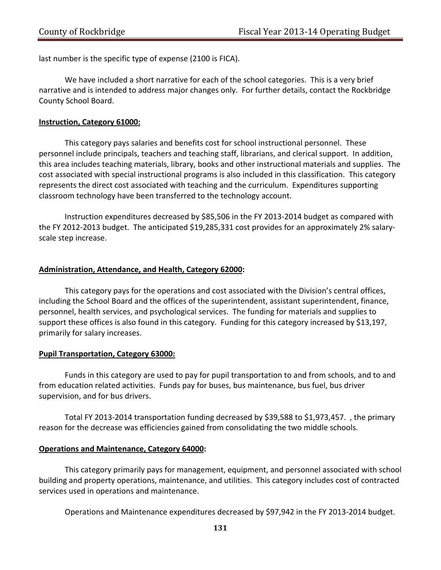last number is the specific type of expense (2100 is FICA).

We have included a short narrative for each of the school categories. This is a very brief narrative and is intended to address major changes only. For further details, contact the Rockbridge County School Board.

#### **Instruction, Category 61000:**

This category pays salaries and benefits cost for school instructional personnel. These personnel include principals, teachers and teaching staff, librarians, and clerical support. In addition, this area includes teaching materials, library, books and other instructional materials and supplies. The cost associated with special instructional programs is also included in this classification. This category represents the direct cost associated with teaching and the curriculum. Expenditures supporting classroom technology have been transferred to the technology account.

Instruction expenditures decreased by \$85,506 in the FY 2013‐2014 budget as compared with the FY 2012-2013 budget. The anticipated \$19,285,331 cost provides for an approximately 2% salaryscale step increase.

#### **Administration, Attendance, and Health, Category 62000:**

This category pays for the operations and cost associated with the Division's central offices, including the School Board and the offices of the superintendent, assistant superintendent, finance, personnel, health services, and psychological services. The funding for materials and supplies to support these offices is also found in this category. Funding for this category increased by \$13,197, primarily for salary increases.

#### **Pupil Transportation, Category 63000:**

Funds in this category are used to pay for pupil transportation to and from schools, and to and from education related activities. Funds pay for buses, bus maintenance, bus fuel, bus driver supervision, and for bus drivers.

Total FY 2013‐2014 transportation funding decreased by \$39,588 to \$1,973,457. , the primary reason for the decrease was efficiencies gained from consolidating the two middle schools.

#### **Operations and Maintenance, Category 64000:**

This category primarily pays for management, equipment, and personnel associated with school building and property operations, maintenance, and utilities. This category includes cost of contracted services used in operations and maintenance.

Operations and Maintenance expenditures decreased by \$97,942 in the FY 2013‐2014 budget.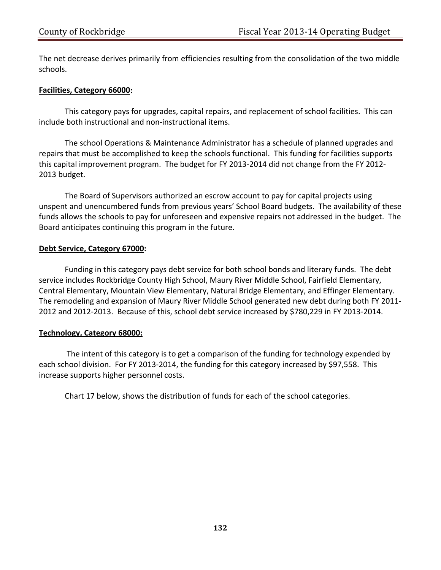The net decrease derives primarily from efficiencies resulting from the consolidation of the two middle schools.

#### **Facilities, Category 66000:**

This category pays for upgrades, capital repairs, and replacement of school facilities. This can include both instructional and non‐instructional items.

The school Operations & Maintenance Administrator has a schedule of planned upgrades and repairs that must be accomplished to keep the schools functional. This funding for facilities supports this capital improvement program. The budget for FY 2013‐2014 did not change from the FY 2012‐ 2013 budget.

The Board of Supervisors authorized an escrow account to pay for capital projects using unspent and unencumbered funds from previous years' School Board budgets. The availability of these funds allows the schools to pay for unforeseen and expensive repairs not addressed in the budget. The Board anticipates continuing this program in the future.

#### **Debt Service, Category 67000:**

Funding in this category pays debt service for both school bonds and literary funds. The debt service includes Rockbridge County High School, Maury River Middle School, Fairfield Elementary, Central Elementary, Mountain View Elementary, Natural Bridge Elementary, and Effinger Elementary. The remodeling and expansion of Maury River Middle School generated new debt during both FY 2011‐ 2012 and 2012‐2013. Because of this, school debt service increased by \$780,229 in FY 2013‐2014.

#### **Technology, Category 68000:**

The intent of this category is to get a comparison of the funding for technology expended by each school division. For FY 2013-2014, the funding for this category increased by \$97,558. This increase supports higher personnel costs.

Chart 17 below, shows the distribution of funds for each of the school categories.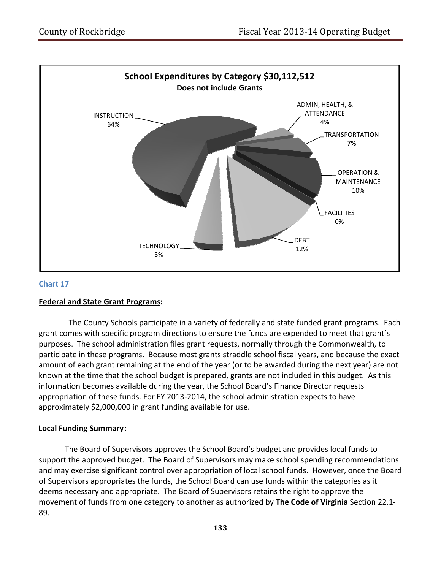

#### **Chart 17**

#### **Federal and State Grant Programs:**

 The County Schools participate in a variety of federally and state funded grant programs. Each grant comes with specific program directions to ensure the funds are expended to meet that grant's purposes. The school administration files grant requests, normally through the Commonwealth, to participate in these programs. Because most grants straddle school fiscal years, and because the exact amount of each grant remaining at the end of the year (or to be awarded during the next year) are not known at the time that the school budget is prepared, grants are not included in this budget. As this information becomes available during the year, the School Board's Finance Director requests appropriation of these funds. For FY 2013‐2014, the school administration expects to have approximately \$2,000,000 in grant funding available for use.

#### **Local Funding Summary:**

The Board of Supervisors approves the School Board's budget and provides local funds to support the approved budget. The Board of Supervisors may make school spending recommendations and may exercise significant control over appropriation of local school funds. However, once the Board of Supervisors appropriates the funds, the School Board can use funds within the categories as it deems necessary and appropriate. The Board of Supervisors retains the right to approve the movement of funds from one category to another as authorized by **The Code of Virginia** Section 22.1‐ 89.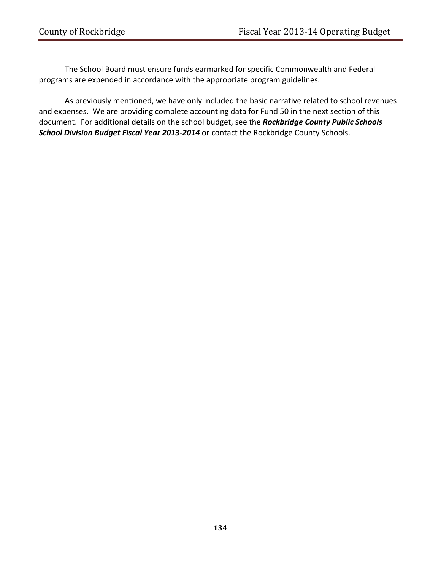The School Board must ensure funds earmarked for specific Commonwealth and Federal programs are expended in accordance with the appropriate program guidelines.

As previously mentioned, we have only included the basic narrative related to school revenues and expenses. We are providing complete accounting data for Fund 50 in the next section of this document. For additional details on the school budget, see the *Rockbridge County Public Schools School Division Budget Fiscal Year 2013‐2014* or contact the Rockbridge County Schools.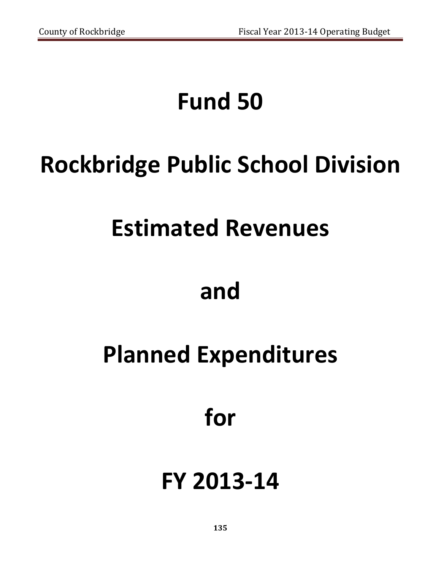# **Fund 50**

# **Rockbridge Public School Division**

### **Estimated Revenues**

### **and**

# **Planned Expenditures**

### **for**

# **FY 2013‐14**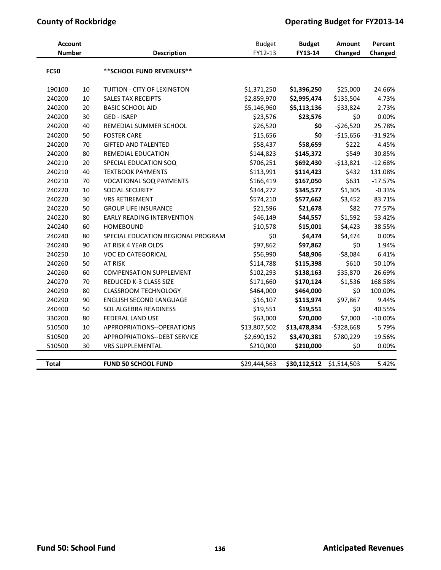### **County** of Rockbridge **COUNTER 1999 COUNTER 1999 Operating Budget for FY2013-14**

| <b>Account</b> |        |                                    | <b>Budget</b> | <b>Budget</b> | Amount      | Percent   |
|----------------|--------|------------------------------------|---------------|---------------|-------------|-----------|
| <b>Number</b>  |        | Description                        | FY12-13       | FY13-14       | Changed     | Changed   |
| <b>FC50</b>    |        | ** SCHOOL FUND REVENUES**          |               |               |             |           |
| 190100         | 10     | TUITION - CITY OF LEXINGTON        | \$1,371,250   | \$1,396,250   | \$25,000    | 24.66%    |
| 240200         | $10\,$ | <b>SALES TAX RECEIPTS</b>          | \$2,859,970   | \$2,995,474   | \$135,504   | 4.73%     |
| 240200         | 20     | <b>BASIC SCHOOL AID</b>            | \$5,146,960   | \$5,113,136   | $-533,824$  | 2.73%     |
| 240200         | 30     | <b>GED - ISAEP</b>                 | \$23,576      | \$23,576      | \$0         | 0.00%     |
| 240200         | 40     | REMEDIAL SUMMER SCHOOL             | \$26,520      | \$0           | $-$26,520$  | 25.78%    |
| 240200         | 50     | <b>FOSTER CARE</b>                 | \$15,656      | \$0           | $-$15,656$  | $-31.92%$ |
| 240200         | 70     | <b>GIFTED AND TALENTED</b>         | \$58,437      | \$58,659      | \$222       | 4.45%     |
| 240200         | 80     | REMEDIAL EDUCATION                 | \$144,823     | \$145,372     | \$549       | 30.85%    |
| 240210         | 20     | SPECIAL EDUCATION SOQ              | \$706,251     | \$692,430     | $-$13,821$  | $-12.68%$ |
| 240210         | 40     | <b>TEXTBOOK PAYMENTS</b>           | \$113,991     | \$114,423     | \$432       | 131.08%   |
| 240210         | 70     | VOCATIONAL SOQ PAYMENTS            | \$166,419     | \$167,050     | \$631       | $-17.57%$ |
| 240220         | 10     | SOCIAL SECURITY                    | \$344,272     | \$345,577     | \$1,305     | $-0.33%$  |
| 240220         | 30     | <b>VRS RETIREMENT</b>              | \$574,210     | \$577,662     | \$3,452     | 83.71%    |
| 240220         | 50     | <b>GROUP LIFE INSURANCE</b>        | \$21,596      | \$21,678      | \$82        | 77.57%    |
| 240220         | 80     | <b>EARLY READING INTERVENTION</b>  | \$46,149      | \$44,557      | $-51,592$   | 53.42%    |
| 240240         | 60     | <b>HOMEBOUND</b>                   | \$10,578      | \$15,001      | \$4,423     | 38.55%    |
| 240240         | 80     | SPECIAL EDUCATION REGIONAL PROGRAM | \$0           | \$4,474       | \$4,474     | 0.00%     |
| 240240         | 90     | AT RISK 4 YEAR OLDS                | \$97,862      | \$97,862      | \$0         | 1.94%     |
| 240250         | 10     | <b>VOC ED CATEGORICAL</b>          | \$56,990      | \$48,906      | $-58,084$   | 6.41%     |
| 240260         | 50     | AT RISK                            | \$114,788     | \$115,398     | \$610       | 50.10%    |
| 240260         | 60     | <b>COMPENSATION SUPPLEMENT</b>     | \$102,293     | \$138,163     | \$35,870    | 26.69%    |
| 240270         | 70     | REDUCED K-3 CLASS SIZE             | \$171,660     | \$170,124     | $-51,536$   | 168.58%   |
| 240290         | 80     | <b>CLASSROOM TECHNOLOGY</b>        | \$464,000     | \$464,000     | \$0         | 100.00%   |
| 240290         | 90     | <b>ENGLISH SECOND LANGUAGE</b>     | \$16,107      | \$113,974     | \$97,867    | 9.44%     |
| 240400         | 50     | <b>SOL ALGEBRA READINESS</b>       | \$19,551      | \$19,551      | \$0         | 40.55%    |
| 330200         | 80     | FEDERAL LAND USE                   | \$63,000      | \$70,000      | \$7,000     | $-10.00%$ |
| 510500         | 10     | APPROPRIATIONS--OPERATIONS         | \$13,807,502  | \$13,478,834  | $-5328,668$ | 5.79%     |
| 510500         | 20     | APPROPRIATIONS--DEBT SERVICE       | \$2,690,152   | \$3,470,381   | \$780,229   | 19.56%    |
| 510500         | 30     | <b>VRS SUPPLEMENTAL</b>            | \$210,000     | \$210,000     | \$0         | 0.00%     |
| <b>Total</b>   |        | <b>FUND 50 SCHOOL FUND</b>         | \$29,444,563  | \$30,112,512  | \$1,514,503 | 5.42%     |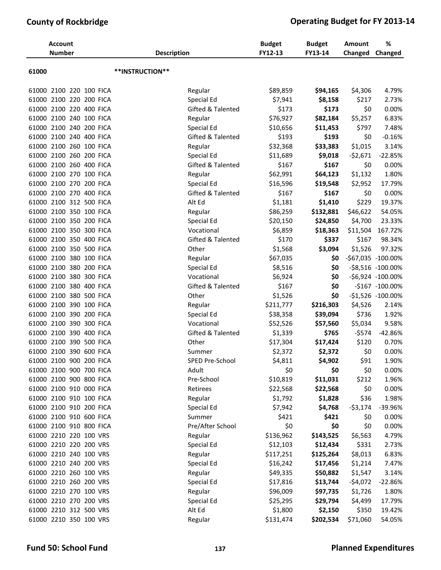### **County of Rockbridge Operating Budget for FY 2013-14**

|       | <b>Account</b><br><b>Number</b> | <b>Description</b>           | <b>Budget</b><br>FY12-13 | <b>Budget</b><br>FY13-14 | <b>Amount</b><br>Changed | %<br>Changed       |
|-------|---------------------------------|------------------------------|--------------------------|--------------------------|--------------------------|--------------------|
| 61000 |                                 | **INSTRUCTION**              |                          |                          |                          |                    |
| 61000 | 2100 220 100 FICA               | Regular                      | \$89,859                 | \$94,165                 | \$4,306                  | 4.79%              |
| 61000 | 2100 220 200 FICA               | Special Ed                   | \$7,941                  | \$8,158                  | \$217                    | 2.73%              |
|       | 61000 2100 220 400 FICA         | <b>Gifted &amp; Talented</b> | \$173                    | \$173                    | \$0                      | 0.00%              |
|       | 61000 2100 240 100 FICA         | Regular                      | \$76,927                 | \$82,184                 | \$5,257                  | 6.83%              |
|       | 61000 2100 240 200 FICA         | Special Ed                   | \$10,656                 | \$11,453                 | \$797                    | 7.48%              |
| 61000 | 2100 240 400 FICA               | Gifted & Talented            | \$193                    | \$193                    | \$0                      | $-0.16%$           |
| 61000 | 2100 260 100 FICA               | Regular                      | \$32,368                 | \$33,383                 | \$1,015                  | 3.14%              |
| 61000 | 2100 260 200 FICA               | Special Ed                   | \$11,689                 | \$9,018                  | $-52,671$                | $-22.85%$          |
| 61000 | 2100 260 400 FICA               | Gifted & Talented            | \$167                    | \$167                    | \$0                      | 0.00%              |
|       | 61000 2100 270 100 FICA         | Regular                      | \$62,991                 | \$64,123                 | \$1,132                  | 1.80%              |
|       | 61000 2100 270 200 FICA         | Special Ed                   | \$16,596                 | \$19,548                 | \$2,952                  | 17.79%             |
| 61000 | 2100 270 400 FICA               | Gifted & Talented            | \$167                    | \$167                    | \$0                      | 0.00%              |
| 61000 | 2100 312 500 FICA               | Alt Ed                       | \$1,181                  | \$1,410                  | \$229                    | 19.37%             |
|       | 61000 2100 350 100 FICA         | Regular                      | \$86,259                 | \$132,881                | \$46,622                 | 54.05%             |
| 61000 | 2100 350 200 FICA               | Special Ed                   | \$20,150                 | \$24,850                 | \$4,700                  | 23.33%             |
|       | 61000 2100 350 300 FICA         | Vocational                   | \$6,859                  | \$18,363                 | \$11,504                 | 167.72%            |
|       | 61000 2100 350 400 FICA         | Gifted & Talented            | \$170                    | \$337                    | \$167                    | 98.34%             |
| 61000 | 2100 350 500 FICA               | Other                        | \$1,568                  | \$3,094                  | \$1,526                  | 97.32%             |
| 61000 | 2100 380 100 FICA               | Regular                      | \$67,035                 | \$0                      |                          | -\$67,035 -100.00% |
|       | 61000 2100 380 200 FICA         | Special Ed                   | \$8,516                  | \$0                      |                          | -\$8,516 -100.00%  |
| 61000 | 2100 380 300 FICA               | Vocational                   | \$6,924                  | \$0                      |                          | -\$6,924 -100.00%  |
| 61000 | 2100 380 400 FICA               | Gifted & Talented            | \$167                    | \$0                      |                          | -\$167 -100.00%    |
|       | 61000 2100 380 500 FICA         | Other                        | \$1,526                  | \$0                      |                          | -\$1,526 -100.00%  |
| 61000 | 2100 390 100 FICA               | Regular                      | \$211,777                | \$216,303                | \$4,526                  | 2.14%              |
| 61000 | 2100 390 200 FICA               | Special Ed                   | \$38,358                 | \$39,094                 | \$736                    | 1.92%              |
| 61000 | 2100 390 300 FICA               | Vocational                   | \$52,526                 | \$57,560                 | \$5,034                  | 9.58%              |
| 61000 | 2100 390 400 FICA               | Gifted & Talented            | \$1,339                  | \$765                    | $-5574$                  | $-42.86%$          |
| 61000 | 2100 390 500 FICA               | Other                        | \$17,304                 | \$17,424                 | \$120                    | 0.70%              |
|       | 61000 2100 390 600 FICA         | Summer                       | \$2,372                  | \$2,372                  | \$0                      | 0.00%              |
|       | 61000 2100 900 200 FICA         | SPED Pre-School              | \$4,811                  | \$4,902                  | \$91                     | 1.90%              |
|       | 61000 2100 900 700 FICA         | Adult                        | \$0                      | \$0                      | \$0                      | 0.00%              |
|       | 61000 2100 900 800 FICA         | Pre-School                   | \$10,819                 | \$11,031                 | \$212                    | 1.96%              |
|       | 61000 2100 910 000 FICA         | Retirees                     | \$22,568                 | \$22,568                 | \$0                      | 0.00%              |
|       | 61000 2100 910 100 FICA         | Regular                      | \$1,792                  | \$1,828                  | \$36                     | 1.98%              |
|       | 61000 2100 910 200 FICA         | Special Ed                   | \$7,942                  | \$4,768                  | $-53,174$                | -39.96%            |
|       | 61000 2100 910 600 FICA         | Summer                       | \$421                    | \$421                    | \$0                      | 0.00%              |
|       | 61000 2100 910 800 FICA         | Pre/After School             | \$0                      | \$0                      | \$0                      | 0.00%              |
|       | 61000 2210 220 100 VRS          | Regular                      | \$136,962                | \$143,525                | \$6,563                  | 4.79%              |
|       | 61000 2210 220 200 VRS          | Special Ed                   | \$12,103                 | \$12,434                 | \$331                    | 2.73%              |
|       | 61000 2210 240 100 VRS          | Regular                      | \$117,251                | \$125,264                | \$8,013                  | 6.83%              |
|       | 61000 2210 240 200 VRS          | Special Ed                   | \$16,242                 | \$17,456                 | \$1,214                  | 7.47%              |
|       | 61000 2210 260 100 VRS          | Regular                      | \$49,335                 | \$50,882                 | \$1,547                  | 3.14%              |
|       | 61000 2210 260 200 VRS          | Special Ed                   | \$17,816                 | \$13,744                 | $-54,072$                | $-22.86%$          |
|       | 61000 2210 270 100 VRS          | Regular                      | \$96,009                 | \$97,735                 | \$1,726                  | 1.80%              |
|       | 61000 2210 270 200 VRS          | Special Ed                   | \$25,295                 | \$29,794                 | \$4,499                  | 17.79%             |
|       | 61000 2210 312 500 VRS          | Alt Ed                       | \$1,800                  | \$2,150                  | \$350                    | 19.42%             |
|       | 61000 2210 350 100 VRS          | Regular                      | \$131,474                | \$202,534                | \$71,060                 | 54.05%             |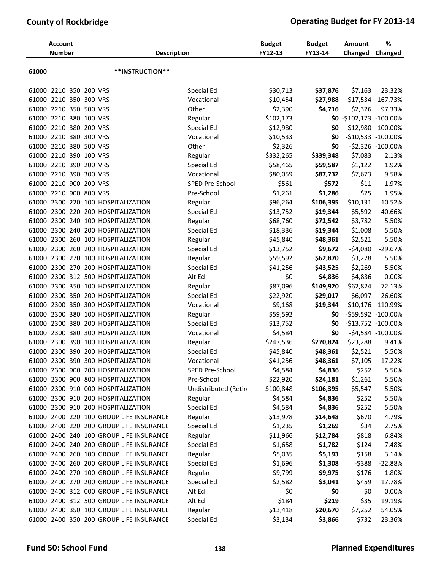| **INSTRUCTION**<br>61000<br>61000 2210 350 200 VRS<br>Special Ed<br>23.32%<br>\$30,713<br>\$37,876<br>\$7,163<br>2210 350 300 VRS<br>Vocational<br>\$10,454<br>\$27,988<br>\$17,534<br>167.73%<br>61000<br>2210 350 500 VRS<br>Other<br>\$2,390<br>\$4,716<br>\$2,326<br>97.33%<br>61000<br>61000 2210 380 100 VRS<br>Regular<br>\$102,173<br>$$0 - $102,173 -100.00\%$<br>61000 2210 380 200 VRS<br>Special Ed<br>\$12,980<br>\$0<br>-\$12,980 -100.00%<br>61000 2210 380 300 VRS<br>Vocational<br>-\$10,533 -100.00%<br>\$10,533<br>\$0<br>61000 2210 380 500 VRS<br>Other<br>\$2,326<br>\$0<br>-\$2,326 -100.00%<br>\$7,083<br>61000 2210 390 100 VRS<br>Regular<br>\$332,265<br>\$339,348<br>2.13%<br>61000 2210 390 200 VRS<br>Special Ed<br>\$58,465<br>\$59,587<br>\$1,122<br>1.92%<br>61000 2210 390 300 VRS<br>Vocational<br>\$80,059<br>\$87,732<br>\$7,673<br>9.58%<br>\$11<br>61000 2210 900 200 VRS<br>SPED Pre-School<br>\$561<br>\$572<br>1.97%<br>\$25<br>1.95%<br>61000 2210 900 800 VRS<br>Pre-School<br>\$1,261<br>\$1,286<br>61000 2300 220 100 HOSPITALIZATION<br>\$96,264<br>\$106,395<br>\$10,131<br>10.52%<br>Regular<br>40.66%<br>2300 220 200 HOSPITALIZATION<br>Special Ed<br>\$13,752<br>\$19,344<br>\$5,592<br>61000<br>2300 240 100 HOSPITALIZATION<br>Regular<br>\$68,760<br>\$72,542<br>\$3,782<br>5.50%<br>61000<br>61000 2300 240 200 HOSPITALIZATION<br>Special Ed<br>\$18,336<br>\$19,344<br>\$1,008<br>5.50%<br>61000 2300 260 100 HOSPITALIZATION<br>Regular<br>\$45,840<br>\$48,361<br>\$2,521<br>5.50%<br>61000 2300 260 200 HOSPITALIZATION<br>Special Ed<br>\$9,672<br>$-54,080$<br>$-29.67%$<br>\$13,752<br>61000 2300 270 100 HOSPITALIZATION<br>Regular<br>\$59,592<br>\$62,870<br>\$3,278<br>5.50%<br>5.50%<br>61000 2300 270 200 HOSPITALIZATION<br>Special Ed<br>\$41,256<br>\$43,525<br>\$2,269<br>\$0<br>0.00%<br>2300 312 500 HOSPITALIZATION<br>Alt Ed<br>\$4,836<br>\$4,836<br>61000<br>\$149,920<br>2300 350 100 HOSPITALIZATION<br>\$87,096<br>\$62,824<br>72.13%<br>61000<br>Regular<br>2300 350 200 HOSPITALIZATION<br>\$22,920<br>\$29,017<br>\$6,097<br>61000<br>Special Ed<br>26.60%<br>61000 2300 350 300 HOSPITALIZATION<br>Vocational<br>\$9,168<br>\$19,344<br>\$10,176<br>110.99%<br>61000 2300 380 100 HOSPITALIZATION<br>\$59,592<br>-\$59,592 -100.00%<br>Regular<br>\$0<br>61000 2300 380 200 HOSPITALIZATION<br>Special Ed<br>\$13,752<br>-\$13,752 -100.00%<br>\$0<br>2300 380 300 HOSPITALIZATION<br>Vocational<br>\$4,584<br>\$0<br>-\$4,584 -100.00%<br>61000<br>\$247,536<br>2300 390 100 HOSPITALIZATION<br>\$270,824<br>\$23,288<br>9.41%<br>61000<br>Regular<br>61000 2300 390 200 HOSPITALIZATION<br>\$45,840<br>\$48,361<br>\$2,521<br>Special Ed<br>5.50%<br>Vocational<br>\$7,105<br>\$41,256<br>\$48,361<br>61000 2300 390 300 HOSPITALIZATION<br>17.22%<br>\$4,584<br>\$252<br>5.50%<br>61000 2300 900 200 HOSPITALIZATION<br>SPED Pre-School<br>\$4,836<br>61000 2300 900 800 HOSPITALIZATION<br>Pre-School<br>\$22,920<br>\$24,181<br>\$1,261<br>5.50%<br>61000 2300 910 000 HOSPITALIZATION<br>Undistributed (Retire<br>\$100,848<br>\$106,395<br>\$5,547<br>5.50%<br>61000 2300 910 200 HOSPITALIZATION<br>\$4,584<br>\$4,836<br>\$252<br>5.50%<br>Regular<br>61000 2300 910 200 HOSPITALIZATION<br>Special Ed<br>\$4,584<br>\$4,836<br>\$252<br>5.50%<br>\$670<br>61000 2400 220 100 GROUP LIFE INSURANCE<br>Regular<br>\$13,978<br>\$14,648<br>4.79%<br>61000 2400 220 200 GROUP LIFE INSURANCE<br>Special Ed<br>\$1,235<br>\$1,269<br>\$34<br>2.75%<br>61000 2400 240 100 GROUP LIFE INSURANCE<br>Regular<br>\$11,966<br>\$12,784<br>6.84%<br>\$818 | <b>Account</b><br><b>Number</b> | <b>Description</b> | <b>Budget</b><br>FY12-13 | <b>Budget</b><br>FY13-14 | <b>Amount</b><br>Changed | %<br>Changed |
|------------------------------------------------------------------------------------------------------------------------------------------------------------------------------------------------------------------------------------------------------------------------------------------------------------------------------------------------------------------------------------------------------------------------------------------------------------------------------------------------------------------------------------------------------------------------------------------------------------------------------------------------------------------------------------------------------------------------------------------------------------------------------------------------------------------------------------------------------------------------------------------------------------------------------------------------------------------------------------------------------------------------------------------------------------------------------------------------------------------------------------------------------------------------------------------------------------------------------------------------------------------------------------------------------------------------------------------------------------------------------------------------------------------------------------------------------------------------------------------------------------------------------------------------------------------------------------------------------------------------------------------------------------------------------------------------------------------------------------------------------------------------------------------------------------------------------------------------------------------------------------------------------------------------------------------------------------------------------------------------------------------------------------------------------------------------------------------------------------------------------------------------------------------------------------------------------------------------------------------------------------------------------------------------------------------------------------------------------------------------------------------------------------------------------------------------------------------------------------------------------------------------------------------------------------------------------------------------------------------------------------------------------------------------------------------------------------------------------------------------------------------------------------------------------------------------------------------------------------------------------------------------------------------------------------------------------------------------------------------------------------------------------------------------------------------------------------------------------------------------------------------------------------------------------------------------------------------------------------------------------------------------------------------------------------------------------------------------------------------------------------------------------------------------------------------------------------------------------------------------------------------------------------------------------------------------------------------------------------------------------------------------|---------------------------------|--------------------|--------------------------|--------------------------|--------------------------|--------------|
|                                                                                                                                                                                                                                                                                                                                                                                                                                                                                                                                                                                                                                                                                                                                                                                                                                                                                                                                                                                                                                                                                                                                                                                                                                                                                                                                                                                                                                                                                                                                                                                                                                                                                                                                                                                                                                                                                                                                                                                                                                                                                                                                                                                                                                                                                                                                                                                                                                                                                                                                                                                                                                                                                                                                                                                                                                                                                                                                                                                                                                                                                                                                                                                                                                                                                                                                                                                                                                                                                                                                                                                                                                                |                                 |                    |                          |                          |                          |              |
|                                                                                                                                                                                                                                                                                                                                                                                                                                                                                                                                                                                                                                                                                                                                                                                                                                                                                                                                                                                                                                                                                                                                                                                                                                                                                                                                                                                                                                                                                                                                                                                                                                                                                                                                                                                                                                                                                                                                                                                                                                                                                                                                                                                                                                                                                                                                                                                                                                                                                                                                                                                                                                                                                                                                                                                                                                                                                                                                                                                                                                                                                                                                                                                                                                                                                                                                                                                                                                                                                                                                                                                                                                                |                                 |                    |                          |                          |                          |              |
|                                                                                                                                                                                                                                                                                                                                                                                                                                                                                                                                                                                                                                                                                                                                                                                                                                                                                                                                                                                                                                                                                                                                                                                                                                                                                                                                                                                                                                                                                                                                                                                                                                                                                                                                                                                                                                                                                                                                                                                                                                                                                                                                                                                                                                                                                                                                                                                                                                                                                                                                                                                                                                                                                                                                                                                                                                                                                                                                                                                                                                                                                                                                                                                                                                                                                                                                                                                                                                                                                                                                                                                                                                                |                                 |                    |                          |                          |                          |              |
|                                                                                                                                                                                                                                                                                                                                                                                                                                                                                                                                                                                                                                                                                                                                                                                                                                                                                                                                                                                                                                                                                                                                                                                                                                                                                                                                                                                                                                                                                                                                                                                                                                                                                                                                                                                                                                                                                                                                                                                                                                                                                                                                                                                                                                                                                                                                                                                                                                                                                                                                                                                                                                                                                                                                                                                                                                                                                                                                                                                                                                                                                                                                                                                                                                                                                                                                                                                                                                                                                                                                                                                                                                                |                                 |                    |                          |                          |                          |              |
|                                                                                                                                                                                                                                                                                                                                                                                                                                                                                                                                                                                                                                                                                                                                                                                                                                                                                                                                                                                                                                                                                                                                                                                                                                                                                                                                                                                                                                                                                                                                                                                                                                                                                                                                                                                                                                                                                                                                                                                                                                                                                                                                                                                                                                                                                                                                                                                                                                                                                                                                                                                                                                                                                                                                                                                                                                                                                                                                                                                                                                                                                                                                                                                                                                                                                                                                                                                                                                                                                                                                                                                                                                                |                                 |                    |                          |                          |                          |              |
|                                                                                                                                                                                                                                                                                                                                                                                                                                                                                                                                                                                                                                                                                                                                                                                                                                                                                                                                                                                                                                                                                                                                                                                                                                                                                                                                                                                                                                                                                                                                                                                                                                                                                                                                                                                                                                                                                                                                                                                                                                                                                                                                                                                                                                                                                                                                                                                                                                                                                                                                                                                                                                                                                                                                                                                                                                                                                                                                                                                                                                                                                                                                                                                                                                                                                                                                                                                                                                                                                                                                                                                                                                                |                                 |                    |                          |                          |                          |              |
|                                                                                                                                                                                                                                                                                                                                                                                                                                                                                                                                                                                                                                                                                                                                                                                                                                                                                                                                                                                                                                                                                                                                                                                                                                                                                                                                                                                                                                                                                                                                                                                                                                                                                                                                                                                                                                                                                                                                                                                                                                                                                                                                                                                                                                                                                                                                                                                                                                                                                                                                                                                                                                                                                                                                                                                                                                                                                                                                                                                                                                                                                                                                                                                                                                                                                                                                                                                                                                                                                                                                                                                                                                                |                                 |                    |                          |                          |                          |              |
|                                                                                                                                                                                                                                                                                                                                                                                                                                                                                                                                                                                                                                                                                                                                                                                                                                                                                                                                                                                                                                                                                                                                                                                                                                                                                                                                                                                                                                                                                                                                                                                                                                                                                                                                                                                                                                                                                                                                                                                                                                                                                                                                                                                                                                                                                                                                                                                                                                                                                                                                                                                                                                                                                                                                                                                                                                                                                                                                                                                                                                                                                                                                                                                                                                                                                                                                                                                                                                                                                                                                                                                                                                                |                                 |                    |                          |                          |                          |              |
|                                                                                                                                                                                                                                                                                                                                                                                                                                                                                                                                                                                                                                                                                                                                                                                                                                                                                                                                                                                                                                                                                                                                                                                                                                                                                                                                                                                                                                                                                                                                                                                                                                                                                                                                                                                                                                                                                                                                                                                                                                                                                                                                                                                                                                                                                                                                                                                                                                                                                                                                                                                                                                                                                                                                                                                                                                                                                                                                                                                                                                                                                                                                                                                                                                                                                                                                                                                                                                                                                                                                                                                                                                                |                                 |                    |                          |                          |                          |              |
|                                                                                                                                                                                                                                                                                                                                                                                                                                                                                                                                                                                                                                                                                                                                                                                                                                                                                                                                                                                                                                                                                                                                                                                                                                                                                                                                                                                                                                                                                                                                                                                                                                                                                                                                                                                                                                                                                                                                                                                                                                                                                                                                                                                                                                                                                                                                                                                                                                                                                                                                                                                                                                                                                                                                                                                                                                                                                                                                                                                                                                                                                                                                                                                                                                                                                                                                                                                                                                                                                                                                                                                                                                                |                                 |                    |                          |                          |                          |              |
|                                                                                                                                                                                                                                                                                                                                                                                                                                                                                                                                                                                                                                                                                                                                                                                                                                                                                                                                                                                                                                                                                                                                                                                                                                                                                                                                                                                                                                                                                                                                                                                                                                                                                                                                                                                                                                                                                                                                                                                                                                                                                                                                                                                                                                                                                                                                                                                                                                                                                                                                                                                                                                                                                                                                                                                                                                                                                                                                                                                                                                                                                                                                                                                                                                                                                                                                                                                                                                                                                                                                                                                                                                                |                                 |                    |                          |                          |                          |              |
|                                                                                                                                                                                                                                                                                                                                                                                                                                                                                                                                                                                                                                                                                                                                                                                                                                                                                                                                                                                                                                                                                                                                                                                                                                                                                                                                                                                                                                                                                                                                                                                                                                                                                                                                                                                                                                                                                                                                                                                                                                                                                                                                                                                                                                                                                                                                                                                                                                                                                                                                                                                                                                                                                                                                                                                                                                                                                                                                                                                                                                                                                                                                                                                                                                                                                                                                                                                                                                                                                                                                                                                                                                                |                                 |                    |                          |                          |                          |              |
|                                                                                                                                                                                                                                                                                                                                                                                                                                                                                                                                                                                                                                                                                                                                                                                                                                                                                                                                                                                                                                                                                                                                                                                                                                                                                                                                                                                                                                                                                                                                                                                                                                                                                                                                                                                                                                                                                                                                                                                                                                                                                                                                                                                                                                                                                                                                                                                                                                                                                                                                                                                                                                                                                                                                                                                                                                                                                                                                                                                                                                                                                                                                                                                                                                                                                                                                                                                                                                                                                                                                                                                                                                                |                                 |                    |                          |                          |                          |              |
|                                                                                                                                                                                                                                                                                                                                                                                                                                                                                                                                                                                                                                                                                                                                                                                                                                                                                                                                                                                                                                                                                                                                                                                                                                                                                                                                                                                                                                                                                                                                                                                                                                                                                                                                                                                                                                                                                                                                                                                                                                                                                                                                                                                                                                                                                                                                                                                                                                                                                                                                                                                                                                                                                                                                                                                                                                                                                                                                                                                                                                                                                                                                                                                                                                                                                                                                                                                                                                                                                                                                                                                                                                                |                                 |                    |                          |                          |                          |              |
|                                                                                                                                                                                                                                                                                                                                                                                                                                                                                                                                                                                                                                                                                                                                                                                                                                                                                                                                                                                                                                                                                                                                                                                                                                                                                                                                                                                                                                                                                                                                                                                                                                                                                                                                                                                                                                                                                                                                                                                                                                                                                                                                                                                                                                                                                                                                                                                                                                                                                                                                                                                                                                                                                                                                                                                                                                                                                                                                                                                                                                                                                                                                                                                                                                                                                                                                                                                                                                                                                                                                                                                                                                                |                                 |                    |                          |                          |                          |              |
|                                                                                                                                                                                                                                                                                                                                                                                                                                                                                                                                                                                                                                                                                                                                                                                                                                                                                                                                                                                                                                                                                                                                                                                                                                                                                                                                                                                                                                                                                                                                                                                                                                                                                                                                                                                                                                                                                                                                                                                                                                                                                                                                                                                                                                                                                                                                                                                                                                                                                                                                                                                                                                                                                                                                                                                                                                                                                                                                                                                                                                                                                                                                                                                                                                                                                                                                                                                                                                                                                                                                                                                                                                                |                                 |                    |                          |                          |                          |              |
|                                                                                                                                                                                                                                                                                                                                                                                                                                                                                                                                                                                                                                                                                                                                                                                                                                                                                                                                                                                                                                                                                                                                                                                                                                                                                                                                                                                                                                                                                                                                                                                                                                                                                                                                                                                                                                                                                                                                                                                                                                                                                                                                                                                                                                                                                                                                                                                                                                                                                                                                                                                                                                                                                                                                                                                                                                                                                                                                                                                                                                                                                                                                                                                                                                                                                                                                                                                                                                                                                                                                                                                                                                                |                                 |                    |                          |                          |                          |              |
|                                                                                                                                                                                                                                                                                                                                                                                                                                                                                                                                                                                                                                                                                                                                                                                                                                                                                                                                                                                                                                                                                                                                                                                                                                                                                                                                                                                                                                                                                                                                                                                                                                                                                                                                                                                                                                                                                                                                                                                                                                                                                                                                                                                                                                                                                                                                                                                                                                                                                                                                                                                                                                                                                                                                                                                                                                                                                                                                                                                                                                                                                                                                                                                                                                                                                                                                                                                                                                                                                                                                                                                                                                                |                                 |                    |                          |                          |                          |              |
|                                                                                                                                                                                                                                                                                                                                                                                                                                                                                                                                                                                                                                                                                                                                                                                                                                                                                                                                                                                                                                                                                                                                                                                                                                                                                                                                                                                                                                                                                                                                                                                                                                                                                                                                                                                                                                                                                                                                                                                                                                                                                                                                                                                                                                                                                                                                                                                                                                                                                                                                                                                                                                                                                                                                                                                                                                                                                                                                                                                                                                                                                                                                                                                                                                                                                                                                                                                                                                                                                                                                                                                                                                                |                                 |                    |                          |                          |                          |              |
|                                                                                                                                                                                                                                                                                                                                                                                                                                                                                                                                                                                                                                                                                                                                                                                                                                                                                                                                                                                                                                                                                                                                                                                                                                                                                                                                                                                                                                                                                                                                                                                                                                                                                                                                                                                                                                                                                                                                                                                                                                                                                                                                                                                                                                                                                                                                                                                                                                                                                                                                                                                                                                                                                                                                                                                                                                                                                                                                                                                                                                                                                                                                                                                                                                                                                                                                                                                                                                                                                                                                                                                                                                                |                                 |                    |                          |                          |                          |              |
|                                                                                                                                                                                                                                                                                                                                                                                                                                                                                                                                                                                                                                                                                                                                                                                                                                                                                                                                                                                                                                                                                                                                                                                                                                                                                                                                                                                                                                                                                                                                                                                                                                                                                                                                                                                                                                                                                                                                                                                                                                                                                                                                                                                                                                                                                                                                                                                                                                                                                                                                                                                                                                                                                                                                                                                                                                                                                                                                                                                                                                                                                                                                                                                                                                                                                                                                                                                                                                                                                                                                                                                                                                                |                                 |                    |                          |                          |                          |              |
|                                                                                                                                                                                                                                                                                                                                                                                                                                                                                                                                                                                                                                                                                                                                                                                                                                                                                                                                                                                                                                                                                                                                                                                                                                                                                                                                                                                                                                                                                                                                                                                                                                                                                                                                                                                                                                                                                                                                                                                                                                                                                                                                                                                                                                                                                                                                                                                                                                                                                                                                                                                                                                                                                                                                                                                                                                                                                                                                                                                                                                                                                                                                                                                                                                                                                                                                                                                                                                                                                                                                                                                                                                                |                                 |                    |                          |                          |                          |              |
|                                                                                                                                                                                                                                                                                                                                                                                                                                                                                                                                                                                                                                                                                                                                                                                                                                                                                                                                                                                                                                                                                                                                                                                                                                                                                                                                                                                                                                                                                                                                                                                                                                                                                                                                                                                                                                                                                                                                                                                                                                                                                                                                                                                                                                                                                                                                                                                                                                                                                                                                                                                                                                                                                                                                                                                                                                                                                                                                                                                                                                                                                                                                                                                                                                                                                                                                                                                                                                                                                                                                                                                                                                                |                                 |                    |                          |                          |                          |              |
|                                                                                                                                                                                                                                                                                                                                                                                                                                                                                                                                                                                                                                                                                                                                                                                                                                                                                                                                                                                                                                                                                                                                                                                                                                                                                                                                                                                                                                                                                                                                                                                                                                                                                                                                                                                                                                                                                                                                                                                                                                                                                                                                                                                                                                                                                                                                                                                                                                                                                                                                                                                                                                                                                                                                                                                                                                                                                                                                                                                                                                                                                                                                                                                                                                                                                                                                                                                                                                                                                                                                                                                                                                                |                                 |                    |                          |                          |                          |              |
|                                                                                                                                                                                                                                                                                                                                                                                                                                                                                                                                                                                                                                                                                                                                                                                                                                                                                                                                                                                                                                                                                                                                                                                                                                                                                                                                                                                                                                                                                                                                                                                                                                                                                                                                                                                                                                                                                                                                                                                                                                                                                                                                                                                                                                                                                                                                                                                                                                                                                                                                                                                                                                                                                                                                                                                                                                                                                                                                                                                                                                                                                                                                                                                                                                                                                                                                                                                                                                                                                                                                                                                                                                                |                                 |                    |                          |                          |                          |              |
|                                                                                                                                                                                                                                                                                                                                                                                                                                                                                                                                                                                                                                                                                                                                                                                                                                                                                                                                                                                                                                                                                                                                                                                                                                                                                                                                                                                                                                                                                                                                                                                                                                                                                                                                                                                                                                                                                                                                                                                                                                                                                                                                                                                                                                                                                                                                                                                                                                                                                                                                                                                                                                                                                                                                                                                                                                                                                                                                                                                                                                                                                                                                                                                                                                                                                                                                                                                                                                                                                                                                                                                                                                                |                                 |                    |                          |                          |                          |              |
|                                                                                                                                                                                                                                                                                                                                                                                                                                                                                                                                                                                                                                                                                                                                                                                                                                                                                                                                                                                                                                                                                                                                                                                                                                                                                                                                                                                                                                                                                                                                                                                                                                                                                                                                                                                                                                                                                                                                                                                                                                                                                                                                                                                                                                                                                                                                                                                                                                                                                                                                                                                                                                                                                                                                                                                                                                                                                                                                                                                                                                                                                                                                                                                                                                                                                                                                                                                                                                                                                                                                                                                                                                                |                                 |                    |                          |                          |                          |              |
|                                                                                                                                                                                                                                                                                                                                                                                                                                                                                                                                                                                                                                                                                                                                                                                                                                                                                                                                                                                                                                                                                                                                                                                                                                                                                                                                                                                                                                                                                                                                                                                                                                                                                                                                                                                                                                                                                                                                                                                                                                                                                                                                                                                                                                                                                                                                                                                                                                                                                                                                                                                                                                                                                                                                                                                                                                                                                                                                                                                                                                                                                                                                                                                                                                                                                                                                                                                                                                                                                                                                                                                                                                                |                                 |                    |                          |                          |                          |              |
|                                                                                                                                                                                                                                                                                                                                                                                                                                                                                                                                                                                                                                                                                                                                                                                                                                                                                                                                                                                                                                                                                                                                                                                                                                                                                                                                                                                                                                                                                                                                                                                                                                                                                                                                                                                                                                                                                                                                                                                                                                                                                                                                                                                                                                                                                                                                                                                                                                                                                                                                                                                                                                                                                                                                                                                                                                                                                                                                                                                                                                                                                                                                                                                                                                                                                                                                                                                                                                                                                                                                                                                                                                                |                                 |                    |                          |                          |                          |              |
|                                                                                                                                                                                                                                                                                                                                                                                                                                                                                                                                                                                                                                                                                                                                                                                                                                                                                                                                                                                                                                                                                                                                                                                                                                                                                                                                                                                                                                                                                                                                                                                                                                                                                                                                                                                                                                                                                                                                                                                                                                                                                                                                                                                                                                                                                                                                                                                                                                                                                                                                                                                                                                                                                                                                                                                                                                                                                                                                                                                                                                                                                                                                                                                                                                                                                                                                                                                                                                                                                                                                                                                                                                                |                                 |                    |                          |                          |                          |              |
|                                                                                                                                                                                                                                                                                                                                                                                                                                                                                                                                                                                                                                                                                                                                                                                                                                                                                                                                                                                                                                                                                                                                                                                                                                                                                                                                                                                                                                                                                                                                                                                                                                                                                                                                                                                                                                                                                                                                                                                                                                                                                                                                                                                                                                                                                                                                                                                                                                                                                                                                                                                                                                                                                                                                                                                                                                                                                                                                                                                                                                                                                                                                                                                                                                                                                                                                                                                                                                                                                                                                                                                                                                                |                                 |                    |                          |                          |                          |              |
|                                                                                                                                                                                                                                                                                                                                                                                                                                                                                                                                                                                                                                                                                                                                                                                                                                                                                                                                                                                                                                                                                                                                                                                                                                                                                                                                                                                                                                                                                                                                                                                                                                                                                                                                                                                                                                                                                                                                                                                                                                                                                                                                                                                                                                                                                                                                                                                                                                                                                                                                                                                                                                                                                                                                                                                                                                                                                                                                                                                                                                                                                                                                                                                                                                                                                                                                                                                                                                                                                                                                                                                                                                                |                                 |                    |                          |                          |                          |              |
|                                                                                                                                                                                                                                                                                                                                                                                                                                                                                                                                                                                                                                                                                                                                                                                                                                                                                                                                                                                                                                                                                                                                                                                                                                                                                                                                                                                                                                                                                                                                                                                                                                                                                                                                                                                                                                                                                                                                                                                                                                                                                                                                                                                                                                                                                                                                                                                                                                                                                                                                                                                                                                                                                                                                                                                                                                                                                                                                                                                                                                                                                                                                                                                                                                                                                                                                                                                                                                                                                                                                                                                                                                                |                                 |                    |                          |                          |                          |              |
|                                                                                                                                                                                                                                                                                                                                                                                                                                                                                                                                                                                                                                                                                                                                                                                                                                                                                                                                                                                                                                                                                                                                                                                                                                                                                                                                                                                                                                                                                                                                                                                                                                                                                                                                                                                                                                                                                                                                                                                                                                                                                                                                                                                                                                                                                                                                                                                                                                                                                                                                                                                                                                                                                                                                                                                                                                                                                                                                                                                                                                                                                                                                                                                                                                                                                                                                                                                                                                                                                                                                                                                                                                                |                                 |                    |                          |                          |                          |              |
|                                                                                                                                                                                                                                                                                                                                                                                                                                                                                                                                                                                                                                                                                                                                                                                                                                                                                                                                                                                                                                                                                                                                                                                                                                                                                                                                                                                                                                                                                                                                                                                                                                                                                                                                                                                                                                                                                                                                                                                                                                                                                                                                                                                                                                                                                                                                                                                                                                                                                                                                                                                                                                                                                                                                                                                                                                                                                                                                                                                                                                                                                                                                                                                                                                                                                                                                                                                                                                                                                                                                                                                                                                                |                                 |                    |                          |                          |                          |              |
|                                                                                                                                                                                                                                                                                                                                                                                                                                                                                                                                                                                                                                                                                                                                                                                                                                                                                                                                                                                                                                                                                                                                                                                                                                                                                                                                                                                                                                                                                                                                                                                                                                                                                                                                                                                                                                                                                                                                                                                                                                                                                                                                                                                                                                                                                                                                                                                                                                                                                                                                                                                                                                                                                                                                                                                                                                                                                                                                                                                                                                                                                                                                                                                                                                                                                                                                                                                                                                                                                                                                                                                                                                                |                                 |                    |                          |                          |                          |              |
|                                                                                                                                                                                                                                                                                                                                                                                                                                                                                                                                                                                                                                                                                                                                                                                                                                                                                                                                                                                                                                                                                                                                                                                                                                                                                                                                                                                                                                                                                                                                                                                                                                                                                                                                                                                                                                                                                                                                                                                                                                                                                                                                                                                                                                                                                                                                                                                                                                                                                                                                                                                                                                                                                                                                                                                                                                                                                                                                                                                                                                                                                                                                                                                                                                                                                                                                                                                                                                                                                                                                                                                                                                                |                                 |                    |                          |                          |                          |              |
|                                                                                                                                                                                                                                                                                                                                                                                                                                                                                                                                                                                                                                                                                                                                                                                                                                                                                                                                                                                                                                                                                                                                                                                                                                                                                                                                                                                                                                                                                                                                                                                                                                                                                                                                                                                                                                                                                                                                                                                                                                                                                                                                                                                                                                                                                                                                                                                                                                                                                                                                                                                                                                                                                                                                                                                                                                                                                                                                                                                                                                                                                                                                                                                                                                                                                                                                                                                                                                                                                                                                                                                                                                                |                                 |                    |                          |                          |                          |              |
|                                                                                                                                                                                                                                                                                                                                                                                                                                                                                                                                                                                                                                                                                                                                                                                                                                                                                                                                                                                                                                                                                                                                                                                                                                                                                                                                                                                                                                                                                                                                                                                                                                                                                                                                                                                                                                                                                                                                                                                                                                                                                                                                                                                                                                                                                                                                                                                                                                                                                                                                                                                                                                                                                                                                                                                                                                                                                                                                                                                                                                                                                                                                                                                                                                                                                                                                                                                                                                                                                                                                                                                                                                                |                                 |                    |                          |                          |                          |              |
| 61000 2400 240 200 GROUP LIFE INSURANCE<br>Special Ed<br>\$1,658<br>\$1,782<br>\$124<br>7.48%                                                                                                                                                                                                                                                                                                                                                                                                                                                                                                                                                                                                                                                                                                                                                                                                                                                                                                                                                                                                                                                                                                                                                                                                                                                                                                                                                                                                                                                                                                                                                                                                                                                                                                                                                                                                                                                                                                                                                                                                                                                                                                                                                                                                                                                                                                                                                                                                                                                                                                                                                                                                                                                                                                                                                                                                                                                                                                                                                                                                                                                                                                                                                                                                                                                                                                                                                                                                                                                                                                                                                  |                                 |                    |                          |                          |                          |              |
| 61000 2400 260 100 GROUP LIFE INSURANCE<br>Regular<br>\$5,035<br>\$5,193<br>\$158<br>3.14%                                                                                                                                                                                                                                                                                                                                                                                                                                                                                                                                                                                                                                                                                                                                                                                                                                                                                                                                                                                                                                                                                                                                                                                                                                                                                                                                                                                                                                                                                                                                                                                                                                                                                                                                                                                                                                                                                                                                                                                                                                                                                                                                                                                                                                                                                                                                                                                                                                                                                                                                                                                                                                                                                                                                                                                                                                                                                                                                                                                                                                                                                                                                                                                                                                                                                                                                                                                                                                                                                                                                                     |                                 |                    |                          |                          |                          |              |
| 61000 2400 260 200 GROUP LIFE INSURANCE<br>Special Ed<br>\$1,696<br>$-5388$<br>$-22.88%$<br>\$1,308                                                                                                                                                                                                                                                                                                                                                                                                                                                                                                                                                                                                                                                                                                                                                                                                                                                                                                                                                                                                                                                                                                                                                                                                                                                                                                                                                                                                                                                                                                                                                                                                                                                                                                                                                                                                                                                                                                                                                                                                                                                                                                                                                                                                                                                                                                                                                                                                                                                                                                                                                                                                                                                                                                                                                                                                                                                                                                                                                                                                                                                                                                                                                                                                                                                                                                                                                                                                                                                                                                                                            |                                 |                    |                          |                          |                          |              |
| 61000 2400 270 100 GROUP LIFE INSURANCE<br>Regular<br>\$9,799<br>\$9,975<br>\$176<br>1.80%                                                                                                                                                                                                                                                                                                                                                                                                                                                                                                                                                                                                                                                                                                                                                                                                                                                                                                                                                                                                                                                                                                                                                                                                                                                                                                                                                                                                                                                                                                                                                                                                                                                                                                                                                                                                                                                                                                                                                                                                                                                                                                                                                                                                                                                                                                                                                                                                                                                                                                                                                                                                                                                                                                                                                                                                                                                                                                                                                                                                                                                                                                                                                                                                                                                                                                                                                                                                                                                                                                                                                     |                                 |                    |                          |                          |                          |              |
| 61000 2400 270 200 GROUP LIFE INSURANCE<br>Special Ed<br>\$459<br>17.78%<br>\$2,582<br>\$3,041                                                                                                                                                                                                                                                                                                                                                                                                                                                                                                                                                                                                                                                                                                                                                                                                                                                                                                                                                                                                                                                                                                                                                                                                                                                                                                                                                                                                                                                                                                                                                                                                                                                                                                                                                                                                                                                                                                                                                                                                                                                                                                                                                                                                                                                                                                                                                                                                                                                                                                                                                                                                                                                                                                                                                                                                                                                                                                                                                                                                                                                                                                                                                                                                                                                                                                                                                                                                                                                                                                                                                 |                                 |                    |                          |                          |                          |              |
| 61000 2400 312 000 GROUP LIFE INSURANCE<br>Alt Ed<br>\$0<br>\$0<br>0.00%<br>\$0                                                                                                                                                                                                                                                                                                                                                                                                                                                                                                                                                                                                                                                                                                                                                                                                                                                                                                                                                                                                                                                                                                                                                                                                                                                                                                                                                                                                                                                                                                                                                                                                                                                                                                                                                                                                                                                                                                                                                                                                                                                                                                                                                                                                                                                                                                                                                                                                                                                                                                                                                                                                                                                                                                                                                                                                                                                                                                                                                                                                                                                                                                                                                                                                                                                                                                                                                                                                                                                                                                                                                                |                                 |                    |                          |                          |                          |              |
| 61000 2400 312 500 GROUP LIFE INSURANCE<br>Alt Ed<br>\$184<br>\$219<br>19.19%<br>\$35                                                                                                                                                                                                                                                                                                                                                                                                                                                                                                                                                                                                                                                                                                                                                                                                                                                                                                                                                                                                                                                                                                                                                                                                                                                                                                                                                                                                                                                                                                                                                                                                                                                                                                                                                                                                                                                                                                                                                                                                                                                                                                                                                                                                                                                                                                                                                                                                                                                                                                                                                                                                                                                                                                                                                                                                                                                                                                                                                                                                                                                                                                                                                                                                                                                                                                                                                                                                                                                                                                                                                          |                                 |                    |                          |                          |                          |              |
| 61000 2400 350 100 GROUP LIFE INSURANCE<br>\$13,418<br>\$20,670<br>Regular<br>\$7,252<br>54.05%                                                                                                                                                                                                                                                                                                                                                                                                                                                                                                                                                                                                                                                                                                                                                                                                                                                                                                                                                                                                                                                                                                                                                                                                                                                                                                                                                                                                                                                                                                                                                                                                                                                                                                                                                                                                                                                                                                                                                                                                                                                                                                                                                                                                                                                                                                                                                                                                                                                                                                                                                                                                                                                                                                                                                                                                                                                                                                                                                                                                                                                                                                                                                                                                                                                                                                                                                                                                                                                                                                                                                |                                 |                    |                          |                          |                          |              |
| \$3,134<br>\$3,866<br>61000 2400 350 200 GROUP LIFE INSURANCE<br>Special Ed<br>\$732<br>23.36%                                                                                                                                                                                                                                                                                                                                                                                                                                                                                                                                                                                                                                                                                                                                                                                                                                                                                                                                                                                                                                                                                                                                                                                                                                                                                                                                                                                                                                                                                                                                                                                                                                                                                                                                                                                                                                                                                                                                                                                                                                                                                                                                                                                                                                                                                                                                                                                                                                                                                                                                                                                                                                                                                                                                                                                                                                                                                                                                                                                                                                                                                                                                                                                                                                                                                                                                                                                                                                                                                                                                                 |                                 |                    |                          |                          |                          |              |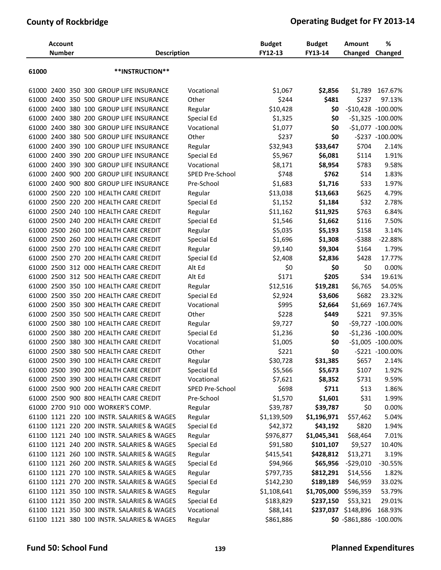|       | <b>Account</b><br><b>Number</b> |  | <b>Description</b>                         |                 | <b>Budget</b><br>FY12-13 | <b>Budget</b><br>FY13-14 | <b>Amount</b><br>Changed | %<br>Changed           |
|-------|---------------------------------|--|--------------------------------------------|-----------------|--------------------------|--------------------------|--------------------------|------------------------|
| 61000 |                                 |  | **INSTRUCTION**                            |                 |                          |                          |                          |                        |
| 61000 |                                 |  | 2400 350 300 GROUP LIFE INSURANCE          | Vocational      | \$1,067                  | \$2,856                  | \$1,789                  | 167.67%                |
| 61000 |                                 |  | 2400 350 500 GROUP LIFE INSURANCE          | Other           | \$244                    | \$481                    | \$237                    | 97.13%                 |
| 61000 |                                 |  | 2400 380 100 GROUP LIFE INSURANCE          | Regular         | \$10,428                 | \$0                      |                          | $-$10,428$ $-100.00\%$ |
| 61000 |                                 |  | 2400 380 200 GROUP LIFE INSURANCE          | Special Ed      | \$1,325                  | \$0                      |                          | $-51,325 -100.00\%$    |
|       |                                 |  | 61000 2400 380 300 GROUP LIFE INSURANCE    | Vocational      | \$1,077                  | \$0                      |                          | $-51,077 - 100.00\%$   |
|       |                                 |  | 61000 2400 380 500 GROUP LIFE INSURANCE    | Other           | \$237                    | \$0                      |                          | -\$237 -100.00%        |
| 61000 |                                 |  | 2400 390 100 GROUP LIFE INSURANCE          | Regular         | \$32,943                 | \$33,647                 | \$704                    | 2.14%                  |
| 61000 |                                 |  | 2400 390 200 GROUP LIFE INSURANCE          | Special Ed      | \$5,967                  | \$6,081                  | \$114                    | 1.91%                  |
| 61000 |                                 |  | 2400 390 300 GROUP LIFE INSURANCE          | Vocational      | \$8,171                  | \$8,954                  | \$783                    | 9.58%                  |
| 61000 |                                 |  | 2400 900 200 GROUP LIFE INSURANCE          | SPED Pre-School | \$748                    | \$762                    | \$14                     | 1.83%                  |
| 61000 |                                 |  | 2400 900 800 GROUP LIFE INSURANCE          | Pre-School      | \$1,683                  | \$1,716                  | \$33                     | 1.97%                  |
|       |                                 |  | 61000 2500 220 100 HEALTH CARE CREDIT      | Regular         | \$13,038                 | \$13,663                 | \$625                    | 4.79%                  |
| 61000 |                                 |  | 2500 220 200 HEALTH CARE CREDIT            | Special Ed      | \$1,152                  | \$1,184                  | \$32                     | 2.78%                  |
| 61000 |                                 |  | 2500 240 100 HEALTH CARE CREDIT            | Regular         | \$11,162                 | \$11,925                 | \$763                    | 6.84%                  |
| 61000 |                                 |  | 2500 240 200 HEALTH CARE CREDIT            | Special Ed      | \$1,546                  | \$1,662                  | \$116                    | 7.50%                  |
| 61000 |                                 |  | 2500 260 100 HEALTH CARE CREDIT            | Regular         | \$5,035                  | \$5,193                  | \$158                    | 3.14%                  |
| 61000 |                                 |  | 2500 260 200 HEALTH CARE CREDIT            | Special Ed      | \$1,696                  | \$1,308                  | $-5388$                  | $-22.88%$              |
|       |                                 |  | 61000 2500 270 100 HEALTH CARE CREDIT      | Regular         | \$9,140                  | \$9,304                  | \$164                    | 1.79%                  |
| 61000 |                                 |  | 2500 270 200 HEALTH CARE CREDIT            | Special Ed      | \$2,408                  | \$2,836                  | \$428                    | 17.77%                 |
| 61000 |                                 |  | 2500 312 000 HEALTH CARE CREDIT            | Alt Ed          | \$0                      | \$0                      | \$0                      | 0.00%                  |
| 61000 |                                 |  | 2500 312 500 HEALTH CARE CREDIT            | Alt Ed          | \$171                    | \$205                    | \$34                     | 19.61%                 |
| 61000 |                                 |  | 2500 350 100 HEALTH CARE CREDIT            | Regular         | \$12,516                 | \$19,281                 | \$6,765                  | 54.05%                 |
| 61000 |                                 |  | 2500 350 200 HEALTH CARE CREDIT            | Special Ed      | \$2,924                  | \$3,606                  | \$682                    | 23.32%                 |
|       |                                 |  | 61000 2500 350 300 HEALTH CARE CREDIT      | Vocational      | \$995                    | \$2,664                  | \$1,669                  | 167.74%                |
| 61000 |                                 |  | 2500 350 500 HEALTH CARE CREDIT            | Other           | \$228                    | \$449                    | \$221                    | 97.35%                 |
| 61000 | 2500                            |  | 380 100 HEALTH CARE CREDIT                 | Regular         | \$9,727                  | \$0                      |                          | $-59,727 -100.00\%$    |
| 61000 | 2500                            |  | 380 200 HEALTH CARE CREDIT                 | Special Ed      | \$1,236                  | \$0                      |                          | $-$1,236 -100.00\%$    |
| 61000 |                                 |  | 2500 380 300 HEALTH CARE CREDIT            | Vocational      | \$1,005                  | \$0                      |                          | $-51,005 -100.00\%$    |
|       |                                 |  | 61000 2500 380 500 HEALTH CARE CREDIT      | Other           | \$221                    | \$0                      |                          | -\$221 -100.00%        |
|       |                                 |  | 61000 2500 390 100 HEALTH CARE CREDIT      | Regular         | \$30,728                 | \$31,385                 | \$657                    | 2.14%                  |
|       |                                 |  | 61000 2500 390 200 HEALTH CARE CREDIT      | Special Ed      | \$5,566                  | \$5,673                  | \$107                    | 1.92%                  |
|       |                                 |  | 61000 2500 390 300 HEALTH CARE CREDIT      | Vocational      | \$7,621                  | \$8,352                  | \$731                    | 9.59%                  |
|       |                                 |  | 61000 2500 900 200 HEALTH CARE CREDIT      | SPED Pre-School | \$698                    | \$711                    | \$13                     | 1.86%                  |
|       |                                 |  | 61000 2500 900 800 HEALTH CARE CREDIT      | Pre-School      | \$1,570                  | \$1,601                  | \$31                     | 1.99%                  |
|       |                                 |  | 61000 2700 910 000 WORKER'S COMP.          | Regular         | \$39,787                 | \$39,787                 | \$0                      | 0.00%                  |
|       |                                 |  | 61100 1121 220 100 INSTR. SALARIES & WAGES | Regular         | \$1,139,509              | \$1,196,971              | \$57,462                 | 5.04%                  |
|       |                                 |  | 61100 1121 220 200 INSTR. SALARIES & WAGES | Special Ed      | \$42,372                 | \$43,192                 | \$820                    | 1.94%                  |
|       |                                 |  | 61100 1121 240 100 INSTR. SALARIES & WAGES | Regular         | \$976,877                | \$1,045,341              | \$68,464                 | 7.01%                  |
|       |                                 |  | 61100 1121 240 200 INSTR. SALARIES & WAGES | Special Ed      | \$91,580                 | \$101,107                | \$9,527                  | 10.40%                 |
|       |                                 |  | 61100 1121 260 100 INSTR. SALARIES & WAGES | Regular         | \$415,541                | \$428,812                | \$13,271                 | 3.19%                  |
|       |                                 |  | 61100 1121 260 200 INSTR. SALARIES & WAGES | Special Ed      | \$94,966                 | \$65,956                 | $-529,010$               | $-30.55%$              |
|       |                                 |  | 61100 1121 270 100 INSTR. SALARIES & WAGES | Regular         | \$797,735                | \$812,291                | \$14,556                 | 1.82%                  |
|       |                                 |  | 61100 1121 270 200 INSTR. SALARIES & WAGES | Special Ed      | \$142,230                | \$189,189                | \$46,959                 | 33.02%                 |
|       |                                 |  | 61100 1121 350 100 INSTR. SALARIES & WAGES | Regular         | \$1,108,641              | \$1,705,000              | \$596,359                | 53.79%                 |
|       |                                 |  | 61100 1121 350 200 INSTR. SALARIES & WAGES | Special Ed      | \$183,829                | \$237,150                | \$53,321                 | 29.01%                 |
|       |                                 |  | 61100 1121 350 300 INSTR. SALARIES & WAGES | Vocational      | \$88,141                 |                          | \$237,037 \$148,896      | 168.93%                |
|       |                                 |  | 61100 1121 380 100 INSTR. SALARIES & WAGES | Regular         | \$861,886                |                          | \$0 -\$861,886 -100.00%  |                        |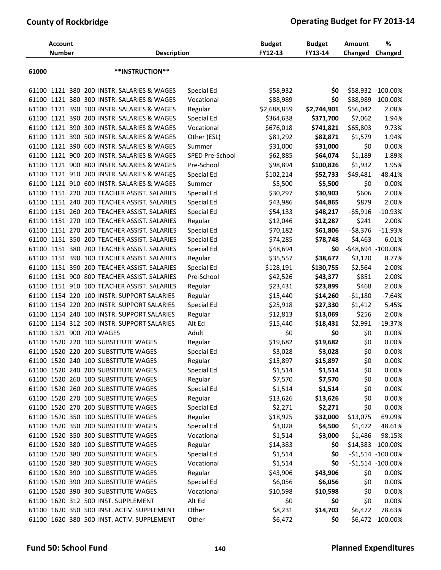|       | <b>Account</b><br><b>Number</b> |  | <b>Description</b>                          |                 | <b>Budget</b><br>FY12-13 | <b>Budget</b><br>FY13-14 | Amount<br>Changed | %<br>Changed         |
|-------|---------------------------------|--|---------------------------------------------|-----------------|--------------------------|--------------------------|-------------------|----------------------|
| 61000 |                                 |  | **INSTRUCTION**                             |                 |                          |                          |                   |                      |
|       |                                 |  | 61100 1121 380 200 INSTR. SALARIES & WAGES  | Special Ed      | \$58,932                 | \$0                      |                   | -\$58,932 -100.00%   |
|       |                                 |  | 61100 1121 380 300 INSTR. SALARIES & WAGES  | Vocational      | \$88,989                 | \$0                      |                   | -\$88,989 -100.00%   |
|       |                                 |  | 61100 1121 390 100 INSTR. SALARIES & WAGES  | Regular         | \$2,688,859              | \$2,744,901              | \$56,042          | 2.08%                |
|       |                                 |  | 61100 1121 390 200 INSTR. SALARIES & WAGES  | Special Ed      | \$364,638                | \$371,700                | \$7,062           | 1.94%                |
|       |                                 |  | 61100 1121 390 300 INSTR. SALARIES & WAGES  | Vocational      | \$676,018                | \$741,821                | \$65,803          | 9.73%                |
|       |                                 |  | 61100 1121 390 500 INSTR. SALARIES & WAGES  | Other (ESL)     | \$81,292                 | \$82,871                 | \$1,579           | 1.94%                |
|       |                                 |  | 61100 1121 390 600 INSTR. SALARIES & WAGES  | Summer          | \$31,000                 | \$31,000                 | \$0               | 0.00%                |
|       |                                 |  | 61100 1121 900 200 INSTR. SALARIES & WAGES  | SPED Pre-School | \$62,885                 | \$64,074                 | \$1,189           | 1.89%                |
|       |                                 |  | 61100 1121 900 800 INSTR. SALARIES & WAGES  | Pre-School      | \$98,894                 | \$100,826                | \$1,932           | 1.95%                |
|       |                                 |  | 61100 1121 910 200 INSTR. SALARIES & WAGES  | Special Ed      | \$102,214                | \$52,733                 | $-549,481$        | $-48.41%$            |
|       |                                 |  | 61100 1121 910 600 INSTR. SALARIES & WAGES  | Summer          | \$5,500                  | \$5,500                  | \$0               | 0.00%                |
|       |                                 |  | 61100 1151 220 200 TEACHER ASSIST. SALARIES | Special Ed      | \$30,297                 | \$30,903                 | \$606             | 2.00%                |
|       |                                 |  | 61100 1151 240 200 TEACHER ASSIST. SALARIES | Special Ed      | \$43,986                 | \$44,865                 | \$879             | 2.00%                |
|       |                                 |  | 61100 1151 260 200 TEACHER ASSIST. SALARIES | Special Ed      | \$54,133                 | \$48,217                 | $-55,916$         | $-10.93%$            |
|       |                                 |  | 61100 1151 270 100 TEACHER ASSIST. SALARIES | Regular         | \$12,046                 | \$12,287                 | \$241             | 2.00%                |
|       |                                 |  | 61100 1151 270 200 TEACHER ASSIST. SALARIES | Special Ed      | \$70,182                 | \$61,806                 | $-58,376$         | $-11.93%$            |
|       |                                 |  | 61100 1151 350 200 TEACHER ASSIST. SALARIES | Special Ed      | \$74,285                 | \$78,748                 | \$4,463           | 6.01%                |
|       |                                 |  | 61100 1151 380 200 TEACHER ASSIST. SALARIES | Special Ed      | \$48,694                 | \$0                      |                   | -\$48,694 -100.00%   |
|       |                                 |  | 61100 1151 390 100 TEACHER ASSIST. SALARIES | Regular         | \$35,557                 | \$38,677                 | \$3,120           | 8.77%                |
|       |                                 |  | 61100 1151 390 200 TEACHER ASSIST. SALARIES | Special Ed      | \$128,191                | \$130,755                | \$2,564           | 2.00%                |
|       |                                 |  | 61100 1151 900 800 TEACHER ASSIST. SALARIES | Pre-School      | \$42,526                 | \$43,377                 | \$851             | 2.00%                |
|       |                                 |  | 61100 1151 910 100 TEACHER ASSIST. SALARIES | Regular         | \$23,431                 | \$23,899                 | \$468             | 2.00%                |
|       |                                 |  | 61100 1154 220 100 INSTR. SUPPORT SALARIES  | Regular         | \$15,440                 | \$14,260                 | $-51,180$         | $-7.64%$             |
|       |                                 |  | 61100 1154 220 200 INSTR. SUPPORT SALARIES  | Special Ed      | \$25,918                 | \$27,330                 | \$1,412           | 5.45%                |
|       |                                 |  | 61100 1154 240 100 INSTR. SUPPORT SALARIES  | Regular         | \$12,813                 | \$13,069                 | \$256             | 2.00%                |
|       |                                 |  | 61100 1154 312 500 INSTR. SUPPORT SALARIES  | Alt Ed          | \$15,440                 | \$18,431                 | \$2,991           | 19.37%               |
|       |                                 |  | 61100 1321 900 700 WAGES                    | Adult           | \$0                      | \$0                      | \$0               | 0.00%                |
|       |                                 |  | 61100 1520 220 100 SUBSTITUTE WAGES         | Regular         | \$19,682                 | \$19,682                 | \$0               | 0.00%                |
|       |                                 |  | 61100 1520 220 200 SUBSTITUTE WAGES         | Special Ed      | \$3,028                  | \$3,028                  | \$0               | 0.00%                |
|       |                                 |  | 61100 1520 240 100 SUBSTITUTE WAGES         | Regular         | \$15,897                 | \$15,897                 | \$0               | 0.00%                |
|       |                                 |  | 61100 1520 240 200 SUBSTITUTE WAGES         | Special Ed      | \$1,514                  | \$1,514                  | \$0               | 0.00%                |
|       |                                 |  | 61100 1520 260 100 SUBSTITUTE WAGES         | Regular         | \$7,570                  | \$7,570                  | \$0               | 0.00%                |
|       |                                 |  | 61100 1520 260 200 SUBSTITUTE WAGES         | Special Ed      | \$1,514                  | \$1,514                  | \$0               | 0.00%                |
|       |                                 |  | 61100 1520 270 100 SUBSTITUTE WAGES         | Regular         | \$13,626                 | \$13,626                 | \$0               | 0.00%                |
|       |                                 |  | 61100 1520 270 200 SUBSTITUTE WAGES         | Special Ed      | \$2,271                  | \$2,271                  | \$0               | 0.00%                |
|       |                                 |  | 61100 1520 350 100 SUBSTITUTE WAGES         | Regular         | \$18,925                 | \$32,000                 | \$13,075          | 69.09%               |
|       |                                 |  | 61100 1520 350 200 SUBSTITUTE WAGES         | Special Ed      | \$3,028                  | \$4,500                  | \$1,472           | 48.61%               |
|       |                                 |  | 61100 1520 350 300 SUBSTITUTE WAGES         | Vocational      | \$1,514                  | \$3,000                  | \$1,486           | 98.15%               |
|       |                                 |  | 61100 1520 380 100 SUBSTITUTE WAGES         | Regular         | \$14,383                 | SO.                      |                   | $-$14,383 -100.00\%$ |
|       |                                 |  | 61100 1520 380 200 SUBSTITUTE WAGES         | Special Ed      | \$1,514                  | \$0                      |                   | $-51,514 -100.00\%$  |
|       |                                 |  | 61100 1520 380 300 SUBSTITUTE WAGES         | Vocational      | \$1,514                  | \$0                      |                   | $-51,514 -100.00\%$  |
|       |                                 |  | 61100 1520 390 100 SUBSTITUTE WAGES         | Regular         | \$43,906                 | \$43,906                 | \$0               | 0.00%                |
|       |                                 |  | 61100 1520 390 200 SUBSTITUTE WAGES         | Special Ed      | \$6,056                  | \$6,056                  | \$0               | 0.00%                |
|       |                                 |  | 61100 1520 390 300 SUBSTITUTE WAGES         | Vocational      | \$10,598                 | \$10,598                 | \$0               | 0.00%                |
|       |                                 |  | 61100 1620 312 500 INST. SUPPLEMENT         | Alt Ed          | \$0                      | \$0                      | \$0               | 0.00%                |
|       |                                 |  | 61100 1620 350 500 INST. ACTIV. SUPPLEMENT  | Other           | \$8,231                  | \$14,703                 | \$6,472           | 78.63%               |
|       |                                 |  | 61100 1620 380 500 INST. ACTIV. SUPPLEMENT  | Other           | \$6,472                  | \$0                      |                   | -\$6,472 -100.00%    |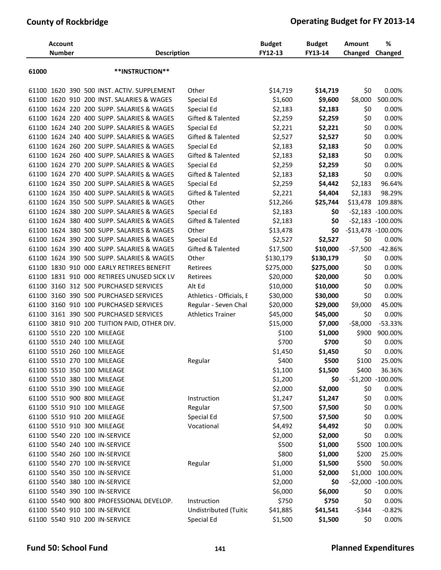|       | <b>Account</b><br><b>Number</b> |  | <b>Description</b>                          |                              | <b>Budget</b><br>FY12-13 | <b>Budget</b><br>FY13-14 | <b>Amount</b><br>Changed | %<br>Changed           |
|-------|---------------------------------|--|---------------------------------------------|------------------------------|--------------------------|--------------------------|--------------------------|------------------------|
| 61000 |                                 |  | **INSTRUCTION**                             |                              |                          |                          |                          |                        |
|       |                                 |  | 61100 1620 390 500 INST. ACTIV. SUPPLEMENT  | Other                        | \$14,719                 | \$14,719                 | \$0                      | 0.00%                  |
|       |                                 |  | 61100 1620 910 200 INST. SALARIES & WAGES   | Special Ed                   | \$1,600                  | \$9,600                  | \$8,000                  | 500.00%                |
|       |                                 |  | 61100 1624 220 200 SUPP. SALARIES & WAGES   | Special Ed                   | \$2,183                  | \$2,183                  | \$0                      | 0.00%                  |
|       |                                 |  | 61100 1624 220 400 SUPP. SALARIES & WAGES   | Gifted & Talented            | \$2,259                  | \$2,259                  | \$0                      | 0.00%                  |
|       |                                 |  | 61100 1624 240 200 SUPP. SALARIES & WAGES   | Special Ed                   | \$2,221                  | \$2,221                  | \$0                      | 0.00%                  |
|       |                                 |  | 61100 1624 240 400 SUPP. SALARIES & WAGES   | Gifted & Talented            | \$2,527                  | \$2,527                  | \$0                      | 0.00%                  |
|       |                                 |  | 61100 1624 260 200 SUPP. SALARIES & WAGES   | Special Ed                   | \$2,183                  | \$2,183                  | \$0                      | 0.00%                  |
|       |                                 |  | 61100 1624 260 400 SUPP. SALARIES & WAGES   | Gifted & Talented            | \$2,183                  | \$2,183                  | \$0                      | 0.00%                  |
|       |                                 |  | 61100 1624 270 200 SUPP. SALARIES & WAGES   | Special Ed                   | \$2,259                  | \$2,259                  | \$0                      | 0.00%                  |
|       |                                 |  | 61100 1624 270 400 SUPP. SALARIES & WAGES   | Gifted & Talented            | \$2,183                  | \$2,183                  | \$0                      | 0.00%                  |
|       |                                 |  | 61100 1624 350 200 SUPP. SALARIES & WAGES   | Special Ed                   | \$2,259                  | \$4,442                  | \$2,183                  | 96.64%                 |
|       |                                 |  | 61100 1624 350 400 SUPP. SALARIES & WAGES   | <b>Gifted &amp; Talented</b> | \$2,221                  | \$4,404                  | \$2,183                  | 98.29%                 |
|       |                                 |  | 61100 1624 350 500 SUPP. SALARIES & WAGES   | Other                        | \$12,266                 | \$25,744                 | \$13,478                 | 109.88%                |
|       |                                 |  | 61100 1624 380 200 SUPP. SALARIES & WAGES   | Special Ed                   | \$2,183                  | \$0                      |                          | $-52,183 - 100.00\%$   |
|       |                                 |  | 61100 1624 380 400 SUPP. SALARIES & WAGES   | Gifted & Talented            | \$2,183                  | \$0                      |                          | $-52,183 - 100.00\%$   |
|       |                                 |  | 61100 1624 380 500 SUPP. SALARIES & WAGES   | Other                        | \$13,478                 | \$0                      |                          | $-$13,478$ $-100.00\%$ |
|       |                                 |  | 61100 1624 390 200 SUPP. SALARIES & WAGES   | Special Ed                   | \$2,527                  | \$2,527                  | \$0                      | 0.00%                  |
|       |                                 |  | 61100 1624 390 400 SUPP. SALARIES & WAGES   | Gifted & Talented            | \$17,500                 | \$10,000                 | $-57,500$                | $-42.86%$              |
|       |                                 |  | 61100 1624 390 500 SUPP. SALARIES & WAGES   | Other                        | \$130,179                | \$130,179                | \$0                      | 0.00%                  |
|       |                                 |  | 61100 1830 910 000 EARLY RETIREES BENEFIT   | Retirees                     | \$275,000                | \$275,000                | \$0                      | 0.00%                  |
|       |                                 |  | 61100 1831 910 000 RETIREES UNUSED SICK LV  | Retirees                     | \$20,000                 | \$20,000                 | \$0                      | 0.00%                  |
|       |                                 |  | 61100 3160 312 500 PURCHASED SERVICES       | Alt Ed                       | \$10,000                 | \$10,000                 | \$0                      | 0.00%                  |
|       |                                 |  | 61100 3160 390 500 PURCHASED SERVICES       | Athletics - Officials, E     | \$30,000                 | \$30,000                 | \$0                      | 0.00%                  |
|       |                                 |  | 61100 3160 910 100 PURCHASED SERVICES       | Regular - Seven Chal         | \$20,000                 | \$29,000                 | \$9,000                  | 45.00%                 |
|       |                                 |  | 61100 3161 390 500 PURCHASED SERVICES       | <b>Athletics Trainer</b>     | \$45,000                 | \$45,000                 | \$0                      | 0.00%                  |
|       |                                 |  | 61100 3810 910 200 TUITION PAID, OTHER DIV. |                              | \$15,000                 | \$7,000                  | $-58,000$                | $-53.33%$              |
|       |                                 |  | 61100 5510 220 100 MILEAGE                  |                              | \$100                    | \$1,000                  | \$900                    | 900.00%                |
|       |                                 |  | 61100 5510 240 100 MILEAGE                  |                              | \$700                    | \$700                    | \$0                      | 0.00%                  |
|       |                                 |  | 61100 5510 260 100 MILEAGE                  |                              | \$1,450                  | \$1,450                  | \$0                      | 0.00%                  |
|       |                                 |  | 61100 5510 270 100 MILEAGE                  | Regular                      | \$400                    | \$500                    | \$100                    | 25.00%                 |
|       |                                 |  | 61100 5510 350 100 MILEAGE                  |                              | \$1,100                  | \$1,500                  | \$400                    | 36.36%                 |
|       |                                 |  | 61100 5510 380 100 MILEAGE                  |                              | \$1,200                  | \$0                      |                          | -\$1,200 -100.00%      |
|       |                                 |  | 61100 5510 390 100 MILEAGE                  |                              | \$2,000                  | \$2,000                  | \$0                      | 0.00%                  |
|       |                                 |  | 61100 5510 900 800 MILEAGE                  | Instruction                  | \$1,247                  | \$1,247                  | \$0                      | 0.00%                  |
|       |                                 |  | 61100 5510 910 100 MILEAGE                  | Regular                      | \$7,500                  | \$7,500                  | \$0                      | 0.00%                  |
|       |                                 |  | 61100 5510 910 200 MILEAGE                  | Special Ed                   | \$7,500                  | \$7,500                  | \$0                      | 0.00%                  |
|       |                                 |  | 61100 5510 910 300 MILEAGE                  | Vocational                   | \$4,492                  | \$4,492                  | \$0                      | 0.00%                  |
|       |                                 |  | 61100 5540 220 100 IN-SERVICE               |                              | \$2,000                  | \$2,000                  | \$0                      | 0.00%                  |
|       |                                 |  | 61100 5540 240 100 IN-SERVICE               |                              | \$500                    | \$1,000                  | \$500                    | 100.00%                |
|       |                                 |  | 61100 5540 260 100 IN-SERVICE               |                              | \$800                    | \$1,000                  | \$200                    | 25.00%                 |
|       |                                 |  | 61100 5540 270 100 IN-SERVICE               | Regular                      | \$1,000                  | \$1,500                  | \$500                    | 50.00%                 |
|       |                                 |  | 61100 5540 350 100 IN-SERVICE               |                              | \$1,000                  | \$2,000                  | \$1,000                  | 100.00%                |
|       |                                 |  | 61100 5540 380 100 IN-SERVICE               |                              | \$2,000                  | \$0                      | $-52,000$                | $-100.00\%$            |
|       |                                 |  | 61100 5540 390 100 IN-SERVICE               |                              | \$6,000                  | \$6,000                  | \$0                      | 0.00%                  |
|       |                                 |  | 61100 5540 900 800 PROFESSIONAL DEVELOP.    | Instruction                  | \$750                    | \$750                    | \$0                      | 0.00%                  |
|       |                                 |  | 61100 5540 910 100 IN-SERVICE               | Undistributed (Tuitic        | \$41,885                 | \$41,541                 | $-$344$                  | $-0.82%$               |
|       |                                 |  | 61100 5540 910 200 IN-SERVICE               | Special Ed                   | \$1,500                  | \$1,500                  | \$0                      | 0.00%                  |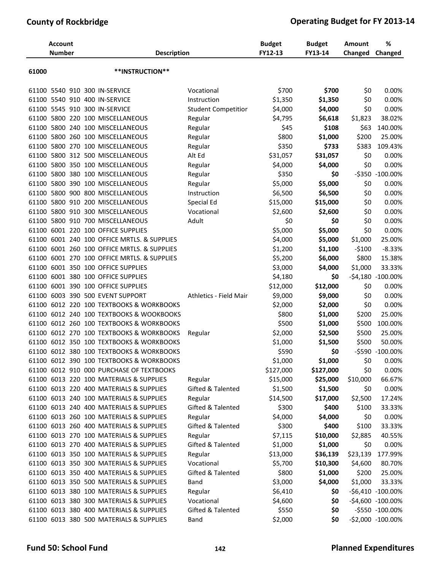|       | <b>Account</b><br><b>Number</b> |  | <b>Description</b>                       |                            | <b>Budget</b><br>FY12-13 | <b>Budget</b><br>FY13-14 | <b>Amount</b><br>Changed | %<br>Changed      |
|-------|---------------------------------|--|------------------------------------------|----------------------------|--------------------------|--------------------------|--------------------------|-------------------|
| 61000 |                                 |  | **INSTRUCTION**                          |                            |                          |                          |                          |                   |
|       |                                 |  | 61100 5540 910 300 IN-SERVICE            | Vocational                 | \$700                    | \$700                    | \$0                      | 0.00%             |
|       |                                 |  | 61100 5540 910 400 IN-SERVICE            | Instruction                | \$1,350                  | \$1,350                  | \$0                      | 0.00%             |
|       |                                 |  | 61100 5545 910 300 IN-SERVICE            | <b>Student Competition</b> | \$4,000                  | \$4,000                  | \$0                      | 0.00%             |
|       |                                 |  | 61100 5800 220 100 MISCELLANEOUS         | Regular                    | \$4,795                  | \$6,618                  | \$1,823                  | 38.02%            |
|       |                                 |  | 61100 5800 240 100 MISCELLANEOUS         | Regular                    | \$45                     | \$108                    | \$63                     | 140.00%           |
|       |                                 |  | 61100 5800 260 100 MISCELLANEOUS         | Regular                    | \$800                    | \$1,000                  | \$200                    | 25.00%            |
| 61100 | 5800 270                        |  | 100 MISCELLANEOUS                        | Regular                    | \$350                    | \$733                    | \$383                    | 109.43%           |
|       |                                 |  | 61100 5800 312 500 MISCELLANEOUS         | Alt Ed                     | \$31,057                 | \$31,057                 | \$0                      | 0.00%             |
|       |                                 |  | 61100 5800 350 100 MISCELLANEOUS         | Regular                    | \$4,000                  | \$4,000                  | \$0                      | 0.00%             |
| 61100 |                                 |  | 5800 380 100 MISCELLANEOUS               | Regular                    | \$350                    | \$0                      | $-$ \$350                | $-100.00%$        |
| 61100 |                                 |  | 5800 390 100 MISCELLANEOUS               | Regular                    | \$5,000                  | \$5,000                  | \$0                      | 0.00%             |
|       |                                 |  | 61100 5800 900 800 MISCELLANEOUS         | Instruction                | \$6,500                  | \$6,500                  | \$0                      | 0.00%             |
| 61100 |                                 |  | 5800 910 200 MISCELLANEOUS               | Special Ed                 | \$15,000                 | \$15,000                 | \$0                      | 0.00%             |
| 61100 |                                 |  | 5800 910 300 MISCELLANEOUS               | Vocational                 | \$2,600                  | \$2,600                  | \$0                      | 0.00%             |
| 61100 |                                 |  | 5800 910 700 MISCELLANEOUS               | Adult                      | \$0                      | \$0                      | \$0                      | 0.00%             |
| 61100 |                                 |  | 6001 220 100 OFFICE SUPPLIES             |                            | \$5,000                  | \$5,000                  | \$0                      | 0.00%             |
| 61100 |                                 |  | 6001 240 100 OFFICE MRTLS, & SUPPLIES    |                            | \$4,000                  | \$5,000                  | \$1,000                  | 25.00%            |
| 61100 |                                 |  | 6001 260 100 OFFICE MRTLS. & SUPPLIES    |                            | \$1,200                  | \$1,100                  | $-5100$                  | $-8.33%$          |
| 61100 |                                 |  | 6001 270 100 OFFICE MRTLS. & SUPPLIES    |                            | \$5,200                  | \$6,000                  | \$800                    | 15.38%            |
| 61100 |                                 |  | 6001 350 100 OFFICE SUPPLIES             |                            | \$3,000                  | \$4,000                  | \$1,000                  | 33.33%            |
| 61100 |                                 |  | 6001 380 100 OFFICE SUPPLIES             |                            | \$4,180                  | \$0                      |                          | -\$4,180 -100.00% |
| 61100 |                                 |  | 6001 390 100 OFFICE SUPPLIES             |                            | \$12,000                 | \$12,000                 | \$0                      | 0.00%             |
| 61100 |                                 |  | 6003 390 500 EVENT SUPPORT               | Athletics - Field Mair     | \$9,000                  | \$9,000                  | \$0                      | 0.00%             |
| 61100 |                                 |  | 6012 220 100 TEXTBOOKS & WORKBOOKS       |                            | \$2,000                  | \$2,000                  | \$0                      | 0.00%             |
| 61100 |                                 |  | 6012 240 100 TEXTBOOKS & WOOKBOOKS       |                            | \$800                    | \$1,000                  | \$200                    | 25.00%            |
| 61100 |                                 |  | 6012 260 100 TEXTBOOKS & WORKBOOKS       |                            | \$500                    | \$1,000                  | \$500                    | 100.00%           |
| 61100 |                                 |  | 6012 270 100 TEXTBOOKS & WORKBOOKS       | Regular                    | \$2,000                  | \$2,500                  | \$500                    | 25.00%            |
| 61100 |                                 |  | 6012 350 100 TEXTBOOKS & WORKBOOKS       |                            | \$1,000                  | \$1,500                  | \$500                    | 50.00%            |
|       |                                 |  | 61100 6012 380 100 TEXTBOOKS & WORKBOOKS |                            | \$590                    | \$0                      |                          | -\$590 -100.00%   |
|       |                                 |  | 61100 6012 390 100 TEXTBOOKS & WORKBOOKS |                            | \$1,000                  | \$1,000                  | \$0                      | 0.00%             |
|       |                                 |  | 61100 6012 910 000 PURCHASE OF TEXTBOOKS |                            | \$127,000                | \$127,000                | \$0                      | 0.00%             |
|       |                                 |  | 61100 6013 220 100 MATERIALS & SUPPLIES  | Regular                    | \$15,000                 | \$25,000                 | \$10,000                 | 66.67%            |
|       |                                 |  | 61100 6013 220 400 MATERIALS & SUPPLIES  | Gifted & Talented          | \$1,500                  | \$1,500                  | \$0                      | 0.00%             |
|       |                                 |  | 61100 6013 240 100 MATERIALS & SUPPLIES  | Regular                    | \$14,500                 | \$17,000                 | \$2,500                  | 17.24%            |
|       |                                 |  | 61100 6013 240 400 MATERIALS & SUPPLIES  | Gifted & Talented          | \$300                    | \$400                    | \$100                    | 33.33%            |
|       |                                 |  | 61100 6013 260 100 MATERIALS & SUPPLIES  | Regular                    | \$4,000                  | \$4,000                  | \$0                      | 0.00%             |
|       |                                 |  | 61100 6013 260 400 MATERIALS & SUPPLIES  | Gifted & Talented          | \$300                    | \$400                    | \$100                    | 33.33%            |
|       |                                 |  | 61100 6013 270 100 MATERIALS & SUPPLIES  | Regular                    | \$7,115                  | \$10,000                 | \$2,885                  | 40.55%            |
|       |                                 |  | 61100 6013 270 400 MATERIALS & SUPPLIES  | Gifted & Talented          | \$1,000                  | \$1,000                  | \$0                      | 0.00%             |
|       |                                 |  | 61100 6013 350 100 MATERIALS & SUPPLIES  | Regular                    | \$13,000                 | \$36,139                 | \$23,139                 | 177.99%           |
|       |                                 |  | 61100 6013 350 300 MATERIALS & SUPPLIES  | Vocational                 | \$5,700                  | \$10,300                 | \$4,600                  | 80.70%            |
|       |                                 |  | 61100 6013 350 400 MATERIALS & SUPPLIES  | Gifted & Talented          | \$800                    | \$1,000                  | \$200                    | 25.00%            |
|       |                                 |  | 61100 6013 350 500 MATERIALS & SUPPLIES  | Band                       | \$3,000                  | \$4,000                  | \$1,000                  | 33.33%            |
|       |                                 |  | 61100 6013 380 100 MATERIALS & SUPPLIES  | Regular                    | \$6,410                  | \$0                      |                          | -\$6,410 -100.00% |
|       |                                 |  | 61100 6013 380 300 MATERIALS & SUPPLIES  | Vocational                 | \$4,600                  | \$0                      |                          | -\$4,600 -100.00% |
|       |                                 |  | 61100 6013 380 400 MATERIALS & SUPPLIES  | Gifted & Talented          | \$550                    | \$0                      |                          | -\$550 -100.00%   |
|       |                                 |  | 61100 6013 380 500 MATERIALS & SUPPLIES  | Band                       | \$2,000                  | \$0                      |                          | -\$2,000 -100.00% |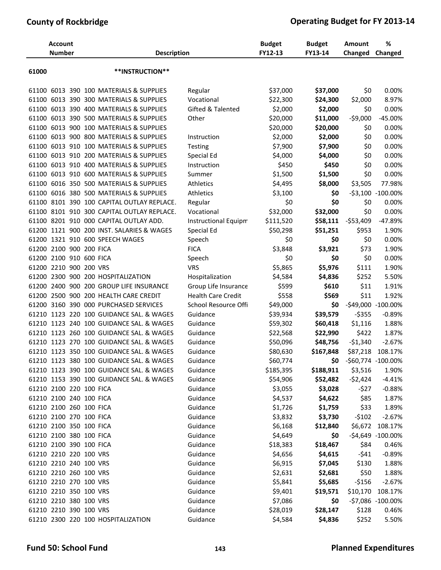|       | <b>Account</b><br><b>Number</b> |  | <b>Description</b>                        |                             | <b>Budget</b><br>FY12-13 | <b>Budget</b><br>FY13-14 | <b>Amount</b><br>Changed | %<br>Changed                 |
|-------|---------------------------------|--|-------------------------------------------|-----------------------------|--------------------------|--------------------------|--------------------------|------------------------------|
| 61000 |                                 |  | **INSTRUCTION**                           |                             |                          |                          |                          |                              |
| 61100 |                                 |  | 6013 390 100 MATERIALS & SUPPLIES         | Regular                     | \$37,000                 | \$37,000                 | \$0                      | 0.00%                        |
| 61100 |                                 |  | 6013 390 300 MATERIALS & SUPPLIES         | Vocational                  | \$22,300                 | \$24,300                 | \$2,000                  | 8.97%                        |
| 61100 |                                 |  | 6013 390 400 MATERIALS & SUPPLIES         | Gifted & Talented           | \$2,000                  | \$2,000                  | \$0                      | 0.00%                        |
| 61100 |                                 |  | 6013 390 500 MATERIALS & SUPPLIES         | Other                       | \$20,000                 | \$11,000                 | $-59,000$                | -45.00%                      |
| 61100 |                                 |  | 6013 900 100 MATERIALS & SUPPLIES         |                             | \$20,000                 | \$20,000                 | \$0                      | 0.00%                        |
| 61100 |                                 |  | 6013 900 800 MATERIALS & SUPPLIES         | Instruction                 | \$2,000                  | \$2,000                  | \$0                      | 0.00%                        |
| 61100 |                                 |  | 6013 910 100 MATERIALS & SUPPLIES         | Testing                     | \$7,900                  | \$7,900                  | \$0                      | 0.00%                        |
| 61100 |                                 |  | 6013 910 200 MATERIALS & SUPPLIES         | Special Ed                  | \$4,000                  | \$4,000                  | \$0                      | 0.00%                        |
| 61100 |                                 |  | 6013 910 400 MATERIALS & SUPPLIES         | Instruction                 | \$450                    | \$450                    | \$0                      | 0.00%                        |
| 61100 |                                 |  | 6013 910 600 MATERIALS & SUPPLIES         | Summer                      | \$1,500                  | \$1,500                  | \$0                      | 0.00%                        |
| 61100 |                                 |  | 6016 350 500 MATERIALS & SUPPLIES         | <b>Athletics</b>            | \$4,495                  | \$8,000                  | \$3,505                  | 77.98%                       |
| 61100 |                                 |  | 6016 380 500 MATERIALS & SUPPLIES         | <b>Athletics</b>            | \$3,100                  | \$0                      |                          | -\$3,100 -100.00%            |
| 61100 |                                 |  | 8101 390 100 CAPITAL OUTLAY REPLACE.      | Regular                     | \$0                      | \$0                      | \$0                      | 0.00%                        |
| 61100 |                                 |  | 8101 910 300 CAPITAL OUTLAY REPLACE.      | Vocational                  | \$32,000                 | \$32,000                 | \$0                      | 0.00%                        |
|       |                                 |  | 61100 8201 910 000 CAPITAL OUTLAY ADD.    | <b>Instructional Equipm</b> | \$111,520                | \$58,111                 | $-553,409$               | -47.89%                      |
|       |                                 |  | 61200 1121 900 200 INST. SALARIES & WAGES | Special Ed                  | \$50,298                 | \$51,251                 | \$953                    | 1.90%                        |
|       |                                 |  | 61200 1321 910 600 SPEECH WAGES           | Speech                      | \$0                      | \$0                      | \$0                      | 0.00%                        |
|       | 61200 2100 900 200 FICA         |  |                                           | <b>FICA</b>                 | \$3,848                  | \$3,921                  | \$73                     | 1.90%                        |
|       | 61200 2100 910 600 FICA         |  |                                           | Speech                      | \$0                      | \$0                      | \$0                      | 0.00%                        |
| 61200 | 2210 900 200 VRS                |  |                                           | <b>VRS</b>                  | \$5,865                  | \$5,976                  | \$111                    | 1.90%                        |
|       |                                 |  | 61200 2300 900 200 HOSPITALIZATION        | Hospitalization             | \$4,584                  | \$4,836                  | \$252                    | 5.50%                        |
| 61200 |                                 |  | 2400 900 200 GROUP LIFE INSURANCE         | Group Life Insurance        | \$599                    | \$610                    | \$11                     | 1.91%                        |
| 61200 |                                 |  | 2500 900 200 HEALTH CARE CREDIT           | <b>Health Care Credit</b>   | \$558                    | \$569                    | \$11                     | 1.92%                        |
|       |                                 |  | 61200 3160 390 000 PURCHASED SERVICES     | School Resource Offi        | \$49,000                 | \$0                      |                          | -\$49,000 -100.00%           |
|       |                                 |  | 61210 1123 220 100 GUIDANCE SAL. & WAGES  | Guidance                    | \$39,934                 | \$39,579                 | $-5355$                  | $-0.89%$                     |
| 61210 |                                 |  | 1123 240 100 GUIDANCE SAL. & WAGES        | Guidance                    | \$59,302                 | \$60,418                 | \$1,116                  | 1.88%                        |
|       |                                 |  | 61210 1123 260 100 GUIDANCE SAL. & WAGES  | Guidance                    | \$22,568                 | \$22,990                 | \$422                    | 1.87%                        |
|       |                                 |  | 61210 1123 270 100 GUIDANCE SAL, & WAGES  | Guidance                    | \$50,096                 | \$48,756                 | $-51,340$                | $-2.67%$                     |
|       |                                 |  | 61210 1123 350 100 GUIDANCE SAL. & WAGES  | Guidance                    | \$80,630                 | \$167,848                | \$87,218                 | 108.17%                      |
|       |                                 |  | 61210 1123 380 100 GUIDANCE SAL. & WAGES  | Guidance                    | \$60,774                 | \$0                      | -\$60,774 -100.00%       |                              |
|       |                                 |  | 61210 1123 390 100 GUIDANCE SAL. & WAGES  | Guidance                    | \$185,395                | \$188,911                | \$3,516                  | 1.90%                        |
|       |                                 |  | 61210 1153 390 100 GUIDANCE SAL. & WAGES  | Guidance                    | \$54,906                 | \$52,482                 | $-52,424$                | $-4.41%$                     |
|       | 61210 2100 220 100 FICA         |  |                                           | Guidance                    | \$3,055                  | \$3,028                  | $-527$                   | $-0.88%$                     |
|       | 61210 2100 240 100 FICA         |  |                                           | Guidance                    | \$4,537                  | \$4,622                  | \$85                     | 1.87%                        |
|       | 61210 2100 260 100 FICA         |  |                                           | Guidance                    | \$1,726                  | \$1,759                  | \$33                     | 1.89%                        |
|       | 61210 2100 270 100 FICA         |  |                                           | Guidance                    | \$3,832                  | \$3,730                  | $-5102$                  | $-2.67%$                     |
|       | 61210 2100 350 100 FICA         |  |                                           | Guidance                    |                          |                          |                          |                              |
|       | 61210 2100 380 100 FICA         |  |                                           |                             | \$6,168                  | \$12,840                 | \$6,672                  | 108.17%<br>-\$4,649 -100.00% |
|       |                                 |  |                                           | Guidance                    | \$4,649                  | \$0                      |                          |                              |
|       | 61210 2100 390 100 FICA         |  |                                           | Guidance                    | \$18,383                 | \$18,467                 | \$84                     | 0.46%                        |
|       | 61210 2210 220 100 VRS          |  |                                           | Guidance                    | \$4,656                  | \$4,615                  | $-541$                   | $-0.89%$                     |
|       | 61210 2210 240 100 VRS          |  |                                           | Guidance                    | \$6,915                  | \$7,045                  | \$130                    | 1.88%                        |
|       | 61210 2210 260 100 VRS          |  |                                           | Guidance                    | \$2,631                  | \$2,681                  | \$50                     | 1.88%                        |
|       | 61210 2210 270 100 VRS          |  |                                           | Guidance                    | \$5,841                  | \$5,685                  | $-5156$                  | $-2.67%$                     |
|       | 61210 2210 350 100 VRS          |  |                                           | Guidance                    | \$9,401                  | \$19,571                 | \$10,170                 | 108.17%                      |
|       | 61210 2210 380 100 VRS          |  |                                           | Guidance                    | \$7,086                  | \$0                      |                          | -\$7,086 -100.00%            |
|       | 61210 2210 390 100 VRS          |  |                                           | Guidance                    | \$28,019                 | \$28,147                 | \$128                    | 0.46%                        |
|       |                                 |  | 61210 2300 220 100 HOSPITALIZATION        | Guidance                    | \$4,584                  | \$4,836                  | \$252                    | 5.50%                        |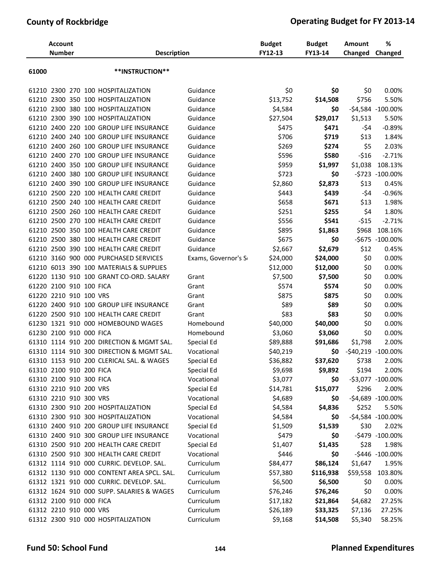|       | <b>Account</b><br><b>Number</b> |  | <b>Description</b>                         |                      | <b>Budget</b><br>FY12-13 | <b>Budget</b><br>FY13-14 | Amount<br>Changed  | %<br>Changed        |
|-------|---------------------------------|--|--------------------------------------------|----------------------|--------------------------|--------------------------|--------------------|---------------------|
| 61000 |                                 |  | **INSTRUCTION**                            |                      |                          |                          |                    |                     |
|       |                                 |  | 61210 2300 270 100 HOSPITALIZATION         | Guidance             | \$0                      | \$0                      | \$0                | 0.00%               |
|       |                                 |  | 61210 2300 350 100 HOSPITALIZATION         | Guidance             | \$13,752                 | \$14,508                 | \$756              | 5.50%               |
|       |                                 |  | 61210 2300 380 100 HOSPITALIZATION         | Guidance             | \$4,584                  | \$0                      |                    | -\$4,584 -100.00%   |
|       |                                 |  | 61210 2300 390 100 HOSPITALIZATION         | Guidance             | \$27,504                 | \$29,017                 | \$1,513            | 5.50%               |
|       |                                 |  | 61210 2400 220 100 GROUP LIFE INSURANCE    | Guidance             | \$475                    | \$471                    | -\$4               | $-0.89%$            |
|       |                                 |  | 61210 2400 240 100 GROUP LIFE INSURANCE    | Guidance             | \$706                    | \$719                    | \$13               | 1.84%               |
|       |                                 |  | 61210 2400 260 100 GROUP LIFE INSURANCE    | Guidance             | \$269                    | \$274                    | \$5                | 2.03%               |
|       |                                 |  | 61210 2400 270 100 GROUP LIFE INSURANCE    | Guidance             | \$596                    | \$580                    | $-516$             | $-2.71%$            |
|       |                                 |  | 61210 2400 350 100 GROUP LIFE INSURANCE    | Guidance             | \$959                    | \$1,997                  | \$1,038            | 108.13%             |
|       |                                 |  | 61210 2400 380 100 GROUP LIFE INSURANCE    | Guidance             | \$723                    | \$0                      |                    | -\$723 -100.00%     |
|       |                                 |  | 61210 2400 390 100 GROUP LIFE INSURANCE    | Guidance             | \$2,860                  | \$2,873                  | \$13               | 0.45%               |
|       |                                 |  | 61210 2500 220 100 HEALTH CARE CREDIT      | Guidance             | \$443                    | \$439                    | -\$4               | $-0.96%$            |
| 61210 |                                 |  | 2500 240 100 HEALTH CARE CREDIT            | Guidance             | \$658                    | \$671                    | \$13               | 1.98%               |
| 61210 |                                 |  | 2500 260 100 HEALTH CARE CREDIT            | Guidance             | \$251                    | \$255                    | \$4                | 1.80%               |
|       |                                 |  | 61210 2500 270 100 HEALTH CARE CREDIT      | Guidance             | \$556                    | \$541                    | $-515$             | $-2.71%$            |
|       |                                 |  | 61210 2500 350 100 HEALTH CARE CREDIT      | Guidance             | \$895                    | \$1,863                  | \$968              | 108.16%             |
|       |                                 |  | 61210 2500 380 100 HEALTH CARE CREDIT      | Guidance             | \$675                    | \$0                      |                    | -\$675 -100.00%     |
|       |                                 |  | 61210 2500 390 100 HEALTH CARE CREDIT      | Guidance             | \$2,667                  | \$2,679                  | \$12               | 0.45%               |
| 61210 | 3160 900                        |  | 000 PURCHASED SERVICES                     | Exams, Governor's So | \$24,000                 | \$24,000                 | \$0                | 0.00%               |
|       |                                 |  | 61210 6013 390 100 MATERIALS & SUPPLIES    |                      | \$12,000                 | \$12,000                 | \$0                | 0.00%               |
|       |                                 |  | 61220 1130 910 100 GRANT CO-ORD. SALARY    | Grant                | \$7,500                  | \$7,500                  | \$0                | 0.00%               |
| 61220 | 2100 910 100 FICA               |  |                                            | Grant                | \$574                    | \$574                    | \$0                | 0.00%               |
|       | 61220 2210 910 100 VRS          |  |                                            | Grant                | \$875                    | \$875                    | \$0                | 0.00%               |
|       |                                 |  | 61220 2400 910 100 GROUP LIFE INSURANCE    | Grant                | \$89                     | \$89                     | \$0                | 0.00%               |
|       |                                 |  | 61220 2500 910 100 HEALTH CARE CREDIT      | Grant                | \$83                     | \$83                     | \$0                | 0.00%               |
|       |                                 |  | 61230 1321 910 000 HOMEBOUND WAGES         | Homebound            | \$40,000                 | \$40,000                 | \$0                | 0.00%               |
|       | 61230 2100 910 000 FICA         |  |                                            | Homebound            | \$3,060                  | \$3,060                  | \$0                | 0.00%               |
| 61310 |                                 |  | 1114 910 200 DIRECTION & MGMT SAL.         | Special Ed           | \$89,888                 | \$91,686                 | \$1,798            | 2.00%               |
|       |                                 |  | 61310 1114 910 300 DIRECTION & MGMT SAL.   | Vocational           | \$40,219                 | \$0                      | -\$40,219 -100.00% |                     |
|       |                                 |  | 61310 1153 910 200 CLERICAL SAL. & WAGES   | Special Ed           | \$36,882                 | \$37,620                 | \$738              | 2.00%               |
|       | 61310 2100 910 200 FICA         |  |                                            | Special Ed           | \$9,698                  | \$9,892                  | \$194              | 2.00%               |
|       | 61310 2100 910 300 FICA         |  |                                            | Vocational           | \$3,077                  | \$0                      |                    | -\$3,077 -100.00%   |
|       | 61310 2210 910 200 VRS          |  |                                            | Special Ed           | \$14,781                 | \$15,077                 | \$296              | 2.00%               |
|       | 61310 2210 910 300 VRS          |  |                                            | Vocational           | \$4,689                  | \$0                      |                    | -\$4,689 -100.00%   |
|       |                                 |  | 61310 2300 910 200 HOSPITALIZATION         | Special Ed           | \$4,584                  | \$4,836                  | \$252              | 5.50%               |
|       |                                 |  | 61310 2300 910 300 HOSPITALIZATION         | Vocational           | \$4,584                  | \$0                      |                    | $-54,584 -100.00\%$ |
|       |                                 |  | 61310 2400 910 200 GROUP LIFE INSURANCE    | Special Ed           | \$1,509                  | \$1,539                  | \$30               | 2.02%               |
|       |                                 |  | 61310 2400 910 300 GROUP LIFE INSURANCE    | Vocational           | \$479                    | \$0                      |                    | -\$479 -100.00%     |
|       |                                 |  | 61310 2500 910 200 HEALTH CARE CREDIT      | Special Ed           | \$1,407                  | \$1,435                  | \$28               | 1.98%               |
|       |                                 |  | 61310 2500 910 300 HEALTH CARE CREDIT      | Vocational           | \$446                    | \$0                      |                    | -\$446 -100.00%     |
|       |                                 |  | 61312 1114 910 000 CURRIC. DEVELOP. SAL.   | Curriculum           | \$84,477                 | \$86,124                 | \$1,647            | 1.95%               |
|       |                                 |  | 61312 1130 910 000 CONTENT AREA SPCL. SAL. | Curriculum           | \$57,380                 | \$116,938                | \$59,558           | 103.80%             |
|       |                                 |  | 61312 1321 910 000 CURRIC. DEVELOP. SAL.   | Curriculum           | \$6,500                  | \$6,500                  | \$0                | 0.00%               |
|       |                                 |  | 61312 1624 910 000 SUPP. SALARIES & WAGES  | Curriculum           | \$76,246                 | \$76,246                 | \$0                | 0.00%               |
|       | 61312 2100 910 000 FICA         |  |                                            | Curriculum           | \$17,182                 | \$21,864                 | \$4,682            | 27.25%              |
|       | 61312 2210 910 000 VRS          |  |                                            | Curriculum           | \$26,189                 | \$33,325                 | \$7,136            | 27.25%              |
|       |                                 |  | 61312 2300 910 000 HOSPITALIZATION         | Curriculum           | \$9,168                  | \$14,508                 | \$5,340            | 58.25%              |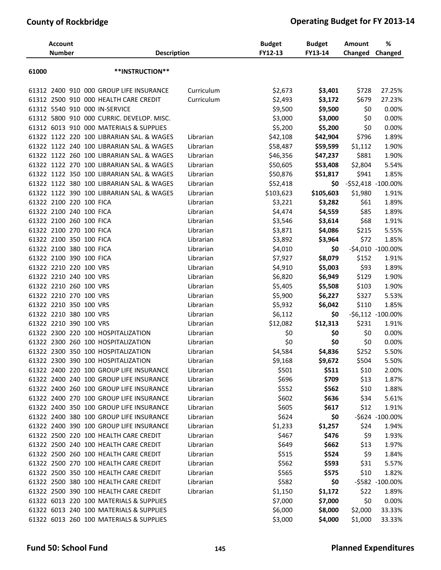|       | <b>Account</b><br><b>Number</b> |  | <b>Description</b>                        |            | <b>Budget</b><br>FY12-13 | <b>Budget</b><br>FY13-14 | <b>Amount</b><br>Changed | %<br>Changed         |
|-------|---------------------------------|--|-------------------------------------------|------------|--------------------------|--------------------------|--------------------------|----------------------|
| 61000 |                                 |  | **INSTRUCTION**                           |            |                          |                          |                          |                      |
|       |                                 |  | 61312 2400 910 000 GROUP LIFE INSURANCE   | Curriculum | \$2,673                  | \$3,401                  | \$728                    | 27.25%               |
|       |                                 |  | 61312 2500 910 000 HEALTH CARE CREDIT     | Curriculum | \$2,493                  | \$3,172                  | \$679                    | 27.23%               |
|       |                                 |  | 61312 5540 910 000 IN-SERVICE             |            | \$9,500                  | \$9,500                  | \$0                      | 0.00%                |
|       |                                 |  | 61312 5800 910 000 CURRIC. DEVELOP. MISC. |            | \$3,000                  | \$3,000                  | \$0                      | 0.00%                |
|       |                                 |  | 61312 6013 910 000 MATERIALS & SUPPLIES   |            | \$5,200                  | \$5,200                  | \$0                      | 0.00%                |
|       |                                 |  | 61322 1122 220 100 LIBRARIAN SAL. & WAGES | Librarian  | \$42,108                 | \$42,904                 | \$796                    | 1.89%                |
|       |                                 |  | 61322 1122 240 100 LIBRARIAN SAL. & WAGES | Librarian  | \$58,487                 | \$59,599                 | \$1,112                  | 1.90%                |
|       |                                 |  | 61322 1122 260 100 LIBRARIAN SAL. & WAGES | Librarian  | \$46,356                 | \$47,237                 | \$881                    | 1.90%                |
|       |                                 |  | 61322 1122 270 100 LIBRARIAN SAL. & WAGES | Librarian  | \$50,605                 | \$53,408                 | \$2,804                  | 5.54%                |
|       |                                 |  | 61322 1122 350 100 LIBRARIAN SAL. & WAGES | Librarian  | \$50,876                 | \$51,817                 | \$941                    | 1.85%                |
|       |                                 |  | 61322 1122 380 100 LIBRARIAN SAL. & WAGES | Librarian  | \$52,418                 | \$0                      |                          | $-552,418 -100.00\%$ |
|       |                                 |  | 61322 1122 390 100 LIBRARIAN SAL. & WAGES | Librarian  | \$103,623                | \$105,603                | \$1,980                  | 1.91%                |
|       | 61322 2100 220 100 FICA         |  |                                           | Librarian  | \$3,221                  | \$3,282                  | \$61                     | 1.89%                |
|       | 61322 2100 240 100 FICA         |  |                                           | Librarian  | \$4,474                  | \$4,559                  | \$85                     | 1.89%                |
|       | 61322 2100 260 100 FICA         |  |                                           | Librarian  | \$3,546                  | \$3,614                  | \$68                     | 1.91%                |
|       | 61322 2100 270 100 FICA         |  |                                           | Librarian  | \$3,871                  | \$4,086                  | \$215                    | 5.55%                |
|       | 61322 2100 350 100 FICA         |  |                                           | Librarian  | \$3,892                  | \$3,964                  | \$72                     | 1.85%                |
|       | 61322 2100 380 100 FICA         |  |                                           | Librarian  | \$4,010                  | \$0                      |                          | -\$4,010 -100.00%    |
|       | 61322 2100 390 100 FICA         |  |                                           | Librarian  | \$7,927                  | \$8,079                  | \$152                    | 1.91%                |
|       | 61322 2210 220 100 VRS          |  |                                           | Librarian  | \$4,910                  | \$5,003                  | \$93                     | 1.89%                |
|       | 61322 2210 240 100 VRS          |  |                                           | Librarian  | \$6,820                  | \$6,949                  | \$129                    | 1.90%                |
|       | 61322 2210 260 100 VRS          |  |                                           | Librarian  | \$5,405                  | \$5,508                  | \$103                    | 1.90%                |
|       | 61322 2210 270 100 VRS          |  |                                           | Librarian  | \$5,900                  | \$6,227                  | \$327                    | 5.53%                |
|       | 61322 2210 350 100 VRS          |  |                                           | Librarian  | \$5,932                  | \$6,042                  | \$110                    | 1.85%                |
|       | 61322 2210 380 100 VRS          |  |                                           | Librarian  | \$6,112                  | \$0                      |                          | $-56,112 -100.00\%$  |
|       | 61322 2210 390 100 VRS          |  |                                           | Librarian  | \$12,082                 | \$12,313                 | \$231                    | 1.91%                |
|       |                                 |  | 61322 2300 220 100 HOSPITALIZATION        | Librarian  | \$0                      | \$0                      | \$0                      | 0.00%                |
|       |                                 |  | 61322 2300 260 100 HOSPITALIZATION        | Librarian  | \$0                      | \$0                      | \$0                      | 0.00%                |
|       |                                 |  | 61322 2300 350 100 HOSPITALIZATION        | Librarian  | \$4,584                  | \$4,836                  | \$252                    | 5.50%                |
|       |                                 |  | 61322 2300 390 100 HOSPITALIZATION        | Librarian  | \$9,168                  | \$9,672                  | \$504                    | 5.50%                |
|       |                                 |  | 61322 2400 220 100 GROUP LIFE INSURANCE   | Librarian  | \$501                    | \$511                    | \$10                     | 2.00%                |
|       |                                 |  | 61322 2400 240 100 GROUP LIFE INSURANCE   | Librarian  | \$696                    | \$709                    | \$13                     | 1.87%                |
|       |                                 |  | 61322 2400 260 100 GROUP LIFE INSURANCE   | Librarian  | \$552                    | \$562                    | \$10                     | 1.88%                |
|       |                                 |  | 61322 2400 270 100 GROUP LIFE INSURANCE   | Librarian  | \$602                    | \$636                    | \$34                     | 5.61%                |
|       |                                 |  | 61322 2400 350 100 GROUP LIFE INSURANCE   | Librarian  | \$605                    | \$617                    | \$12                     | 1.91%                |
|       |                                 |  | 61322 2400 380 100 GROUP LIFE INSURANCE   | Librarian  | \$624                    | \$0                      |                          | -\$624 -100.00%      |
|       |                                 |  | 61322 2400 390 100 GROUP LIFE INSURANCE   | Librarian  | \$1,233                  | \$1,257                  | \$24                     | 1.94%                |
|       |                                 |  | 61322 2500 220 100 HEALTH CARE CREDIT     | Librarian  | \$467                    | \$476                    | \$9                      | 1.93%                |
|       |                                 |  | 61322 2500 240 100 HEALTH CARE CREDIT     | Librarian  | \$649                    | \$662                    | \$13                     | 1.97%                |
|       |                                 |  | 61322 2500 260 100 HEALTH CARE CREDIT     | Librarian  | \$515                    | \$524                    | \$9                      | 1.84%                |
|       |                                 |  | 61322 2500 270 100 HEALTH CARE CREDIT     | Librarian  | \$562                    | \$593                    | \$31                     | 5.57%                |
|       |                                 |  | 61322 2500 350 100 HEALTH CARE CREDIT     | Librarian  | \$565                    | \$575                    | \$10                     | 1.82%                |
|       |                                 |  | 61322 2500 380 100 HEALTH CARE CREDIT     | Librarian  | \$582                    | \$0                      |                          | -\$582 -100.00%      |
|       |                                 |  | 61322 2500 390 100 HEALTH CARE CREDIT     | Librarian  | \$1,150                  | \$1,172                  | \$22                     | 1.89%                |
|       |                                 |  | 61322 6013 220 100 MATERIALS & SUPPLIES   |            | \$7,000                  | \$7,000                  | \$0                      | 0.00%                |
|       |                                 |  | 61322 6013 240 100 MATERIALS & SUPPLIES   |            | \$6,000                  | \$8,000                  | \$2,000                  | 33.33%               |
|       |                                 |  | 61322 6013 260 100 MATERIALS & SUPPLIES   |            | \$3,000                  | \$4,000                  | \$1,000                  | 33.33%               |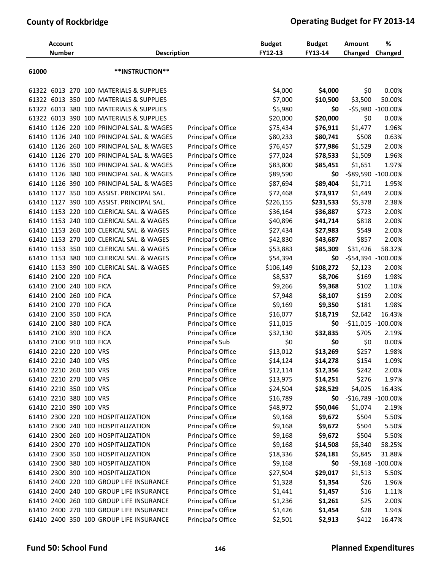|       | <b>Account</b><br><b>Number</b> |  | <b>Description</b>                        |                    | <b>Budget</b><br>FY12-13 | <b>Budget</b><br>FY13-14 | Amount<br>Changed | %<br>Changed       |
|-------|---------------------------------|--|-------------------------------------------|--------------------|--------------------------|--------------------------|-------------------|--------------------|
| 61000 |                                 |  | **INSTRUCTION**                           |                    |                          |                          |                   |                    |
|       |                                 |  | 61322 6013 270 100 MATERIALS & SUPPLIES   |                    | \$4,000                  | \$4,000                  | \$0               | 0.00%              |
|       |                                 |  | 61322 6013 350 100 MATERIALS & SUPPLIES   |                    | \$7,000                  | \$10,500                 | \$3,500           | 50.00%             |
|       |                                 |  | 61322 6013 380 100 MATERIALS & SUPPLIES   |                    | \$5,980                  | \$0                      |                   | -\$5,980 -100.00%  |
|       |                                 |  | 61322 6013 390 100 MATERIALS & SUPPLIES   |                    | \$20,000                 | \$20,000                 | \$0               | 0.00%              |
|       |                                 |  | 61410 1126 220 100 PRINCIPAL SAL. & WAGES | Principal's Office | \$75,434                 | \$76,911                 | \$1,477           | 1.96%              |
|       |                                 |  | 61410 1126 240 100 PRINCIPAL SAL. & WAGES | Principal's Office | \$80,233                 | \$80,741                 | \$508             | 0.63%              |
|       |                                 |  | 61410 1126 260 100 PRINCIPAL SAL. & WAGES | Principal's Office | \$76,457                 | \$77,986                 | \$1,529           | 2.00%              |
|       |                                 |  | 61410 1126 270 100 PRINCIPAL SAL. & WAGES | Principal's Office | \$77,024                 | \$78,533                 | \$1,509           | 1.96%              |
|       |                                 |  | 61410 1126 350 100 PRINCIPAL SAL. & WAGES | Principal's Office | \$83,800                 | \$85,451                 | \$1,651           | 1.97%              |
|       |                                 |  | 61410 1126 380 100 PRINCIPAL SAL. & WAGES | Principal's Office | \$89,590                 | \$0                      |                   | -\$89,590 -100.00% |
|       |                                 |  | 61410 1126 390 100 PRINCIPAL SAL. & WAGES | Principal's Office | \$87,694                 | \$89,404                 | \$1,711           | 1.95%              |
|       |                                 |  | 61410 1127 350 100 ASSIST. PRINCIPAL SAL. | Principal's Office | \$72,468                 | \$73,917                 | \$1,449           | 2.00%              |
|       |                                 |  | 61410 1127 390 100 ASSIST. PRINCIPAL SAL. | Principal's Office | \$226,155                | \$231,533                | \$5,378           | 2.38%              |
|       |                                 |  | 61410 1153 220 100 CLERICAL SAL. & WAGES  | Principal's Office | \$36,164                 | \$36,887                 | \$723             | 2.00%              |
|       |                                 |  | 61410 1153 240 100 CLERICAL SAL. & WAGES  | Principal's Office | \$40,896                 | \$41,714                 | \$818             | 2.00%              |
|       |                                 |  | 61410 1153 260 100 CLERICAL SAL. & WAGES  | Principal's Office | \$27,434                 | \$27,983                 | \$549             | 2.00%              |
|       |                                 |  | 61410 1153 270 100 CLERICAL SAL. & WAGES  | Principal's Office | \$42,830                 | \$43,687                 | \$857             | 2.00%              |
|       |                                 |  | 61410 1153 350 100 CLERICAL SAL. & WAGES  | Principal's Office | \$53,883                 | \$85,309                 | \$31,426          | 58.32%             |
|       |                                 |  | 61410 1153 380 100 CLERICAL SAL. & WAGES  | Principal's Office | \$54,394                 | \$0                      |                   | -\$54,394 -100.00% |
|       |                                 |  | 61410 1153 390 100 CLERICAL SAL. & WAGES  | Principal's Office | \$106,149                | \$108,272                | \$2,123           | 2.00%              |
|       | 61410 2100 220 100 FICA         |  |                                           | Principal's Office | \$8,537                  | \$8,706                  | \$169             | 1.98%              |
|       | 61410 2100 240 100 FICA         |  |                                           | Principal's Office | \$9,266                  | \$9,368                  | \$102             | 1.10%              |
|       | 61410 2100 260 100 FICA         |  |                                           | Principal's Office | \$7,948                  | \$8,107                  | \$159             | 2.00%              |
|       | 61410 2100 270 100 FICA         |  |                                           | Principal's Office | \$9,169                  | \$9,350                  | \$181             | 1.98%              |
|       | 61410 2100 350 100 FICA         |  |                                           | Principal's Office | \$16,077                 | \$18,719                 | \$2,642           | 16.43%             |
|       | 61410 2100 380 100 FICA         |  |                                           | Principal's Office | \$11,015                 | \$0                      |                   | -\$11,015 -100.00% |
|       | 61410 2100 390 100 FICA         |  |                                           | Principal's Office | \$32,130                 | \$32,835                 | \$705             | 2.19%              |
|       | 61410 2100 910 100 FICA         |  |                                           | Principal's Sub    | \$0                      | \$0                      | \$0               | 0.00%              |
|       | 61410 2210 220 100 VRS          |  |                                           | Principal's Office | \$13,012                 | \$13,269                 | \$257             | 1.98%              |
|       | 61410 2210 240 100 VRS          |  |                                           | Principal's Office | \$14,124                 | \$14,278                 | \$154             | 1.09%              |
|       | 61410 2210 260 100 VRS          |  |                                           | Principal's Office | \$12,114                 | \$12,356                 | \$242             | 2.00%              |
|       | 61410 2210 270 100 VRS          |  |                                           | Principal's Office | \$13,975                 | \$14,251                 | \$276             | 1.97%              |
|       | 61410 2210 350 100 VRS          |  |                                           | Principal's Office | \$24,504                 | \$28,529                 | \$4,025           | 16.43%             |
|       | 61410 2210 380 100 VRS          |  |                                           | Principal's Office | \$16,789                 | \$0                      |                   | -\$16,789 -100.00% |
|       | 61410 2210 390 100 VRS          |  |                                           | Principal's Office | \$48,972                 | \$50,046                 | \$1,074           | 2.19%              |
|       |                                 |  | 61410 2300 220 100 HOSPITALIZATION        | Principal's Office | \$9,168                  | \$9,672                  | \$504             | 5.50%              |
|       |                                 |  | 61410 2300 240 100 HOSPITALIZATION        | Principal's Office | \$9,168                  | \$9,672                  | \$504             | 5.50%              |
|       |                                 |  | 61410 2300 260 100 HOSPITALIZATION        | Principal's Office | \$9,168                  | \$9,672                  | \$504             | 5.50%              |
|       |                                 |  | 61410 2300 270 100 HOSPITALIZATION        | Principal's Office | \$9,168                  | \$14,508                 | \$5,340           | 58.25%             |
|       |                                 |  | 61410 2300 350 100 HOSPITALIZATION        | Principal's Office | \$18,336                 | \$24,181                 | \$5,845           | 31.88%             |
|       |                                 |  | 61410 2300 380 100 HOSPITALIZATION        | Principal's Office | \$9,168                  | \$0                      |                   | -\$9,168 -100.00%  |
|       |                                 |  | 61410 2300 390 100 HOSPITALIZATION        | Principal's Office | \$27,504                 | \$29,017                 | \$1,513           | 5.50%              |
|       |                                 |  | 61410 2400 220 100 GROUP LIFE INSURANCE   | Principal's Office | \$1,328                  | \$1,354                  | \$26              | 1.96%              |
|       |                                 |  | 61410 2400 240 100 GROUP LIFE INSURANCE   | Principal's Office | \$1,441                  | \$1,457                  | \$16              | 1.11%              |
|       |                                 |  | 61410 2400 260 100 GROUP LIFE INSURANCE   | Principal's Office | \$1,236                  | \$1,261                  | \$25              | 2.00%              |
|       |                                 |  | 61410 2400 270 100 GROUP LIFE INSURANCE   | Principal's Office | \$1,426                  | \$1,454                  | \$28              | 1.94%              |
|       |                                 |  | 61410 2400 350 100 GROUP LIFE INSURANCE   | Principal's Office | \$2,501                  | \$2,913                  | \$412             | 16.47%             |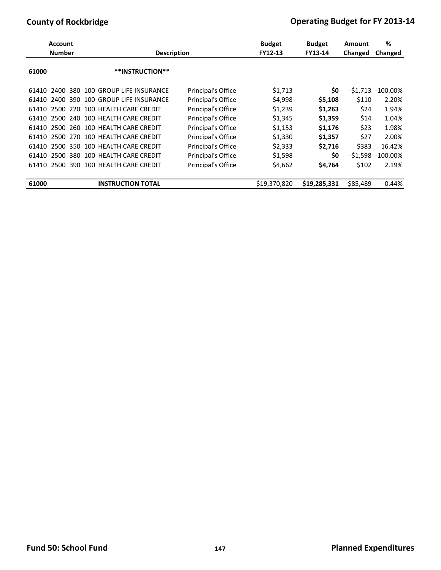|       | <b>Account</b><br><b>Number</b> | <b>Description</b>              |                    | <b>Budget</b><br>FY12-13 | <b>Budget</b><br><b>FY13-14</b> | Amount<br>Changed | %<br>Changed |
|-------|---------------------------------|---------------------------------|--------------------|--------------------------|---------------------------------|-------------------|--------------|
| 61000 |                                 | **INSTRUCTION**                 |                    |                          |                                 |                   |              |
| 61410 | 380<br>2400                     | 100 GROUP LIFE INSURANCE        | Principal's Office | \$1,713                  | \$0                             | -\$1.713          | $-100.00\%$  |
| 61410 | 390<br>2400                     | 100 GROUP LIFE INSURANCE        | Principal's Office | \$4,998                  | \$5,108                         | \$110             | 2.20%        |
| 61410 |                                 | 2500 220 100 HEALTH CARE CREDIT | Principal's Office | \$1,239                  | \$1,263                         | \$24              | 1.94%        |
| 61410 | 240<br>2500                     | 100 HEALTH CARE CREDIT          | Principal's Office | \$1,345                  | \$1.359                         | \$14              | 1.04%        |
| 61410 |                                 | 2500 260 100 HEALTH CARE CREDIT | Principal's Office | \$1,153                  | \$1,176                         | \$23              | 1.98%        |
| 61410 |                                 | 2500 270 100 HEALTH CARE CREDIT | Principal's Office | \$1,330                  | \$1,357                         | \$27              | 2.00%        |
| 61410 | 350<br>2500                     | 100 HEALTH CARE CREDIT          | Principal's Office | \$2,333                  | \$2,716                         | \$383             | 16.42%       |
| 61410 | 2500<br>380                     | 100 HEALTH CARE CREDIT          | Principal's Office | \$1,598                  | \$0                             | $-$ \$1,598       | $-100.00\%$  |
| 61410 | 2500                            | 390 100 HEALTH CARE CREDIT      | Principal's Office | \$4,662                  | \$4,764                         | \$102             | 2.19%        |
| 61000 |                                 | <b>INSTRUCTION TOTAL</b>        |                    | \$19,370,820             | \$19,285,331                    | -\$85,489         | $-0.44%$     |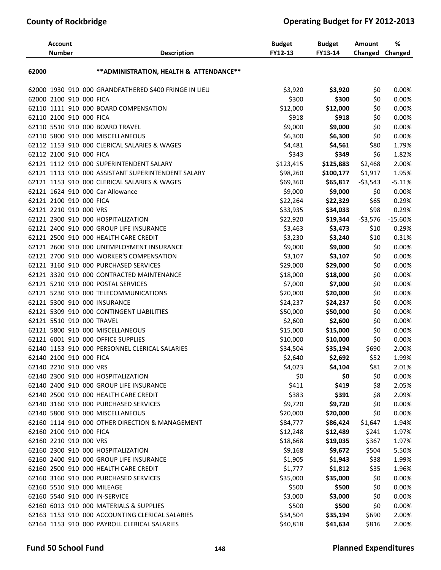| ** ADMINISTRATION, HEALTH & ATTENDANCE**<br>62000                                      | 0.00%     |
|----------------------------------------------------------------------------------------|-----------|
|                                                                                        |           |
| 62000 1930 910 000 GRANDFATHERED \$400 FRINGE IN LIEU<br>\$3,920<br>\$3,920<br>\$0     |           |
| \$300<br>\$0<br>62000 2100 910 000 FICA<br>\$300                                       | 0.00%     |
| 62110 1111 910 000 BOARD COMPENSATION<br>\$12,000<br>\$12,000<br>\$0                   | 0.00%     |
| 62110 2100 910 000 FICA<br>\$918<br>\$918<br>\$0                                       | 0.00%     |
| \$9,000<br>62110 5510 910 000 BOARD TRAVEL<br>\$9,000<br>\$0                           | 0.00%     |
| 62110 5800 910 000 MISCELLANEOUS<br>\$6,300<br>\$6,300<br>\$0                          | 0.00%     |
| 62112 1153 910 000 CLERICAL SALARIES & WAGES<br>\$4,481<br>\$4,561<br>\$80             | 1.79%     |
| \$343<br>\$6<br>62112 2100 910 000 FICA<br>\$349                                       | 1.82%     |
| 62121 1112 910 000 SUPERINTENDENT SALARY<br>\$123,415<br>\$125,883<br>\$2,468          | 2.00%     |
| 62121 1113 910 000 ASSISTANT SUPERINTENDENT SALARY<br>\$98,260<br>\$100,177<br>\$1,917 | 1.95%     |
| 62121 1153 910 000 CLERICAL SALARIES & WAGES<br>\$69,360<br>$-53,543$<br>\$65,817      | $-5.11%$  |
| 62121 1624 910 000 Car Allowance<br>\$9,000<br>\$9,000<br>\$0                          | 0.00%     |
| 62121 2100 910 000 FICA<br>\$22,264<br>\$22,329<br>\$65                                | 0.29%     |
| \$98<br>62121 2210 910 000 VRS<br>\$33,935<br>\$34,033                                 | 0.29%     |
| 62121 2300 910 000 HOSPITALIZATION<br>\$22,920<br>\$19,344<br>$-53,576$                | $-15.60%$ |
| 62121 2400 910 000 GROUP LIFE INSURANCE<br>\$3,463<br>\$3,473<br>\$10                  | 0.29%     |
| 62121 2500 910 000 HEALTH CARE CREDIT<br>\$3,230<br>\$3,240<br>\$10                    | 0.31%     |
| \$9,000<br>62121 2600 910 000 UNEMPLOYMENT INSURANCE<br>\$9,000<br>\$0                 | 0.00%     |
| 62121 2700 910 000 WORKER'S COMPENSATION<br>\$3,107<br>\$3,107<br>\$0                  | 0.00%     |
| 62121 3160 910 000 PURCHASED SERVICES<br>\$29,000<br>\$29,000<br>\$0                   | 0.00%     |
| \$18,000<br>62121 3320 910 000 CONTRACTED MAINTENANCE<br>\$18,000<br>\$0               | 0.00%     |
| \$7,000<br>62121 5210 910 000 POSTAL SERVICES<br>\$7,000<br>\$0                        | 0.00%     |
| 62121 5230 910 000 TELECOMMUNICATIONS<br>\$20,000<br>\$20,000<br>\$0                   | 0.00%     |
| 62121 5300 910 000 INSURANCE<br>\$0<br>\$24,237<br>\$24,237                            | 0.00%     |
| 62121 5309 910 000 CONTINGENT LIABILITIES<br>\$50,000<br>\$50,000<br>\$0               | 0.00%     |
| 62121 5510 910 000 TRAVEL<br>\$2,600<br>\$2,600<br>\$0                                 | 0.00%     |
| 62121 5800 910 000 MISCELLANEOUS<br>\$15,000<br>\$15,000<br>\$0                        | 0.00%     |
| 62121 6001 910 000 OFFICE SUPPLIES<br>\$10,000<br>\$10,000<br>\$0                      | 0.00%     |
| 62140 1153 910 000 PERSONNEL CLERICAL SALARIES<br>\$35,194<br>\$690<br>\$34,504        | 2.00%     |
| \$52<br>\$2,692<br>62140 2100 910 000 FICA<br>\$2,640                                  | 1.99%     |
| \$4,023<br>62140 2210 910 000 VRS<br>\$4,104<br>\$81                                   | 2.01%     |
| \$0<br>62140 2300 910 000 HOSPITALIZATION<br>\$0<br>\$0                                | 0.00%     |
| 62140 2400 910 000 GROUP LIFE INSURANCE<br>\$411<br>\$419<br>\$8                       | 2.05%     |
| \$383<br>62140 2500 910 000 HEALTH CARE CREDIT<br>\$391<br>\$8                         | 2.09%     |
| \$9,720<br>62140 3160 910 000 PURCHASED SERVICES<br>\$9,720<br>\$0                     | 0.00%     |
| 62140 5800 910 000 MISCELLANEOUS<br>\$20,000<br>\$20,000<br>\$0                        | 0.00%     |
| \$84,777<br>62160 1114 910 000 OTHER DIRECTION & MANAGEMENT<br>\$86,424<br>\$1,647     | 1.94%     |
| 62160 2100 910 000 FICA<br>\$12,248<br>\$12,489<br>\$241                               | 1.97%     |
| 62160 2210 910 000 VRS<br>\$18,668<br>\$19,035<br>\$367                                | 1.97%     |
| 62160 2300 910 000 HOSPITALIZATION<br>\$9,168<br>\$9,672<br>\$504                      | 5.50%     |
| 62160 2400 910 000 GROUP LIFE INSURANCE<br>\$1,905<br>\$1,943<br>\$38                  | 1.99%     |
| 62160 2500 910 000 HEALTH CARE CREDIT<br>\$1,777<br>\$1,812<br>\$35                    | 1.96%     |
| \$35,000<br>62160 3160 910 000 PURCHASED SERVICES<br>\$35,000<br>\$0                   | 0.00%     |
| 62160 5510 910 000 MILEAGE<br>\$500<br>\$500<br>\$0                                    | 0.00%     |
| 62160 5540 910 000 IN-SERVICE<br>\$3,000<br>\$3,000<br>\$0                             | 0.00%     |
| 62160 6013 910 000 MATERIALS & SUPPLIES<br>\$500<br>\$500<br>\$0                       | 0.00%     |
| 62163 1153 910 000 ACCOUNTING CLERICAL SALARIES<br>\$34,504<br>\$35,194<br>\$690       | 2.00%     |
| 62164 1153 910 000 PAYROLL CLERICAL SALARIES<br>\$40,818<br>\$41,634<br>\$816          | 2.00%     |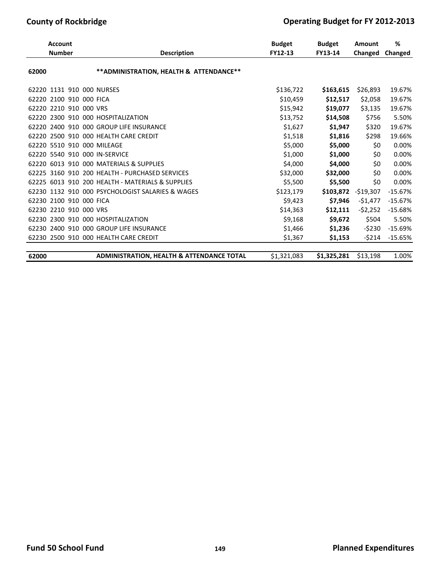|       | <b>Account</b>                |                                                  | <b>Budget</b> | <b>Budget</b> | <b>Amount</b> | %              |
|-------|-------------------------------|--------------------------------------------------|---------------|---------------|---------------|----------------|
|       | <b>Number</b>                 | <b>Description</b>                               | FY12-13       | FY13-14       | Changed       | <b>Changed</b> |
| 62000 |                               | ** ADMINISTRATION, HEALTH & ATTENDANCE**         |               |               |               |                |
|       | 62220 1131 910 000 NURSES     |                                                  | \$136,722     | \$163,615     | \$26,893      | 19.67%         |
|       | 62220 2100 910 000 FICA       |                                                  | \$10,459      | \$12,517      | \$2,058       | 19.67%         |
|       | 62220 2210 910 000 VRS        |                                                  | \$15,942      | \$19,077      | \$3,135       | 19.67%         |
|       |                               | 62220 2300 910 000 HOSPITALIZATION               | \$13,752      | \$14,508      | \$756         | 5.50%          |
|       |                               | 62220 2400 910 000 GROUP LIFE INSURANCE          | \$1,627       | \$1,947       | \$320         | 19.67%         |
|       |                               | 62220 2500 910 000 HEALTH CARE CREDIT            | \$1,518       | \$1,816       | \$298         | 19.66%         |
|       | 62220 5510 910 000 MILEAGE    |                                                  | \$5,000       | \$5,000       | \$0           | 0.00%          |
|       | 62220 5540 910 000 IN-SERVICE |                                                  | \$1,000       | \$1,000       | \$0           | 0.00%          |
| 62220 |                               | 6013 910 000 MATERIALS & SUPPLIES                | \$4,000       | \$4,000       | \$0           | 0.00%          |
|       |                               | 62225 3160 910 200 HEALTH - PURCHASED SERVICES   | \$32,000      | \$32,000      | \$0           | 0.00%          |
|       |                               | 62225 6013 910 200 HEALTH - MATERIALS & SUPPLIES | \$5,500       | \$5,500       | \$0           | 0.00%          |
| 62230 | 1132 910                      | 000 PSYCHOLOGIST SALARIES & WAGES                | \$123,179     | \$103,872     | $-519,307$    | $-15.67%$      |
|       | 62230 2100 910 000 FICA       |                                                  | \$9.423       | \$7,946       | $-51,477$     | $-15.67%$      |
|       | 62230 2210 910 000 VRS        |                                                  | \$14,363      | \$12,111      | $-52,252$     | $-15.68%$      |
|       | 62230 2300 910                | 000 HOSPITALIZATION                              | \$9,168       | \$9,672       | \$504         | 5.50%          |
|       | 62230 2400 910                | 000 GROUP LIFE INSURANCE                         | \$1,466       | \$1,236       | $-5230$       | $-15.69%$      |
|       |                               | 62230 2500 910 000 HEALTH CARE CREDIT            | \$1,367       | \$1,153       | $-5214$       | $-15.65%$      |
|       |                               |                                                  |               |               |               |                |
| 62000 |                               | ADMINISTRATION, HEALTH & ATTENDANCE TOTAL        | \$1,321,083   | \$1,325,281   | \$13,198      | 1.00%          |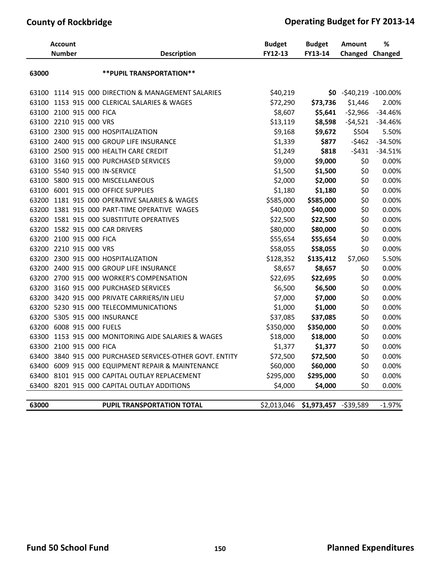|       | <b>Account</b>          |                                                          | <b>Budget</b> | <b>Budget</b>          | <b>Amount</b>            | ℅         |
|-------|-------------------------|----------------------------------------------------------|---------------|------------------------|--------------------------|-----------|
|       | <b>Number</b>           | <b>Description</b>                                       | FY12-13       | FY13-14                | Changed                  | Changed   |
| 63000 |                         | ** PUPIL TRANSPORTATION**                                |               |                        |                          |           |
| 63100 |                         | 1114 915 000 DIRECTION & MANAGEMENT SALARIES             | \$40,219      |                        | $$0 - $40,219 -100.00\%$ |           |
|       |                         | 63100 1153 915 000 CLERICAL SALARIES & WAGES             | \$72,290      | \$73,736               | \$1,446                  | 2.00%     |
|       | 63100 2100 915 000 FICA |                                                          | \$8,607       | \$5,641                | $-52,966$                | $-34.46%$ |
|       | 63100 2210 915 000 VRS  |                                                          | \$13,119      | \$8,598                | $-54,521$                | $-34.46%$ |
|       |                         | 63100 2300 915 000 HOSPITALIZATION                       | \$9,168       | \$9,672                | \$504                    | 5.50%     |
|       |                         | 63100 2400 915 000 GROUP LIFE INSURANCE                  | \$1,339       | \$877                  | $-5462$                  | $-34.50%$ |
|       |                         | 63100 2500 915 000 HEALTH CARE CREDIT                    | \$1,249       | \$818                  | $-5431$                  | $-34.51%$ |
|       |                         | 63100 3160 915 000 PURCHASED SERVICES                    | \$9,000       | \$9,000                | \$0                      | 0.00%     |
|       |                         | 63100 5540 915 000 IN-SERVICE                            | \$1,500       | \$1,500                | \$0                      | 0.00%     |
|       |                         | 63100 5800 915 000 MISCELLANEOUS                         | \$2,000       | \$2,000                | \$0                      | 0.00%     |
| 63100 |                         | 6001 915 000 OFFICE SUPPLIES                             | \$1,180       | \$1,180                | \$0                      | 0.00%     |
|       |                         | 63200 1181 915 000 OPERATIVE SALARIES & WAGES            | \$585,000     | \$585,000              | \$0                      | 0.00%     |
|       |                         | 63200 1381 915 000 PART-TIME OPERATIVE WAGES             | \$40,000      | \$40,000               | \$0                      | 0.00%     |
|       |                         | 63200 1581 915 000 SUBSTITUTE OPERATIVES                 | \$22,500      | \$22,500               | \$0                      | 0.00%     |
|       |                         | 63200 1582 915 000 CAR DRIVERS                           | \$80,000      | \$80,000               | \$0                      | 0.00%     |
|       | 63200 2100 915 000 FICA |                                                          | \$55,654      | \$55,654               | \$0                      | 0.00%     |
|       | 63200 2210 915 000 VRS  |                                                          | \$58,055      | \$58,055               | \$0                      | 0.00%     |
|       |                         | 63200 2300 915 000 HOSPITALIZATION                       | \$128,352     | \$135,412              | \$7,060                  | 5.50%     |
|       |                         | 63200 2400 915 000 GROUP LIFE INSURANCE                  | \$8,657       | \$8,657                | \$0                      | 0.00%     |
|       |                         | 63200 2700 915 000 WORKER'S COMPENSATION                 | \$22,695      | \$22,695               | \$0                      | 0.00%     |
|       |                         | 63200 3160 915 000 PURCHASED SERVICES                    | \$6,500       | \$6,500                | \$0                      | 0.00%     |
|       |                         | 63200 3420 915 000 PRIVATE CARRIERS/IN LIEU              | \$7,000       | \$7,000                | \$0                      | 0.00%     |
| 63200 |                         | 5230 915 000 TELECOMMUNICATIONS                          | \$1,000       | \$1,000                | \$0                      | 0.00%     |
|       |                         | 63200 5305 915 000 INSURANCE                             | \$37,085      | \$37,085               | \$0                      | 0.00%     |
|       |                         | 63200 6008 915 000 FUELS                                 | \$350,000     | \$350,000              | \$0                      | 0.00%     |
| 63300 |                         | 1153 915 000 MONITORING AIDE SALARIES & WAGES            | \$18,000      | \$18,000               | \$0                      | 0.00%     |
|       | 63300 2100 915 000 FICA |                                                          | \$1,377       | \$1,377                | \$0                      | 0.00%     |
|       |                         | 63400 3840 915 000 PURCHASED SERVICES-OTHER GOVT. ENTITY | \$72,500      | \$72,500               | \$0                      | 0.00%     |
|       |                         | 63400 6009 915 000 EQUIPMENT REPAIR & MAINTENANCE        | \$60,000      | \$60,000               | \$0                      | 0.00%     |
| 63400 |                         | 8101 915 000 CAPITAL OUTLAY REPLACEMENT                  | \$295,000     | \$295,000              | \$0                      | 0.00%     |
|       |                         | 63400 8201 915 000 CAPITAL OUTLAY ADDITIONS              | \$4,000       | \$4,000                | \$0                      | 0.00%     |
|       |                         |                                                          |               |                        |                          |           |
| 63000 |                         | <b>PUPIL TRANSPORTATION TOTAL</b>                        | \$2,013,046   | \$1,973,457 - \$39,589 |                          | $-1.97%$  |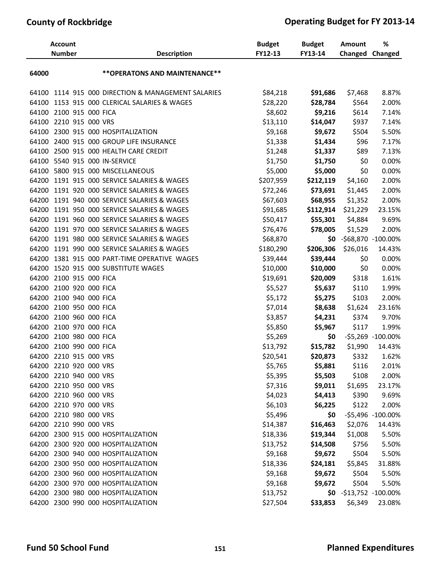|       | <b>Account</b><br><b>Number</b> |  | <b>Description</b>                           | <b>Budget</b><br>FY12-13 | <b>Budget</b><br>FY13-14 | Amount<br><b>Changed Changed</b> | %                 |
|-------|---------------------------------|--|----------------------------------------------|--------------------------|--------------------------|----------------------------------|-------------------|
| 64000 |                                 |  | ** OPERATONS AND MAINTENANCE**               |                          |                          |                                  |                   |
| 64100 |                                 |  | 1114 915 000 DIRECTION & MANAGEMENT SALARIES | \$84,218                 | \$91,686                 | \$7,468                          | 8.87%             |
| 64100 |                                 |  | 1153 915 000 CLERICAL SALARIES & WAGES       | \$28,220                 | \$28,784                 | \$564                            | 2.00%             |
| 64100 | 2100 915 000 FICA               |  |                                              | \$8,602                  | \$9,216                  | \$614                            | 7.14%             |
| 64100 | 2210 915 000 VRS                |  |                                              | \$13,110                 | \$14,047                 | \$937                            | 7.14%             |
| 64100 |                                 |  | 2300 915 000 HOSPITALIZATION                 | \$9,168                  | \$9,672                  | \$504                            | 5.50%             |
| 64100 |                                 |  | 2400 915 000 GROUP LIFE INSURANCE            | \$1,338                  | \$1,434                  | \$96                             | 7.17%             |
| 64100 |                                 |  | 2500 915 000 HEALTH CARE CREDIT              | \$1,248                  | \$1,337                  | \$89                             | 7.13%             |
|       |                                 |  | 64100 5540 915 000 IN-SERVICE                | \$1,750                  | \$1,750                  | \$0                              | 0.00%             |
| 64100 |                                 |  | 5800 915 000 MISCELLANEOUS                   | \$5,000                  | \$5,000                  | \$0                              | 0.00%             |
| 64200 |                                 |  | 1191 915 000 SERVICE SALARIES & WAGES        | \$207,959                | \$212,119                | \$4,160                          | 2.00%             |
| 64200 |                                 |  | 1191 920 000 SERVICE SALARIES & WAGES        | \$72,246                 | \$73,691                 | \$1,445                          | 2.00%             |
| 64200 |                                 |  | 1191 940 000 SERVICE SALARIES & WAGES        | \$67,603                 | \$68,955                 | \$1,352                          | 2.00%             |
| 64200 |                                 |  | 1191 950 000 SERVICE SALARIES & WAGES        | \$91,685                 | \$112,914                | \$21,229                         | 23.15%            |
| 64200 |                                 |  | 1191 960 000 SERVICE SALARIES & WAGES        | \$50,417                 | \$55,301                 | \$4,884                          | 9.69%             |
| 64200 |                                 |  | 1191 970 000 SERVICE SALARIES & WAGES        | \$76,476                 | \$78,005                 | \$1,529                          | 2.00%             |
| 64200 |                                 |  | 1191 980 000 SERVICE SALARIES & WAGES        | \$68,870                 |                          | $$0 - $68,870 -100.00\%$         |                   |
| 64200 |                                 |  | 1191 990 000 SERVICE SALARIES & WAGES        | \$180,290                | \$206,306                | \$26,016                         | 14.43%            |
| 64200 |                                 |  | 1381 915 000 PART-TIME OPERATIVE WAGES       | \$39,444                 | \$39,444                 | \$0                              | 0.00%             |
| 64200 |                                 |  | 1520 915 000 SUBSTITUTE WAGES                | \$10,000                 | \$10,000                 | \$0                              | 0.00%             |
| 64200 | 2100 915 000 FICA               |  |                                              | \$19,691                 | \$20,009                 | \$318                            | 1.61%             |
| 64200 | 2100 920 000 FICA               |  |                                              | \$5,527                  | \$5,637                  | \$110                            | 1.99%             |
| 64200 | 2100 940 000 FICA               |  |                                              | \$5,172                  | \$5,275                  | \$103                            | 2.00%             |
| 64200 | 2100 950 000 FICA               |  |                                              | \$7,014                  | \$8,638                  | \$1,624                          | 23.16%            |
| 64200 | 2100 960 000 FICA               |  |                                              | \$3,857                  | \$4,231                  | \$374                            | 9.70%             |
| 64200 | 2100 970 000 FICA               |  |                                              | \$5,850                  | \$5,967                  | \$117                            | 1.99%             |
| 64200 | 2100 980 000 FICA               |  |                                              | \$5,269                  | \$0                      |                                  | -\$5,269 -100.00% |
| 64200 | 2100 990 000 FICA               |  |                                              | \$13,792                 | \$15,782                 | \$1,990                          | 14.43%            |
|       | 64200 2210 915 000 VRS          |  |                                              | \$20,541                 | \$20,873                 | \$332                            | 1.62%             |
|       | 64200 2210 920 000 VRS          |  |                                              | \$5,765                  | \$5,881                  | \$116                            | 2.01%             |
|       | 64200 2210 940 000 VRS          |  |                                              | \$5,395                  | \$5,503                  | \$108                            | 2.00%             |
|       | 64200 2210 950 000 VRS          |  |                                              | \$7,316                  | \$9,011                  | \$1,695                          | 23.17%            |
|       | 64200 2210 960 000 VRS          |  |                                              | \$4,023                  | \$4,413                  | \$390                            | 9.69%             |
|       | 64200 2210 970 000 VRS          |  |                                              | \$6,103                  | \$6,225                  | \$122                            | 2.00%             |
|       | 64200 2210 980 000 VRS          |  |                                              | \$5,496                  | \$0                      |                                  | -\$5,496 -100.00% |
|       | 64200 2210 990 000 VRS          |  |                                              | \$14,387                 | \$16,463                 | \$2,076                          | 14.43%            |
|       |                                 |  | 64200 2300 915 000 HOSPITALIZATION           | \$18,336                 | \$19,344                 | \$1,008                          | 5.50%             |
|       |                                 |  | 64200 2300 920 000 HOSPITALIZATION           | \$13,752                 | \$14,508                 | \$756                            | 5.50%             |
|       |                                 |  | 64200 2300 940 000 HOSPITALIZATION           | \$9,168                  | \$9,672                  | \$504                            | 5.50%             |
|       |                                 |  | 64200 2300 950 000 HOSPITALIZATION           | \$18,336                 | \$24,181                 | \$5,845                          | 31.88%            |
|       |                                 |  | 64200 2300 960 000 HOSPITALIZATION           | \$9,168                  | \$9,672                  | \$504                            | 5.50%             |
|       |                                 |  | 64200 2300 970 000 HOSPITALIZATION           | \$9,168                  | \$9,672                  | \$504                            | 5.50%             |
|       |                                 |  | 64200 2300 980 000 HOSPITALIZATION           | \$13,752                 |                          | $$0 - $13,752 -100.00\%$         |                   |
|       |                                 |  | 64200 2300 990 000 HOSPITALIZATION           | \$27,504                 | \$33,853                 | \$6,349                          | 23.08%            |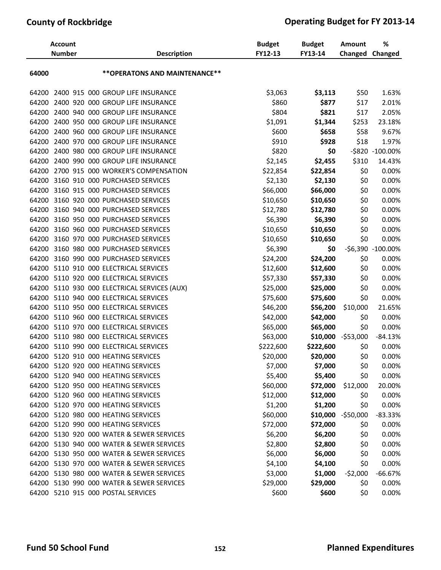|       | <b>Account</b><br><b>Number</b> |  | <b>Description</b>                        | <b>Budget</b><br>FY12-13 | <b>Budget</b><br>FY13-14 | Amount<br><b>Changed Changed</b> | %                 |
|-------|---------------------------------|--|-------------------------------------------|--------------------------|--------------------------|----------------------------------|-------------------|
| 64000 |                                 |  | ** OPERATONS AND MAINTENANCE**            |                          |                          |                                  |                   |
| 64200 |                                 |  | 2400 915 000 GROUP LIFE INSURANCE         | \$3,063                  | \$3,113                  | \$50                             | 1.63%             |
| 64200 |                                 |  | 2400 920 000 GROUP LIFE INSURANCE         | \$860                    | \$877                    | \$17                             | 2.01%             |
| 64200 |                                 |  | 2400 940 000 GROUP LIFE INSURANCE         | \$804                    | \$821                    | \$17                             | 2.05%             |
| 64200 |                                 |  | 2400 950 000 GROUP LIFE INSURANCE         | \$1,091                  | \$1,344                  | \$253                            | 23.18%            |
| 64200 |                                 |  | 2400 960 000 GROUP LIFE INSURANCE         | \$600                    | \$658                    | \$58                             | 9.67%             |
| 64200 |                                 |  | 2400 970 000 GROUP LIFE INSURANCE         | \$910                    | \$928                    | \$18                             | 1.97%             |
| 64200 |                                 |  | 2400 980 000 GROUP LIFE INSURANCE         | \$820                    | \$0                      |                                  | -\$820 -100.00%   |
| 64200 |                                 |  | 2400 990 000 GROUP LIFE INSURANCE         | \$2,145                  | \$2,455                  | \$310                            | 14.43%            |
| 64200 |                                 |  | 2700 915 000 WORKER'S COMPENSATION        | \$22,854                 | \$22,854                 | \$0                              | 0.00%             |
| 64200 |                                 |  | 3160 910 000 PURCHASED SERVICES           | \$2,130                  | \$2,130                  | \$0                              | 0.00%             |
| 64200 |                                 |  | 3160 915 000 PURCHASED SERVICES           | \$66,000                 | \$66,000                 | \$0                              | 0.00%             |
| 64200 |                                 |  | 3160 920 000 PURCHASED SERVICES           | \$10,650                 | \$10,650                 | \$0                              | 0.00%             |
| 64200 |                                 |  | 3160 940 000 PURCHASED SERVICES           | \$12,780                 | \$12,780                 | \$0                              | 0.00%             |
| 64200 |                                 |  | 3160 950 000 PURCHASED SERVICES           | \$6,390                  | \$6,390                  | \$0                              | 0.00%             |
| 64200 |                                 |  | 3160 960 000 PURCHASED SERVICES           | \$10,650                 | \$10,650                 | \$0                              | 0.00%             |
| 64200 |                                 |  | 3160 970 000 PURCHASED SERVICES           | \$10,650                 | \$10,650                 | \$0                              | 0.00%             |
| 64200 |                                 |  | 3160 980 000 PURCHASED SERVICES           | \$6,390                  | \$0                      |                                  | -\$6,390 -100.00% |
| 64200 |                                 |  | 3160 990 000 PURCHASED SERVICES           | \$24,200                 | \$24,200                 | \$0                              | 0.00%             |
| 64200 |                                 |  | 5110 910 000 ELECTRICAL SERVICES          | \$12,600                 | \$12,600                 | \$0                              | 0.00%             |
| 64200 |                                 |  | 5110 920 000 ELECTRICAL SERVICES          | \$57,330                 | \$57,330                 | \$0                              | 0.00%             |
| 64200 |                                 |  | 5110 930 000 ELECTRICAL SERVICES (AUX)    | \$25,000                 | \$25,000                 | \$0                              | 0.00%             |
| 64200 |                                 |  | 5110 940 000 ELECTRICAL SERVICES          | \$75,600                 | \$75,600                 | \$0                              | 0.00%             |
| 64200 |                                 |  | 5110 950 000 ELECTRICAL SERVICES          | \$46,200                 | \$56,200                 | \$10,000                         | 21.65%            |
| 64200 |                                 |  | 5110 960 000 ELECTRICAL SERVICES          | \$42,000                 | \$42,000                 | \$0                              | 0.00%             |
| 64200 |                                 |  | 5110 970 000 ELECTRICAL SERVICES          | \$65,000                 | \$65,000                 | \$0                              | 0.00%             |
| 64200 |                                 |  | 5110 980 000 ELECTRICAL SERVICES          | \$63,000                 | \$10,000                 | $-$ \$53,000                     | $-84.13%$         |
| 64200 |                                 |  | 5110 990 000 ELECTRICAL SERVICES          | \$222,600                | \$222,600                | \$0                              | 0.00%             |
| 64200 |                                 |  | 5120 910 000 HEATING SERVICES             | \$20,000                 | \$20,000                 | \$0                              | 0.00%             |
|       |                                 |  | 64200 5120 920 000 HEATING SERVICES       | \$7,000                  | \$7,000                  | \$0                              | 0.00%             |
|       |                                 |  | 64200 5120 940 000 HEATING SERVICES       | \$5,400                  | \$5,400                  | \$0                              | 0.00%             |
|       |                                 |  | 64200 5120 950 000 HEATING SERVICES       | \$60,000                 | \$72,000                 | \$12,000                         | 20.00%            |
|       |                                 |  | 64200 5120 960 000 HEATING SERVICES       | \$12,000                 | \$12,000                 | \$0                              | 0.00%             |
|       |                                 |  | 64200 5120 970 000 HEATING SERVICES       | \$1,200                  | \$1,200                  | \$0                              | 0.00%             |
|       |                                 |  | 64200 5120 980 000 HEATING SERVICES       | \$60,000                 | \$10,000                 | $-$ \$50,000                     | $-83.33%$         |
|       |                                 |  | 64200 5120 990 000 HEATING SERVICES       | \$72,000                 | \$72,000                 | \$0                              | 0.00%             |
|       |                                 |  | 64200 5130 920 000 WATER & SEWER SERVICES | \$6,200                  | \$6,200                  | \$0                              | 0.00%             |
|       |                                 |  | 64200 5130 940 000 WATER & SEWER SERVICES | \$2,800                  | \$2,800                  | \$0                              | 0.00%             |
|       |                                 |  | 64200 5130 950 000 WATER & SEWER SERVICES | \$6,000                  | \$6,000                  | \$0                              | 0.00%             |
|       |                                 |  | 64200 5130 970 000 WATER & SEWER SERVICES | \$4,100                  | \$4,100                  | \$0                              | 0.00%             |
|       |                                 |  | 64200 5130 980 000 WATER & SEWER SERVICES | \$3,000                  | \$1,000                  | $-52,000$                        | $-66.67%$         |
|       |                                 |  | 64200 5130 990 000 WATER & SEWER SERVICES | \$29,000                 | \$29,000                 | \$0                              | 0.00%             |
|       |                                 |  | 64200 5210 915 000 POSTAL SERVICES        | \$600                    | \$600                    | \$0                              | 0.00%             |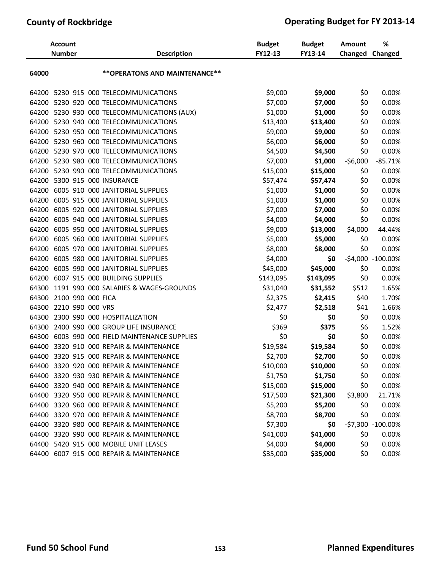|       | <b>Account</b><br><b>Number</b> | <b>Description</b>                          | <b>Budget</b><br>FY12-13 | <b>Budget</b><br>FY13-14 | Amount<br>Changed | %<br>Changed      |
|-------|---------------------------------|---------------------------------------------|--------------------------|--------------------------|-------------------|-------------------|
|       |                                 |                                             |                          |                          |                   |                   |
| 64000 |                                 | ** OPERATONS AND MAINTENANCE**              |                          |                          |                   |                   |
| 64200 |                                 | 5230 915 000 TELECOMMUNICATIONS             | \$9,000                  | \$9,000                  | \$0               | 0.00%             |
|       |                                 | 64200 5230 920 000 TELECOMMUNICATIONS       | \$7,000                  | \$7,000                  | \$0               | 0.00%             |
|       |                                 | 64200 5230 930 000 TELECOMMUNICATIONS (AUX) | \$1,000                  | \$1,000                  | \$0               | 0.00%             |
|       |                                 | 64200 5230 940 000 TELECOMMUNICATIONS       | \$13,400                 | \$13,400                 | \$0               | 0.00%             |
| 64200 |                                 | 5230 950 000 TELECOMMUNICATIONS             | \$9,000                  | \$9,000                  | \$0               | 0.00%             |
| 64200 |                                 | 5230 960 000 TELECOMMUNICATIONS             | \$6,000                  | \$6,000                  | \$0               | 0.00%             |
| 64200 |                                 | 5230 970 000 TELECOMMUNICATIONS             | \$4,500                  | \$4,500                  | \$0               | 0.00%             |
| 64200 |                                 | 5230 980 000 TELECOMMUNICATIONS             | \$7,000                  | \$1,000                  | $-$6,000$         | $-85.71%$         |
| 64200 |                                 | 5230 990 000 TELECOMMUNICATIONS             | \$15,000                 | \$15,000                 | \$0               | 0.00%             |
| 64200 |                                 | 5300 915 000 INSURANCE                      | \$57,474                 | \$57,474                 | \$0               | 0.00%             |
| 64200 |                                 | 6005 910 000 JANITORIAL SUPPLIES            | \$1,000                  | \$1,000                  | \$0               | 0.00%             |
| 64200 |                                 | 6005 915 000 JANITORIAL SUPPLIES            | \$1,000                  | \$1,000                  | \$0               | 0.00%             |
| 64200 |                                 | 6005 920 000 JANITORIAL SUPPLIES            | \$7,000                  | \$7,000                  | \$0               | 0.00%             |
| 64200 |                                 | 6005 940 000 JANITORIAL SUPPLIES            | \$4,000                  | \$4,000                  | \$0               | 0.00%             |
| 64200 |                                 | 6005 950 000 JANITORIAL SUPPLIES            | \$9,000                  | \$13,000                 | \$4,000           | 44.44%            |
| 64200 |                                 | 6005 960 000 JANITORIAL SUPPLIES            | \$5,000                  | \$5,000                  | \$0               | 0.00%             |
| 64200 |                                 | 6005 970 000 JANITORIAL SUPPLIES            | \$8,000                  | \$8,000                  | \$0               | 0.00%             |
| 64200 |                                 | 6005 980 000 JANITORIAL SUPPLIES            | \$4,000                  | \$0                      |                   | -\$4,000 -100.00% |
| 64200 |                                 | 6005 990 000 JANITORIAL SUPPLIES            | \$45,000                 | \$45,000                 | \$0               | 0.00%             |
| 64200 |                                 | 6007 915 000 BUILDING SUPPLIES              | \$143,095                | \$143,095                | \$0               | 0.00%             |
| 64300 |                                 | 1191 990 000 SALARIES & WAGES-GROUNDS       | \$31,040                 | \$31,552                 | \$512             | 1.65%             |
| 64300 | 2100 990 000 FICA               |                                             | \$2,375                  | \$2,415                  | \$40              | 1.70%             |
| 64300 | 2210 990 000 VRS                |                                             | \$2,477                  | \$2,518                  | \$41              | 1.66%             |
| 64300 |                                 | 2300 990 000 HOSPITALIZATION                | \$0                      | \$0                      | \$0               | 0.00%             |
| 64300 |                                 | 2400 990 000 GROUP LIFE INSURANCE           | \$369                    | \$375                    | \$6               | 1.52%             |
| 64300 |                                 | 6003 990 000 FIELD MAINTENANCE SUPPLIES     | \$0                      | \$0                      | \$0               | 0.00%             |
| 64400 |                                 | 3320 910 000 REPAIR & MAINTENANCE           | \$19,584                 | \$19,584                 | \$0               | 0.00%             |
|       |                                 | 64400 3320 915 000 REPAIR & MAINTENANCE     | \$2,700                  | \$2,700                  | \$0               | 0.00%             |
|       |                                 | 64400 3320 920 000 REPAIR & MAINTENANCE     | \$10,000                 | \$10,000                 | \$0               | 0.00%             |
|       |                                 | 64400 3320 930 930 REPAIR & MAINTENANCE     | \$1,750                  | \$1,750                  | \$0               | 0.00%             |
|       |                                 | 64400 3320 940 000 REPAIR & MAINTENANCE     | \$15,000                 | \$15,000                 | \$0               | 0.00%             |
|       |                                 | 64400 3320 950 000 REPAIR & MAINTENANCE     | \$17,500                 | \$21,300                 | \$3,800           | 21.71%            |
|       |                                 | 64400 3320 960 000 REPAIR & MAINTENANCE     | \$5,200                  | \$5,200                  | \$0               | 0.00%             |
|       |                                 | 64400 3320 970 000 REPAIR & MAINTENANCE     | \$8,700                  | \$8,700                  | \$0               | 0.00%             |
|       |                                 | 64400 3320 980 000 REPAIR & MAINTENANCE     | \$7,300                  | \$0                      | $-57,300$         | $-100.00%$        |
|       |                                 | 64400 3320 990 000 REPAIR & MAINTENANCE     | \$41,000                 | \$41,000                 | \$0               | 0.00%             |
|       |                                 | 64400 5420 915 000 MOBILE UNIT LEASES       | \$4,000                  | \$4,000                  | \$0               | 0.00%             |
|       |                                 | 64400 6007 915 000 REPAIR & MAINTENANCE     | \$35,000                 | \$35,000                 | \$0               | 0.00%             |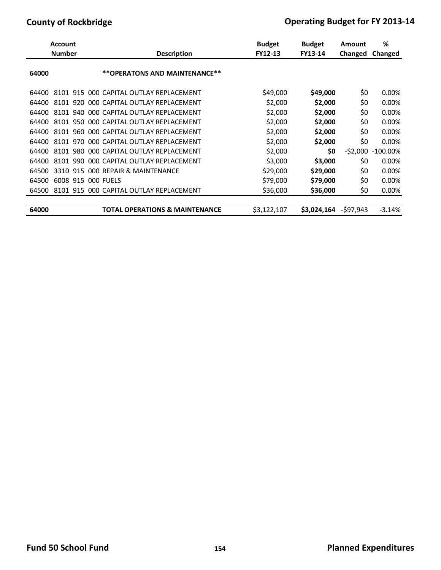|       | <b>Account</b> |      |                                           |                    | <b>Budget</b> | <b>Budget</b> | Amount     | ℅           |
|-------|----------------|------|-------------------------------------------|--------------------|---------------|---------------|------------|-------------|
|       | <b>Number</b>  |      |                                           | <b>Description</b> | FY12-13       | FY13-14       | Changed    | Changed     |
| 64000 |                |      | **OPERATONS AND MAINTENANCE**             |                    |               |               |            |             |
| 64400 |                |      | 8101 915 000 CAPITAL OUTLAY REPLACEMENT   |                    | \$49,000      | \$49,000      | \$0        | 0.00%       |
| 64400 | 8101 920       |      | 000 CAPITAL OUTLAY REPLACEMENT            |                    | \$2,000       | \$2,000       | \$0        | 0.00%       |
| 64400 | 8101 940       |      | 000 CAPITAL OUTLAY REPLACEMENT            |                    | \$2,000       | \$2,000       | \$0        | 0.00%       |
| 64400 | 8101 950       |      | 000 CAPITAL OUTLAY REPLACEMENT            |                    | \$2,000       | \$2,000       | \$0        | 0.00%       |
| 64400 | 8101           | 960. | 000 CAPITAL OUTLAY REPLACEMENT            |                    | \$2,000       | \$2,000       | \$0        | 0.00%       |
| 64400 | 8101           | 970  | 000 CAPITAL OUTLAY REPLACEMENT            |                    | \$2,000       | \$2,000       | \$0        | 0.00%       |
| 64400 | 8101           | 980  | 000 CAPITAL OUTLAY REPLACEMENT            |                    | \$2,000       | \$0           | $-52,000$  | $-100.00\%$ |
| 64400 | 8101           | 990  | 000 CAPITAL OUTLAY REPLACEMENT            |                    | \$3,000       | \$3,000       | \$0        | 0.00%       |
| 64500 | 3310           | 915  | 000 REPAIR & MAINTENANCE                  |                    | \$29,000      | \$29,000      | \$0        | 0.00%       |
| 64500 | 6008 915       |      | 000 FUELS                                 |                    | \$79,000      | \$79,000      | \$0        | 0.00%       |
| 64500 | 8101 915       |      | 000 CAPITAL OUTLAY REPLACEMENT            |                    | \$36,000      | \$36,000      | \$0        | 0.00%       |
| 64000 |                |      | <b>TOTAL OPERATIONS &amp; MAINTENANCE</b> |                    | \$3,122,107   | \$3,024,164   | $-597,943$ | $-3.14%$    |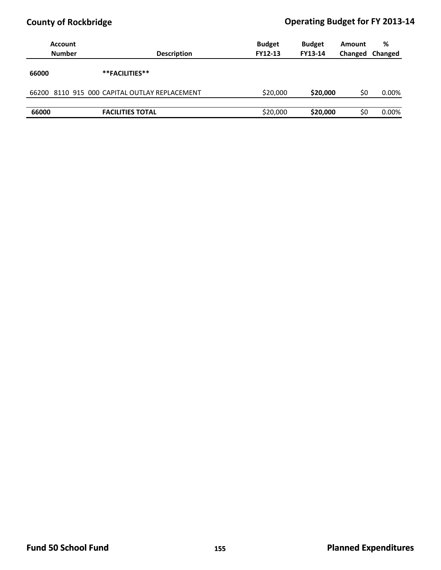|       | Account<br><b>Number</b>                      | <b>Budget</b><br><b>FY12-13</b><br><b>Description</b> | <b>Budget</b><br><b>FY13-14</b> | Amount<br>Changed | %<br>Changed |
|-------|-----------------------------------------------|-------------------------------------------------------|---------------------------------|-------------------|--------------|
| 66000 | **FACILITIES**                                |                                                       |                                 |                   |              |
|       | 66200 8110 915 000 CAPITAL OUTLAY REPLACEMENT |                                                       | \$20,000<br>\$20,000            | \$0               | 0.00%        |
| 66000 | <b>FACILITIES TOTAL</b>                       |                                                       | \$20,000<br>\$20,000            | \$0               | 0.00%        |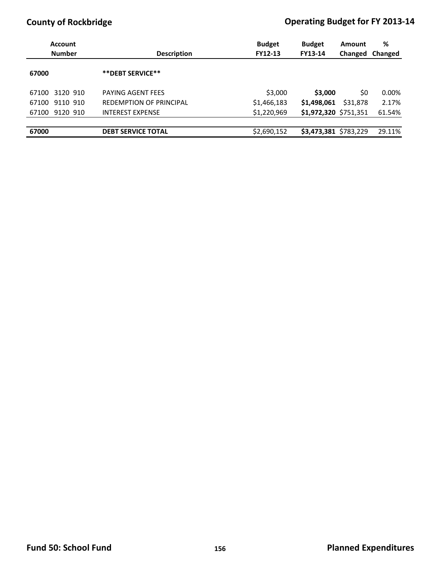| Account<br><b>Number</b> | <b>Description</b>             | <b>Budget</b><br>FY12-13 | <b>Budget</b><br><b>FY13-14</b> | Amount<br>Changed | %<br>Changed |  |
|--------------------------|--------------------------------|--------------------------|---------------------------------|-------------------|--------------|--|
| 67000                    | ** DEBT SERVICE**              |                          |                                 |                   |              |  |
| 3120 910<br>67100        | PAYING AGENT FEES              | \$3,000                  | \$3,000                         | SO.               | 0.00%        |  |
| 9110 910<br>67100        | <b>REDEMPTION OF PRINCIPAL</b> | \$1,466,183              | \$1,498,061                     | \$31,878          | 2.17%        |  |
| 9120 910<br>67100        | <b>INTEREST EXPENSE</b>        | \$1,220,969              | \$1,972,320 \$751,351           |                   | 61.54%       |  |
|                          |                                |                          |                                 |                   |              |  |
| 67000                    | <b>DEBT SERVICE TOTAL</b>      | \$2,690,152              | \$3,473,381 \$783,229           |                   | 29.11%       |  |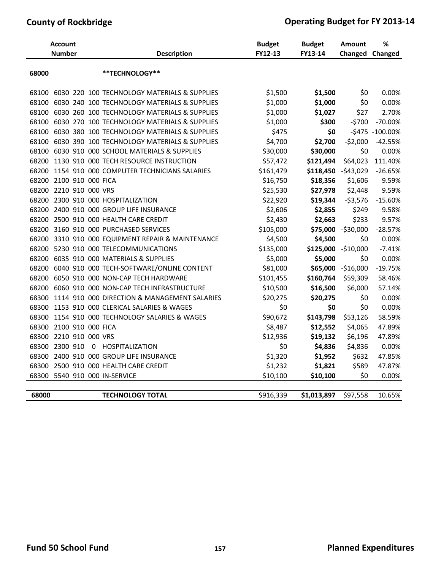| <b>Account</b><br><b>Number</b> |                   |  | <b>Description</b>                           | <b>Budget</b><br>FY12-13 | <b>Budget</b><br>FY13-14 | <b>Amount</b><br>Changed | $\%$<br>Changed   |
|---------------------------------|-------------------|--|----------------------------------------------|--------------------------|--------------------------|--------------------------|-------------------|
| 68000                           |                   |  | **TECHNOLOGY**                               |                          |                          |                          |                   |
| 68100                           |                   |  | 6030 220 100 TECHNOLOGY MATERIALS & SUPPLIES | \$1,500                  | \$1,500                  | \$0                      | 0.00%             |
| 68100                           |                   |  | 6030 240 100 TECHNOLOGY MATERIALS & SUPPLIES | \$1,000                  | \$1,000                  | \$0                      | 0.00%             |
| 68100                           |                   |  | 6030 260 100 TECHNOLOGY MATERIALS & SUPPLIES | \$1,000                  | \$1,027                  | \$27                     | 2.70%             |
| 68100                           |                   |  | 6030 270 100 TECHNOLOGY MATERIALS & SUPPLIES | \$1,000                  | \$300                    | $-5700$                  | $-70.00\%$        |
| 68100                           |                   |  | 6030 380 100 TECHNOLOGY MATERIALS & SUPPLIES | \$475                    | \$0                      |                          | $-$475 -100.00\%$ |
| 68100                           |                   |  | 6030 390 100 TECHNOLOGY MATERIALS & SUPPLIES | \$4,700                  | \$2,700                  | $-52,000$                | $-42.55%$         |
| 68100                           |                   |  | 6030 910 000 SCHOOL MATERIALS & SUPPLIES     | \$30,000                 | \$30,000                 | \$0                      | 0.00%             |
| 68200                           |                   |  | 1130 910 000 TECH RESOURCE INSTRUCTION       | \$57,472                 | \$121,494                | \$64,023                 | 111.40%           |
| 68200                           |                   |  | 1154 910 000 COMPUTER TECHNICIANS SALARIES   | \$161,479                |                          | \$118,450 -\$43,029      | $-26.65%$         |
| 68200                           | 2100 910 000 FICA |  |                                              | \$16,750                 | \$18,356                 | \$1,606                  | 9.59%             |
| 68200                           | 2210 910 000 VRS  |  |                                              | \$25,530                 | \$27,978                 | \$2,448                  | 9.59%             |
| 68200                           |                   |  | 2300 910 000 HOSPITALIZATION                 | \$22,920                 | \$19,344                 | $-53,576$                | $-15.60%$         |
| 68200                           |                   |  | 2400 910 000 GROUP LIFE INSURANCE            | \$2,606                  | \$2,855                  | \$249                    | 9.58%             |
| 68200                           |                   |  | 2500 910 000 HEALTH CARE CREDIT              | \$2,430                  | \$2,663                  | \$233                    | 9.57%             |
| 68200                           |                   |  | 3160 910 000 PURCHASED SERVICES              | \$105,000                | \$75,000                 | -\$30,000                | $-28.57%$         |
| 68200                           |                   |  | 3310 910 000 EQUIPMENT REPAIR & MAINTENANCE  | \$4,500                  | \$4,500                  | \$0                      | 0.00%             |
| 68200                           |                   |  | 5230 910 000 TELECOMMUNICATIONS              | \$135,000                | \$125,000                | $-$10,000$               | $-7.41%$          |
| 68200                           |                   |  | 6035 910 000 MATERIALS & SUPPLIES            | \$5,000                  | \$5,000                  | \$0                      | 0.00%             |
| 68200                           |                   |  | 6040 910 000 TECH-SOFTWARE/ONLINE CONTENT    | \$81,000                 |                          | \$65,000 -\$16,000       | $-19.75%$         |
| 68200                           |                   |  | 6050 910 000 NON-CAP TECH HARDWARE           | \$101,455                | \$160,764                | \$59,309                 | 58.46%            |
| 68200                           |                   |  | 6060 910 000 NON-CAP TECH INFRASTRUCTURE     | \$10,500                 | \$16,500                 | \$6,000                  | 57.14%            |
| 68300                           |                   |  | 1114 910 000 DIRECTION & MANAGEMENT SALARIES | \$20,275                 | \$20,275                 | \$0                      | 0.00%             |
| 68300                           |                   |  | 1153 910 000 CLERICAL SALARIES & WAGES       | \$0                      | \$0                      | \$0                      | 0.00%             |
| 68300                           |                   |  | 1154 910 000 TECHNOLOGY SALARIES & WAGES     | \$90,672                 | \$143,798                | \$53,126                 | 58.59%            |
| 68300                           | 2100 910 000 FICA |  |                                              | \$8,487                  | \$12,552                 | \$4,065                  | 47.89%            |
| 68300                           | 2210 910 000 VRS  |  |                                              | \$12,936                 | \$19,132                 | \$6,196                  | 47.89%            |
| 68300                           | 2300 910          |  | 0 HOSPITALIZATION                            | \$0                      | \$4,836                  | \$4,836                  | 0.00%             |
| 68300                           |                   |  | 2400 910 000 GROUP LIFE INSURANCE            | \$1,320                  | \$1,952                  | \$632                    | 47.85%            |
| 68300                           |                   |  | 2500 910 000 HEALTH CARE CREDIT              | \$1,232                  | \$1,821                  | \$589                    | 47.87%            |
| 68300                           |                   |  | 5540 910 000 IN-SERVICE                      | \$10,100                 | \$10,100                 | \$0                      | 0.00%             |
| 68000                           |                   |  | <b>TECHNOLOGY TOTAL</b>                      | \$916,339                | \$1,013,897              | \$97,558                 | 10.65%            |
|                                 |                   |  |                                              |                          |                          |                          |                   |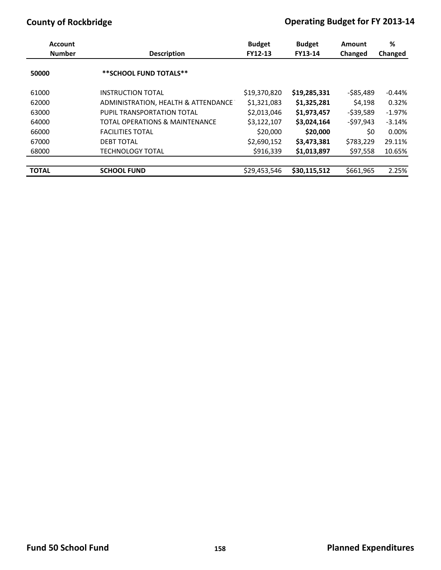| <b>Account</b><br><b>Number</b><br><b>Description</b> |                                           | <b>Budget</b> | <b>Budget</b> | Amount    | %        |  |
|-------------------------------------------------------|-------------------------------------------|---------------|---------------|-----------|----------|--|
|                                                       |                                           | FY12-13       | FY13-14       | Changed   | Changed  |  |
| 50000                                                 | **SCHOOL FUND TOTALS**                    |               |               |           |          |  |
| 61000                                                 | <b>INSTRUCTION TOTAL</b>                  | \$19,370,820  | \$19,285,331  | -\$85,489 | $-0.44%$ |  |
| 62000                                                 | ADMINISTRATION, HEALTH & ATTENDANCE       | \$1,321,083   | \$1,325,281   | \$4,198   | 0.32%    |  |
| 63000                                                 | PUPIL TRANSPORTATION TOTAL                | \$2,013,046   | \$1,973,457   | -\$39,589 | $-1.97%$ |  |
| 64000                                                 | <b>TOTAL OPERATIONS &amp; MAINTENANCE</b> | \$3,122,107   | \$3,024,164   | -\$97,943 | $-3.14%$ |  |
| 66000                                                 | <b>FACILITIES TOTAL</b>                   | \$20,000      | \$20,000      | \$0       | $0.00\%$ |  |
| 67000                                                 | <b>DEBT TOTAL</b>                         | \$2,690,152   | \$3,473,381   | \$783,229 | 29.11%   |  |
| 68000                                                 | <b>TECHNOLOGY TOTAL</b>                   | \$916,339     | \$1,013,897   | \$97,558  | 10.65%   |  |
|                                                       |                                           |               |               |           |          |  |
| <b>TOTAL</b>                                          | <b>SCHOOL FUND</b>                        | \$29,453,546  | \$30,115,512  | \$661,965 | 2.25%    |  |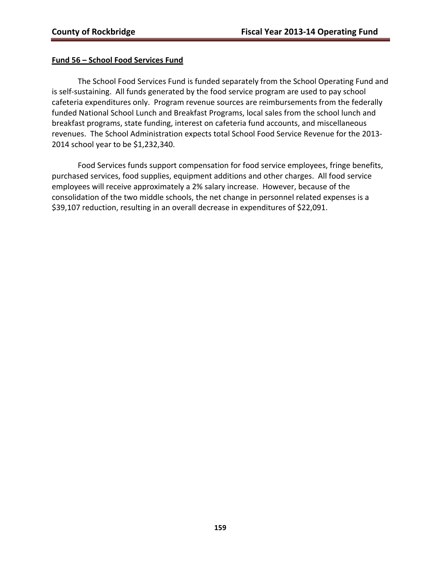## **Fund 56 – School Food Services Fund**

The School Food Services Fund is funded separately from the School Operating Fund and is self-sustaining. All funds generated by the food service program are used to pay school cafeteria expenditures only. Program revenue sources are reimbursements from the federally funded National School Lunch and Breakfast Programs, local sales from the school lunch and breakfast programs, state funding, interest on cafeteria fund accounts, and miscellaneous revenues. The School Administration expects total School Food Service Revenue for the 2013‐ 2014 school year to be \$1,232,340.

Food Services funds support compensation for food service employees, fringe benefits, purchased services, food supplies, equipment additions and other charges. All food service employees will receive approximately a 2% salary increase. However, because of the consolidation of the two middle schools, the net change in personnel related expenses is a \$39,107 reduction, resulting in an overall decrease in expenditures of \$22,091.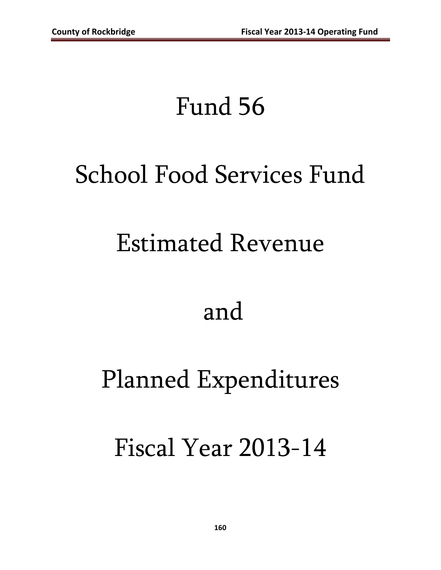# Fund 56

# School Food Services Fund

# Estimated Revenue

# and

# Planned Expenditures

# Fiscal Year 2013-14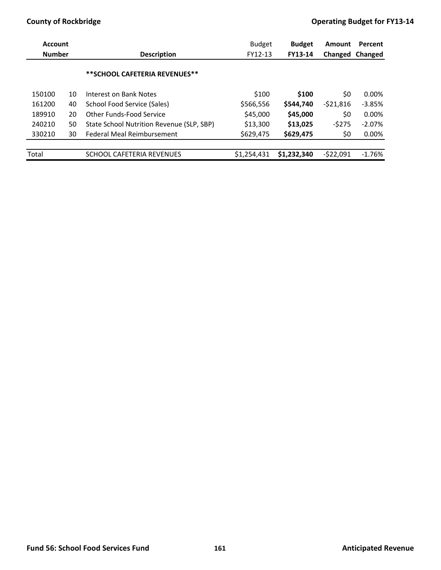| <b>Account</b><br><b>Number</b> |    | <b>Description</b>                        | <b>Budget</b><br>FY12-13 | <b>Budget</b><br>FY13-14 | Amount     | Percent<br>Changed Changed |  |
|---------------------------------|----|-------------------------------------------|--------------------------|--------------------------|------------|----------------------------|--|
|                                 |    |                                           |                          |                          |            |                            |  |
|                                 |    | ** SCHOOL CAFETERIA REVENUES**            |                          |                          |            |                            |  |
| 150100                          | 10 | Interest on Bank Notes                    | \$100                    | \$100                    | \$0        | 0.00%                      |  |
| 161200                          | 40 | School Food Service (Sales)               | \$566,556                | \$544,740                | $-521,816$ | $-3.85%$                   |  |
| 189910                          | 20 | Other Funds-Food Service                  | \$45,000                 | \$45,000                 | \$0        | $0.00\%$                   |  |
| 240210                          | 50 | State School Nutrition Revenue (SLP, SBP) | \$13,300                 | \$13,025                 | $-5275$    | $-2.07%$                   |  |
| 330210                          | 30 | Federal Meal Reimbursement                | \$629,475                | \$629,475                | \$0        | 0.00%                      |  |
|                                 |    |                                           |                          |                          |            |                            |  |
| Total                           |    | SCHOOL CAFETERIA REVENUES                 | \$1,254,431              | \$1,232,340              | -\$22.091  | $-1.76%$                   |  |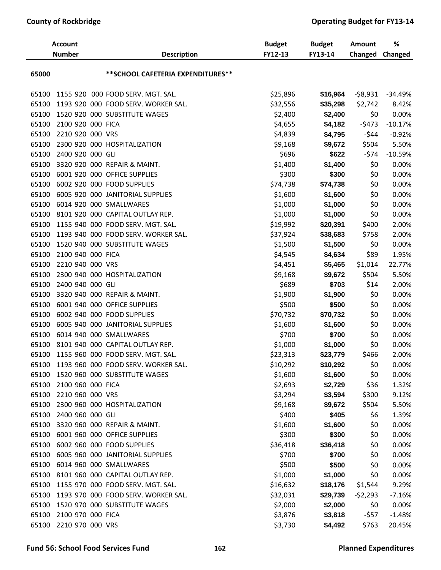| <b>Account</b><br><b>Number</b> |                   | <b>Description</b>                  | <b>Budget</b><br>FY12-13 | <b>Budget</b><br>FY13-14 | <b>Amount</b><br>Changed | $\%$<br>Changed |
|---------------------------------|-------------------|-------------------------------------|--------------------------|--------------------------|--------------------------|-----------------|
| 65000                           |                   | ** SCHOOL CAFETERIA EXPENDITURES**  |                          |                          |                          |                 |
| 65100                           |                   | 1155 920 000 FOOD SERV. MGT. SAL.   | \$25,896                 | \$16,964                 | $-58,931$                | $-34.49%$       |
| 65100                           |                   | 1193 920 000 FOOD SERV. WORKER SAL. | \$32,556                 | \$35,298                 | \$2,742                  | 8.42%           |
| 65100                           |                   | 1520 920 000 SUBSTITUTE WAGES       | \$2,400                  | \$2,400                  | \$0                      | 0.00%           |
| 65100                           | 2100 920 000 FICA |                                     | \$4,655                  | \$4,182                  | $-5473$                  | $-10.17%$       |
| 65100                           | 2210 920 000 VRS  |                                     | \$4,839                  | \$4,795                  | $-544$                   | $-0.92%$        |
| 65100                           |                   | 2300 920 000 HOSPITALIZATION        | \$9,168                  | \$9,672                  | \$504                    | 5.50%           |
| 65100                           | 2400 920 000 GLI  |                                     | \$696                    | \$622                    | $-574$                   | $-10.59%$       |
| 65100                           |                   | 3320 920 000 REPAIR & MAINT.        | \$1,400                  | \$1,400                  | \$0                      | 0.00%           |
| 65100                           |                   | 6001 920 000 OFFICE SUPPLIES        | \$300                    | \$300                    | \$0                      | 0.00%           |
| 65100                           |                   | 6002 920 000 FOOD SUPPLIES          | \$74,738                 | \$74,738                 | \$0                      | 0.00%           |
| 65100                           |                   | 6005 920 000 JANITORIAL SUPPLIES    | \$1,600                  | \$1,600                  | \$0                      | 0.00%           |
| 65100                           |                   | 6014 920 000 SMALLWARES             | \$1,000                  | \$1,000                  | \$0                      | 0.00%           |
| 65100                           |                   | 8101 920 000 CAPITAL OUTLAY REP.    | \$1,000                  | \$1,000                  | \$0                      | 0.00%           |
| 65100                           |                   | 1155 940 000 FOOD SERV. MGT. SAL.   | \$19,992                 | \$20,391                 | \$400                    | 2.00%           |
| 65100                           |                   | 1193 940 000 FOOD SERV. WORKER SAL. | \$37,924                 | \$38,683                 | \$758                    | 2.00%           |
| 65100                           |                   | 1520 940 000 SUBSTITUTE WAGES       | \$1,500                  | \$1,500                  | \$0                      | 0.00%           |
| 65100                           | 2100 940 000 FICA |                                     | \$4,545                  | \$4,634                  | \$89                     | 1.95%           |
| 65100                           | 2210 940 000 VRS  |                                     | \$4,451                  | \$5,465                  | \$1,014                  | 22.77%          |
| 65100                           |                   | 2300 940 000 HOSPITALIZATION        | \$9,168                  | \$9,672                  | \$504                    | 5.50%           |
| 65100                           | 2400 940 000 GLI  |                                     | \$689                    | \$703                    | \$14                     | 2.00%           |
| 65100                           |                   | 3320 940 000 REPAIR & MAINT.        | \$1,900                  | \$1,900                  | \$0                      | 0.00%           |
| 65100                           |                   | 6001 940 000 OFFICE SUPPLIES        | \$500                    | \$500                    | \$0                      | 0.00%           |
| 65100                           |                   | 6002 940 000 FOOD SUPPLIES          | \$70,732                 | \$70,732                 | \$0                      | 0.00%           |
| 65100                           |                   | 6005 940 000 JANITORIAL SUPPLIES    | \$1,600                  | \$1,600                  | \$0                      | 0.00%           |
| 65100                           |                   | 6014 940 000 SMALLWARES             | \$700                    | \$700                    | \$0                      | 0.00%           |
| 65100                           |                   | 8101 940 000 CAPITAL OUTLAY REP.    | \$1,000                  | \$1,000                  | \$0                      | 0.00%           |
| 65100                           |                   | 1155 960 000 FOOD SERV. MGT. SAL.   | \$23,313                 | \$23,779                 | \$466                    | 2.00%           |
| 65100                           |                   | 1193 960 000 FOOD SERV. WORKER SAL. | \$10,292                 | \$10,292                 | \$0                      | 0.00%           |
| 65100                           |                   | 1520 960 000 SUBSTITUTE WAGES       | \$1,600                  | \$1,600                  | \$0                      | 0.00%           |
| 65100                           | 2100 960 000 FICA |                                     | \$2,693                  | \$2,729                  | \$36                     | 1.32%           |
| 65100                           | 2210 960 000 VRS  |                                     | \$3,294                  | \$3,594                  | \$300                    | 9.12%           |
| 65100                           |                   | 2300 960 000 HOSPITALIZATION        | \$9,168                  | \$9,672                  | \$504                    | 5.50%           |
| 65100                           | 2400 960 000 GLI  |                                     | \$400                    | \$405                    | \$6                      | 1.39%           |
| 65100                           |                   | 3320 960 000 REPAIR & MAINT.        | \$1,600                  | \$1,600                  | \$0                      | 0.00%           |
| 65100                           |                   | 6001 960 000 OFFICE SUPPLIES        | \$300                    | \$300                    | \$0                      | 0.00%           |
| 65100                           |                   | 6002 960 000 FOOD SUPPLIES          | \$36,418                 | \$36,418                 | \$0                      | 0.00%           |
| 65100                           |                   | 6005 960 000 JANITORIAL SUPPLIES    | \$700                    | \$700                    | \$0                      | 0.00%           |
| 65100                           |                   | 6014 960 000 SMALLWARES             | \$500                    | \$500                    | \$0                      | 0.00%           |
| 65100                           |                   | 8101 960 000 CAPITAL OUTLAY REP.    | \$1,000                  | \$1,000                  | \$0                      | 0.00%           |
| 65100                           |                   | 1155 970 000 FOOD SERV. MGT. SAL.   | \$16,632                 | \$18,176                 | \$1,544                  | 9.29%           |
| 65100                           |                   | 1193 970 000 FOOD SERV. WORKER SAL. | \$32,031                 | \$29,739                 | $-52,293$                | $-7.16%$        |
| 65100                           |                   | 1520 970 000 SUBSTITUTE WAGES       | \$2,000                  | \$2,000                  | \$0                      | 0.00%           |
| 65100                           | 2100 970 000 FICA |                                     | \$3,876                  | \$3,818                  | -\$57                    | $-1.48%$        |
| 65100                           | 2210 970 000 VRS  |                                     | \$3,730                  | \$4,492                  | \$763                    | 20.45%          |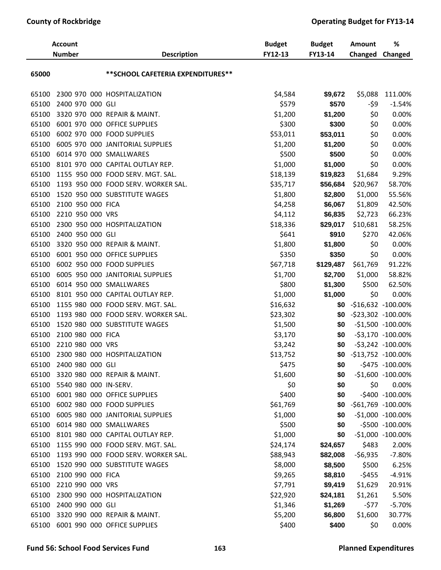| <b>Account</b><br><b>Number</b> |                             | <b>Description</b>                        | <b>Budget</b><br>FY12-13 | <b>Budget</b><br>FY13-14 | <b>Amount</b><br>Changed | %<br>Changed         |
|---------------------------------|-----------------------------|-------------------------------------------|--------------------------|--------------------------|--------------------------|----------------------|
| 65000                           |                             | ** SCHOOL CAFETERIA EXPENDITURES**        |                          |                          |                          |                      |
| 65100                           |                             | 2300 970 000 HOSPITALIZATION              | \$4,584                  | \$9,672                  | \$5,088                  | 111.00%              |
| 65100                           | 2400 970 000 GLI            |                                           | \$579                    | \$570                    | -\$9                     | $-1.54%$             |
| 65100                           |                             | 3320 970 000 REPAIR & MAINT.              | \$1,200                  | \$1,200                  | \$0                      | 0.00%                |
| 65100                           |                             | 6001 970 000 OFFICE SUPPLIES              | \$300                    | \$300                    | \$0                      | 0.00%                |
| 65100                           |                             | 6002 970 000 FOOD SUPPLIES                | \$53,011                 | \$53,011                 | \$0                      | 0.00%                |
| 65100                           |                             | 6005 970 000 JANITORIAL SUPPLIES          | \$1,200                  | \$1,200                  | \$0                      | 0.00%                |
| 65100                           |                             | 6014 970 000 SMALLWARES                   | \$500                    | \$500                    | \$0                      | 0.00%                |
| 65100                           |                             | 8101 970 000 CAPITAL OUTLAY REP.          | \$1,000                  | \$1,000                  | \$0                      | 0.00%                |
| 65100                           |                             | 1155 950 000 FOOD SERV. MGT. SAL.         | \$18,139                 | \$19,823                 | \$1,684                  | 9.29%                |
| 65100                           |                             | 1193 950 000 FOOD SERV. WORKER SAL.       | \$35,717                 | \$56,684                 | \$20,967                 | 58.70%               |
| 65100                           |                             | 1520 950 000 SUBSTITUTE WAGES             | \$1,800                  | \$2,800                  | \$1,000                  | 55.56%               |
| 65100                           | 2100 950 000 FICA           |                                           | \$4,258                  | \$6,067                  | \$1,809                  | 42.50%               |
| 65100                           | 2210 950 000 VRS            |                                           | \$4,112                  | \$6,835                  | \$2,723                  | 66.23%               |
| 65100                           |                             | 2300 950 000 HOSPITALIZATION              | \$18,336                 | \$29,017                 | \$10,681                 | 58.25%               |
| 65100                           | 2400 950 000 GLI            |                                           | \$641                    | \$910                    | \$270                    | 42.06%               |
| 65100                           |                             | 3320 950 000 REPAIR & MAINT.              | \$1,800                  | \$1,800                  | \$0                      | 0.00%                |
| 65100                           |                             | 6001 950 000 OFFICE SUPPLIES              | \$350                    | \$350                    | \$0                      | 0.00%                |
| 65100                           |                             | 6002 950 000 FOOD SUPPLIES                | \$67,718                 | \$129,487                | \$61,769                 | 91.22%               |
| 65100                           |                             | 6005 950 000 JANITORIAL SUPPLIES          | \$1,700                  | \$2,700                  | \$1,000                  | 58.82%               |
| 65100                           |                             | 6014 950 000 SMALLWARES                   | \$800                    | \$1,300                  | \$500                    | 62.50%               |
| 65100                           |                             | 8101 950 000 CAPITAL OUTLAY REP.          | \$1,000                  | \$1,000                  | \$0                      | 0.00%                |
| 65100                           |                             | 1155 980 000 FOOD SERV. MGT. SAL.         | \$16,632                 | \$0                      |                          | $-$16,632 -100.00%$  |
| 65100                           |                             | 1193 980 000 FOOD SERV. WORKER SAL.       | \$23,302                 | \$0                      |                          | -\$23,302 -100.00%   |
| 65100                           |                             | 1520 980 000 SUBSTITUTE WAGES             | \$1,500                  | \$0                      |                          | -\$1,500 -100.00%    |
| 65100                           | 2100 980 000 FICA           |                                           | \$3,170                  | \$0                      |                          | -\$3,170 -100.00%    |
| 65100                           | 2210 980 000 VRS            |                                           | \$3,242                  | \$0                      |                          | -\$3,242 -100.00%    |
|                                 |                             | 65100 2300 980 000 HOSPITALIZATION        | \$13,752                 | \$0                      |                          | -\$13,752 -100.00%   |
|                                 | 65100 2400 980 000 GLI      |                                           | \$475                    | \$0                      |                          | -\$475 -100.00%      |
| 65100                           |                             | 3320 980 000 REPAIR & MAINT.              | \$1,600                  | \$0                      |                          | $-51,600 -100.00\%$  |
|                                 | 65100 5540 980 000 IN-SERV. |                                           | \$0                      | \$0                      | \$0                      | 0.00%                |
|                                 |                             | 65100 6001 980 000 OFFICE SUPPLIES        | \$400                    | \$0                      |                          | -\$400 -100.00%      |
|                                 |                             | 65100 6002 980 000 FOOD SUPPLIES          | \$61,769                 | \$0                      |                          | -\$61,769 -100.00%   |
| 65100                           |                             | 6005 980 000 JANITORIAL SUPPLIES          | \$1,000                  | \$0                      |                          | $-51,000 - 100.00\%$ |
| 65100                           |                             | 6014 980 000 SMALLWARES                   | \$500                    | \$0                      |                          | -\$500 -100.00%      |
|                                 |                             | 65100 8101 980 000 CAPITAL OUTLAY REP.    | \$1,000                  | \$0                      |                          | -\$1,000 -100.00%    |
| 65100                           |                             | 1155 990 000 FOOD SERV. MGT. SAL.         | \$24,174                 | \$24,657                 | \$483                    | 2.00%                |
|                                 |                             | 65100 1193 990 000 FOOD SERV. WORKER SAL. | \$88,943                 | \$82,008                 | $-56,935$                | $-7.80%$             |
|                                 |                             | 65100 1520 990 000 SUBSTITUTE WAGES       | \$8,000                  | \$8,500                  | \$500                    | 6.25%                |
| 65100                           | 2100 990 000 FICA           |                                           | \$9,265                  | \$8,810                  | $-5455$                  | $-4.91%$             |
|                                 | 65100 2210 990 000 VRS      |                                           | \$7,791                  | \$9,419                  | \$1,629                  | 20.91%               |
|                                 |                             | 65100 2300 990 000 HOSPITALIZATION        | \$22,920                 | \$24,181                 | \$1,261                  | 5.50%                |
|                                 | 65100 2400 990 000 GLI      |                                           | \$1,346                  | \$1,269                  | -\$77                    | $-5.70%$             |
|                                 |                             | 65100 3320 990 000 REPAIR & MAINT.        | \$5,200                  | \$6,800                  | \$1,600                  | 30.77%               |
|                                 |                             | 65100 6001 990 000 OFFICE SUPPLIES        | \$400                    | \$400                    | \$0                      | 0.00%                |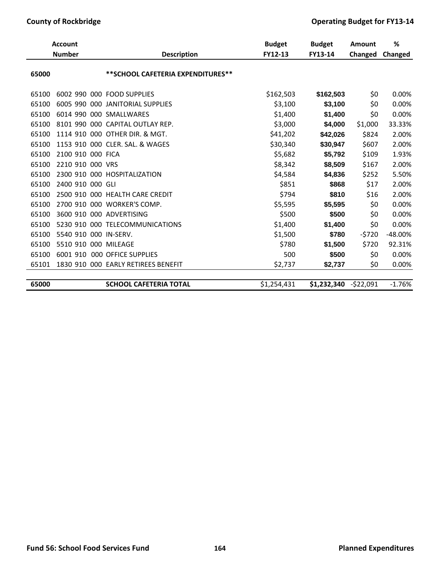| <b>Account</b><br><b>Number</b> |                       | <b>Description</b>                  | <b>Budget</b><br>FY12-13 | <b>Budget</b><br>FY13-14 | Amount<br>Changed | %<br><b>Changed</b> |
|---------------------------------|-----------------------|-------------------------------------|--------------------------|--------------------------|-------------------|---------------------|
| 65000                           |                       | **SCHOOL CAFETERIA EXPENDITURES**   |                          |                          |                   |                     |
| 65100                           |                       | 6002 990 000 FOOD SUPPLIES          | \$162,503                | \$162,503                | \$0               | 0.00%               |
| 65100                           | 6005 990              | 000 JANITORIAL SUPPLIES             | \$3,100                  | \$3,100                  | \$0               | 0.00%               |
| 65100                           |                       | 6014 990 000 SMALLWARES             | \$1,400                  | \$1,400                  | \$0               | 0.00%               |
| 65100                           | 8101 990              | 000 CAPITAL OUTLAY REP.             | \$3,000                  | \$4,000                  | \$1,000           | 33.33%              |
| 65100                           | 1114 910              | 000 OTHER DIR, & MGT.               | \$41,202                 | \$42,026                 | \$824             | 2.00%               |
| 65100                           | 1153 910              | 000 CLER. SAL. & WAGES              | \$30,340                 | \$30,947                 | \$607             | 2.00%               |
| 65100                           | 2100 910              | 000 FICA                            | \$5,682                  | \$5,792                  | \$109             | 1.93%               |
| 65100                           | 2210 910 000 VRS      |                                     | \$8,342                  | \$8,509                  | \$167             | 2.00%               |
| 65100                           |                       | 2300 910 000 HOSPITALIZATION        | \$4,584                  | \$4,836                  | \$252             | 5.50%               |
| 65100                           | 2400 910 000 GLI      |                                     | \$851                    | \$868                    | \$17              | 2.00%               |
| 65100                           |                       | 2500 910 000 HEALTH CARE CREDIT     | \$794                    | \$810                    | \$16              | 2.00%               |
| 65100                           |                       | 2700 910 000 WORKER'S COMP.         | \$5,595                  | \$5,595                  | \$0               | 0.00%               |
| 65100                           |                       | 3600 910 000 ADVERTISING            | \$500                    | \$500                    | \$0               | 0.00%               |
| 65100                           |                       | 5230 910 000 TELECOMMUNICATIONS     | \$1,400                  | \$1,400                  | \$0               | 0.00%               |
| 65100                           | 5540 910 000 IN-SERV. |                                     | \$1,500                  | \$780                    | $-5720$           | $-48.00%$           |
| 65100                           | 5510 910 000 MILEAGE  |                                     | \$780                    | \$1,500                  | \$720             | 92.31%              |
| 65100                           | 6001 910              | 000 OFFICE SUPPLIES                 | 500                      | \$500                    | \$0               | 0.00%               |
| 65101                           |                       | 1830 910 000 EARLY RETIREES BENEFIT | \$2,737                  | \$2,737                  | \$0               | 0.00%               |
|                                 |                       |                                     |                          |                          |                   |                     |
| 65000                           |                       | <b>SCHOOL CAFETERIA TOTAL</b>       | \$1,254,431              | \$1,232,340              | $-522,091$        | $-1.76%$            |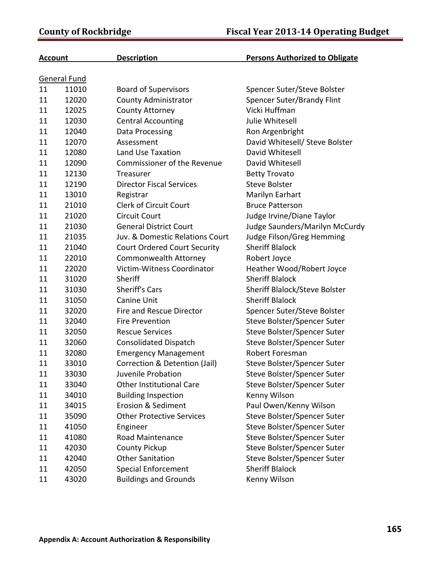| <b>Account</b> |              | <b>Description</b>                  | <b>Persons Authorized to Obligate</b> |
|----------------|--------------|-------------------------------------|---------------------------------------|
|                | General Fund |                                     |                                       |
| 11             | 11010        | <b>Board of Supervisors</b>         | Spencer Suter/Steve Bolster           |
| 11             | 12020        | <b>County Administrator</b>         | Spencer Suter/Brandy Flint            |
| 11             | 12025        | <b>County Attorney</b>              | Vicki Huffman                         |
| 11             | 12030        | <b>Central Accounting</b>           | Julie Whitesell                       |
| 11             | 12040        | Data Processing                     | Ron Argenbright                       |
| 11             | 12070        | Assessment                          | David Whitesell/ Steve Bolster        |
| 11             | 12080        | Land Use Taxation                   | David Whitesell                       |
| 11             | 12090        | <b>Commissioner of the Revenue</b>  | David Whitesell                       |
| 11             | 12130        | Treasurer                           | <b>Betty Trovato</b>                  |
| 11             | 12190        | <b>Director Fiscal Services</b>     | <b>Steve Bolster</b>                  |
| 11             | 13010        | Registrar                           | Marilyn Earhart                       |
| 11             | 21010        | <b>Clerk of Circuit Court</b>       | <b>Bruce Patterson</b>                |
| 11             | 21020        | <b>Circuit Court</b>                | Judge Irvine/Diane Taylor             |
| 11             | 21030        | <b>General District Court</b>       | Judge Saunders/Marilyn McCurdy        |
| 11             | 21035        | Juv. & Domestic Relations Court     | Judge Filson/Greg Hemming             |
| 11             | 21040        | <b>Court Ordered Court Security</b> | <b>Sheriff Blalock</b>                |
| 11             | 22010        | <b>Commonwealth Attorney</b>        | Robert Joyce                          |
| 11             | 22020        | Victim-Witness Coordinator          | Heather Wood/Robert Joyce             |
| 11             | 31020        | Sheriff                             | <b>Sheriff Blalock</b>                |
| 11             | 31030        | <b>Sheriff's Cars</b>               | Sheriff Blalock/Steve Bolster         |
| 11             | 31050        | <b>Canine Unit</b>                  | <b>Sheriff Blalock</b>                |
| 11             | 32020        | <b>Fire and Rescue Director</b>     | Spencer Suter/Steve Bolster           |
| 11             | 32040        | <b>Fire Prevention</b>              | Steve Bolster/Spencer Suter           |
| 11             | 32050        | <b>Rescue Services</b>              | Steve Bolster/Spencer Suter           |
| 11             | 32060        | <b>Consolidated Dispatch</b>        | Steve Bolster/Spencer Suter           |
| 11             | 32080        | <b>Emergency Management</b>         | Robert Foresman                       |
| 11             | 33010        | Correction & Detention (Jail)       | Steve Bolster/Spencer Suter           |
| 11             | 33030        | Juvenile Probation                  | Steve Bolster/Spencer Suter           |
| 11             | 33040        | <b>Other Institutional Care</b>     | Steve Bolster/Spencer Suter           |
| 11             | 34010        | <b>Building Inspection</b>          | Kenny Wilson                          |
| 11             | 34015        | <b>Erosion &amp; Sediment</b>       | Paul Owen/Kenny Wilson                |
| 11             | 35090        | <b>Other Protective Services</b>    | Steve Bolster/Spencer Suter           |
| 11             | 41050        | Engineer                            | Steve Bolster/Spencer Suter           |
| 11             | 41080        | Road Maintenance                    | Steve Bolster/Spencer Suter           |
| 11             | 42030        | <b>County Pickup</b>                | Steve Bolster/Spencer Suter           |
| 11             | 42040        | <b>Other Sanitation</b>             | Steve Bolster/Spencer Suter           |
| 11             | 42050        | <b>Special Enforcement</b>          | <b>Sheriff Blalock</b>                |
| 11             | 43020        | <b>Buildings and Grounds</b>        | Kenny Wilson                          |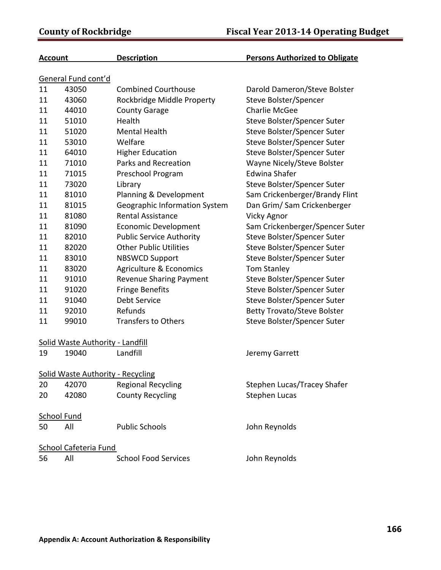| <b>Account</b> |                              | <b>Description</b>                       | <b>Persons Authorized to Obligate</b> |  |  |
|----------------|------------------------------|------------------------------------------|---------------------------------------|--|--|
|                | General Fund cont'd          |                                          |                                       |  |  |
| 11             | 43050                        | <b>Combined Courthouse</b>               | Darold Dameron/Steve Bolster          |  |  |
| 11             | 43060                        | Rockbridge Middle Property               | Steve Bolster/Spencer                 |  |  |
| 11             | 44010                        | <b>County Garage</b>                     | <b>Charlie McGee</b>                  |  |  |
| 11             | 51010                        | Health                                   | Steve Bolster/Spencer Suter           |  |  |
| 11             | 51020                        | <b>Mental Health</b>                     | Steve Bolster/Spencer Suter           |  |  |
| 11             | 53010                        | Welfare                                  | Steve Bolster/Spencer Suter           |  |  |
| 11             | 64010                        | <b>Higher Education</b>                  | Steve Bolster/Spencer Suter           |  |  |
| 11             | 71010                        | Parks and Recreation                     | Wayne Nicely/Steve Bolster            |  |  |
| 11             | 71015                        | Preschool Program                        | <b>Edwina Shafer</b>                  |  |  |
| 11             | 73020                        | Library                                  | Steve Bolster/Spencer Suter           |  |  |
| 11             | 81010                        | Planning & Development                   | Sam Crickenberger/Brandy Flint        |  |  |
| 11             | 81015                        | Geographic Information System            | Dan Grim/ Sam Crickenberger           |  |  |
| 11             | 81080                        | <b>Rental Assistance</b>                 | <b>Vicky Agnor</b>                    |  |  |
| 11             | 81090                        | <b>Economic Development</b>              | Sam Crickenberger/Spencer Suter       |  |  |
| 11             | 82010                        | <b>Public Service Authority</b>          | Steve Bolster/Spencer Suter           |  |  |
| 11             | 82020                        | <b>Other Public Utilities</b>            | Steve Bolster/Spencer Suter           |  |  |
| 11             | 83010                        | <b>NBSWCD Support</b>                    | Steve Bolster/Spencer Suter           |  |  |
| 11             | 83020                        | Agriculture & Economics                  | <b>Tom Stanley</b>                    |  |  |
| 11             | 91010                        | <b>Revenue Sharing Payment</b>           | Steve Bolster/Spencer Suter           |  |  |
| 11             | 91020                        | <b>Fringe Benefits</b>                   | Steve Bolster/Spencer Suter           |  |  |
| 11             | 91040                        | Debt Service                             | Steve Bolster/Spencer Suter           |  |  |
| 11             | 92010                        | Refunds                                  | <b>Betty Trovato/Steve Bolster</b>    |  |  |
| 11             | 99010                        | <b>Transfers to Others</b>               | Steve Bolster/Spencer Suter           |  |  |
|                |                              | Solid Waste Authority - Landfill         |                                       |  |  |
| 19             | 19040                        | Landfill                                 | Jeremy Garrett                        |  |  |
|                |                              | <b>Solid Waste Authority - Recycling</b> |                                       |  |  |
| 20             | 42070                        | <b>Regional Recycling</b>                | Stephen Lucas/Tracey Shafer           |  |  |
| 20             | 42080                        | <b>County Recycling</b>                  | <b>Stephen Lucas</b>                  |  |  |
|                | <b>School Fund</b>           |                                          |                                       |  |  |
| 50             | All                          | <b>Public Schools</b>                    | John Reynolds                         |  |  |
|                | <b>School Cafeteria Fund</b> |                                          |                                       |  |  |
| 56             | All                          | <b>School Food Services</b>              | John Reynolds                         |  |  |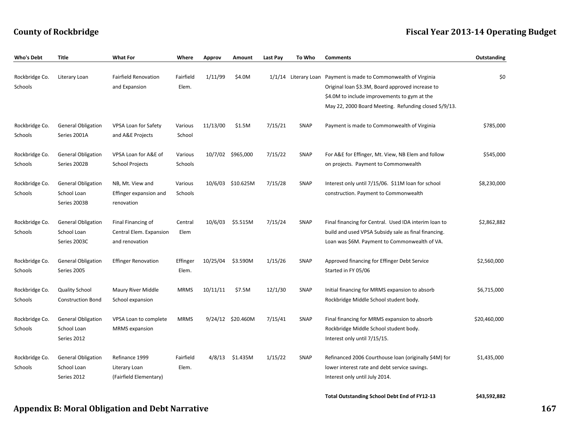## **County of Rockbridge Fiscal Year 201314 Operating Budget**

| Who's Debt     | <b>Title</b>              | <b>What For</b>             | Where       | Approv   | Amount            | Last Pay | To Who      | <b>Comments</b>                                                  | Outstanding  |
|----------------|---------------------------|-----------------------------|-------------|----------|-------------------|----------|-------------|------------------------------------------------------------------|--------------|
|                |                           |                             |             |          |                   |          |             |                                                                  |              |
| Rockbridge Co. | Literary Loan             | <b>Fairfield Renovation</b> | Fairfield   | 1/11/99  | \$4.0M            |          |             | 1/1/14 Literary Loan Payment is made to Commonwealth of Virginia | \$0          |
| Schools        |                           | and Expansion               | Elem.       |          |                   |          |             | Original loan \$3.3M, Board approved increase to                 |              |
|                |                           |                             |             |          |                   |          |             | \$4.0M to include improvements to gym at the                     |              |
|                |                           |                             |             |          |                   |          |             | May 22, 2000 Board Meeting. Refunding closed 5/9/13.             |              |
| Rockbridge Co. | <b>General Obligation</b> | <b>VPSA Loan for Safety</b> | Various     | 11/13/00 | \$1.5M            | 7/15/21  | <b>SNAP</b> | Payment is made to Commonwealth of Virginia                      | \$785,000    |
| Schools        | Series 2001A              | and A&E Projects            | School      |          |                   |          |             |                                                                  |              |
| Rockbridge Co. | <b>General Obligation</b> | VPSA Loan for A&E of        | Various     |          | 10/7/02 \$965,000 | 7/15/22  | SNAP        | For A&E for Effinger, Mt. View, NB Elem and follow               | \$545,000    |
| Schools        | Series 2002B              | <b>School Projects</b>      | Schools     |          |                   |          |             | on projects. Payment to Commonwealth                             |              |
|                |                           |                             |             |          |                   |          |             |                                                                  |              |
| Rockbridge Co. | <b>General Obligation</b> | NB, Mt. View and            | Various     |          | 10/6/03 \$10.625M | 7/15/28  | SNAP        | Interest only until 7/15/06. \$11M loan for school               | \$8,230,000  |
| Schools        | School Loan               | Effinger expansion and      | Schools     |          |                   |          |             | construction. Payment to Commonwealth                            |              |
|                | Series 2003B              | renovation                  |             |          |                   |          |             |                                                                  |              |
| Rockbridge Co. | <b>General Obligation</b> | Final Financing of          | Central     | 10/6/03  | \$5.515M          | 7/15/24  | <b>SNAP</b> | Final financing for Central. Used IDA interim loan to            | \$2,862,882  |
| Schools        | School Loan               | Central Elem. Expansion     | Elem        |          |                   |          |             | build and used VPSA Subsidy sale as final financing.             |              |
|                | Series 2003C              | and renovation              |             |          |                   |          |             | Loan was \$6M. Payment to Commonwealth of VA.                    |              |
| Rockbridge Co. | <b>General Obligation</b> | <b>Effinger Renovation</b>  | Effinger    | 10/25/04 | \$3.590M          | 1/15/26  | SNAP        | Approved financing for Effinger Debt Service                     | \$2,560,000  |
| Schools        | Series 2005               |                             | Elem.       |          |                   |          |             | Started in FY 05/06                                              |              |
|                |                           |                             |             |          |                   |          |             |                                                                  |              |
| Rockbridge Co. | <b>Quality School</b>     | Maury River Middle          | <b>MRMS</b> | 10/11/11 | \$7.5M            | 12/1/30  | SNAP        | Initial financing for MRMS expansion to absorb                   | \$6,715,000  |
| Schools        | <b>Construction Bond</b>  | School expansion            |             |          |                   |          |             | Rockbridge Middle School student body.                           |              |
| Rockbridge Co. | <b>General Obligation</b> | VPSA Loan to complete       | <b>MRMS</b> |          | 9/24/12 \$20.460M | 7/15/41  | <b>SNAP</b> | Final financing for MRMS expansion to absorb                     | \$20,460,000 |
| Schools        | School Loan               | <b>MRMS</b> expansion       |             |          |                   |          |             | Rockbridge Middle School student body.                           |              |
|                | Series 2012               |                             |             |          |                   |          |             | Interest only until 7/15/15.                                     |              |
| Rockbridge Co. | <b>General Obligation</b> | Refinance 1999              | Fairfield   |          | 4/8/13 \$1.435M   | 1/15/22  | <b>SNAP</b> | Refinanced 2006 Courthouse loan (originally \$4M) for            | \$1,435,000  |
| Schools        | School Loan               | Literary Loan               | Elem.       |          |                   |          |             | lower interest rate and debt service savings.                    |              |
|                | Series 2012               | (Fairfield Elementary)      |             |          |                   |          |             | Interest only until July 2014.                                   |              |
|                |                           |                             |             |          |                   |          |             |                                                                  |              |
|                |                           |                             |             |          |                   |          |             | <b>Total Outstanding School Debt End of FY12-13</b>              | \$43,592,882 |

## **Appendix B: Moral Obligation and Debt Narrative 167**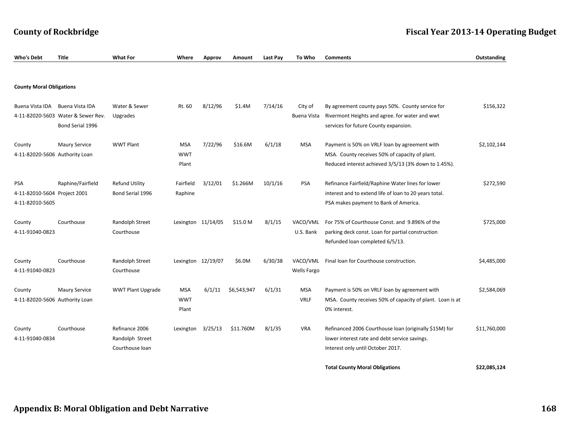| Who's Debt                                             | <b>Title</b>                                                              | <b>What For</b>                                      | Where                             | Approv               | Amount      | Last Pay | To Who                    | <b>Comments</b>                                                                                                                                         | Outstanding  |
|--------------------------------------------------------|---------------------------------------------------------------------------|------------------------------------------------------|-----------------------------------|----------------------|-------------|----------|---------------------------|---------------------------------------------------------------------------------------------------------------------------------------------------------|--------------|
|                                                        |                                                                           |                                                      |                                   |                      |             |          |                           |                                                                                                                                                         |              |
| <b>County Moral Obligations</b>                        |                                                                           |                                                      |                                   |                      |             |          |                           |                                                                                                                                                         |              |
| Buena Vista IDA                                        | Buena Vista IDA<br>4-11-82020-5603 Water & Sewer Rev.<br>Bond Serial 1996 | Water & Sewer<br>Upgrades                            | Rt. 60                            | 8/12/96              | \$1.4M      | 7/14/16  | City of<br>Buena Vista    | By agreement county pays 50%. County service for<br>Rivermont Heights and agree. for water and wwt<br>services for future County expansion.             | \$156,322    |
| County<br>4-11-82020-5606 Authority Loan               | <b>Maury Service</b>                                                      | <b>WWT Plant</b>                                     | <b>MSA</b><br><b>WWT</b><br>Plant | 7/22/96              | \$16.6M     | 6/1/18   | <b>MSA</b>                | Payment is 50% on VRLF loan by agreement with<br>MSA. County receives 50% of capacity of plant.<br>Reduced interest achieved 3/5/13 (3% down to 1.45%). | \$2,102,144  |
| PSA<br>4-11-82010-5604 Project 2001<br>4-11-82010-5605 | Raphine/Fairfield                                                         | <b>Refund Utility</b><br>Bond Serial 1996            | Fairfield<br>Raphine              | 3/12/01              | \$1.266M    | 10/1/16  | PSA                       | Refinance Fairfield/Raphine Water lines for lower<br>interest and to extend life of loan to 20 years total.<br>PSA makes payment to Bank of America.    | \$272,590    |
| County<br>4-11-91040-0823                              | Courthouse                                                                | Randolph Street<br>Courthouse                        |                                   | Lexington $11/14/05$ | \$15.0 M    | 8/1/15   | VACO/VML<br>U.S. Bank     | For 75% of Courthouse Const. and 9.896% of the<br>parking deck const. Loan for partial construction<br>Refunded loan completed 6/5/13.                  | \$725,000    |
| County<br>4-11-91040-0823                              | Courthouse                                                                | Randolph Street<br>Courthouse                        |                                   | Lexington 12/19/07   | \$6.0M      | 6/30/38  | VACO/VML<br>Wells Fargo   | Final loan for Courthouse construction.                                                                                                                 | \$4,485,000  |
| County<br>4-11-82020-5606 Authority Loan               | <b>Maury Service</b>                                                      | <b>WWT Plant Upgrade</b>                             | <b>MSA</b><br><b>WWT</b><br>Plant | 6/1/11               | \$6,543,947 | 6/1/31   | <b>MSA</b><br><b>VRLF</b> | Payment is 50% on VRLF loan by agreement with<br>MSA. County receives 50% of capacity of plant. Loan is at<br>0% interest.                              | \$2,584,069  |
| County<br>4-11-91040-0834                              | Courthouse                                                                | Refinance 2006<br>Randolph Street<br>Courthouse loan | Lexington                         | 3/25/13              | \$11.760M   | 8/1/35   | VRA                       | Refinanced 2006 Courthouse Ioan (originally \$15M) for<br>lower interest rate and debt service savings.<br>Interest only until October 2017.            | \$11,760,000 |
|                                                        |                                                                           |                                                      |                                   |                      |             |          |                           | <b>Total County Moral Obligations</b>                                                                                                                   | \$22,085,124 |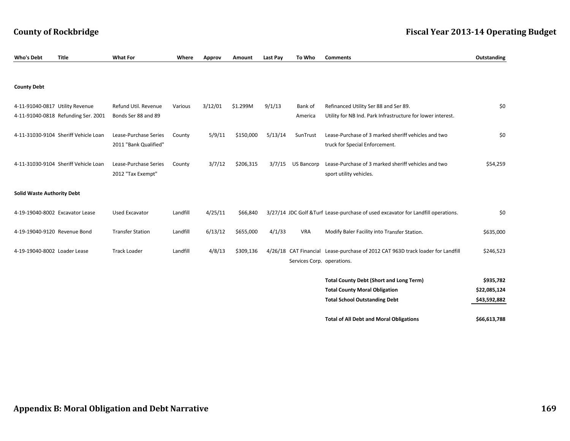| <b>Who's Debt</b>                 | <b>Title</b>                         | <b>What For</b>                                | Where    | Approv  | Amount    | Last Pay | To Who                     | <b>Comments</b>                                                                                                                | Outstanding                               |
|-----------------------------------|--------------------------------------|------------------------------------------------|----------|---------|-----------|----------|----------------------------|--------------------------------------------------------------------------------------------------------------------------------|-------------------------------------------|
|                                   |                                      |                                                |          |         |           |          |                            |                                                                                                                                |                                           |
| <b>County Debt</b>                |                                      |                                                |          |         |           |          |                            |                                                                                                                                |                                           |
| 4-11-91040-0817 Utility Revenue   | 4-11-91040-0818 Refunding Ser. 2001  | Refund Util. Revenue<br>Bonds Ser 88 and 89    | Various  | 3/12/01 | \$1.299M  | 9/1/13   | Bank of<br>America         | Refinanced Utility Ser 88 and Ser 89.<br>Utility for NB Ind. Park Infrastructure for lower interest.                           | \$0                                       |
|                                   | 4-11-31030-9104 Sheriff Vehicle Loan | Lease-Purchase Series<br>2011 "Bank Qualified" | County   | 5/9/11  | \$150,000 | 5/13/14  | SunTrust                   | Lease-Purchase of 3 marked sheriff vehicles and two<br>truck for Special Enforcement.                                          | \$0                                       |
|                                   | 4-11-31030-9104 Sheriff Vehicle Loan | Lease-Purchase Series<br>2012 "Tax Exempt"     | County   | 3/7/12  | \$206,315 | 3/7/15   | <b>US Bancorp</b>          | Lease-Purchase of 3 marked sheriff vehicles and two<br>sport utility vehicles.                                                 | \$54,259                                  |
| <b>Solid Waste Authority Debt</b> |                                      |                                                |          |         |           |          |                            |                                                                                                                                |                                           |
| 4-19-19040-8002 Excavator Lease   |                                      | <b>Used Excavator</b>                          | Landfill | 4/25/11 | \$66,840  |          |                            | 3/27/14 JDC Golf & Turf Lease-purchase of used excavator for Landfill operations.                                              | \$0                                       |
| 4-19-19040-9120 Revenue Bond      |                                      | <b>Transfer Station</b>                        | Landfill | 6/13/12 | \$655,000 | 4/1/33   | <b>VRA</b>                 | Modify Baler Facility into Transfer Station.                                                                                   | \$635,000                                 |
| 4-19-19040-8002 Loader Lease      |                                      | <b>Track Loader</b>                            | Landfill | 4/8/13  | \$309,136 |          | Services Corp. operations. | 4/26/18 CAT Financial Lease-purchase of 2012 CAT 963D track loader for Landfill                                                | \$246,523                                 |
|                                   |                                      |                                                |          |         |           |          |                            | <b>Total County Debt (Short and Long Term)</b><br><b>Total County Moral Obligation</b><br><b>Total School Outstanding Debt</b> | \$935,782<br>\$22,085,124<br>\$43,592,882 |

## **County of Rockbridge Fiscal Year 201314 Operating Budget**

**Total of All Debt and Moral Obligations \$66,613,788**